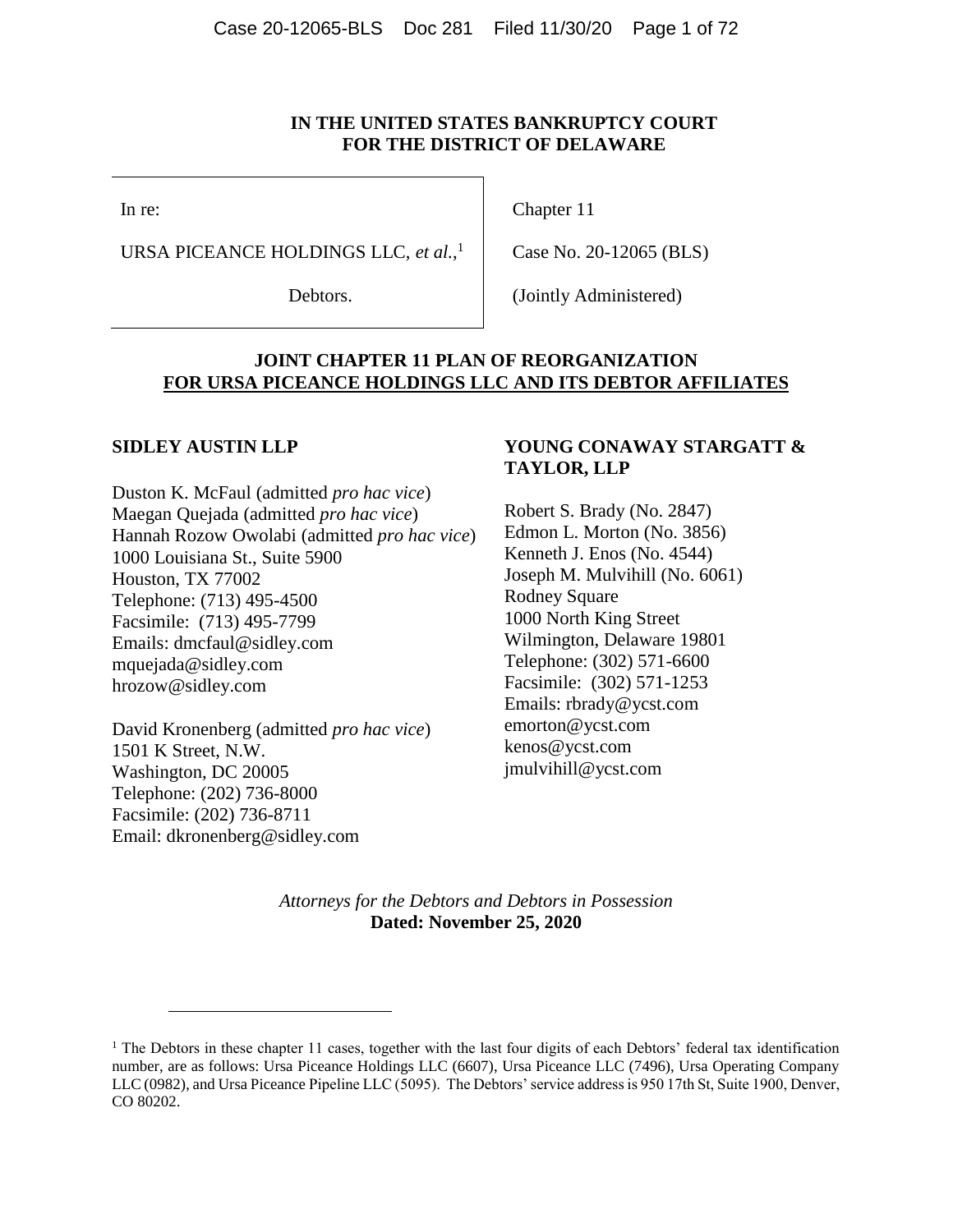#### **IN THE UNITED STATES BANKRUPTCY COURT FOR THE DISTRICT OF DELAWARE**

In re:

URSA PICEANCE HOLDINGS LLC, *et al.*, 1

Debtors.

Chapter 11

Case No. 20-12065 (BLS)

(Jointly Administered)

#### **JOINT CHAPTER 11 PLAN OF REORGANIZATION FOR URSA PICEANCE HOLDINGS LLC AND ITS DEBTOR AFFILIATES**

#### **SIDLEY AUSTIN LLP**

 $\overline{a}$ 

Duston K. McFaul (admitted *pro hac vice*) Maegan Quejada (admitted *pro hac vice*) Hannah Rozow Owolabi (admitted *pro hac vice*) 1000 Louisiana St., Suite 5900 Houston, TX 77002 Telephone: (713) 495-4500 Facsimile: (713) 495-7799 Emails: dmcfaul@sidley.com mquejada@sidley.com hrozow@sidley.com

David Kronenberg (admitted *pro hac vice*) 1501 K Street, N.W. Washington, DC 20005 Telephone: (202) 736-8000 Facsimile: (202) 736-8711 Email: dkronenberg@sidley.com

#### **YOUNG CONAWAY STARGATT & TAYLOR, LLP**

Robert S. Brady (No. 2847) Edmon L. Morton (No. 3856) Kenneth J. Enos (No. 4544) Joseph M. Mulvihill (No. 6061) Rodney Square 1000 North King Street Wilmington, Delaware 19801 Telephone: (302) 571-6600 Facsimile: (302) 571-1253 Emails: rbrady@ycst.com emorton@ycst.com kenos@ycst.com jmulvihill@ycst.com

*Attorneys for the Debtors and Debtors in Possession* **Dated: November 25, 2020**

<sup>&</sup>lt;sup>1</sup> The Debtors in these chapter 11 cases, together with the last four digits of each Debtors' federal tax identification number, are as follows: Ursa Piceance Holdings LLC (6607), Ursa Piceance LLC (7496), Ursa Operating Company LLC (0982), and Ursa Piceance Pipeline LLC (5095). The Debtors' service address is 950 17th St, Suite 1900, Denver, CO 80202.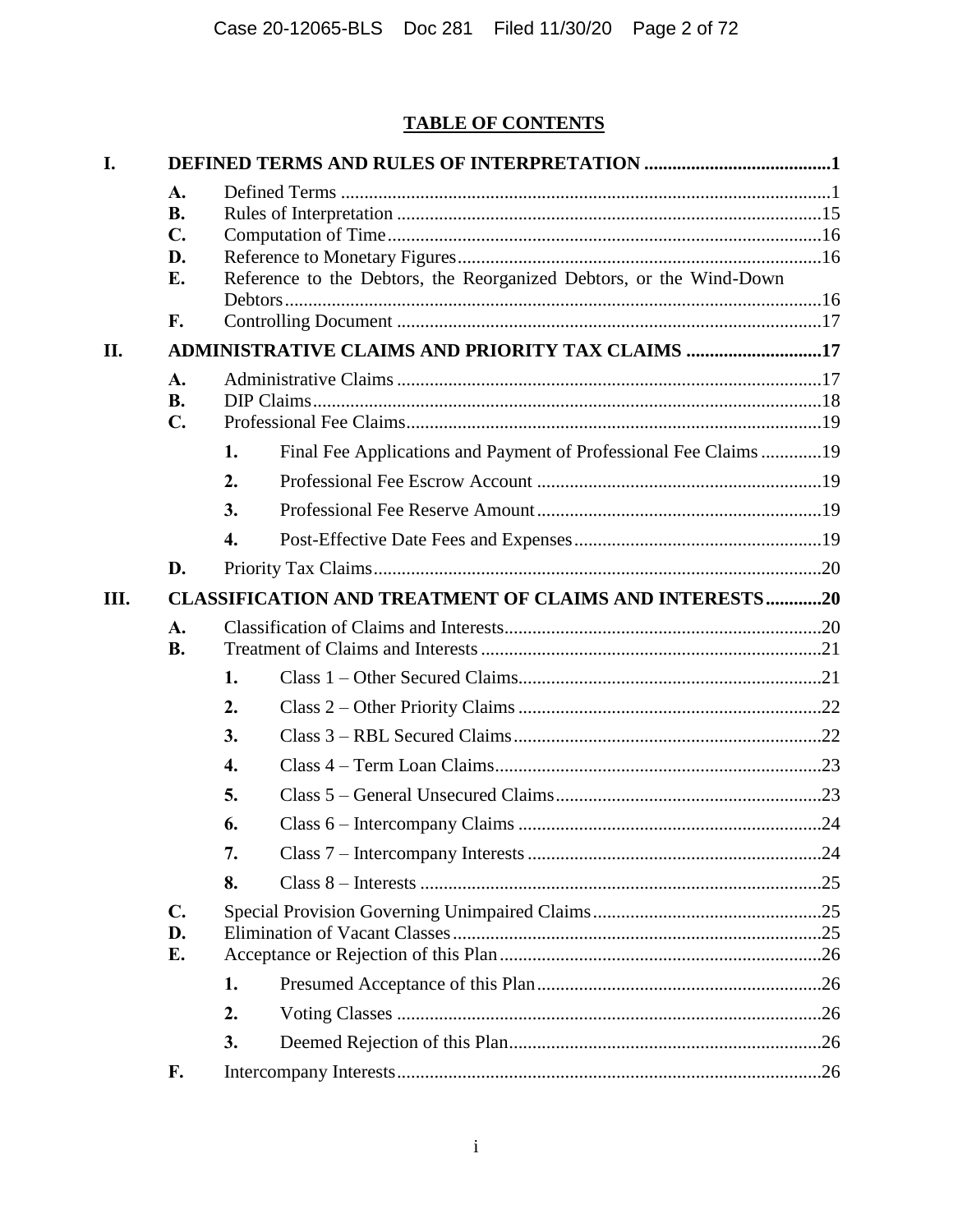## **TABLE OF CONTENTS**

| I.   |                                                     |                    |                                                                                                                         |  |
|------|-----------------------------------------------------|--------------------|-------------------------------------------------------------------------------------------------------------------------|--|
| II.  | A.<br><b>B.</b><br>$\mathbf{C}$ .<br>D.<br>E.<br>F. |                    | Reference to the Debtors, the Reorganized Debtors, or the Wind-Down<br>ADMINISTRATIVE CLAIMS AND PRIORITY TAX CLAIMS 17 |  |
|      | A.                                                  |                    |                                                                                                                         |  |
|      | <b>B.</b>                                           |                    |                                                                                                                         |  |
|      | $\mathbf{C}$ .                                      |                    |                                                                                                                         |  |
|      |                                                     | 1.                 | Final Fee Applications and Payment of Professional Fee Claims 19                                                        |  |
|      |                                                     | 2.                 |                                                                                                                         |  |
|      |                                                     | 3.                 |                                                                                                                         |  |
|      |                                                     | $\boldsymbol{4}$ . |                                                                                                                         |  |
|      | D.                                                  |                    |                                                                                                                         |  |
| III. |                                                     |                    | <b>CLASSIFICATION AND TREATMENT OF CLAIMS AND INTERESTS20</b>                                                           |  |
|      | A.<br><b>B.</b>                                     |                    |                                                                                                                         |  |
|      |                                                     | 1.                 |                                                                                                                         |  |
|      |                                                     | 2.                 |                                                                                                                         |  |
|      |                                                     | 3.                 |                                                                                                                         |  |
|      |                                                     | 4.                 |                                                                                                                         |  |
|      |                                                     | 5.                 |                                                                                                                         |  |
|      |                                                     | 6.                 |                                                                                                                         |  |
|      |                                                     | 7.                 |                                                                                                                         |  |
|      |                                                     | 8.                 |                                                                                                                         |  |
|      | $C_{\bullet}$<br>D.<br>E.                           |                    |                                                                                                                         |  |
|      |                                                     | 1.                 |                                                                                                                         |  |
|      |                                                     | 2.                 |                                                                                                                         |  |
|      |                                                     | 3.                 |                                                                                                                         |  |
|      | F.                                                  |                    |                                                                                                                         |  |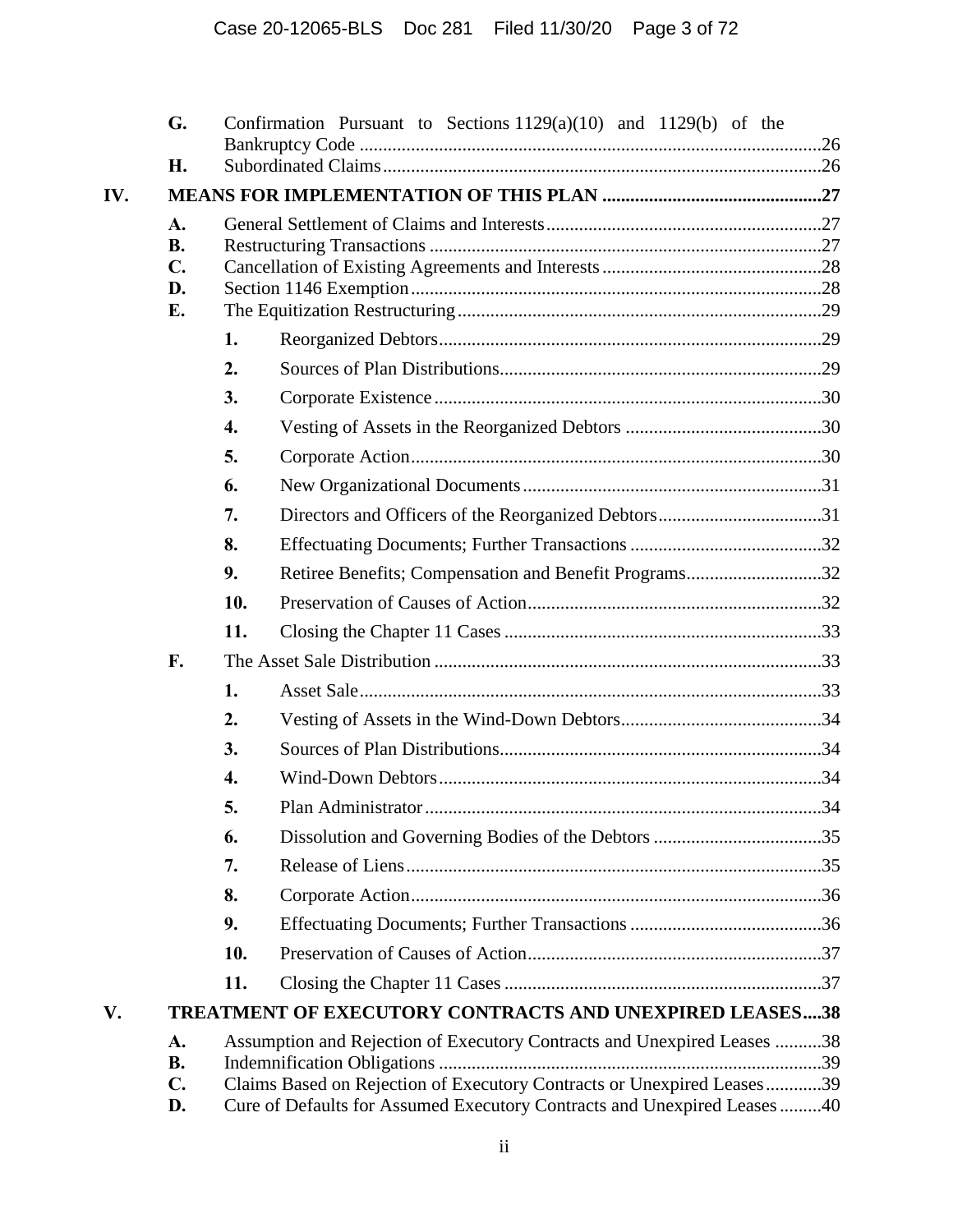|     | G.                                            |     | Confirmation Pursuant to Sections $1129(a)(10)$ and $1129(b)$ of the                                                                                                                                                         |     |
|-----|-----------------------------------------------|-----|------------------------------------------------------------------------------------------------------------------------------------------------------------------------------------------------------------------------------|-----|
|     | H.                                            |     |                                                                                                                                                                                                                              |     |
| IV. |                                               |     |                                                                                                                                                                                                                              |     |
|     | A.<br><b>B.</b><br>$\mathbf{C}$ .<br>D.<br>Е. |     |                                                                                                                                                                                                                              |     |
|     |                                               | 1.  |                                                                                                                                                                                                                              |     |
|     |                                               | 2.  |                                                                                                                                                                                                                              |     |
|     |                                               | 3.  |                                                                                                                                                                                                                              |     |
|     |                                               | 4.  |                                                                                                                                                                                                                              |     |
|     |                                               | 5.  |                                                                                                                                                                                                                              |     |
|     |                                               | 6.  |                                                                                                                                                                                                                              |     |
|     |                                               | 7.  | Directors and Officers of the Reorganized Debtors31                                                                                                                                                                          |     |
|     |                                               | 8.  |                                                                                                                                                                                                                              |     |
|     |                                               | 9.  | Retiree Benefits; Compensation and Benefit Programs32                                                                                                                                                                        |     |
|     |                                               | 10. |                                                                                                                                                                                                                              |     |
|     |                                               | 11. |                                                                                                                                                                                                                              |     |
|     | F.                                            |     |                                                                                                                                                                                                                              |     |
|     |                                               | 1.  |                                                                                                                                                                                                                              |     |
|     |                                               | 2.  |                                                                                                                                                                                                                              |     |
|     |                                               | 3.  |                                                                                                                                                                                                                              |     |
|     |                                               | 4.  |                                                                                                                                                                                                                              |     |
|     |                                               | 5.  | Plan Administrator                                                                                                                                                                                                           | .34 |
|     |                                               | 6.  |                                                                                                                                                                                                                              |     |
|     |                                               | 7.  |                                                                                                                                                                                                                              |     |
|     |                                               | 8.  |                                                                                                                                                                                                                              |     |
|     |                                               | 9.  |                                                                                                                                                                                                                              |     |
|     |                                               | 10. |                                                                                                                                                                                                                              |     |
|     |                                               | 11. |                                                                                                                                                                                                                              |     |
| V.  |                                               |     | TREATMENT OF EXECUTORY CONTRACTS AND UNEXPIRED LEASES38                                                                                                                                                                      |     |
|     | A.<br><b>B.</b><br>$C_{\bullet}$<br>D.        |     | Assumption and Rejection of Executory Contracts and Unexpired Leases 38<br>Claims Based on Rejection of Executory Contracts or Unexpired Leases39<br>Cure of Defaults for Assumed Executory Contracts and Unexpired Leases40 |     |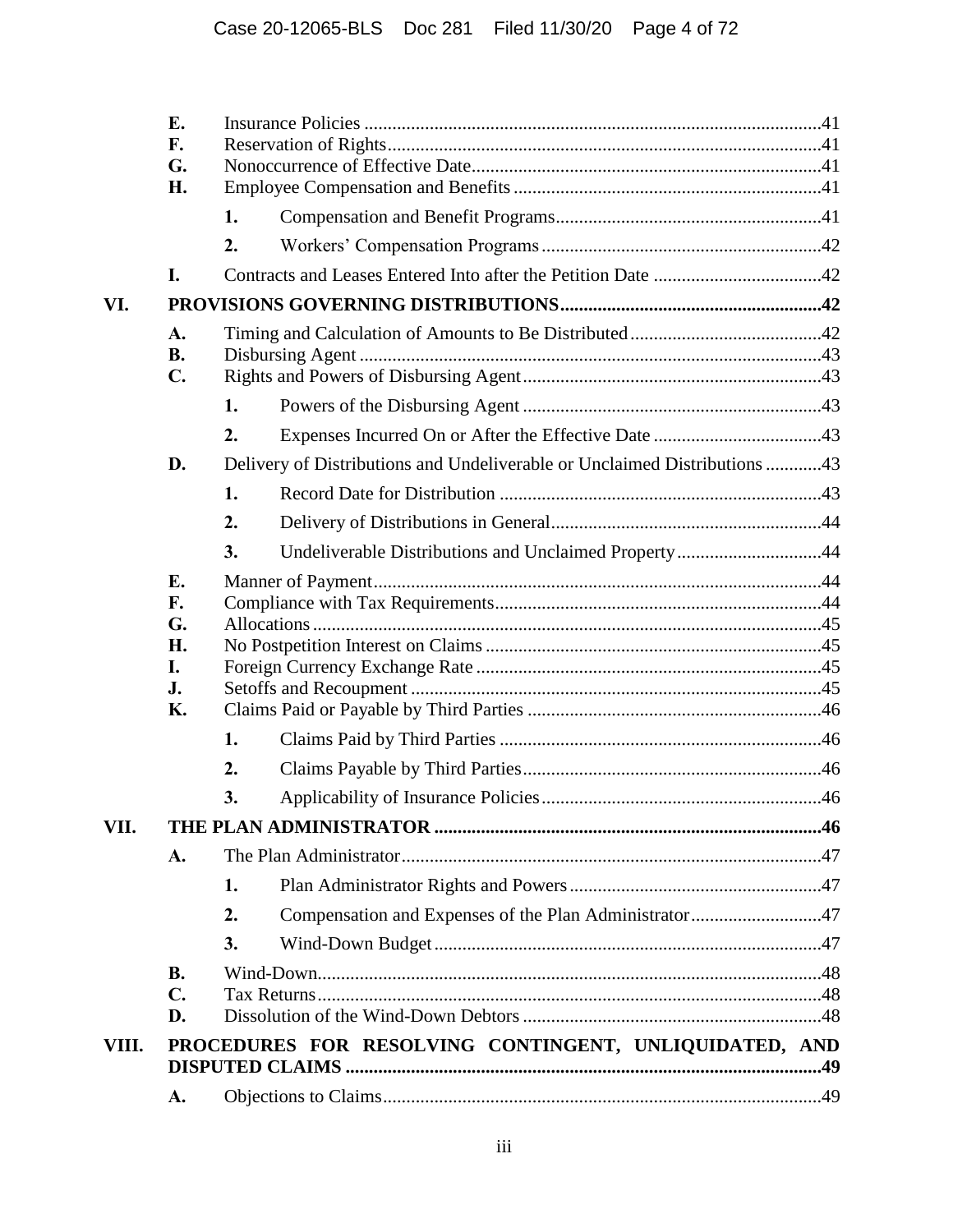|       | E.              |    |                                                                           |  |
|-------|-----------------|----|---------------------------------------------------------------------------|--|
|       | F.              |    |                                                                           |  |
|       | G.<br>H.        |    |                                                                           |  |
|       |                 | 1. |                                                                           |  |
|       |                 |    |                                                                           |  |
|       |                 | 2. |                                                                           |  |
|       | I.              |    |                                                                           |  |
| VI.   |                 |    |                                                                           |  |
|       | A.<br><b>B.</b> |    |                                                                           |  |
|       | $\mathbf{C}$ .  |    |                                                                           |  |
|       |                 | 1. |                                                                           |  |
|       |                 | 2. |                                                                           |  |
|       | D.              |    | Delivery of Distributions and Undeliverable or Unclaimed Distributions 43 |  |
|       |                 | 1. |                                                                           |  |
|       |                 | 2. |                                                                           |  |
|       |                 | 3. | Undeliverable Distributions and Unclaimed Property44                      |  |
|       | E.              |    |                                                                           |  |
|       | F.              |    |                                                                           |  |
|       | G.              |    |                                                                           |  |
|       | Н.              |    |                                                                           |  |
|       | I.<br>J.        |    |                                                                           |  |
|       | <b>K.</b>       |    |                                                                           |  |
|       |                 | 1. |                                                                           |  |
|       |                 | 2. |                                                                           |  |
|       |                 | 3. |                                                                           |  |
| VII.  |                 |    |                                                                           |  |
|       | A.              |    |                                                                           |  |
|       |                 | 1. |                                                                           |  |
|       |                 | 2. | Compensation and Expenses of the Plan Administrator47                     |  |
|       |                 | 3. |                                                                           |  |
|       | <b>B.</b>       |    |                                                                           |  |
|       | $\mathbf{C}$ .  |    |                                                                           |  |
|       | D.              |    |                                                                           |  |
| VIII. |                 |    | PROCEDURES FOR RESOLVING CONTINGENT, UNLIQUIDATED, AND                    |  |
|       | A.              |    |                                                                           |  |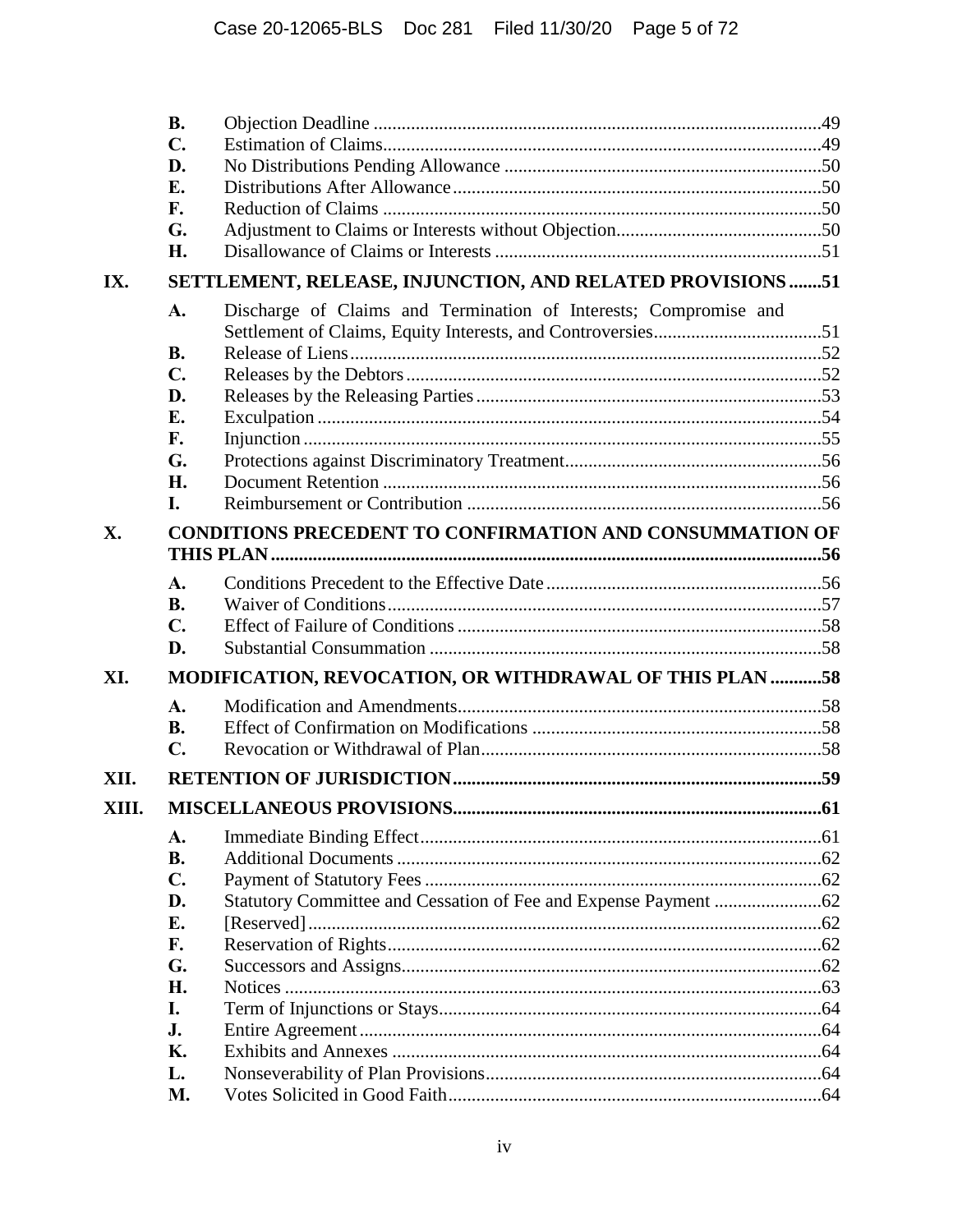|       | <b>B.</b>      |                                                                  |     |  |  |  |  |
|-------|----------------|------------------------------------------------------------------|-----|--|--|--|--|
|       | $\mathbf{C}$ . |                                                                  |     |  |  |  |  |
|       | D.             |                                                                  |     |  |  |  |  |
|       | Е.             |                                                                  |     |  |  |  |  |
|       | F.             |                                                                  |     |  |  |  |  |
|       | G.             |                                                                  |     |  |  |  |  |
|       | Н.             |                                                                  |     |  |  |  |  |
| IX.   |                | SETTLEMENT, RELEASE, INJUNCTION, AND RELATED PROVISIONS 51       |     |  |  |  |  |
|       | A.             | Discharge of Claims and Termination of Interests; Compromise and |     |  |  |  |  |
|       | <b>B.</b>      |                                                                  |     |  |  |  |  |
|       | $\mathbf{C}$ . |                                                                  |     |  |  |  |  |
|       | D.             |                                                                  |     |  |  |  |  |
|       | E.             |                                                                  |     |  |  |  |  |
|       | F.             |                                                                  |     |  |  |  |  |
|       | G.             |                                                                  |     |  |  |  |  |
|       | H.             |                                                                  |     |  |  |  |  |
|       | L.             |                                                                  |     |  |  |  |  |
| X.    |                | <b>CONDITIONS PRECEDENT TO CONFIRMATION AND CONSUMMATION OF</b>  |     |  |  |  |  |
|       |                |                                                                  |     |  |  |  |  |
|       | $\mathbf{A}$ . |                                                                  |     |  |  |  |  |
|       | <b>B.</b>      |                                                                  |     |  |  |  |  |
|       | $\mathbf{C}$ . |                                                                  |     |  |  |  |  |
|       | D.             |                                                                  |     |  |  |  |  |
| XI.   |                | MODIFICATION, REVOCATION, OR WITHDRAWAL OF THIS PLAN 58          |     |  |  |  |  |
|       | A.             |                                                                  |     |  |  |  |  |
|       | <b>B.</b>      |                                                                  |     |  |  |  |  |
|       | $\mathbf{C}$ . |                                                                  |     |  |  |  |  |
| XII.  |                |                                                                  |     |  |  |  |  |
| XIII. |                |                                                                  | .61 |  |  |  |  |
|       | A.             |                                                                  |     |  |  |  |  |
|       | <b>B.</b>      |                                                                  |     |  |  |  |  |
|       | $\mathbf{C}$ . |                                                                  |     |  |  |  |  |
|       | D.             |                                                                  |     |  |  |  |  |
|       | E.             |                                                                  |     |  |  |  |  |
|       | F.             |                                                                  |     |  |  |  |  |
|       | G.             |                                                                  |     |  |  |  |  |
|       | Η.             |                                                                  |     |  |  |  |  |
|       | I.             |                                                                  |     |  |  |  |  |
|       | J.             |                                                                  |     |  |  |  |  |
|       | <b>K.</b>      |                                                                  |     |  |  |  |  |
|       | L.             |                                                                  |     |  |  |  |  |
|       | M.             |                                                                  |     |  |  |  |  |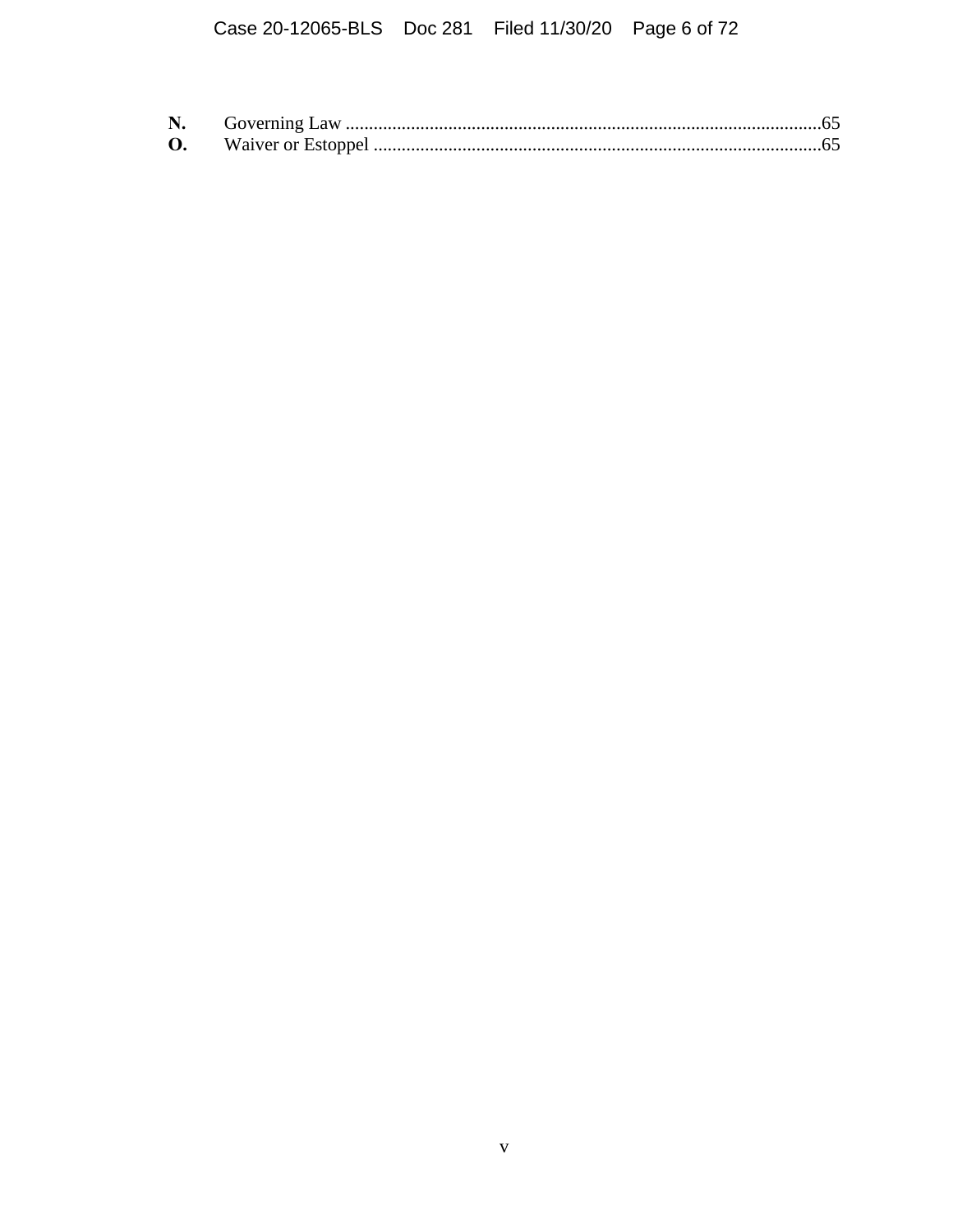# Case 20-12065-BLS Doc 281 Filed 11/30/20 Page 6 of 72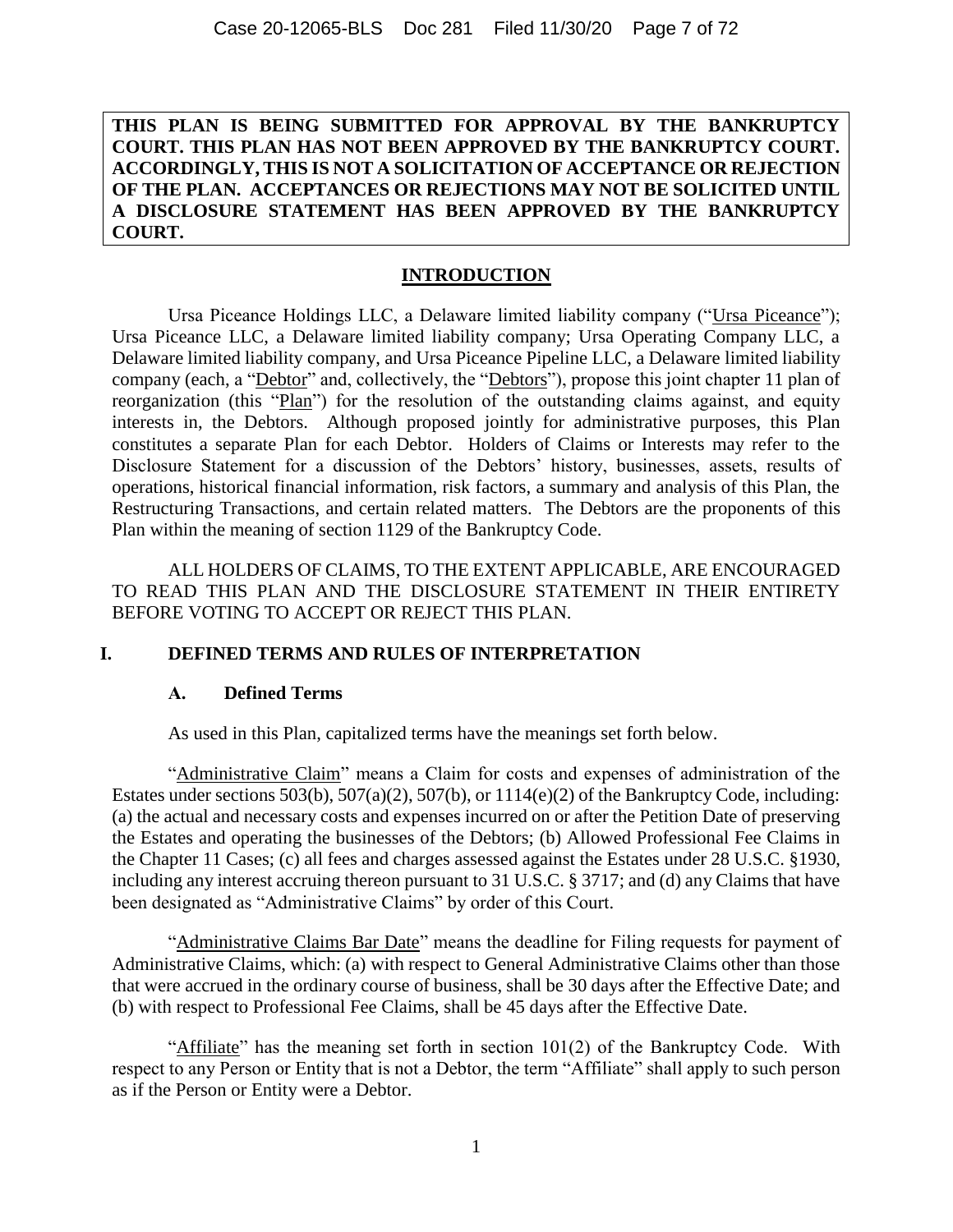**THIS PLAN IS BEING SUBMITTED FOR APPROVAL BY THE BANKRUPTCY COURT. THIS PLAN HAS NOT BEEN APPROVED BY THE BANKRUPTCY COURT. ACCORDINGLY, THIS IS NOT A SOLICITATION OF ACCEPTANCE OR REJECTION OF THE PLAN. ACCEPTANCES OR REJECTIONS MAY NOT BE SOLICITED UNTIL A DISCLOSURE STATEMENT HAS BEEN APPROVED BY THE BANKRUPTCY COURT.**

#### **INTRODUCTION**

Ursa Piceance Holdings LLC, a Delaware limited liability company ("Ursa Piceance"); Ursa Piceance LLC, a Delaware limited liability company; Ursa Operating Company LLC, a Delaware limited liability company, and Ursa Piceance Pipeline LLC, a Delaware limited liability company (each, a "Debtor" and, collectively, the "Debtors"), propose this joint chapter 11 plan of reorganization (this "Plan") for the resolution of the outstanding claims against, and equity interests in, the Debtors. Although proposed jointly for administrative purposes, this Plan constitutes a separate Plan for each Debtor. Holders of Claims or Interests may refer to the Disclosure Statement for a discussion of the Debtors' history, businesses, assets, results of operations, historical financial information, risk factors, a summary and analysis of this Plan, the Restructuring Transactions, and certain related matters. The Debtors are the proponents of this Plan within the meaning of section 1129 of the Bankruptcy Code.

ALL HOLDERS OF CLAIMS, TO THE EXTENT APPLICABLE, ARE ENCOURAGED TO READ THIS PLAN AND THE DISCLOSURE STATEMENT IN THEIR ENTIRETY BEFORE VOTING TO ACCEPT OR REJECT THIS PLAN.

#### <span id="page-6-1"></span><span id="page-6-0"></span>**I. DEFINED TERMS AND RULES OF INTERPRETATION**

#### **A. Defined Terms**

As used in this Plan, capitalized terms have the meanings set forth below.

"Administrative Claim" means a Claim for costs and expenses of administration of the Estates under sections 503(b), 507(a)(2), 507(b), or 1114(e)(2) of the Bankruptcy Code, including: (a) the actual and necessary costs and expenses incurred on or after the Petition Date of preserving the Estates and operating the businesses of the Debtors; (b) Allowed Professional Fee Claims in the Chapter 11 Cases; (c) all fees and charges assessed against the Estates under 28 U.S.C. §1930, including any interest accruing thereon pursuant to 31 U.S.C. § 3717; and (d) any Claims that have been designated as "Administrative Claims" by order of this Court.

"Administrative Claims Bar Date" means the deadline for Filing requests for payment of Administrative Claims, which: (a) with respect to General Administrative Claims other than those that were accrued in the ordinary course of business, shall be 30 days after the Effective Date; and (b) with respect to Professional Fee Claims, shall be 45 days after the Effective Date.

"Affiliate" has the meaning set forth in section 101(2) of the Bankruptcy Code. With respect to any Person or Entity that is not a Debtor, the term "Affiliate" shall apply to such person as if the Person or Entity were a Debtor.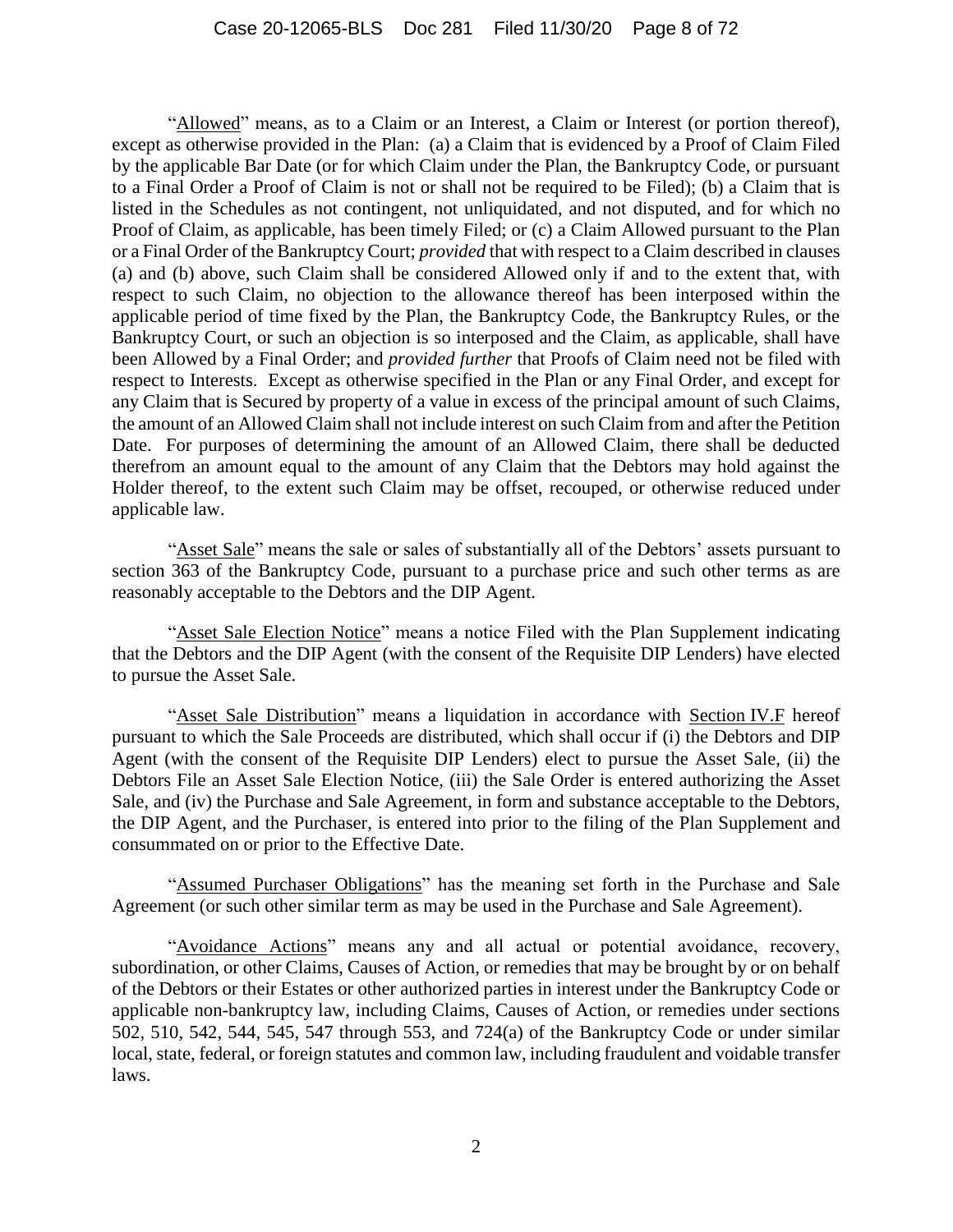"Allowed" means, as to a Claim or an Interest, a Claim or Interest (or portion thereof), except as otherwise provided in the Plan: (a) a Claim that is evidenced by a Proof of Claim Filed by the applicable Bar Date (or for which Claim under the Plan, the Bankruptcy Code, or pursuant to a Final Order a Proof of Claim is not or shall not be required to be Filed); (b) a Claim that is listed in the Schedules as not contingent, not unliquidated, and not disputed, and for which no Proof of Claim, as applicable, has been timely Filed; or (c) a Claim Allowed pursuant to the Plan or a Final Order of the Bankruptcy Court; *provided* that with respect to a Claim described in clauses (a) and (b) above, such Claim shall be considered Allowed only if and to the extent that, with respect to such Claim, no objection to the allowance thereof has been interposed within the applicable period of time fixed by the Plan, the Bankruptcy Code, the Bankruptcy Rules, or the Bankruptcy Court, or such an objection is so interposed and the Claim, as applicable, shall have been Allowed by a Final Order; and *provided further* that Proofs of Claim need not be filed with respect to Interests. Except as otherwise specified in the Plan or any Final Order, and except for any Claim that is Secured by property of a value in excess of the principal amount of such Claims, the amount of an Allowed Claim shall not include interest on such Claim from and after the Petition Date. For purposes of determining the amount of an Allowed Claim, there shall be deducted therefrom an amount equal to the amount of any Claim that the Debtors may hold against the Holder thereof, to the extent such Claim may be offset, recouped, or otherwise reduced under applicable law.

"Asset Sale" means the sale or sales of substantially all of the Debtors' assets pursuant to section 363 of the Bankruptcy Code, pursuant to a purchase price and such other terms as are reasonably acceptable to the Debtors and the DIP Agent.

"Asset Sale Election Notice" means a notice Filed with the Plan Supplement indicating that the Debtors and the DIP Agent (with the consent of the Requisite DIP Lenders) have elected to pursue the Asset Sale.

"Asset Sale Distribution" means a liquidation in accordance with Section [IV.F](#page-38-1) hereof pursuant to which the Sale Proceeds are distributed, which shall occur if (i) the Debtors and DIP Agent (with the consent of the Requisite DIP Lenders) elect to pursue the Asset Sale, (ii) the Debtors File an Asset Sale Election Notice, (iii) the Sale Order is entered authorizing the Asset Sale, and (iv) the Purchase and Sale Agreement, in form and substance acceptable to the Debtors, the DIP Agent, and the Purchaser, is entered into prior to the filing of the Plan Supplement and consummated on or prior to the Effective Date.

"Assumed Purchaser Obligations" has the meaning set forth in the Purchase and Sale Agreement (or such other similar term as may be used in the Purchase and Sale Agreement).

"Avoidance Actions" means any and all actual or potential avoidance, recovery, subordination, or other Claims, Causes of Action, or remedies that may be brought by or on behalf of the Debtors or their Estates or other authorized parties in interest under the Bankruptcy Code or applicable non-bankruptcy law, including Claims, Causes of Action, or remedies under sections 502, 510, 542, 544, 545, 547 through 553, and 724(a) of the Bankruptcy Code or under similar local, state, federal, or foreign statutes and common law, including fraudulent and voidable transfer laws.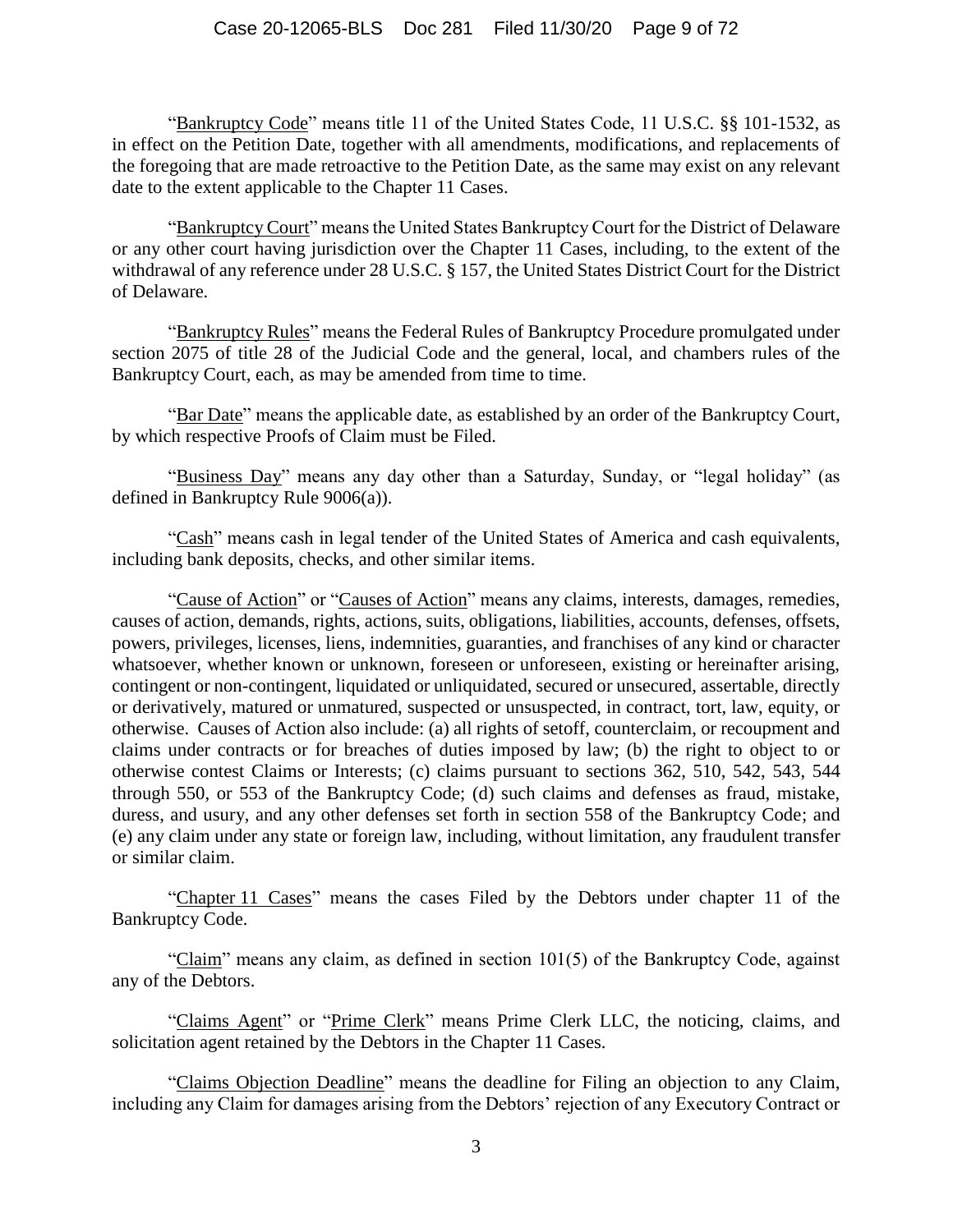#### Case 20-12065-BLS Doc 281 Filed 11/30/20 Page 9 of 72

"Bankruptcy Code" means title 11 of the United States Code, 11 U.S.C. §§ 101-1532, as in effect on the Petition Date, together with all amendments, modifications, and replacements of the foregoing that are made retroactive to the Petition Date, as the same may exist on any relevant date to the extent applicable to the Chapter 11 Cases.

"Bankruptcy Court" means the United States Bankruptcy Court for the District of Delaware or any other court having jurisdiction over the Chapter 11 Cases, including, to the extent of the withdrawal of any reference under 28 U.S.C. § 157, the United States District Court for the District of Delaware.

"Bankruptcy Rules" means the Federal Rules of Bankruptcy Procedure promulgated under section 2075 of title 28 of the Judicial Code and the general, local, and chambers rules of the Bankruptcy Court, each, as may be amended from time to time.

"Bar Date" means the applicable date, as established by an order of the Bankruptcy Court, by which respective Proofs of Claim must be Filed.

"Business Day" means any day other than a Saturday, Sunday, or "legal holiday" (as defined in Bankruptcy Rule 9006(a)).

"Cash" means cash in legal tender of the United States of America and cash equivalents, including bank deposits, checks, and other similar items.

"Cause of Action" or "Causes of Action" means any claims, interests, damages, remedies, causes of action, demands, rights, actions, suits, obligations, liabilities, accounts, defenses, offsets, powers, privileges, licenses, liens, indemnities, guaranties, and franchises of any kind or character whatsoever, whether known or unknown, foreseen or unforeseen, existing or hereinafter arising, contingent or non-contingent, liquidated or unliquidated, secured or unsecured, assertable, directly or derivatively, matured or unmatured, suspected or unsuspected, in contract, tort, law, equity, or otherwise. Causes of Action also include: (a) all rights of setoff, counterclaim, or recoupment and claims under contracts or for breaches of duties imposed by law; (b) the right to object to or otherwise contest Claims or Interests; (c) claims pursuant to sections 362, 510, 542, 543, 544 through 550, or 553 of the Bankruptcy Code; (d) such claims and defenses as fraud, mistake, duress, and usury, and any other defenses set forth in section 558 of the Bankruptcy Code; and (e) any claim under any state or foreign law, including, without limitation, any fraudulent transfer or similar claim.

"Chapter 11 Cases" means the cases Filed by the Debtors under chapter 11 of the Bankruptcy Code.

"Claim" means any claim, as defined in section 101(5) of the Bankruptcy Code, against any of the Debtors.

"Claims Agent" or "Prime Clerk" means Prime Clerk LLC, the noticing, claims, and solicitation agent retained by the Debtors in the Chapter 11 Cases.

"Claims Objection Deadline" means the deadline for Filing an objection to any Claim, including any Claim for damages arising from the Debtors' rejection of any Executory Contract or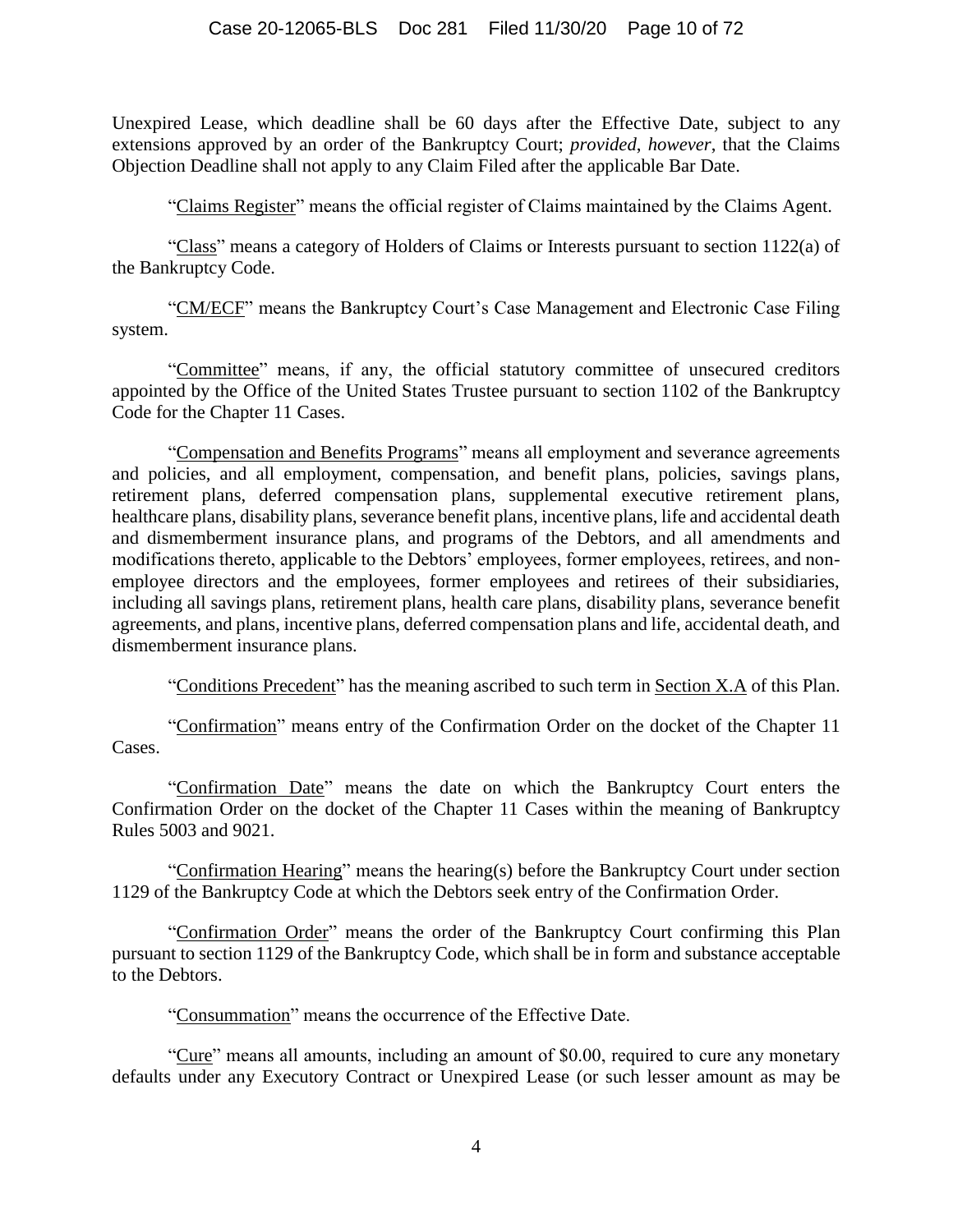Unexpired Lease, which deadline shall be 60 days after the Effective Date, subject to any extensions approved by an order of the Bankruptcy Court; *provided*, *however*, that the Claims Objection Deadline shall not apply to any Claim Filed after the applicable Bar Date.

"Claims Register" means the official register of Claims maintained by the Claims Agent.

"Class" means a category of Holders of Claims or Interests pursuant to section 1122(a) of the Bankruptcy Code.

"CM/ECF" means the Bankruptcy Court's Case Management and Electronic Case Filing system.

"Committee" means, if any, the official statutory committee of unsecured creditors appointed by the Office of the United States Trustee pursuant to section 1102 of the Bankruptcy Code for the Chapter 11 Cases.

"Compensation and Benefits Programs" means all employment and severance agreements and policies, and all employment, compensation, and benefit plans, policies, savings plans, retirement plans, deferred compensation plans, supplemental executive retirement plans, healthcare plans, disability plans, severance benefit plans, incentive plans, life and accidental death and dismemberment insurance plans, and programs of the Debtors, and all amendments and modifications thereto, applicable to the Debtors' employees, former employees, retirees, and nonemployee directors and the employees, former employees and retirees of their subsidiaries, including all savings plans, retirement plans, health care plans, disability plans, severance benefit agreements, and plans, incentive plans, deferred compensation plans and life, accidental death, and dismemberment insurance plans.

"Conditions Precedent" has the meaning ascribed to such term in Section [X.A](#page-61-4) of this Plan.

"Confirmation" means entry of the Confirmation Order on the docket of the Chapter 11 Cases.

"Confirmation Date" means the date on which the Bankruptcy Court enters the Confirmation Order on the docket of the Chapter 11 Cases within the meaning of Bankruptcy Rules 5003 and 9021.

"Confirmation Hearing" means the hearing(s) before the Bankruptcy Court under section 1129 of the Bankruptcy Code at which the Debtors seek entry of the Confirmation Order.

"Confirmation Order" means the order of the Bankruptcy Court confirming this Plan pursuant to section 1129 of the Bankruptcy Code, which shall be in form and substance acceptable to the Debtors.

"Consummation" means the occurrence of the Effective Date.

"Cure" means all amounts, including an amount of \$0.00, required to cure any monetary defaults under any Executory Contract or Unexpired Lease (or such lesser amount as may be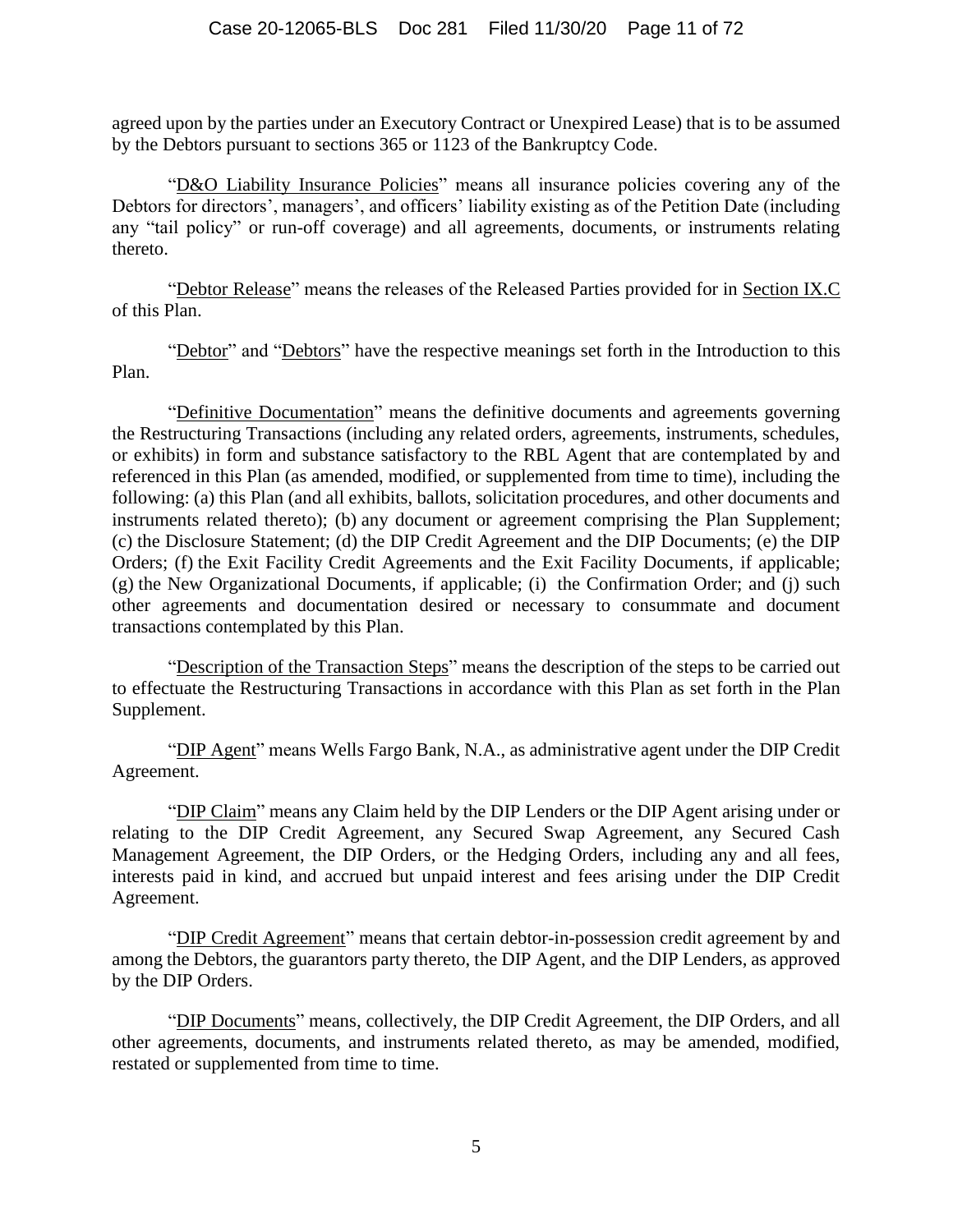#### Case 20-12065-BLS Doc 281 Filed 11/30/20 Page 11 of 72

agreed upon by the parties under an Executory Contract or Unexpired Lease) that is to be assumed by the Debtors pursuant to sections 365 or 1123 of the Bankruptcy Code.

"D&O Liability Insurance Policies" means all insurance policies covering any of the Debtors for directors', managers', and officers' liability existing as of the Petition Date (including any "tail policy" or run-off coverage) and all agreements, documents, or instruments relating thereto.

"Debtor Release" means the releases of the Released Parties provided for in Section [IX.C](#page-57-1) of this Plan.

"Debtor" and "Debtors" have the respective meanings set forth in the Introduction to this Plan.

"Definitive Documentation" means the definitive documents and agreements governing the Restructuring Transactions (including any related orders, agreements, instruments, schedules, or exhibits) in form and substance satisfactory to the RBL Agent that are contemplated by and referenced in this Plan (as amended, modified, or supplemented from time to time), including the following: (a) this Plan (and all exhibits, ballots, solicitation procedures, and other documents and instruments related thereto); (b) any document or agreement comprising the Plan Supplement; (c) the Disclosure Statement; (d) the DIP Credit Agreement and the DIP Documents; (e) the DIP Orders; (f) the Exit Facility Credit Agreements and the Exit Facility Documents, if applicable; (g) the New Organizational Documents, if applicable; (i) the Confirmation Order; and (j) such other agreements and documentation desired or necessary to consummate and document transactions contemplated by this Plan.

"Description of the Transaction Steps" means the description of the steps to be carried out to effectuate the Restructuring Transactions in accordance with this Plan as set forth in the Plan Supplement.

"DIP Agent" means Wells Fargo Bank, N.A., as administrative agent under the DIP Credit Agreement.

"DIP Claim" means any Claim held by the DIP Lenders or the DIP Agent arising under or relating to the DIP Credit Agreement, any Secured Swap Agreement, any Secured Cash Management Agreement, the DIP Orders, or the Hedging Orders, including any and all fees, interests paid in kind, and accrued but unpaid interest and fees arising under the DIP Credit Agreement.

"DIP Credit Agreement" means that certain debtor-in-possession credit agreement by and among the Debtors, the guarantors party thereto, the DIP Agent, and the DIP Lenders, as approved by the DIP Orders.

"DIP Documents" means, collectively, the DIP Credit Agreement, the DIP Orders, and all other agreements, documents, and instruments related thereto, as may be amended, modified, restated or supplemented from time to time.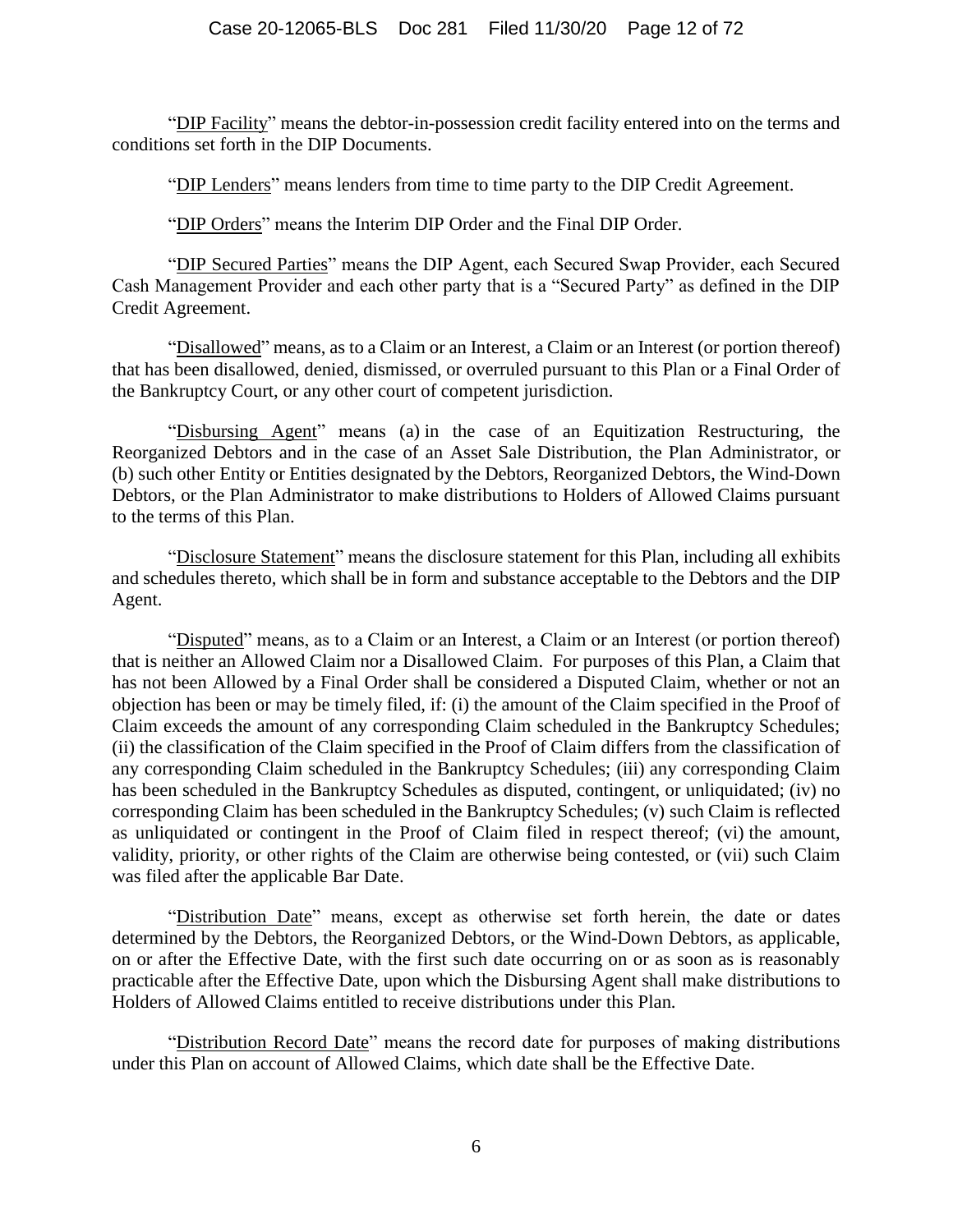#### Case 20-12065-BLS Doc 281 Filed 11/30/20 Page 12 of 72

"DIP Facility" means the debtor-in-possession credit facility entered into on the terms and conditions set forth in the DIP Documents.

"DIP Lenders" means lenders from time to time party to the DIP Credit Agreement.

"DIP Orders" means the Interim DIP Order and the Final DIP Order.

"DIP Secured Parties" means the DIP Agent, each Secured Swap Provider, each Secured Cash Management Provider and each other party that is a "Secured Party" as defined in the DIP Credit Agreement.

"Disallowed" means, as to a Claim or an Interest, a Claim or an Interest (or portion thereof) that has been disallowed, denied, dismissed, or overruled pursuant to this Plan or a Final Order of the Bankruptcy Court, or any other court of competent jurisdiction.

"Disbursing Agent" means (a) in the case of an Equitization Restructuring, the Reorganized Debtors and in the case of an Asset Sale Distribution, the Plan Administrator, or (b) such other Entity or Entities designated by the Debtors, Reorganized Debtors, the Wind-Down Debtors, or the Plan Administrator to make distributions to Holders of Allowed Claims pursuant to the terms of this Plan.

"Disclosure Statement" means the disclosure statement for this Plan, including all exhibits and schedules thereto, which shall be in form and substance acceptable to the Debtors and the DIP Agent.

"Disputed" means, as to a Claim or an Interest, a Claim or an Interest (or portion thereof) that is neither an Allowed Claim nor a Disallowed Claim. For purposes of this Plan, a Claim that has not been Allowed by a Final Order shall be considered a Disputed Claim, whether or not an objection has been or may be timely filed, if: (i) the amount of the Claim specified in the Proof of Claim exceeds the amount of any corresponding Claim scheduled in the Bankruptcy Schedules; (ii) the classification of the Claim specified in the Proof of Claim differs from the classification of any corresponding Claim scheduled in the Bankruptcy Schedules; (iii) any corresponding Claim has been scheduled in the Bankruptcy Schedules as disputed, contingent, or unliquidated; (iv) no corresponding Claim has been scheduled in the Bankruptcy Schedules; (v) such Claim is reflected as unliquidated or contingent in the Proof of Claim filed in respect thereof; (vi) the amount, validity, priority, or other rights of the Claim are otherwise being contested, or (vii) such Claim was filed after the applicable Bar Date.

"Distribution Date" means, except as otherwise set forth herein, the date or dates determined by the Debtors, the Reorganized Debtors, or the Wind-Down Debtors, as applicable, on or after the Effective Date, with the first such date occurring on or as soon as is reasonably practicable after the Effective Date, upon which the Disbursing Agent shall make distributions to Holders of Allowed Claims entitled to receive distributions under this Plan.

"Distribution Record Date" means the record date for purposes of making distributions under this Plan on account of Allowed Claims, which date shall be the Effective Date.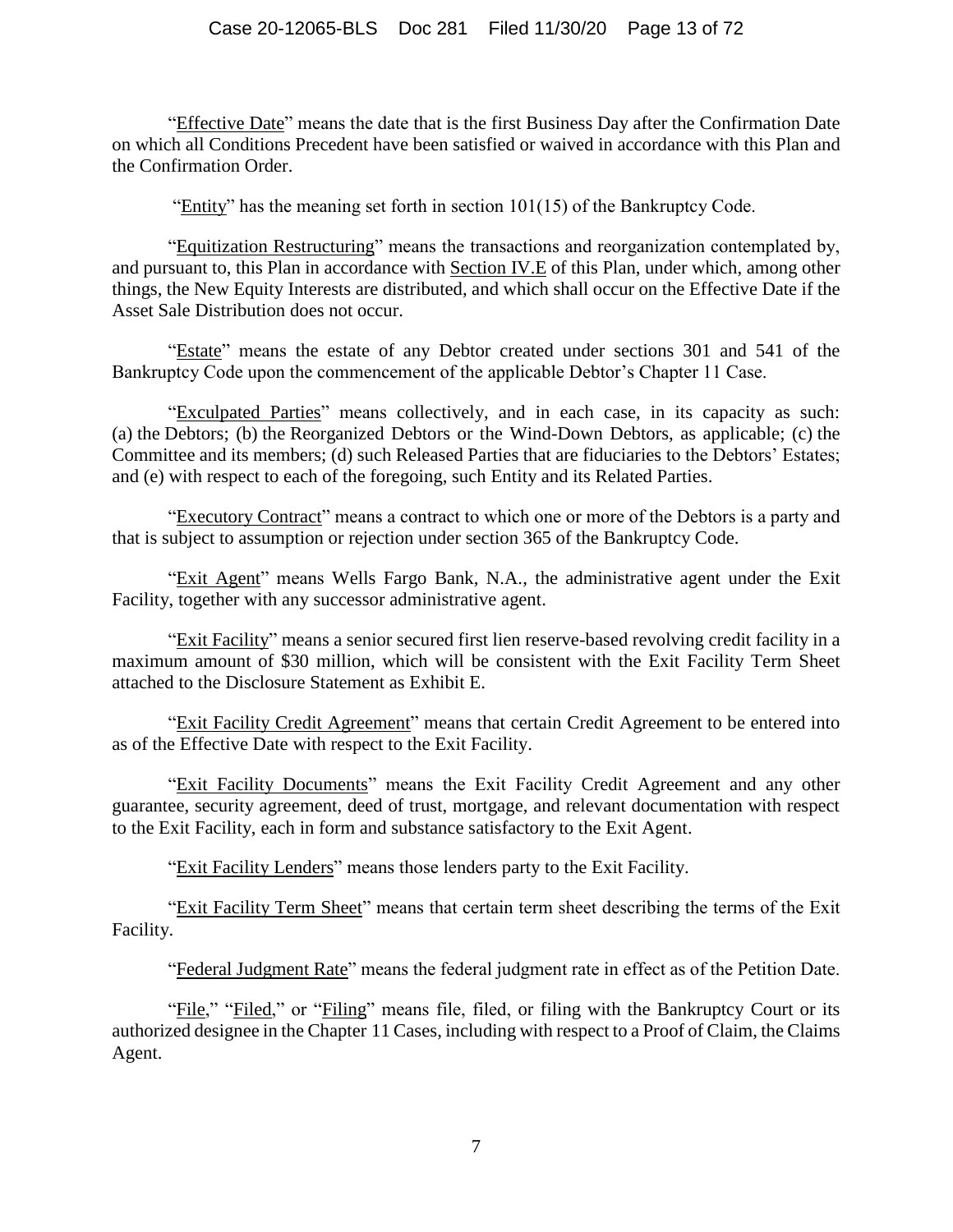#### Case 20-12065-BLS Doc 281 Filed 11/30/20 Page 13 of 72

"Effective Date" means the date that is the first Business Day after the Confirmation Date on which all Conditions Precedent have been satisfied or waived in accordance with this Plan and the Confirmation Order.

"Entity" has the meaning set forth in section 101(15) of the Bankruptcy Code.

"Equitization Restructuring" means the transactions and reorganization contemplated by, and pursuant to, this Plan in accordance with Section [IV.E](#page-34-0) of this Plan, under which, among other things, the New Equity Interests are distributed, and which shall occur on the Effective Date if the Asset Sale Distribution does not occur.

"Estate" means the estate of any Debtor created under sections 301 and 541 of the Bankruptcy Code upon the commencement of the applicable Debtor's Chapter 11 Case.

"Exculpated Parties" means collectively, and in each case, in its capacity as such: (a) the Debtors; (b) the Reorganized Debtors or the Wind-Down Debtors, as applicable; (c) the Committee and its members; (d) such Released Parties that are fiduciaries to the Debtors' Estates; and (e) with respect to each of the foregoing, such Entity and its Related Parties.

"Executory Contract" means a contract to which one or more of the Debtors is a party and that is subject to assumption or rejection under section 365 of the Bankruptcy Code.

"Exit Agent" means Wells Fargo Bank, N.A., the administrative agent under the Exit Facility, together with any successor administrative agent.

"Exit Facility" means a senior secured first lien reserve-based revolving credit facility in a maximum amount of \$30 million, which will be consistent with the Exit Facility Term Sheet attached to the Disclosure Statement as Exhibit E.

"Exit Facility Credit Agreement" means that certain Credit Agreement to be entered into as of the Effective Date with respect to the Exit Facility.

"Exit Facility Documents" means the Exit Facility Credit Agreement and any other guarantee, security agreement, deed of trust, mortgage, and relevant documentation with respect to the Exit Facility, each in form and substance satisfactory to the Exit Agent.

"Exit Facility Lenders" means those lenders party to the Exit Facility.

"Exit Facility Term Sheet" means that certain term sheet describing the terms of the Exit Facility.

"Federal Judgment Rate" means the federal judgment rate in effect as of the Petition Date.

"File," "Filed," or "Filing" means file, filed, or filing with the Bankruptcy Court or its authorized designee in the Chapter 11 Cases, including with respect to a Proof of Claim, the Claims Agent.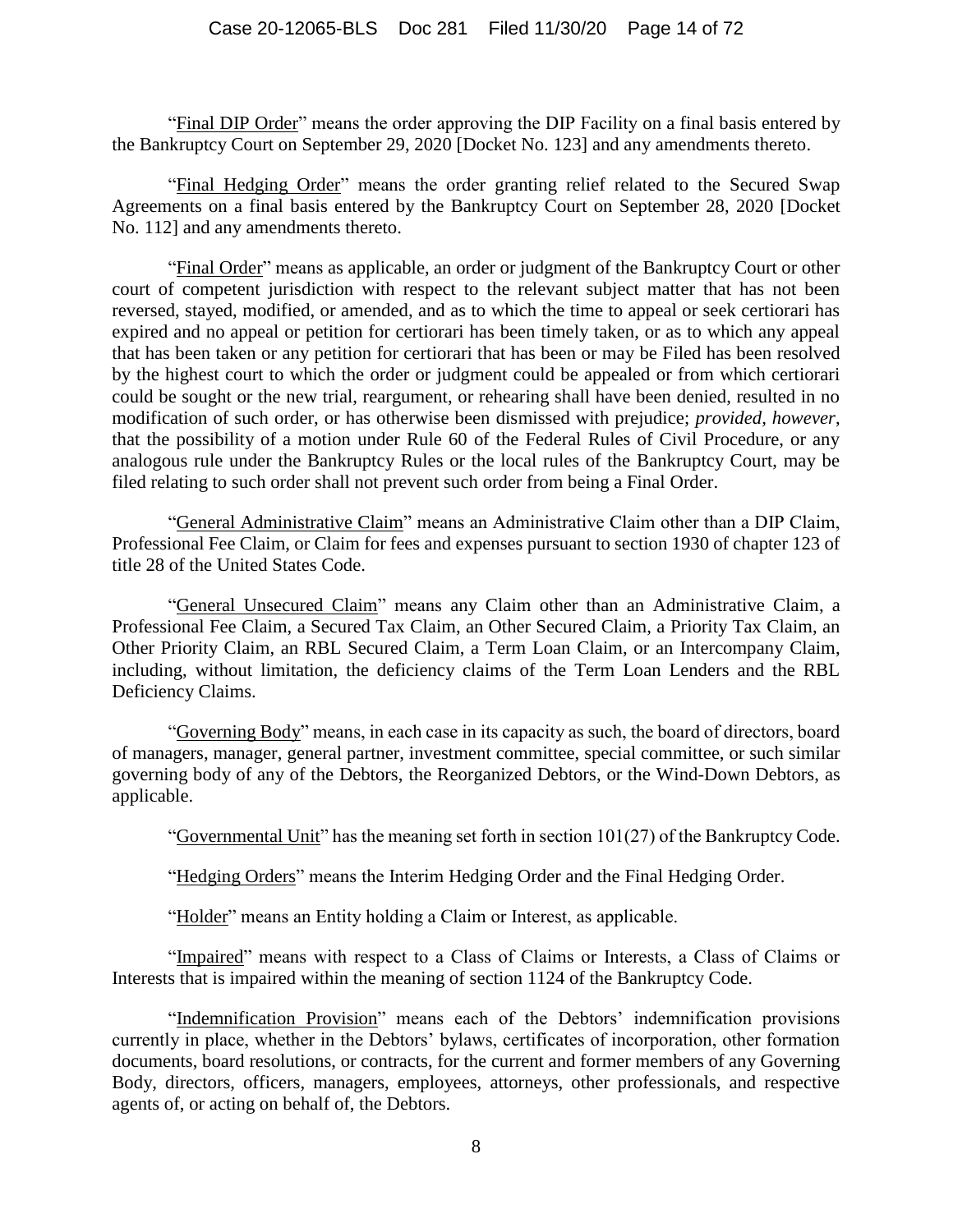"Final DIP Order" means the order approving the DIP Facility on a final basis entered by the Bankruptcy Court on September 29, 2020 [Docket No. 123] and any amendments thereto.

"Final Hedging Order" means the order granting relief related to the Secured Swap Agreements on a final basis entered by the Bankruptcy Court on September 28, 2020 [Docket No. 112] and any amendments thereto.

"Final Order" means as applicable, an order or judgment of the Bankruptcy Court or other court of competent jurisdiction with respect to the relevant subject matter that has not been reversed, stayed, modified, or amended, and as to which the time to appeal or seek certiorari has expired and no appeal or petition for certiorari has been timely taken, or as to which any appeal that has been taken or any petition for certiorari that has been or may be Filed has been resolved by the highest court to which the order or judgment could be appealed or from which certiorari could be sought or the new trial, reargument, or rehearing shall have been denied, resulted in no modification of such order, or has otherwise been dismissed with prejudice; *provided, however*, that the possibility of a motion under Rule 60 of the Federal Rules of Civil Procedure, or any analogous rule under the Bankruptcy Rules or the local rules of the Bankruptcy Court, may be filed relating to such order shall not prevent such order from being a Final Order.

"General Administrative Claim" means an Administrative Claim other than a DIP Claim, Professional Fee Claim, or Claim for fees and expenses pursuant to section 1930 of chapter 123 of title 28 of the United States Code.

"General Unsecured Claim" means any Claim other than an Administrative Claim, a Professional Fee Claim, a Secured Tax Claim, an Other Secured Claim, a Priority Tax Claim, an Other Priority Claim, an RBL Secured Claim, a Term Loan Claim, or an Intercompany Claim, including, without limitation, the deficiency claims of the Term Loan Lenders and the RBL Deficiency Claims.

"Governing Body" means, in each case in its capacity as such, the board of directors, board of managers, manager, general partner, investment committee, special committee, or such similar governing body of any of the Debtors, the Reorganized Debtors, or the Wind-Down Debtors, as applicable.

"Governmental Unit" has the meaning set forth in section  $101(27)$  of the Bankruptcy Code.

"Hedging Orders" means the Interim Hedging Order and the Final Hedging Order.

"Holder" means an Entity holding a Claim or Interest, as applicable.

"Impaired" means with respect to a Class of Claims or Interests, a Class of Claims or Interests that is impaired within the meaning of section 1124 of the Bankruptcy Code.

"Indemnification Provision" means each of the Debtors' indemnification provisions currently in place, whether in the Debtors' bylaws, certificates of incorporation, other formation documents, board resolutions, or contracts, for the current and former members of any Governing Body, directors, officers, managers, employees, attorneys, other professionals, and respective agents of, or acting on behalf of, the Debtors.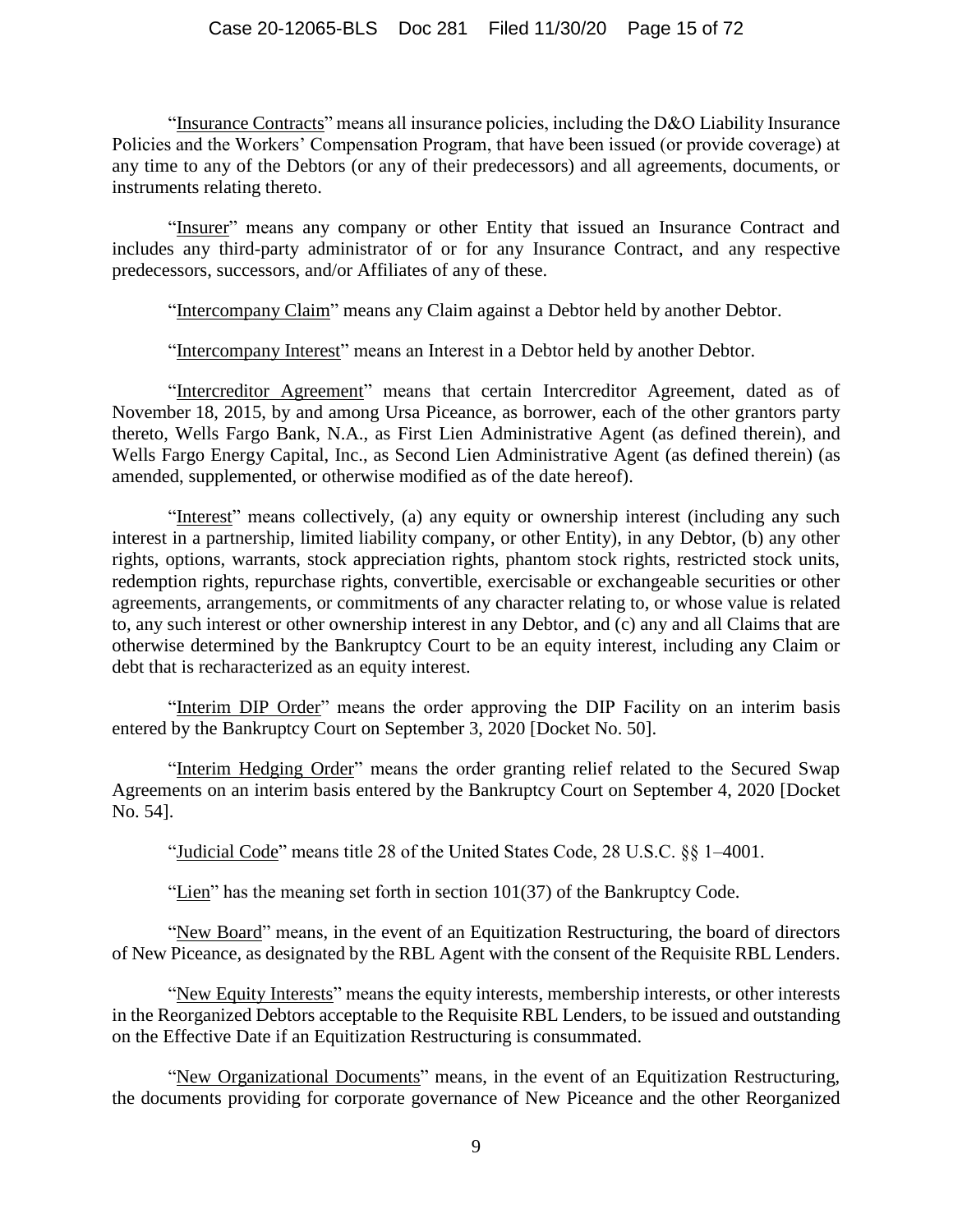"Insurance Contracts" means all insurance policies, including the D&O Liability Insurance Policies and the Workers' Compensation Program, that have been issued (or provide coverage) at any time to any of the Debtors (or any of their predecessors) and all agreements, documents, or instruments relating thereto.

"Insurer" means any company or other Entity that issued an Insurance Contract and includes any third-party administrator of or for any Insurance Contract, and any respective predecessors, successors, and/or Affiliates of any of these.

"Intercompany Claim" means any Claim against a Debtor held by another Debtor.

"Intercompany Interest" means an Interest in a Debtor held by another Debtor.

"Intercreditor Agreement" means that certain Intercreditor Agreement, dated as of November 18, 2015, by and among Ursa Piceance, as borrower, each of the other grantors party thereto, Wells Fargo Bank, N.A., as First Lien Administrative Agent (as defined therein), and Wells Fargo Energy Capital, Inc., as Second Lien Administrative Agent (as defined therein) (as amended, supplemented, or otherwise modified as of the date hereof).

"Interest" means collectively, (a) any equity or ownership interest (including any such interest in a partnership, limited liability company, or other Entity), in any Debtor, (b) any other rights, options, warrants, stock appreciation rights, phantom stock rights, restricted stock units, redemption rights, repurchase rights, convertible, exercisable or exchangeable securities or other agreements, arrangements, or commitments of any character relating to, or whose value is related to, any such interest or other ownership interest in any Debtor, and (c) any and all Claims that are otherwise determined by the Bankruptcy Court to be an equity interest, including any Claim or debt that is recharacterized as an equity interest.

"Interim DIP Order" means the order approving the DIP Facility on an interim basis entered by the Bankruptcy Court on September 3, 2020 [Docket No. 50].

"Interim Hedging Order" means the order granting relief related to the Secured Swap Agreements on an interim basis entered by the Bankruptcy Court on September 4, 2020 [Docket No. 54].

"Judicial Code" means title 28 of the United States Code, 28 U.S.C. §§ 1–4001.

"Lien" has the meaning set forth in section 101(37) of the Bankruptcy Code.

"New Board" means, in the event of an Equitization Restructuring, the board of directors of New Piceance, as designated by the RBL Agent with the consent of the Requisite RBL Lenders.

"New Equity Interests" means the equity interests, membership interests, or other interests in the Reorganized Debtors acceptable to the Requisite RBL Lenders, to be issued and outstanding on the Effective Date if an Equitization Restructuring is consummated.

"New Organizational Documents" means, in the event of an Equitization Restructuring, the documents providing for corporate governance of New Piceance and the other Reorganized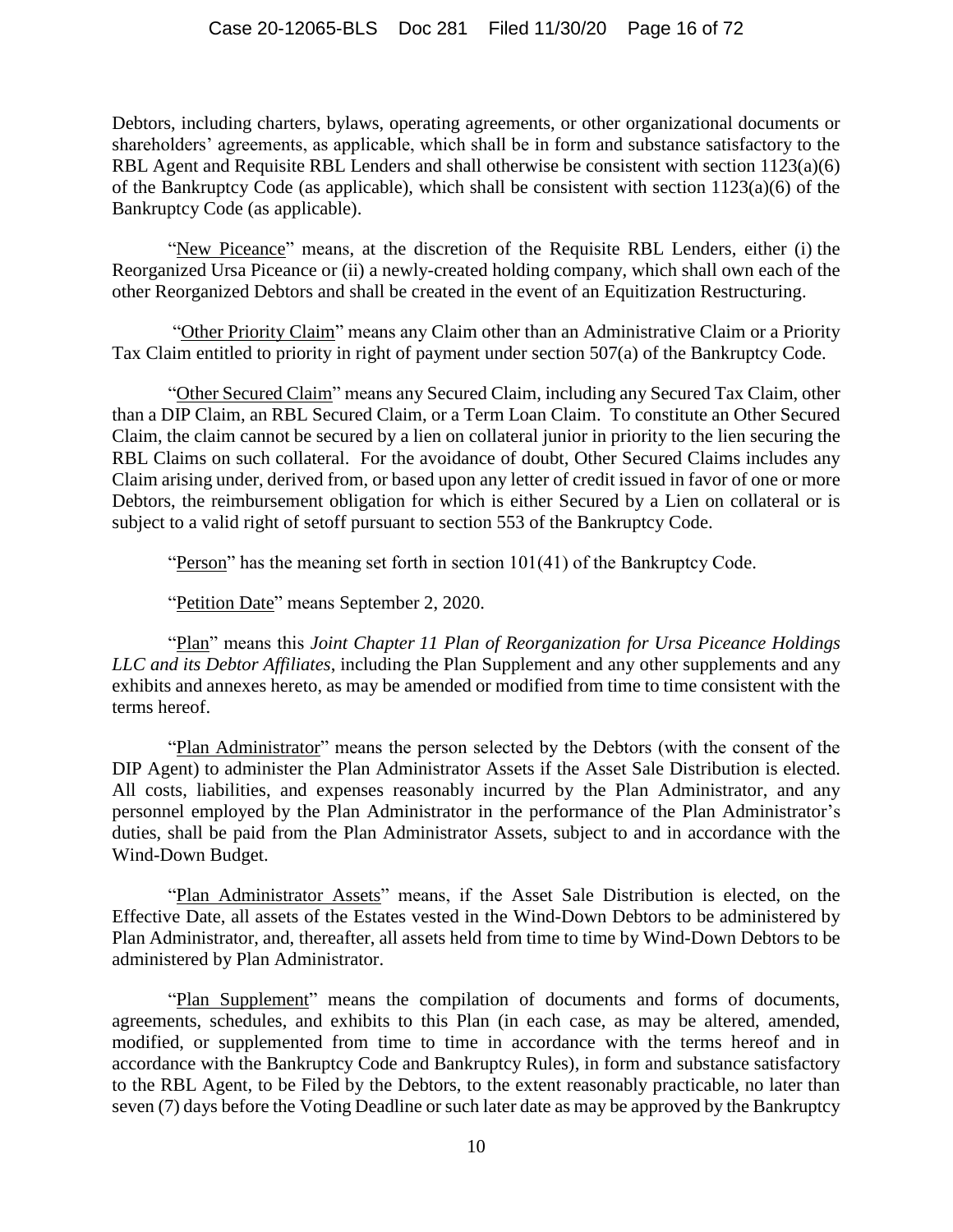Debtors, including charters, bylaws, operating agreements, or other organizational documents or shareholders' agreements, as applicable, which shall be in form and substance satisfactory to the RBL Agent and Requisite RBL Lenders and shall otherwise be consistent with section 1123(a)(6) of the Bankruptcy Code (as applicable), which shall be consistent with section 1123(a)(6) of the Bankruptcy Code (as applicable).

"New Piceance" means, at the discretion of the Requisite RBL Lenders, either (i) the Reorganized Ursa Piceance or (ii) a newly-created holding company, which shall own each of the other Reorganized Debtors and shall be created in the event of an Equitization Restructuring.

"Other Priority Claim" means any Claim other than an Administrative Claim or a Priority Tax Claim entitled to priority in right of payment under section 507(a) of the Bankruptcy Code.

"Other Secured Claim" means any Secured Claim, including any Secured Tax Claim, other than a DIP Claim, an RBL Secured Claim, or a Term Loan Claim. To constitute an Other Secured Claim, the claim cannot be secured by a lien on collateral junior in priority to the lien securing the RBL Claims on such collateral. For the avoidance of doubt, Other Secured Claims includes any Claim arising under, derived from, or based upon any letter of credit issued in favor of one or more Debtors, the reimbursement obligation for which is either Secured by a Lien on collateral or is subject to a valid right of setoff pursuant to section 553 of the Bankruptcy Code.

"Person" has the meaning set forth in section 101(41) of the Bankruptcy Code.

"Petition Date" means September 2, 2020.

"Plan" means this *Joint Chapter 11 Plan of Reorganization for Ursa Piceance Holdings LLC and its Debtor Affiliates*, including the Plan Supplement and any other supplements and any exhibits and annexes hereto, as may be amended or modified from time to time consistent with the terms hereof.

"Plan Administrator" means the person selected by the Debtors (with the consent of the DIP Agent) to administer the Plan Administrator Assets if the Asset Sale Distribution is elected. All costs, liabilities, and expenses reasonably incurred by the Plan Administrator, and any personnel employed by the Plan Administrator in the performance of the Plan Administrator's duties, shall be paid from the Plan Administrator Assets, subject to and in accordance with the Wind-Down Budget.

"Plan Administrator Assets" means, if the Asset Sale Distribution is elected, on the Effective Date, all assets of the Estates vested in the Wind-Down Debtors to be administered by Plan Administrator, and, thereafter, all assets held from time to time by Wind-Down Debtors to be administered by Plan Administrator.

"Plan Supplement" means the compilation of documents and forms of documents, agreements, schedules, and exhibits to this Plan (in each case, as may be altered, amended, modified, or supplemented from time to time in accordance with the terms hereof and in accordance with the Bankruptcy Code and Bankruptcy Rules), in form and substance satisfactory to the RBL Agent, to be Filed by the Debtors, to the extent reasonably practicable, no later than seven (7) days before the Voting Deadline or such later date as may be approved by the Bankruptcy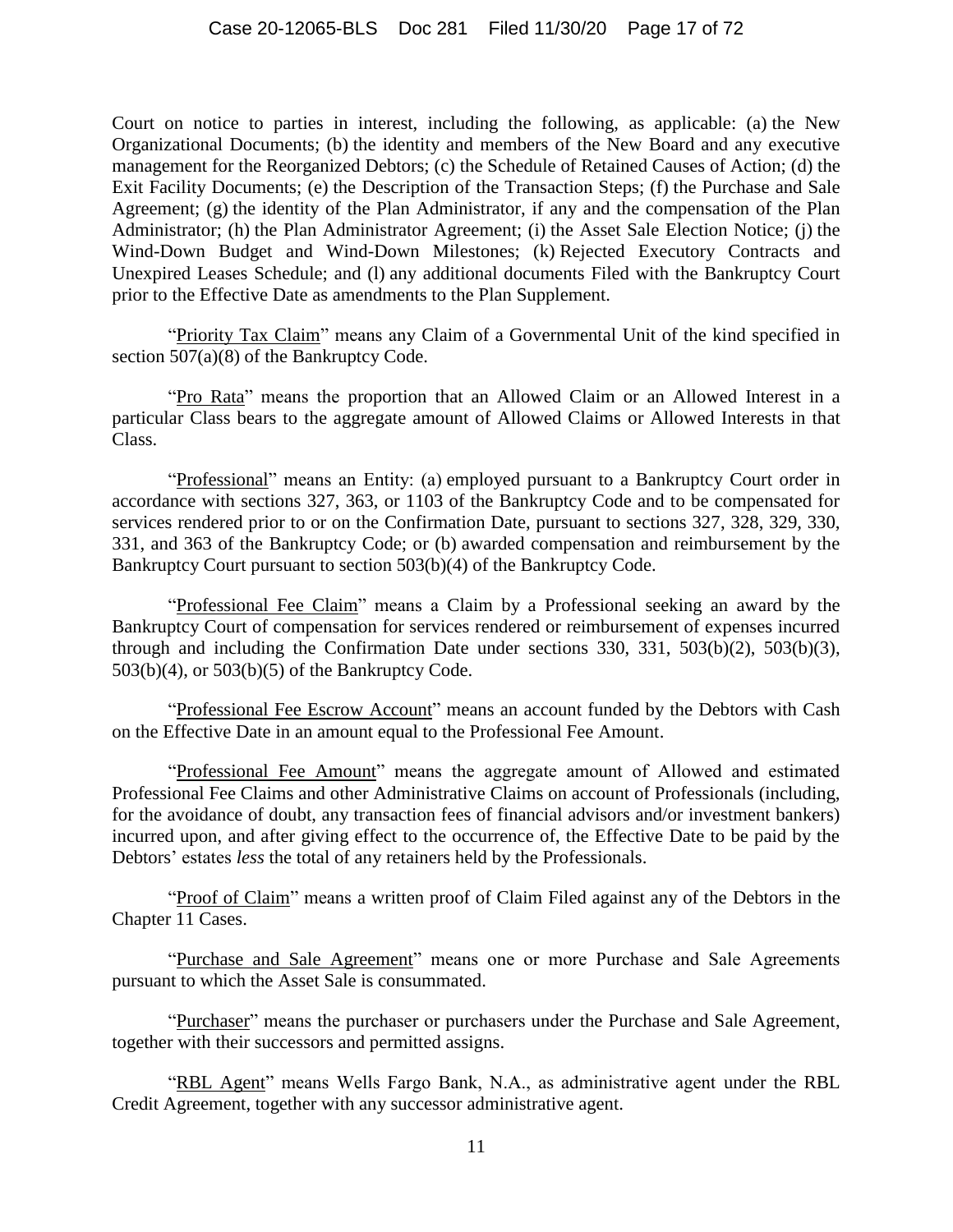Court on notice to parties in interest, including the following, as applicable: (a) the New Organizational Documents; (b) the identity and members of the New Board and any executive management for the Reorganized Debtors; (c) the Schedule of Retained Causes of Action; (d) the Exit Facility Documents; (e) the Description of the Transaction Steps; (f) the Purchase and Sale Agreement; (g) the identity of the Plan Administrator, if any and the compensation of the Plan Administrator; (h) the Plan Administrator Agreement; (i) the Asset Sale Election Notice; (j) the Wind-Down Budget and Wind-Down Milestones; (k) Rejected Executory Contracts and Unexpired Leases Schedule; and (l) any additional documents Filed with the Bankruptcy Court prior to the Effective Date as amendments to the Plan Supplement.

"Priority Tax Claim" means any Claim of a Governmental Unit of the kind specified in section 507(a)(8) of the Bankruptcy Code.

"Pro Rata" means the proportion that an Allowed Claim or an Allowed Interest in a particular Class bears to the aggregate amount of Allowed Claims or Allowed Interests in that Class.

"Professional" means an Entity: (a) employed pursuant to a Bankruptcy Court order in accordance with sections 327, 363, or 1103 of the Bankruptcy Code and to be compensated for services rendered prior to or on the Confirmation Date, pursuant to sections 327, 328, 329, 330, 331, and 363 of the Bankruptcy Code; or (b) awarded compensation and reimbursement by the Bankruptcy Court pursuant to section 503(b)(4) of the Bankruptcy Code.

"Professional Fee Claim" means a Claim by a Professional seeking an award by the Bankruptcy Court of compensation for services rendered or reimbursement of expenses incurred through and including the Confirmation Date under sections 330, 331, 503(b)(2), 503(b)(3), 503(b)(4), or 503(b)(5) of the Bankruptcy Code.

"Professional Fee Escrow Account" means an account funded by the Debtors with Cash on the Effective Date in an amount equal to the Professional Fee Amount.

"Professional Fee Amount" means the aggregate amount of Allowed and estimated Professional Fee Claims and other Administrative Claims on account of Professionals (including, for the avoidance of doubt, any transaction fees of financial advisors and/or investment bankers) incurred upon, and after giving effect to the occurrence of, the Effective Date to be paid by the Debtors' estates *less* the total of any retainers held by the Professionals.

"Proof of Claim" means a written proof of Claim Filed against any of the Debtors in the Chapter 11 Cases.

"Purchase and Sale Agreement" means one or more Purchase and Sale Agreements pursuant to which the Asset Sale is consummated.

"Purchaser" means the purchaser or purchasers under the Purchase and Sale Agreement, together with their successors and permitted assigns.

"RBL Agent" means Wells Fargo Bank, N.A., as administrative agent under the RBL Credit Agreement, together with any successor administrative agent.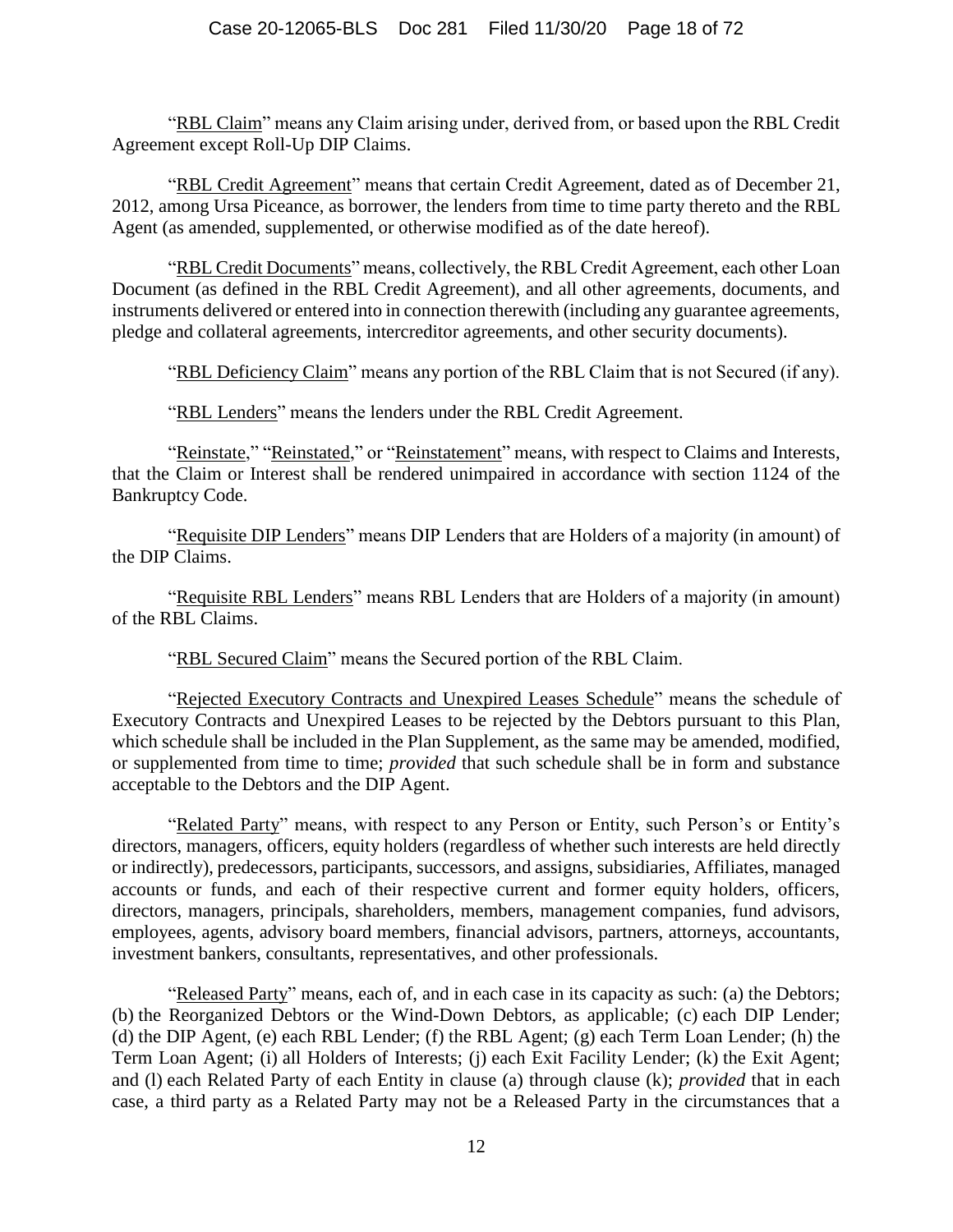"RBL Claim" means any Claim arising under, derived from, or based upon the RBL Credit Agreement except Roll-Up DIP Claims.

"RBL Credit Agreement" means that certain Credit Agreement, dated as of December 21, 2012, among Ursa Piceance, as borrower, the lenders from time to time party thereto and the RBL Agent (as amended, supplemented, or otherwise modified as of the date hereof).

"RBL Credit Documents" means, collectively, the RBL Credit Agreement, each other Loan Document (as defined in the RBL Credit Agreement), and all other agreements, documents, and instruments delivered or entered into in connection therewith (including any guarantee agreements, pledge and collateral agreements, intercreditor agreements, and other security documents).

"RBL Deficiency Claim" means any portion of the RBL Claim that is not Secured (if any).

"RBL Lenders" means the lenders under the RBL Credit Agreement.

"Reinstate," "Reinstated," or "Reinstatement" means, with respect to Claims and Interests, that the Claim or Interest shall be rendered unimpaired in accordance with section 1124 of the Bankruptcy Code.

"Requisite DIP Lenders" means DIP Lenders that are Holders of a majority (in amount) of the DIP Claims.

"Requisite RBL Lenders" means RBL Lenders that are Holders of a majority (in amount) of the RBL Claims.

"RBL Secured Claim" means the Secured portion of the RBL Claim.

"Rejected Executory Contracts and Unexpired Leases Schedule" means the schedule of Executory Contracts and Unexpired Leases to be rejected by the Debtors pursuant to this Plan, which schedule shall be included in the Plan Supplement, as the same may be amended, modified, or supplemented from time to time; *provided* that such schedule shall be in form and substance acceptable to the Debtors and the DIP Agent.

"Related Party" means, with respect to any Person or Entity, such Person's or Entity's directors, managers, officers, equity holders (regardless of whether such interests are held directly or indirectly), predecessors, participants, successors, and assigns, subsidiaries, Affiliates, managed accounts or funds, and each of their respective current and former equity holders, officers, directors, managers, principals, shareholders, members, management companies, fund advisors, employees, agents, advisory board members, financial advisors, partners, attorneys, accountants, investment bankers, consultants, representatives, and other professionals.

"Released Party" means, each of, and in each case in its capacity as such: (a) the Debtors; (b) the Reorganized Debtors or the Wind-Down Debtors, as applicable; (c) each DIP Lender; (d) the DIP Agent, (e) each RBL Lender; (f) the RBL Agent; (g) each Term Loan Lender; (h) the Term Loan Agent; (i) all Holders of Interests; (j) each Exit Facility Lender; (k) the Exit Agent; and (l) each Related Party of each Entity in clause (a) through clause (k); *provided* that in each case, a third party as a Related Party may not be a Released Party in the circumstances that a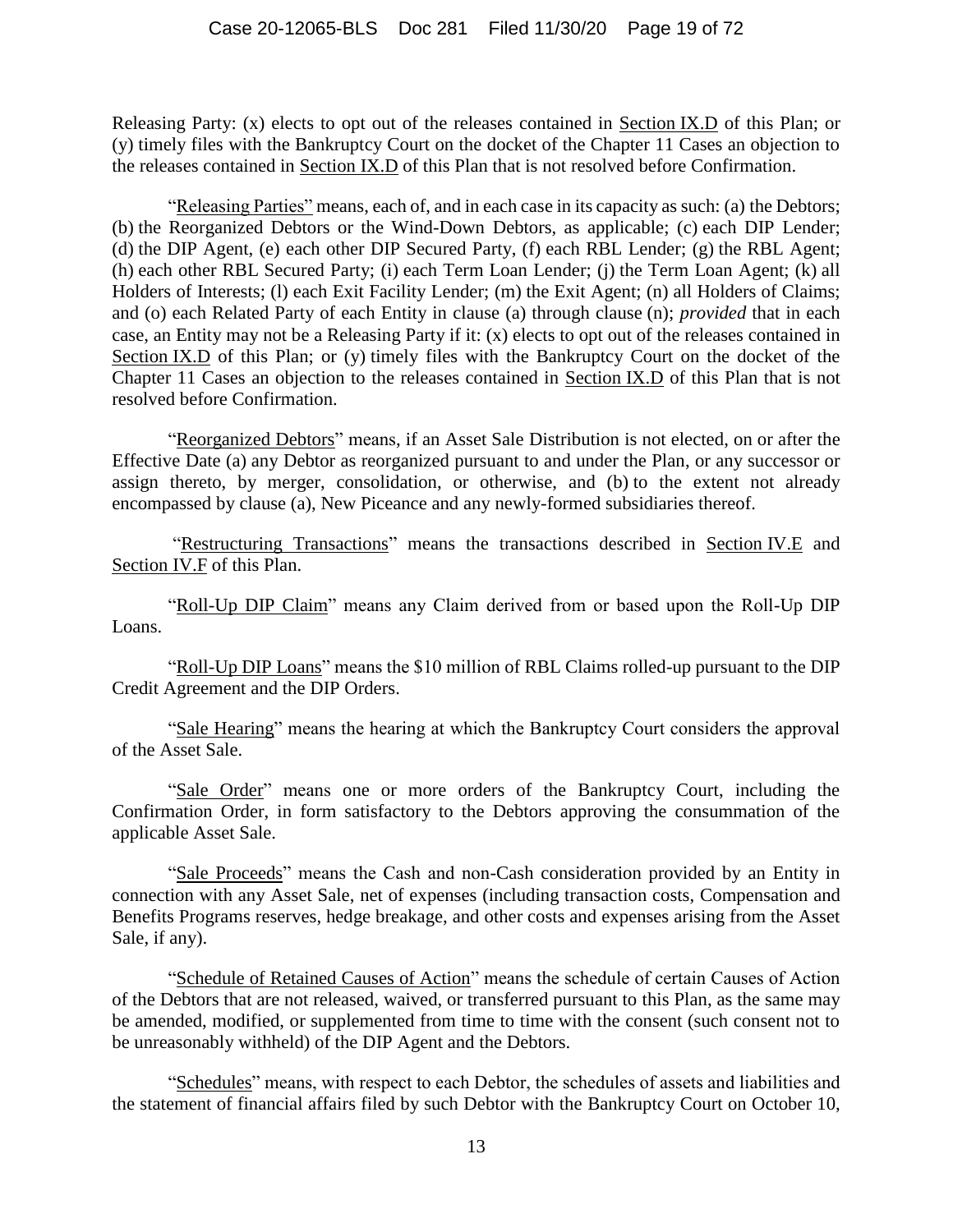Releasing Party: (x) elects to opt out of the releases contained in Section [IX.D](#page-58-0) of this Plan; or (y) timely files with the Bankruptcy Court on the docket of the Chapter 11 Cases an objection to the releases contained in Section [IX.D](#page-58-0) of this Plan that is not resolved before Confirmation.

"Releasing Parties" means, each of, and in each case in its capacity as such: (a) the Debtors; (b) the Reorganized Debtors or the Wind-Down Debtors, as applicable; (c) each DIP Lender; (d) the DIP Agent, (e) each other DIP Secured Party, (f) each RBL Lender; (g) the RBL Agent; (h) each other RBL Secured Party; (i) each Term Loan Lender; (j) the Term Loan Agent; (k) all Holders of Interests; (l) each Exit Facility Lender; (m) the Exit Agent; (n) all Holders of Claims; and (o) each Related Party of each Entity in clause (a) through clause (n); *provided* that in each case, an Entity may not be a Releasing Party if it: (x) elects to opt out of the releases contained in Section [IX.D](#page-58-0) of this Plan; or (y) timely files with the Bankruptcy Court on the docket of the Chapter 11 Cases an objection to the releases contained in Section [IX.D](#page-58-0) of this Plan that is not resolved before Confirmation.

"Reorganized Debtors" means, if an Asset Sale Distribution is not elected, on or after the Effective Date (a) any Debtor as reorganized pursuant to and under the Plan, or any successor or assign thereto, by merger, consolidation, or otherwise, and (b) to the extent not already encompassed by clause (a), New Piceance and any newly-formed subsidiaries thereof.

"Restructuring Transactions" means the transactions described in Section [IV.E](#page-34-0) and Section [IV.F](#page-38-1) of this Plan.

"Roll-Up DIP Claim" means any Claim derived from or based upon the Roll-Up DIP Loans.

"Roll-Up DIP Loans" means the \$10 million of RBL Claims rolled-up pursuant to the DIP Credit Agreement and the DIP Orders.

"Sale Hearing" means the hearing at which the Bankruptcy Court considers the approval of the Asset Sale.

"Sale Order" means one or more orders of the Bankruptcy Court, including the Confirmation Order, in form satisfactory to the Debtors approving the consummation of the applicable Asset Sale.

"Sale Proceeds" means the Cash and non-Cash consideration provided by an Entity in connection with any Asset Sale, net of expenses (including transaction costs, Compensation and Benefits Programs reserves, hedge breakage, and other costs and expenses arising from the Asset Sale, if any).

"Schedule of Retained Causes of Action" means the schedule of certain Causes of Action of the Debtors that are not released, waived, or transferred pursuant to this Plan, as the same may be amended, modified, or supplemented from time to time with the consent (such consent not to be unreasonably withheld) of the DIP Agent and the Debtors.

"Schedules" means, with respect to each Debtor, the schedules of assets and liabilities and the statement of financial affairs filed by such Debtor with the Bankruptcy Court on October 10,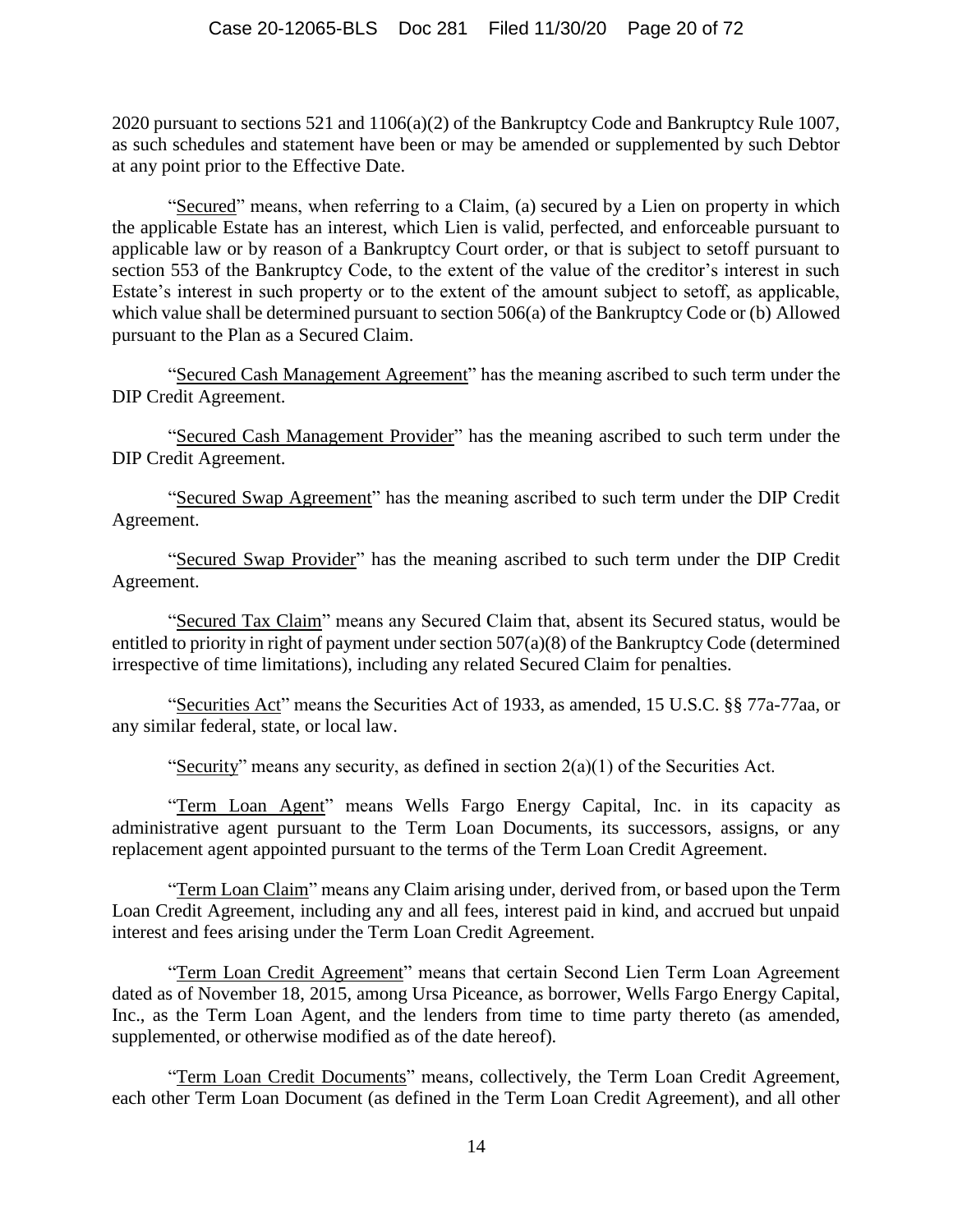2020 pursuant to sections 521 and 1106(a)(2) of the Bankruptcy Code and Bankruptcy Rule 1007, as such schedules and statement have been or may be amended or supplemented by such Debtor at any point prior to the Effective Date.

"Secured" means, when referring to a Claim, (a) secured by a Lien on property in which the applicable Estate has an interest, which Lien is valid, perfected, and enforceable pursuant to applicable law or by reason of a Bankruptcy Court order, or that is subject to setoff pursuant to section 553 of the Bankruptcy Code, to the extent of the value of the creditor's interest in such Estate's interest in such property or to the extent of the amount subject to setoff, as applicable, which value shall be determined pursuant to section 506(a) of the Bankruptcy Code or (b) Allowed pursuant to the Plan as a Secured Claim.

"Secured Cash Management Agreement" has the meaning ascribed to such term under the DIP Credit Agreement.

"Secured Cash Management Provider" has the meaning ascribed to such term under the DIP Credit Agreement.

"Secured Swap Agreement" has the meaning ascribed to such term under the DIP Credit Agreement.

"Secured Swap Provider" has the meaning ascribed to such term under the DIP Credit Agreement.

"Secured Tax Claim" means any Secured Claim that, absent its Secured status, would be entitled to priority in right of payment under section 507(a)(8) of the Bankruptcy Code (determined irrespective of time limitations), including any related Secured Claim for penalties.

"Securities Act" means the Securities Act of 1933, as amended, 15 U.S.C. §§ 77a-77aa, or any similar federal, state, or local law.

"Security" means any security, as defined in section  $2(a)(1)$  of the Securities Act.

"Term Loan Agent" means Wells Fargo Energy Capital, Inc. in its capacity as administrative agent pursuant to the Term Loan Documents, its successors, assigns, or any replacement agent appointed pursuant to the terms of the Term Loan Credit Agreement.

"Term Loan Claim" means any Claim arising under, derived from, or based upon the Term Loan Credit Agreement, including any and all fees, interest paid in kind, and accrued but unpaid interest and fees arising under the Term Loan Credit Agreement.

"Term Loan Credit Agreement" means that certain Second Lien Term Loan Agreement dated as of November 18, 2015, among Ursa Piceance, as borrower, Wells Fargo Energy Capital, Inc., as the Term Loan Agent, and the lenders from time to time party thereto (as amended, supplemented, or otherwise modified as of the date hereof).

"Term Loan Credit Documents" means, collectively, the Term Loan Credit Agreement, each other Term Loan Document (as defined in the Term Loan Credit Agreement), and all other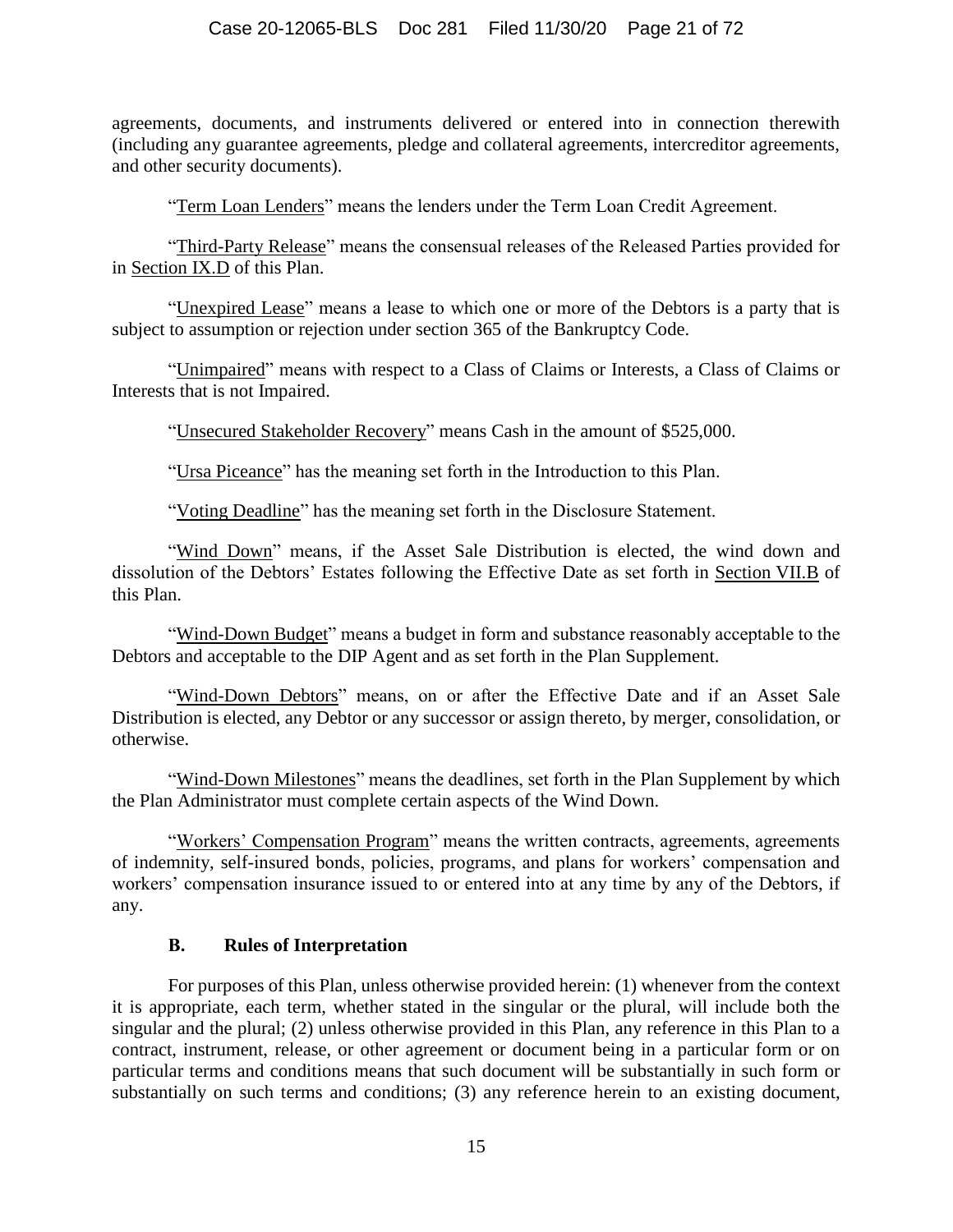agreements, documents, and instruments delivered or entered into in connection therewith (including any guarantee agreements, pledge and collateral agreements, intercreditor agreements, and other security documents).

"Term Loan Lenders" means the lenders under the Term Loan Credit Agreement.

"Third-Party Release" means the consensual releases of the Released Parties provided for in Section [IX.D](#page-58-0) of this Plan.

"Unexpired Lease" means a lease to which one or more of the Debtors is a party that is subject to assumption or rejection under section 365 of the Bankruptcy Code.

"Unimpaired" means with respect to a Class of Claims or Interests, a Class of Claims or Interests that is not Impaired.

"Unsecured Stakeholder Recovery" means Cash in the amount of \$525,000.

"Ursa Piceance" has the meaning set forth in the Introduction to this Plan.

"Voting Deadline" has the meaning set forth in the Disclosure Statement.

"Wind Down" means, if the Asset Sale Distribution is elected, the wind down and dissolution of the Debtors' Estates following the Effective Date as set forth in Section [VII.B](#page-53-0) of this Plan.

"Wind-Down Budget" means a budget in form and substance reasonably acceptable to the Debtors and acceptable to the DIP Agent and as set forth in the Plan Supplement.

"Wind-Down Debtors" means, on or after the Effective Date and if an Asset Sale Distribution is elected, any Debtor or any successor or assign thereto, by merger, consolidation, or otherwise.

"Wind-Down Milestones" means the deadlines, set forth in the Plan Supplement by which the Plan Administrator must complete certain aspects of the Wind Down.

"Workers' Compensation Program" means the written contracts, agreements, agreements of indemnity, self-insured bonds, policies, programs, and plans for workers' compensation and workers' compensation insurance issued to or entered into at any time by any of the Debtors, if any.

#### **B. Rules of Interpretation**

<span id="page-20-0"></span>For purposes of this Plan, unless otherwise provided herein: (1) whenever from the context it is appropriate, each term, whether stated in the singular or the plural, will include both the singular and the plural; (2) unless otherwise provided in this Plan, any reference in this Plan to a contract, instrument, release, or other agreement or document being in a particular form or on particular terms and conditions means that such document will be substantially in such form or substantially on such terms and conditions; (3) any reference herein to an existing document,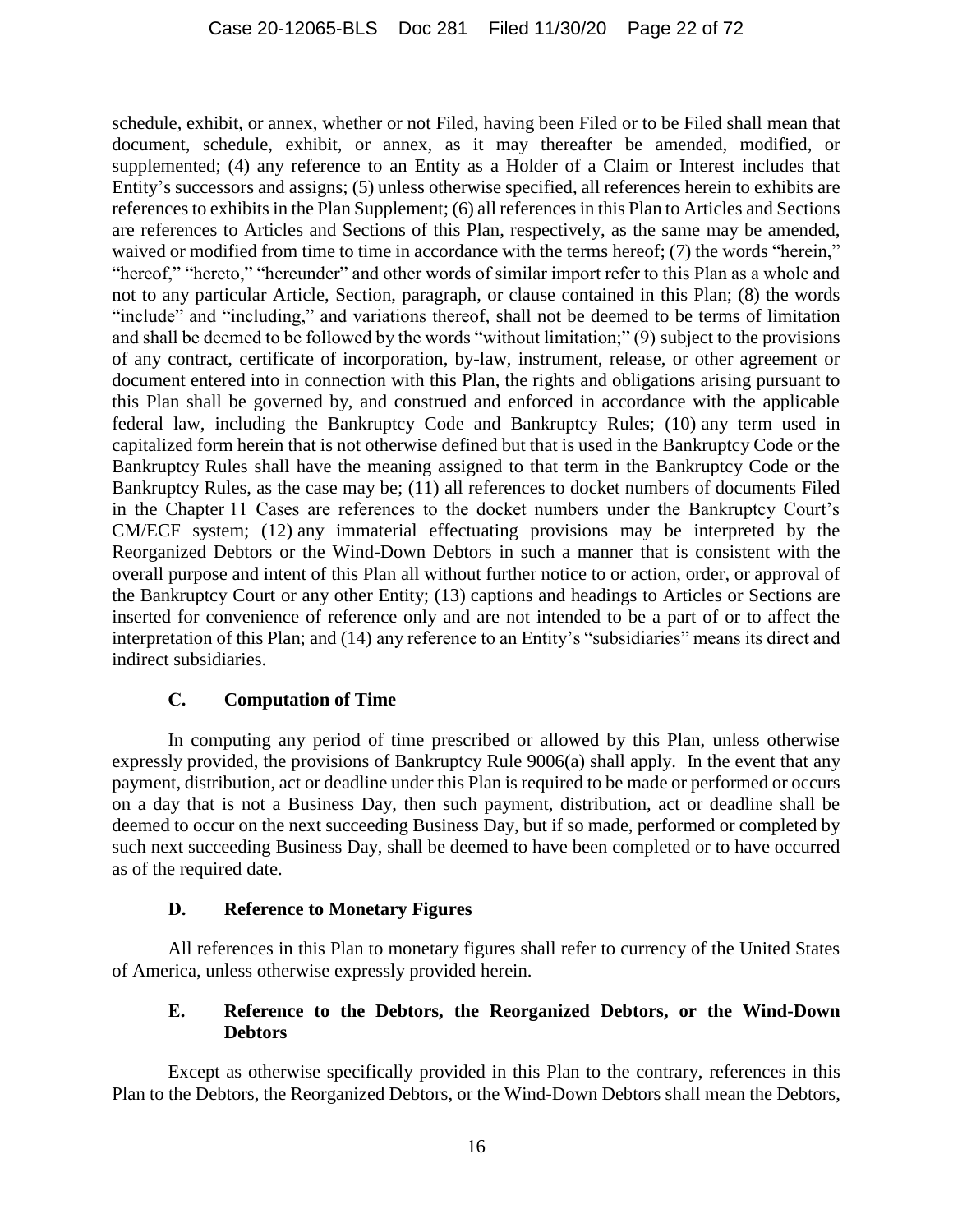schedule, exhibit, or annex, whether or not Filed, having been Filed or to be Filed shall mean that document, schedule, exhibit, or annex, as it may thereafter be amended, modified, or supplemented; (4) any reference to an Entity as a Holder of a Claim or Interest includes that Entity's successors and assigns; (5) unless otherwise specified, all references herein to exhibits are references to exhibits in the Plan Supplement; (6) all references in this Plan to Articles and Sections are references to Articles and Sections of this Plan, respectively, as the same may be amended, waived or modified from time to time in accordance with the terms hereof; (7) the words "herein," "hereof," "hereto," "hereunder" and other words of similar import refer to this Plan as a whole and not to any particular Article, Section, paragraph, or clause contained in this Plan; (8) the words "include" and "including," and variations thereof, shall not be deemed to be terms of limitation and shall be deemed to be followed by the words "without limitation;" (9) subject to the provisions of any contract, certificate of incorporation, by-law, instrument, release, or other agreement or document entered into in connection with this Plan, the rights and obligations arising pursuant to this Plan shall be governed by, and construed and enforced in accordance with the applicable federal law, including the Bankruptcy Code and Bankruptcy Rules; (10) any term used in capitalized form herein that is not otherwise defined but that is used in the Bankruptcy Code or the Bankruptcy Rules shall have the meaning assigned to that term in the Bankruptcy Code or the Bankruptcy Rules, as the case may be; (11) all references to docket numbers of documents Filed in the Chapter 11 Cases are references to the docket numbers under the Bankruptcy Court's CM/ECF system; (12) any immaterial effectuating provisions may be interpreted by the Reorganized Debtors or the Wind-Down Debtors in such a manner that is consistent with the overall purpose and intent of this Plan all without further notice to or action, order, or approval of the Bankruptcy Court or any other Entity; (13) captions and headings to Articles or Sections are inserted for convenience of reference only and are not intended to be a part of or to affect the interpretation of this Plan; and (14) any reference to an Entity's "subsidiaries" means its direct and indirect subsidiaries.

## **C. Computation of Time**

<span id="page-21-0"></span>In computing any period of time prescribed or allowed by this Plan, unless otherwise expressly provided, the provisions of Bankruptcy Rule 9006(a) shall apply. In the event that any payment, distribution, act or deadline under this Plan is required to be made or performed or occurs on a day that is not a Business Day, then such payment, distribution, act or deadline shall be deemed to occur on the next succeeding Business Day, but if so made, performed or completed by such next succeeding Business Day, shall be deemed to have been completed or to have occurred as of the required date.

#### **D. Reference to Monetary Figures**

<span id="page-21-1"></span>All references in this Plan to monetary figures shall refer to currency of the United States of America, unless otherwise expressly provided herein.

## <span id="page-21-2"></span>**E. Reference to the Debtors, the Reorganized Debtors, or the Wind-Down Debtors**

Except as otherwise specifically provided in this Plan to the contrary, references in this Plan to the Debtors, the Reorganized Debtors, or the Wind-Down Debtors shall mean the Debtors,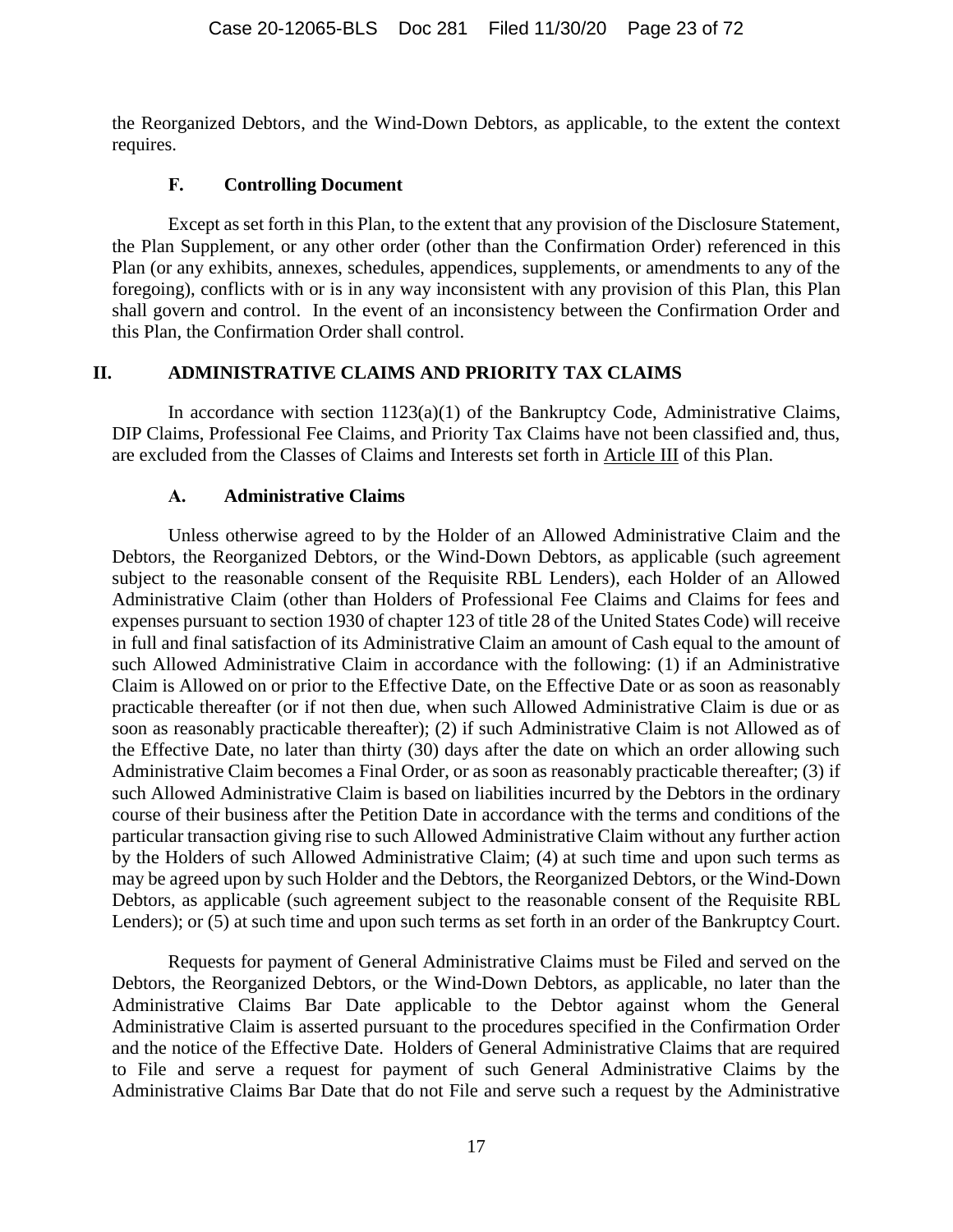the Reorganized Debtors, and the Wind-Down Debtors, as applicable, to the extent the context requires.

#### **F. Controlling Document**

<span id="page-22-0"></span>Except as set forth in this Plan, to the extent that any provision of the Disclosure Statement, the Plan Supplement, or any other order (other than the Confirmation Order) referenced in this Plan (or any exhibits, annexes, schedules, appendices, supplements, or amendments to any of the foregoing), conflicts with or is in any way inconsistent with any provision of this Plan, this Plan shall govern and control. In the event of an inconsistency between the Confirmation Order and this Plan, the Confirmation Order shall control.

## <span id="page-22-1"></span>**II. ADMINISTRATIVE CLAIMS AND PRIORITY TAX CLAIMS**

In accordance with section  $1123(a)(1)$  of the Bankruptcy Code, Administrative Claims, DIP Claims, Professional Fee Claims, and Priority Tax Claims have not been classified and, thus, are excluded from the Classes of Claims and Interests set forth in Article [III](#page-25-1) of this Plan.

## **A. Administrative Claims**

<span id="page-22-2"></span>Unless otherwise agreed to by the Holder of an Allowed Administrative Claim and the Debtors, the Reorganized Debtors, or the Wind-Down Debtors, as applicable (such agreement subject to the reasonable consent of the Requisite RBL Lenders), each Holder of an Allowed Administrative Claim (other than Holders of Professional Fee Claims and Claims for fees and expenses pursuant to section 1930 of chapter 123 of title 28 of the United States Code) will receive in full and final satisfaction of its Administrative Claim an amount of Cash equal to the amount of such Allowed Administrative Claim in accordance with the following: (1) if an Administrative Claim is Allowed on or prior to the Effective Date, on the Effective Date or as soon as reasonably practicable thereafter (or if not then due, when such Allowed Administrative Claim is due or as soon as reasonably practicable thereafter); (2) if such Administrative Claim is not Allowed as of the Effective Date, no later than thirty (30) days after the date on which an order allowing such Administrative Claim becomes a Final Order, or as soon as reasonably practicable thereafter; (3) if such Allowed Administrative Claim is based on liabilities incurred by the Debtors in the ordinary course of their business after the Petition Date in accordance with the terms and conditions of the particular transaction giving rise to such Allowed Administrative Claim without any further action by the Holders of such Allowed Administrative Claim; (4) at such time and upon such terms as may be agreed upon by such Holder and the Debtors, the Reorganized Debtors, or the Wind-Down Debtors, as applicable (such agreement subject to the reasonable consent of the Requisite RBL Lenders); or (5) at such time and upon such terms as set forth in an order of the Bankruptcy Court.

Requests for payment of General Administrative Claims must be Filed and served on the Debtors, the Reorganized Debtors, or the Wind-Down Debtors, as applicable, no later than the Administrative Claims Bar Date applicable to the Debtor against whom the General Administrative Claim is asserted pursuant to the procedures specified in the Confirmation Order and the notice of the Effective Date. Holders of General Administrative Claims that are required to File and serve a request for payment of such General Administrative Claims by the Administrative Claims Bar Date that do not File and serve such a request by the Administrative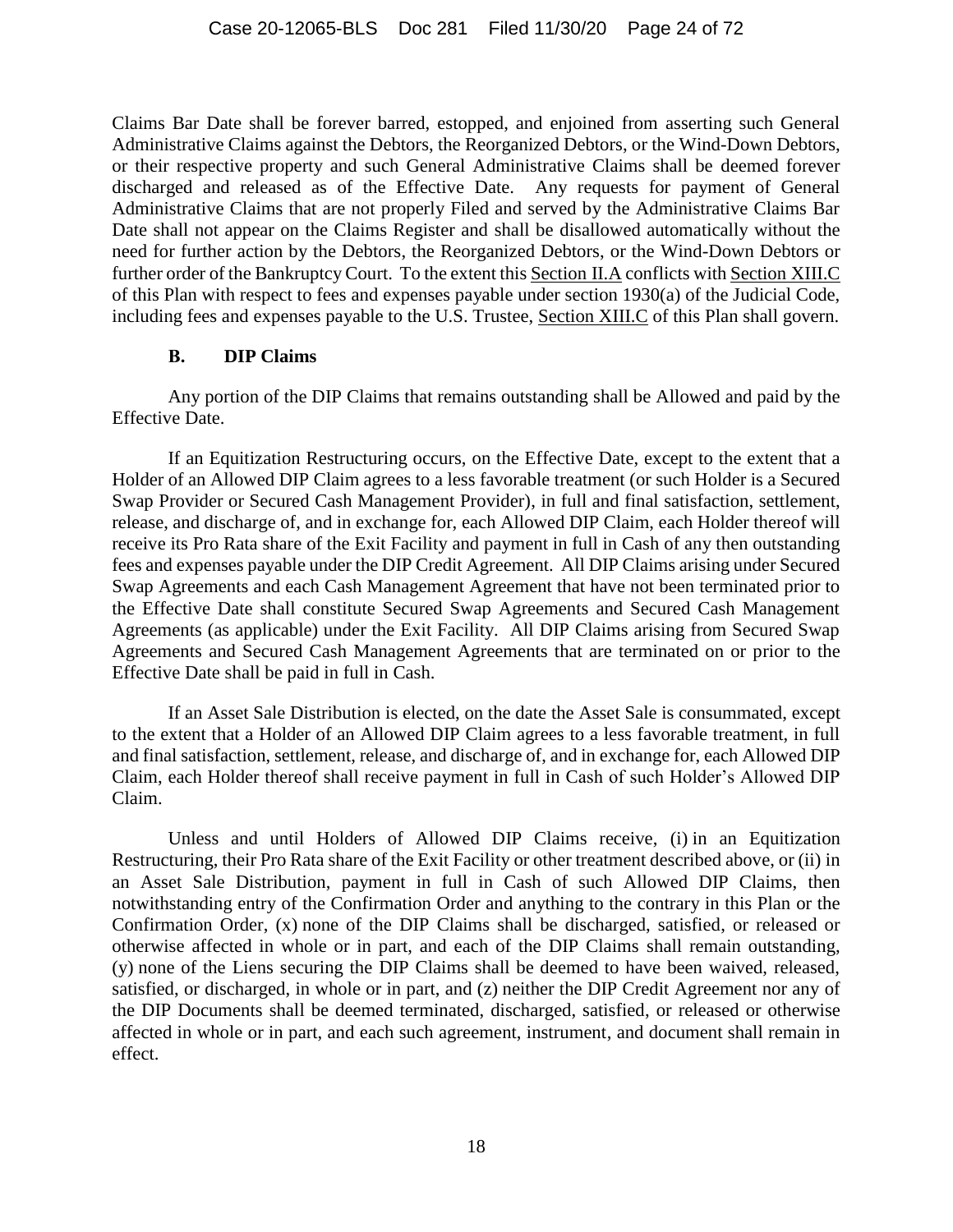Claims Bar Date shall be forever barred, estopped, and enjoined from asserting such General Administrative Claims against the Debtors, the Reorganized Debtors, or the Wind-Down Debtors, or their respective property and such General Administrative Claims shall be deemed forever discharged and released as of the Effective Date. Any requests for payment of General Administrative Claims that are not properly Filed and served by the Administrative Claims Bar Date shall not appear on the Claims Register and shall be disallowed automatically without the need for further action by the Debtors, the Reorganized Debtors, or the Wind-Down Debtors or further order of the Bankruptcy Court. To the extent this Section [II.A](#page-22-2) conflicts with Section [XIII.C](#page-67-1) of this Plan with respect to fees and expenses payable under section 1930(a) of the Judicial Code, including fees and expenses payable to the U.S. Trustee, Section [XIII.C](#page-67-1) of this Plan shall govern.

#### **B. DIP Claims**

<span id="page-23-0"></span>Any portion of the DIP Claims that remains outstanding shall be Allowed and paid by the Effective Date.

If an Equitization Restructuring occurs, on the Effective Date, except to the extent that a Holder of an Allowed DIP Claim agrees to a less favorable treatment (or such Holder is a Secured Swap Provider or Secured Cash Management Provider), in full and final satisfaction, settlement, release, and discharge of, and in exchange for, each Allowed DIP Claim, each Holder thereof will receive its Pro Rata share of the Exit Facility and payment in full in Cash of any then outstanding fees and expenses payable under the DIP Credit Agreement. All DIP Claims arising under Secured Swap Agreements and each Cash Management Agreement that have not been terminated prior to the Effective Date shall constitute Secured Swap Agreements and Secured Cash Management Agreements (as applicable) under the Exit Facility. All DIP Claims arising from Secured Swap Agreements and Secured Cash Management Agreements that are terminated on or prior to the Effective Date shall be paid in full in Cash.

If an Asset Sale Distribution is elected, on the date the Asset Sale is consummated, except to the extent that a Holder of an Allowed DIP Claim agrees to a less favorable treatment, in full and final satisfaction, settlement, release, and discharge of, and in exchange for, each Allowed DIP Claim, each Holder thereof shall receive payment in full in Cash of such Holder's Allowed DIP Claim.

Unless and until Holders of Allowed DIP Claims receive, (i) in an Equitization Restructuring, their Pro Rata share of the Exit Facility or other treatment described above, or (ii) in an Asset Sale Distribution, payment in full in Cash of such Allowed DIP Claims, then notwithstanding entry of the Confirmation Order and anything to the contrary in this Plan or the Confirmation Order, (x) none of the DIP Claims shall be discharged, satisfied, or released or otherwise affected in whole or in part, and each of the DIP Claims shall remain outstanding, (y) none of the Liens securing the DIP Claims shall be deemed to have been waived, released, satisfied, or discharged, in whole or in part, and (z) neither the DIP Credit Agreement nor any of the DIP Documents shall be deemed terminated, discharged, satisfied, or released or otherwise affected in whole or in part, and each such agreement, instrument, and document shall remain in effect.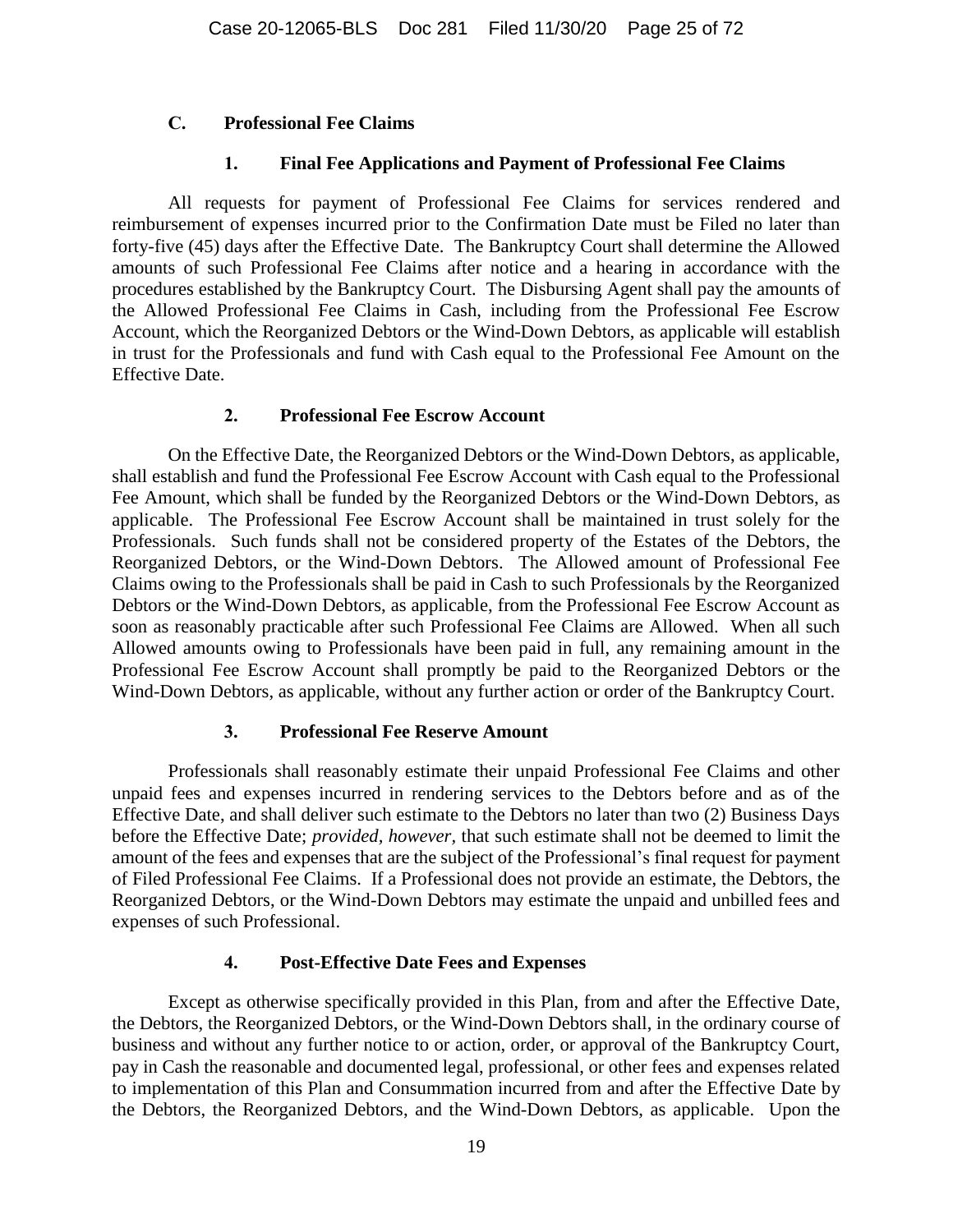#### <span id="page-24-0"></span>**C. Professional Fee Claims**

#### **1. Final Fee Applications and Payment of Professional Fee Claims**

<span id="page-24-1"></span>All requests for payment of Professional Fee Claims for services rendered and reimbursement of expenses incurred prior to the Confirmation Date must be Filed no later than forty-five (45) days after the Effective Date. The Bankruptcy Court shall determine the Allowed amounts of such Professional Fee Claims after notice and a hearing in accordance with the procedures established by the Bankruptcy Court. The Disbursing Agent shall pay the amounts of the Allowed Professional Fee Claims in Cash, including from the Professional Fee Escrow Account, which the Reorganized Debtors or the Wind-Down Debtors, as applicable will establish in trust for the Professionals and fund with Cash equal to the Professional Fee Amount on the Effective Date.

#### **2. Professional Fee Escrow Account**

<span id="page-24-2"></span>On the Effective Date, the Reorganized Debtors or the Wind-Down Debtors, as applicable, shall establish and fund the Professional Fee Escrow Account with Cash equal to the Professional Fee Amount, which shall be funded by the Reorganized Debtors or the Wind-Down Debtors, as applicable. The Professional Fee Escrow Account shall be maintained in trust solely for the Professionals. Such funds shall not be considered property of the Estates of the Debtors, the Reorganized Debtors, or the Wind-Down Debtors. The Allowed amount of Professional Fee Claims owing to the Professionals shall be paid in Cash to such Professionals by the Reorganized Debtors or the Wind-Down Debtors, as applicable, from the Professional Fee Escrow Account as soon as reasonably practicable after such Professional Fee Claims are Allowed. When all such Allowed amounts owing to Professionals have been paid in full, any remaining amount in the Professional Fee Escrow Account shall promptly be paid to the Reorganized Debtors or the Wind-Down Debtors, as applicable, without any further action or order of the Bankruptcy Court.

#### **3. Professional Fee Reserve Amount**

<span id="page-24-3"></span>Professionals shall reasonably estimate their unpaid Professional Fee Claims and other unpaid fees and expenses incurred in rendering services to the Debtors before and as of the Effective Date, and shall deliver such estimate to the Debtors no later than two (2) Business Days before the Effective Date; *provided, however,* that such estimate shall not be deemed to limit the amount of the fees and expenses that are the subject of the Professional's final request for payment of Filed Professional Fee Claims. If a Professional does not provide an estimate, the Debtors, the Reorganized Debtors, or the Wind-Down Debtors may estimate the unpaid and unbilled fees and expenses of such Professional.

## **4. Post-Effective Date Fees and Expenses**

<span id="page-24-4"></span>Except as otherwise specifically provided in this Plan, from and after the Effective Date, the Debtors, the Reorganized Debtors, or the Wind-Down Debtors shall, in the ordinary course of business and without any further notice to or action, order, or approval of the Bankruptcy Court, pay in Cash the reasonable and documented legal, professional, or other fees and expenses related to implementation of this Plan and Consummation incurred from and after the Effective Date by the Debtors, the Reorganized Debtors, and the Wind-Down Debtors, as applicable. Upon the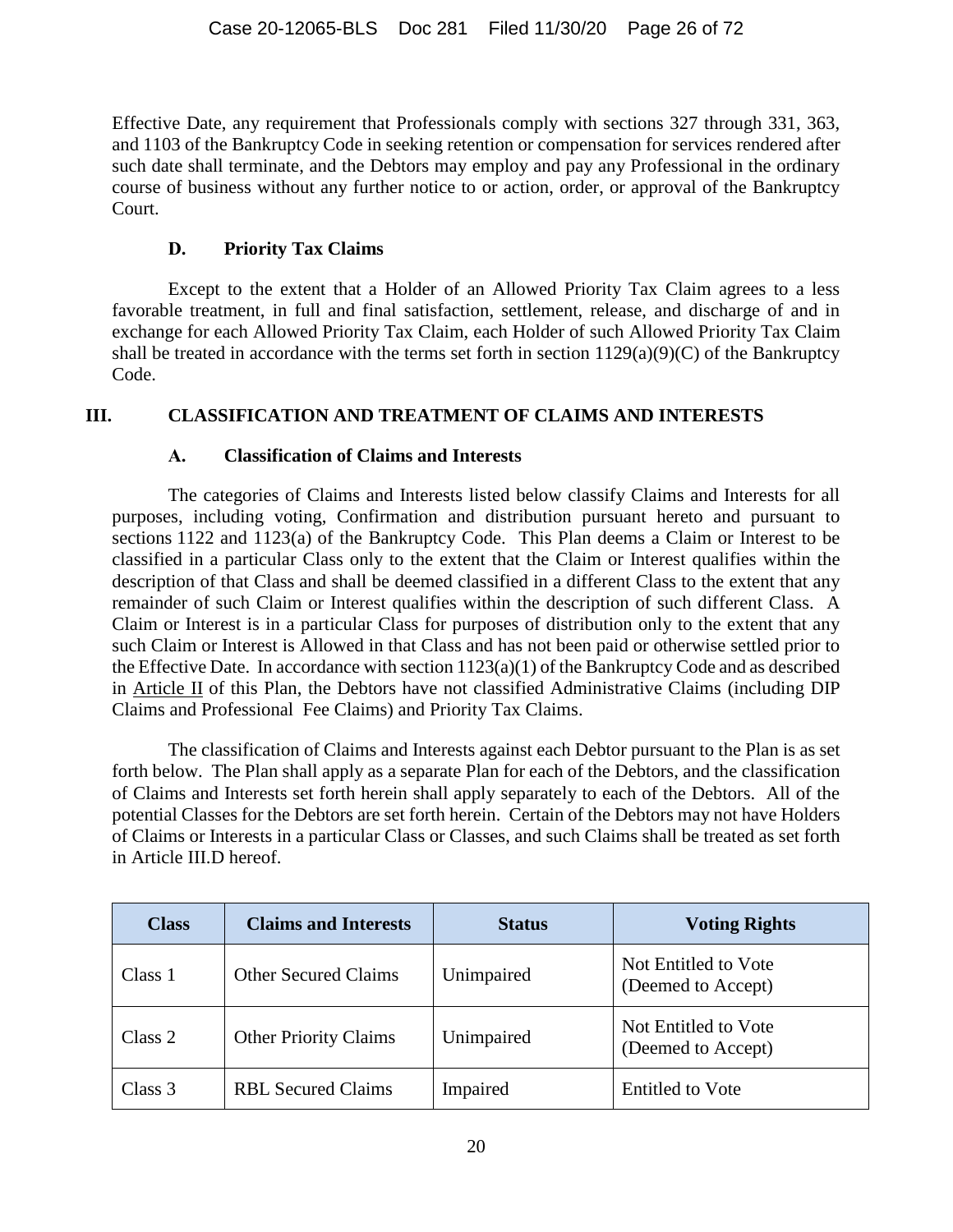Effective Date, any requirement that Professionals comply with sections 327 through 331, 363, and 1103 of the Bankruptcy Code in seeking retention or compensation for services rendered after such date shall terminate, and the Debtors may employ and pay any Professional in the ordinary course of business without any further notice to or action, order, or approval of the Bankruptcy Court.

## **D. Priority Tax Claims**

<span id="page-25-0"></span>Except to the extent that a Holder of an Allowed Priority Tax Claim agrees to a less favorable treatment, in full and final satisfaction, settlement, release, and discharge of and in exchange for each Allowed Priority Tax Claim, each Holder of such Allowed Priority Tax Claim shall be treated in accordance with the terms set forth in section  $1129(a)(9)(C)$  of the Bankruptcy Code.

## <span id="page-25-1"></span>**III. CLASSIFICATION AND TREATMENT OF CLAIMS AND INTERESTS**

## **A. Classification of Claims and Interests**

<span id="page-25-2"></span>The categories of Claims and Interests listed below classify Claims and Interests for all purposes, including voting, Confirmation and distribution pursuant hereto and pursuant to sections 1122 and 1123(a) of the Bankruptcy Code. This Plan deems a Claim or Interest to be classified in a particular Class only to the extent that the Claim or Interest qualifies within the description of that Class and shall be deemed classified in a different Class to the extent that any remainder of such Claim or Interest qualifies within the description of such different Class. A Claim or Interest is in a particular Class for purposes of distribution only to the extent that any such Claim or Interest is Allowed in that Class and has not been paid or otherwise settled prior to the Effective Date. In accordance with section 1123(a)(1) of the Bankruptcy Code and as described in Article [II](#page-22-1) of this Plan, the Debtors have not classified Administrative Claims (including DIP Claims and Professional Fee Claims) and Priority Tax Claims.

The classification of Claims and Interests against each Debtor pursuant to the Plan is as set forth below. The Plan shall apply as a separate Plan for each of the Debtors, and the classification of Claims and Interests set forth herein shall apply separately to each of the Debtors. All of the potential Classes for the Debtors are set forth herein. Certain of the Debtors may not have Holders of Claims or Interests in a particular Class or Classes, and such Claims shall be treated as set forth in Article III.D hereof.

| <b>Class</b> | <b>Claims and Interests</b>  | <b>Status</b> | <b>Voting Rights</b>                       |
|--------------|------------------------------|---------------|--------------------------------------------|
| Class 1      | <b>Other Secured Claims</b>  | Unimpaired    | Not Entitled to Vote<br>(Deemed to Accept) |
| Class 2      | <b>Other Priority Claims</b> | Unimpaired    | Not Entitled to Vote<br>(Deemed to Accept) |
| Class 3      | <b>RBL Secured Claims</b>    | Impaired      | <b>Entitled to Vote</b>                    |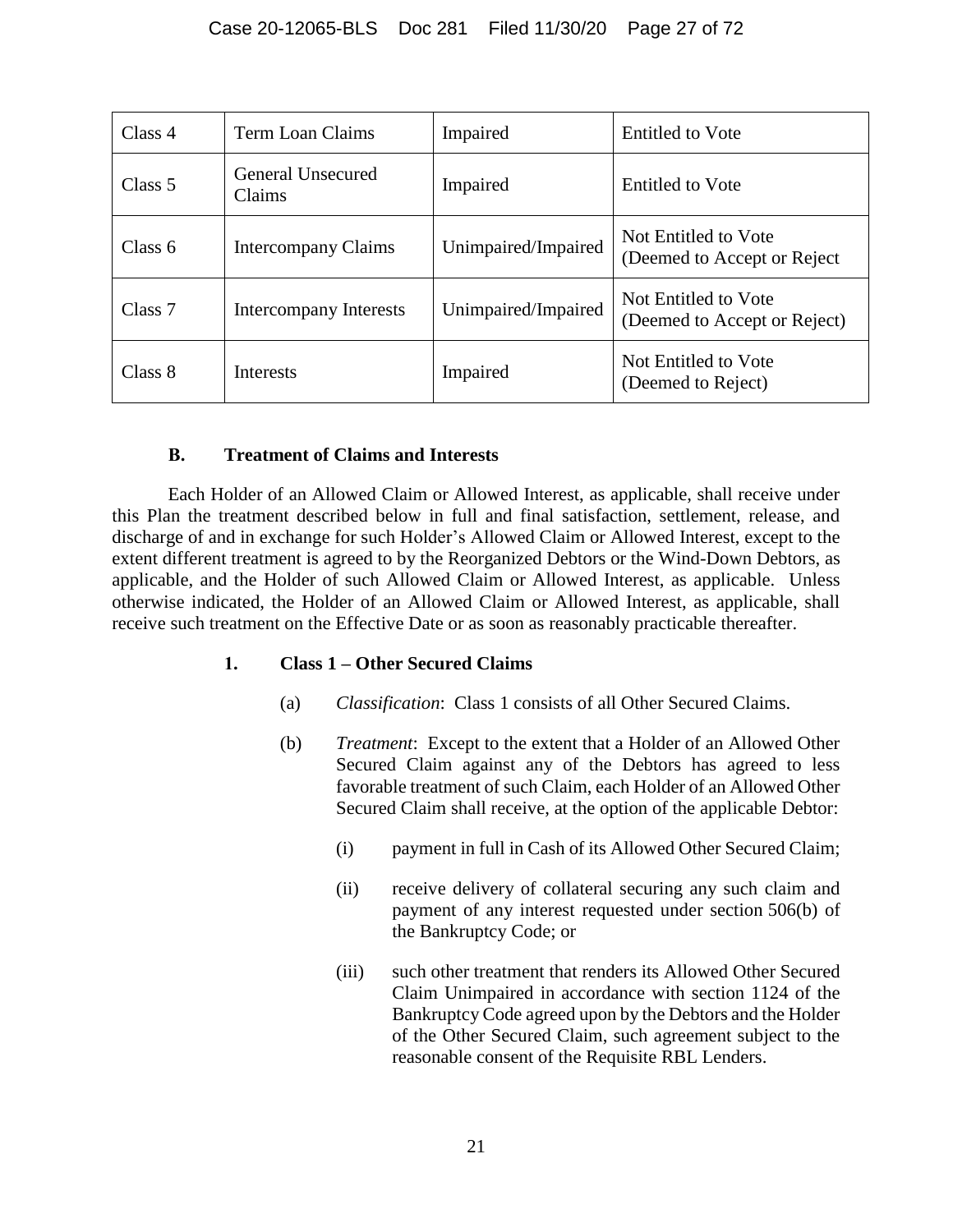| Class 4   | Term Loan Claims              | Impaired            | Entitled to Vote                                     |
|-----------|-------------------------------|---------------------|------------------------------------------------------|
| Class 5   | General Unsecured<br>Claims   | Impaired            | Entitled to Vote                                     |
| Class $6$ | <b>Intercompany Claims</b>    | Unimpaired/Impaired | Not Entitled to Vote<br>(Deemed to Accept or Reject) |
| Class 7   | <b>Intercompany Interests</b> | Unimpaired/Impaired | Not Entitled to Vote<br>(Deemed to Accept or Reject) |
| Class 8   | <b>Interests</b>              | Impaired            | Not Entitled to Vote<br>(Deemed to Reject)           |

## **B. Treatment of Claims and Interests**

<span id="page-26-0"></span>Each Holder of an Allowed Claim or Allowed Interest, as applicable, shall receive under this Plan the treatment described below in full and final satisfaction, settlement, release, and discharge of and in exchange for such Holder's Allowed Claim or Allowed Interest, except to the extent different treatment is agreed to by the Reorganized Debtors or the Wind-Down Debtors, as applicable, and the Holder of such Allowed Claim or Allowed Interest, as applicable. Unless otherwise indicated, the Holder of an Allowed Claim or Allowed Interest, as applicable, shall receive such treatment on the Effective Date or as soon as reasonably practicable thereafter.

## <span id="page-26-1"></span>**1. Class 1 – Other Secured Claims**

- (a) *Classification*: Class 1 consists of all Other Secured Claims.
- (b) *Treatment*: Except to the extent that a Holder of an Allowed Other Secured Claim against any of the Debtors has agreed to less favorable treatment of such Claim, each Holder of an Allowed Other Secured Claim shall receive, at the option of the applicable Debtor:
	- (i) payment in full in Cash of its Allowed Other Secured Claim;
	- (ii) receive delivery of collateral securing any such claim and payment of any interest requested under section 506(b) of the Bankruptcy Code; or
	- (iii) such other treatment that renders its Allowed Other Secured Claim Unimpaired in accordance with section 1124 of the Bankruptcy Code agreed upon by the Debtors and the Holder of the Other Secured Claim, such agreement subject to the reasonable consent of the Requisite RBL Lenders.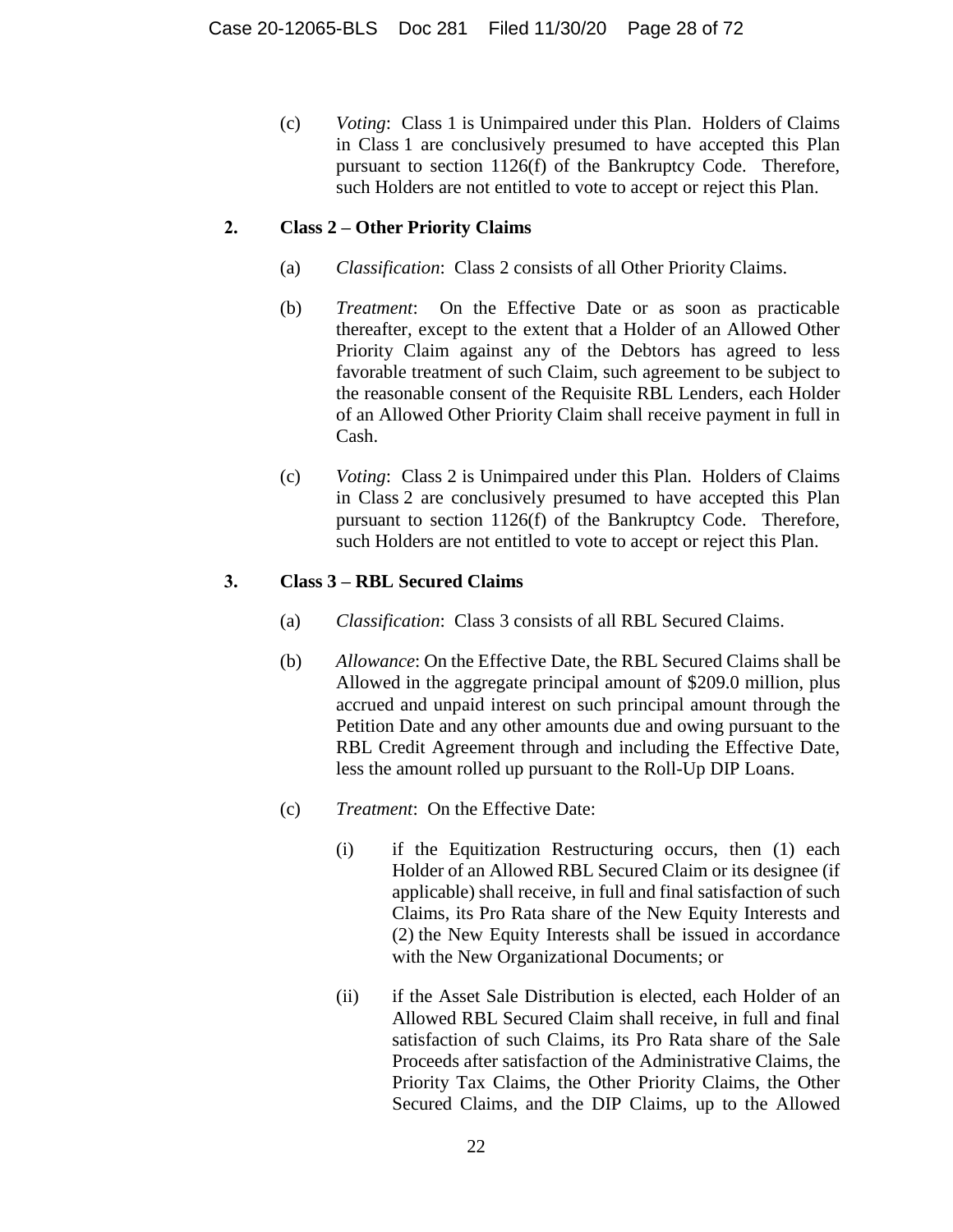(c) *Voting*: Class 1 is Unimpaired under this Plan. Holders of Claims in Class 1 are conclusively presumed to have accepted this Plan pursuant to section 1126(f) of the Bankruptcy Code. Therefore, such Holders are not entitled to vote to accept or reject this Plan.

## <span id="page-27-0"></span>**2. Class 2 – Other Priority Claims**

- (a) *Classification*: Class 2 consists of all Other Priority Claims.
- (b) *Treatment*: On the Effective Date or as soon as practicable thereafter, except to the extent that a Holder of an Allowed Other Priority Claim against any of the Debtors has agreed to less favorable treatment of such Claim, such agreement to be subject to the reasonable consent of the Requisite RBL Lenders, each Holder of an Allowed Other Priority Claim shall receive payment in full in Cash.
- (c) *Voting*: Class 2 is Unimpaired under this Plan. Holders of Claims in Class 2 are conclusively presumed to have accepted this Plan pursuant to section 1126(f) of the Bankruptcy Code. Therefore, such Holders are not entitled to vote to accept or reject this Plan.

## <span id="page-27-1"></span>**3. Class 3 – RBL Secured Claims**

- (a) *Classification*: Class 3 consists of all RBL Secured Claims.
- (b) *Allowance*: On the Effective Date, the RBL Secured Claims shall be Allowed in the aggregate principal amount of \$209.0 million, plus accrued and unpaid interest on such principal amount through the Petition Date and any other amounts due and owing pursuant to the RBL Credit Agreement through and including the Effective Date, less the amount rolled up pursuant to the Roll-Up DIP Loans.
- (c) *Treatment*: On the Effective Date:
	- (i) if the Equitization Restructuring occurs, then (1) each Holder of an Allowed RBL Secured Claim or its designee (if applicable) shall receive, in full and final satisfaction of such Claims, its Pro Rata share of the New Equity Interests and (2) the New Equity Interests shall be issued in accordance with the New Organizational Documents; or
	- (ii) if the Asset Sale Distribution is elected, each Holder of an Allowed RBL Secured Claim shall receive, in full and final satisfaction of such Claims, its Pro Rata share of the Sale Proceeds after satisfaction of the Administrative Claims, the Priority Tax Claims, the Other Priority Claims, the Other Secured Claims, and the DIP Claims, up to the Allowed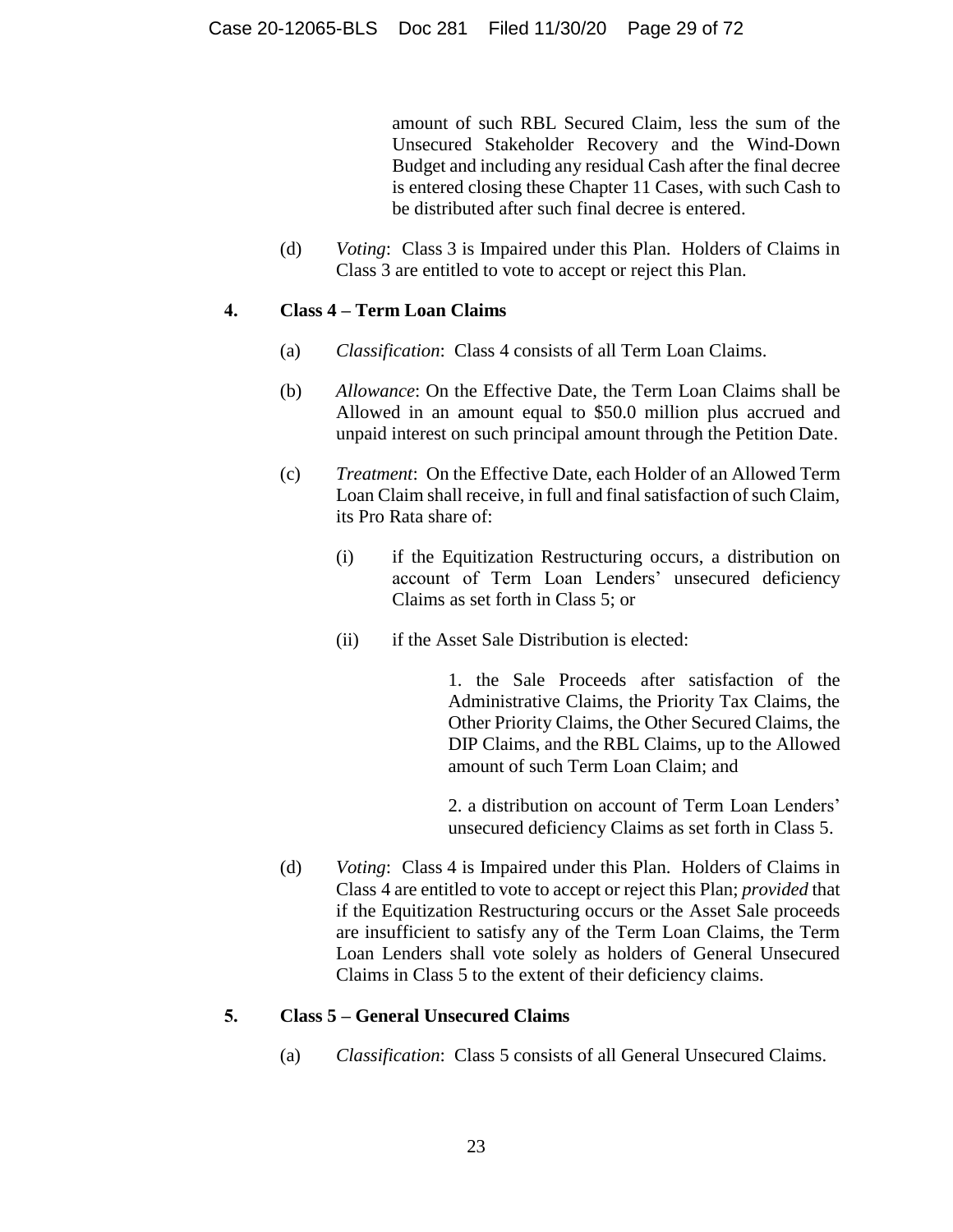amount of such RBL Secured Claim, less the sum of the Unsecured Stakeholder Recovery and the Wind-Down Budget and including any residual Cash after the final decree is entered closing these Chapter 11 Cases, with such Cash to be distributed after such final decree is entered.

(d) *Voting*: Class 3 is Impaired under this Plan. Holders of Claims in Class 3 are entitled to vote to accept or reject this Plan.

#### <span id="page-28-0"></span>**4. Class 4 – Term Loan Claims**

- (a) *Classification*: Class 4 consists of all Term Loan Claims.
- (b) *Allowance*: On the Effective Date, the Term Loan Claims shall be Allowed in an amount equal to \$50.0 million plus accrued and unpaid interest on such principal amount through the Petition Date.
- (c) *Treatment*: On the Effective Date, each Holder of an Allowed Term Loan Claim shall receive, in full and final satisfaction of such Claim, its Pro Rata share of:
	- (i) if the Equitization Restructuring occurs, a distribution on account of Term Loan Lenders' unsecured deficiency Claims as set forth in Class 5; or
	- (ii) if the Asset Sale Distribution is elected:

1. the Sale Proceeds after satisfaction of the Administrative Claims, the Priority Tax Claims, the Other Priority Claims, the Other Secured Claims, the DIP Claims, and the RBL Claims, up to the Allowed amount of such Term Loan Claim; and

2. a distribution on account of Term Loan Lenders' unsecured deficiency Claims as set forth in Class 5.

(d) *Voting*: Class 4 is Impaired under this Plan. Holders of Claims in Class 4 are entitled to vote to accept or reject this Plan; *provided* that if the Equitization Restructuring occurs or the Asset Sale proceeds are insufficient to satisfy any of the Term Loan Claims, the Term Loan Lenders shall vote solely as holders of General Unsecured Claims in Class 5 to the extent of their deficiency claims.

#### <span id="page-28-1"></span>**5. Class 5 – General Unsecured Claims**

(a) *Classification*: Class 5 consists of all General Unsecured Claims.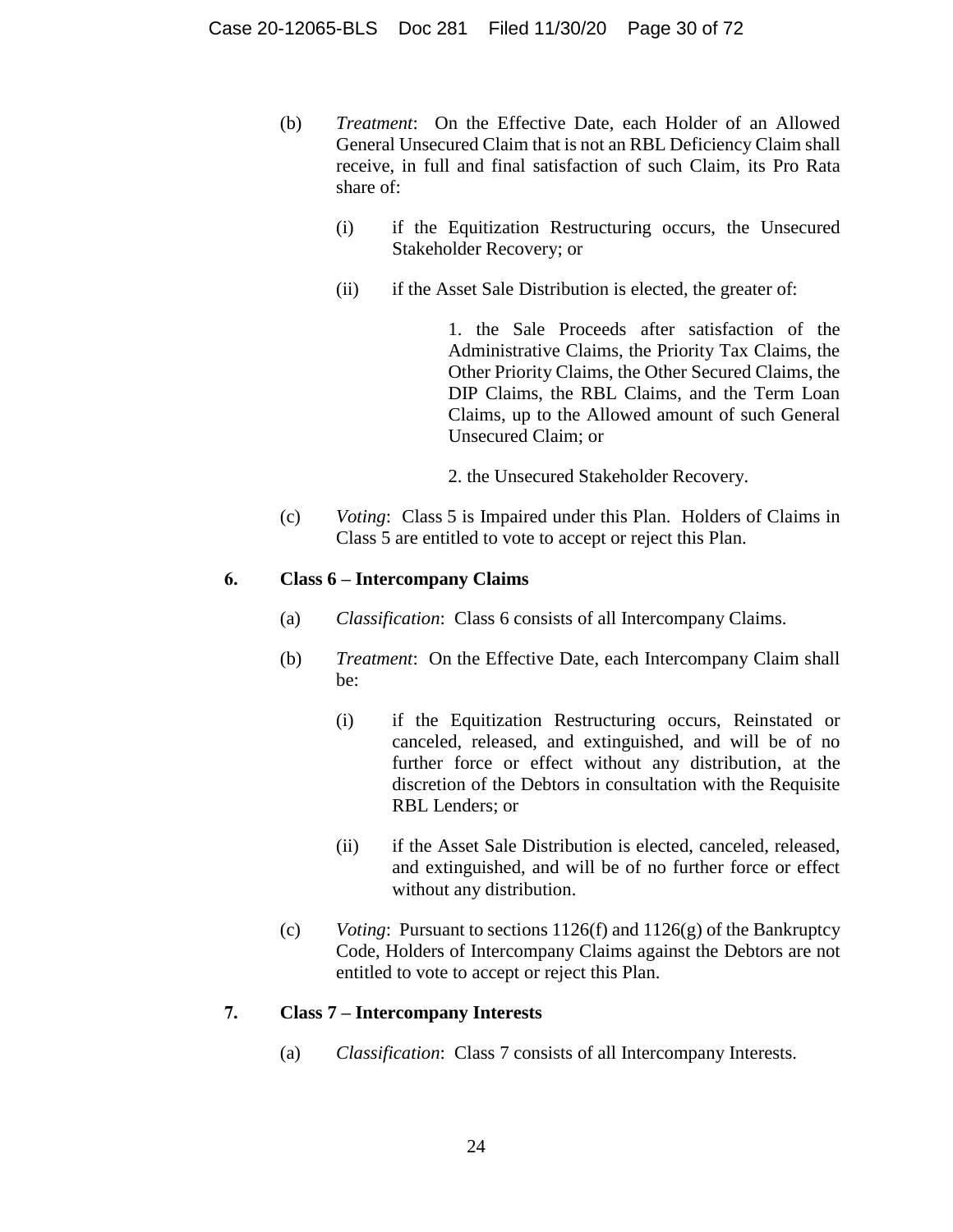- (b) *Treatment*: On the Effective Date, each Holder of an Allowed General Unsecured Claim that is not an RBL Deficiency Claim shall receive, in full and final satisfaction of such Claim, its Pro Rata share of:
	- (i) if the Equitization Restructuring occurs, the Unsecured Stakeholder Recovery; or
	- (ii) if the Asset Sale Distribution is elected, the greater of:

1. the Sale Proceeds after satisfaction of the Administrative Claims, the Priority Tax Claims, the Other Priority Claims, the Other Secured Claims, the DIP Claims, the RBL Claims, and the Term Loan Claims, up to the Allowed amount of such General Unsecured Claim; or

- 2. the Unsecured Stakeholder Recovery.
- (c) *Voting*: Class 5 is Impaired under this Plan. Holders of Claims in Class 5 are entitled to vote to accept or reject this Plan.

## <span id="page-29-0"></span>**6. Class 6 – Intercompany Claims**

- (a) *Classification*: Class 6 consists of all Intercompany Claims.
- (b) *Treatment*: On the Effective Date, each Intercompany Claim shall be:
	- (i) if the Equitization Restructuring occurs, Reinstated or canceled, released, and extinguished, and will be of no further force or effect without any distribution, at the discretion of the Debtors in consultation with the Requisite RBL Lenders; or
	- (ii) if the Asset Sale Distribution is elected, canceled, released, and extinguished, and will be of no further force or effect without any distribution.
- (c) *Voting*: Pursuant to sections 1126(f) and 1126(g) of the Bankruptcy Code, Holders of Intercompany Claims against the Debtors are not entitled to vote to accept or reject this Plan.

## <span id="page-29-1"></span>**7. Class 7 – Intercompany Interests**

(a) *Classification*: Class 7 consists of all Intercompany Interests.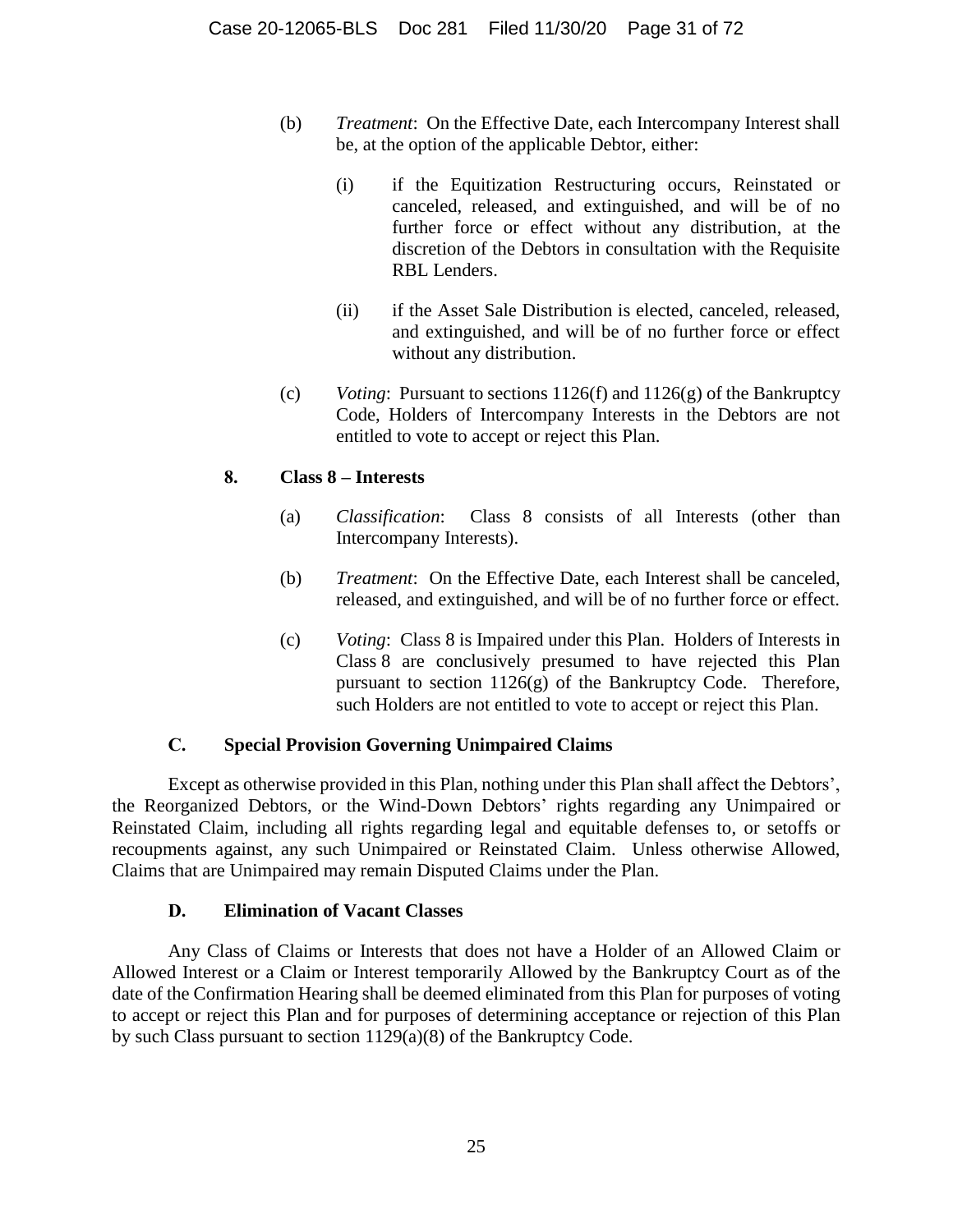- (b) *Treatment*: On the Effective Date, each Intercompany Interest shall be, at the option of the applicable Debtor, either:
	- (i) if the Equitization Restructuring occurs, Reinstated or canceled, released, and extinguished, and will be of no further force or effect without any distribution, at the discretion of the Debtors in consultation with the Requisite RBL Lenders.
	- (ii) if the Asset Sale Distribution is elected, canceled, released, and extinguished, and will be of no further force or effect without any distribution.
- (c) *Voting*: Pursuant to sections 1126(f) and 1126(g) of the Bankruptcy Code, Holders of Intercompany Interests in the Debtors are not entitled to vote to accept or reject this Plan.

## <span id="page-30-0"></span>**8. Class 8 – Interests**

- (a) *Classification*: Class 8 consists of all Interests (other than Intercompany Interests).
- (b) *Treatment*: On the Effective Date, each Interest shall be canceled, released, and extinguished, and will be of no further force or effect.
- (c) *Voting*: Class 8 is Impaired under this Plan. Holders of Interests in Class 8 are conclusively presumed to have rejected this Plan pursuant to section 1126(g) of the Bankruptcy Code. Therefore, such Holders are not entitled to vote to accept or reject this Plan.

## **C. Special Provision Governing Unimpaired Claims**

<span id="page-30-1"></span>Except as otherwise provided in this Plan, nothing under this Plan shall affect the Debtors', the Reorganized Debtors, or the Wind-Down Debtors' rights regarding any Unimpaired or Reinstated Claim, including all rights regarding legal and equitable defenses to, or setoffs or recoupments against, any such Unimpaired or Reinstated Claim. Unless otherwise Allowed, Claims that are Unimpaired may remain Disputed Claims under the Plan.

## **D. Elimination of Vacant Classes**

<span id="page-30-2"></span>Any Class of Claims or Interests that does not have a Holder of an Allowed Claim or Allowed Interest or a Claim or Interest temporarily Allowed by the Bankruptcy Court as of the date of the Confirmation Hearing shall be deemed eliminated from this Plan for purposes of voting to accept or reject this Plan and for purposes of determining acceptance or rejection of this Plan by such Class pursuant to section 1129(a)(8) of the Bankruptcy Code.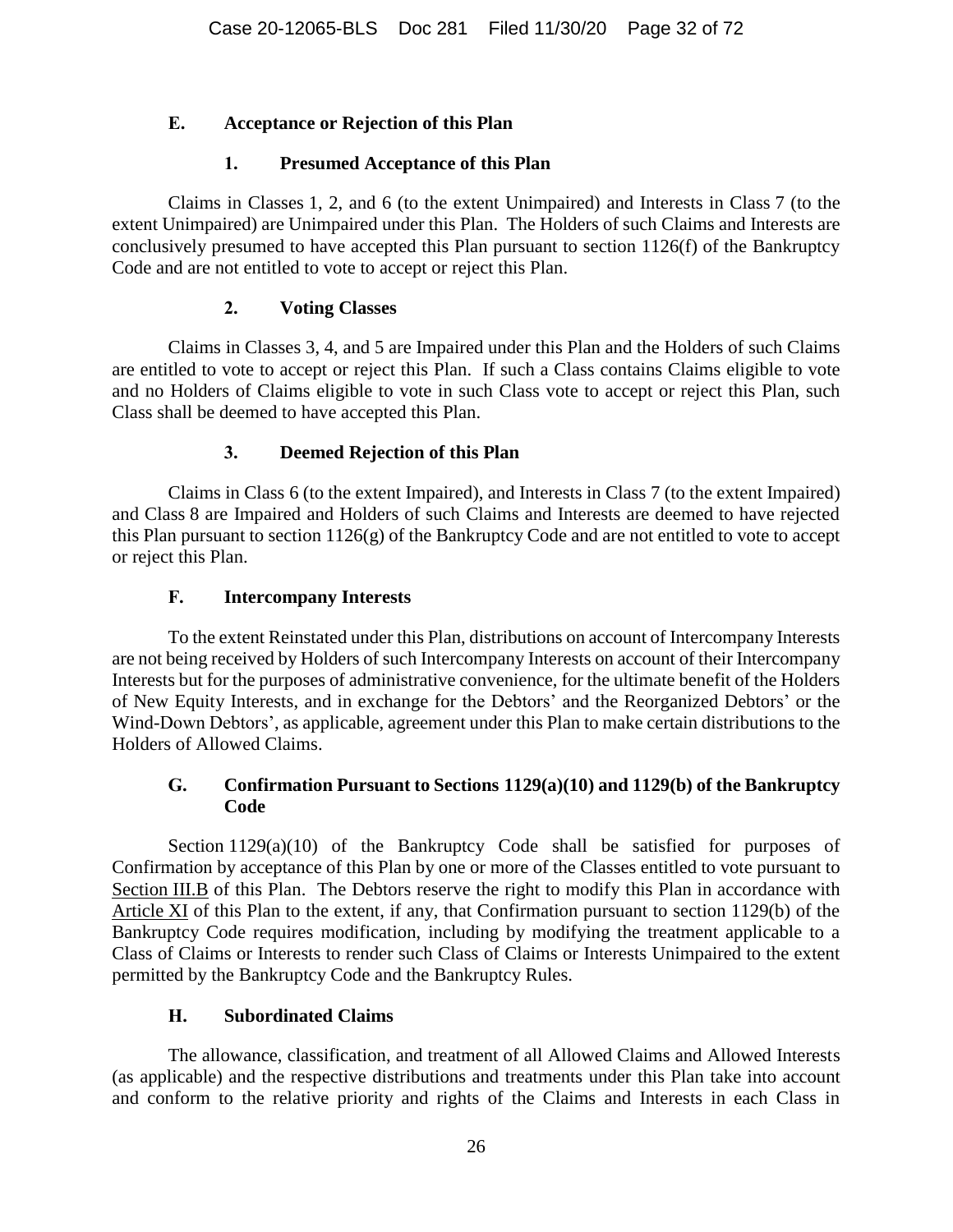## <span id="page-31-0"></span>**E. Acceptance or Rejection of this Plan**

## **1. Presumed Acceptance of this Plan**

<span id="page-31-1"></span>Claims in Classes 1, 2, and 6 (to the extent Unimpaired) and Interests in Class 7 (to the extent Unimpaired) are Unimpaired under this Plan. The Holders of such Claims and Interests are conclusively presumed to have accepted this Plan pursuant to section 1126(f) of the Bankruptcy Code and are not entitled to vote to accept or reject this Plan.

## **2. Voting Classes**

<span id="page-31-2"></span>Claims in Classes 3, 4, and 5 are Impaired under this Plan and the Holders of such Claims are entitled to vote to accept or reject this Plan. If such a Class contains Claims eligible to vote and no Holders of Claims eligible to vote in such Class vote to accept or reject this Plan, such Class shall be deemed to have accepted this Plan.

## **3. Deemed Rejection of this Plan**

<span id="page-31-3"></span>Claims in Class 6 (to the extent Impaired), and Interests in Class 7 (to the extent Impaired) and Class 8 are Impaired and Holders of such Claims and Interests are deemed to have rejected this Plan pursuant to section 1126(g) of the Bankruptcy Code and are not entitled to vote to accept or reject this Plan.

## **F. Intercompany Interests**

<span id="page-31-4"></span>To the extent Reinstated under this Plan, distributions on account of Intercompany Interests are not being received by Holders of such Intercompany Interests on account of their Intercompany Interests but for the purposes of administrative convenience, for the ultimate benefit of the Holders of New Equity Interests, and in exchange for the Debtors' and the Reorganized Debtors' or the Wind-Down Debtors', as applicable, agreement under this Plan to make certain distributions to the Holders of Allowed Claims.

## <span id="page-31-5"></span>**G. Confirmation Pursuant to Sections 1129(a)(10) and 1129(b) of the Bankruptcy Code**

Section 1129(a)(10) of the Bankruptcy Code shall be satisfied for purposes of Confirmation by acceptance of this Plan by one or more of the Classes entitled to vote pursuant to Section [III.B](#page-26-0) of this Plan. The Debtors reserve the right to modify this Plan in accordance with Article [XI](#page-63-2) of this Plan to the extent, if any, that Confirmation pursuant to section 1129(b) of the Bankruptcy Code requires modification, including by modifying the treatment applicable to a Class of Claims or Interests to render such Class of Claims or Interests Unimpaired to the extent permitted by the Bankruptcy Code and the Bankruptcy Rules.

## **H. Subordinated Claims**

<span id="page-31-6"></span>The allowance, classification, and treatment of all Allowed Claims and Allowed Interests (as applicable) and the respective distributions and treatments under this Plan take into account and conform to the relative priority and rights of the Claims and Interests in each Class in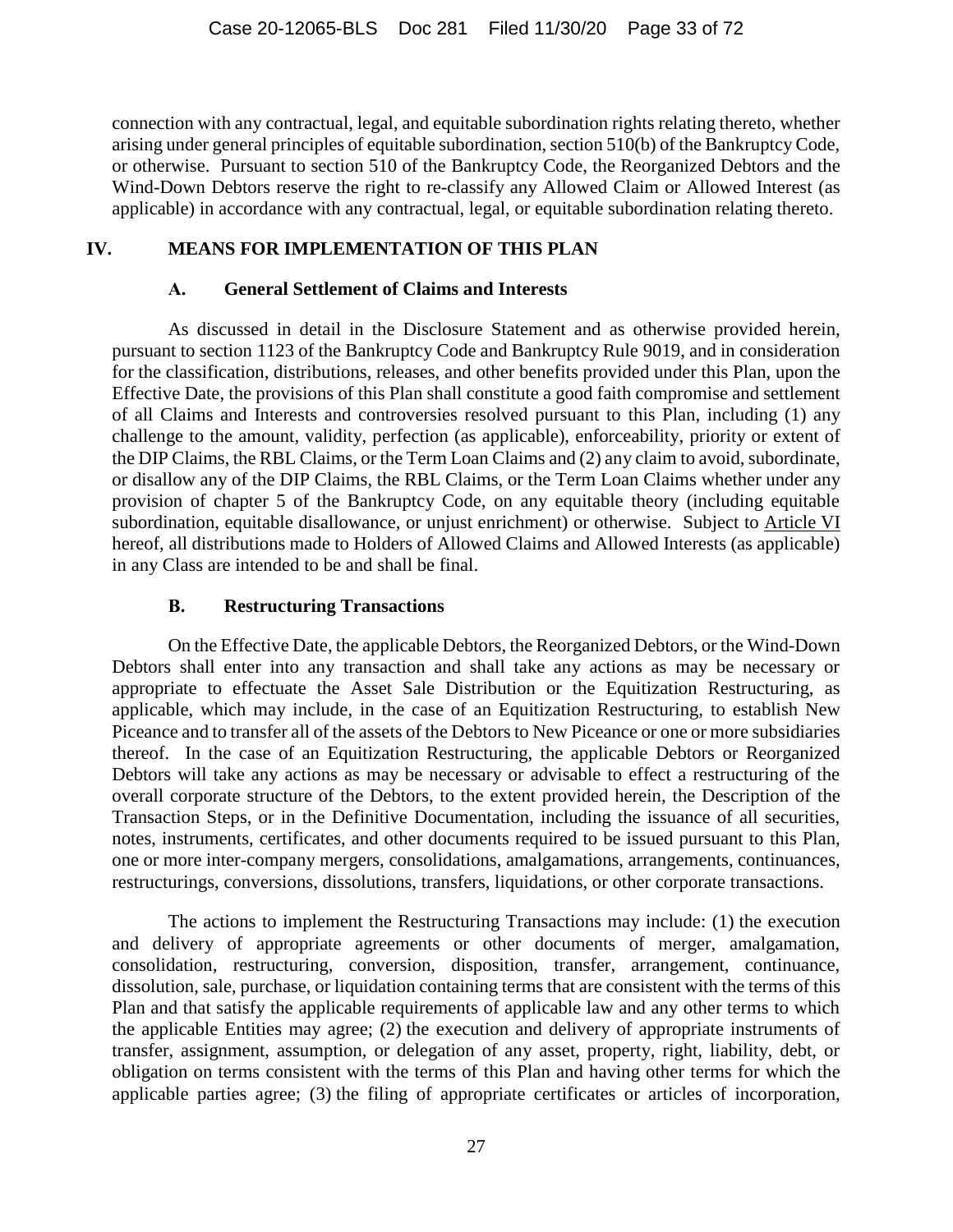connection with any contractual, legal, and equitable subordination rights relating thereto, whether arising under general principles of equitable subordination, section 510(b) of the Bankruptcy Code, or otherwise. Pursuant to section 510 of the Bankruptcy Code, the Reorganized Debtors and the Wind-Down Debtors reserve the right to re-classify any Allowed Claim or Allowed Interest (as applicable) in accordance with any contractual, legal, or equitable subordination relating thereto.

## <span id="page-32-0"></span>**IV. MEANS FOR IMPLEMENTATION OF THIS PLAN**

#### **A. General Settlement of Claims and Interests**

<span id="page-32-1"></span>As discussed in detail in the Disclosure Statement and as otherwise provided herein, pursuant to section 1123 of the Bankruptcy Code and Bankruptcy Rule 9019, and in consideration for the classification, distributions, releases, and other benefits provided under this Plan, upon the Effective Date, the provisions of this Plan shall constitute a good faith compromise and settlement of all Claims and Interests and controversies resolved pursuant to this Plan, including (1) any challenge to the amount, validity, perfection (as applicable), enforceability, priority or extent of the DIP Claims, the RBL Claims, or the Term Loan Claims and (2) any claim to avoid, subordinate, or disallow any of the DIP Claims, the RBL Claims, or the Term Loan Claims whether under any provision of chapter 5 of the Bankruptcy Code, on any equitable theory (including equitable subordination, equitable disallowance, or unjust enrichment) or otherwise. Subject to Article [VI](#page-47-2) hereof, all distributions made to Holders of Allowed Claims and Allowed Interests (as applicable) in any Class are intended to be and shall be final.

#### **B. Restructuring Transactions**

<span id="page-32-2"></span>On the Effective Date, the applicable Debtors, the Reorganized Debtors, or the Wind-Down Debtors shall enter into any transaction and shall take any actions as may be necessary or appropriate to effectuate the Asset Sale Distribution or the Equitization Restructuring, as applicable, which may include, in the case of an Equitization Restructuring, to establish New Piceance and to transfer all of the assets of the Debtors to New Piceance or one or more subsidiaries thereof. In the case of an Equitization Restructuring, the applicable Debtors or Reorganized Debtors will take any actions as may be necessary or advisable to effect a restructuring of the overall corporate structure of the Debtors, to the extent provided herein, the Description of the Transaction Steps, or in the Definitive Documentation, including the issuance of all securities, notes, instruments, certificates, and other documents required to be issued pursuant to this Plan, one or more inter-company mergers, consolidations, amalgamations, arrangements, continuances, restructurings, conversions, dissolutions, transfers, liquidations, or other corporate transactions.

The actions to implement the Restructuring Transactions may include: (1) the execution and delivery of appropriate agreements or other documents of merger, amalgamation, consolidation, restructuring, conversion, disposition, transfer, arrangement, continuance, dissolution, sale, purchase, or liquidation containing terms that are consistent with the terms of this Plan and that satisfy the applicable requirements of applicable law and any other terms to which the applicable Entities may agree; (2) the execution and delivery of appropriate instruments of transfer, assignment, assumption, or delegation of any asset, property, right, liability, debt, or obligation on terms consistent with the terms of this Plan and having other terms for which the applicable parties agree; (3) the filing of appropriate certificates or articles of incorporation,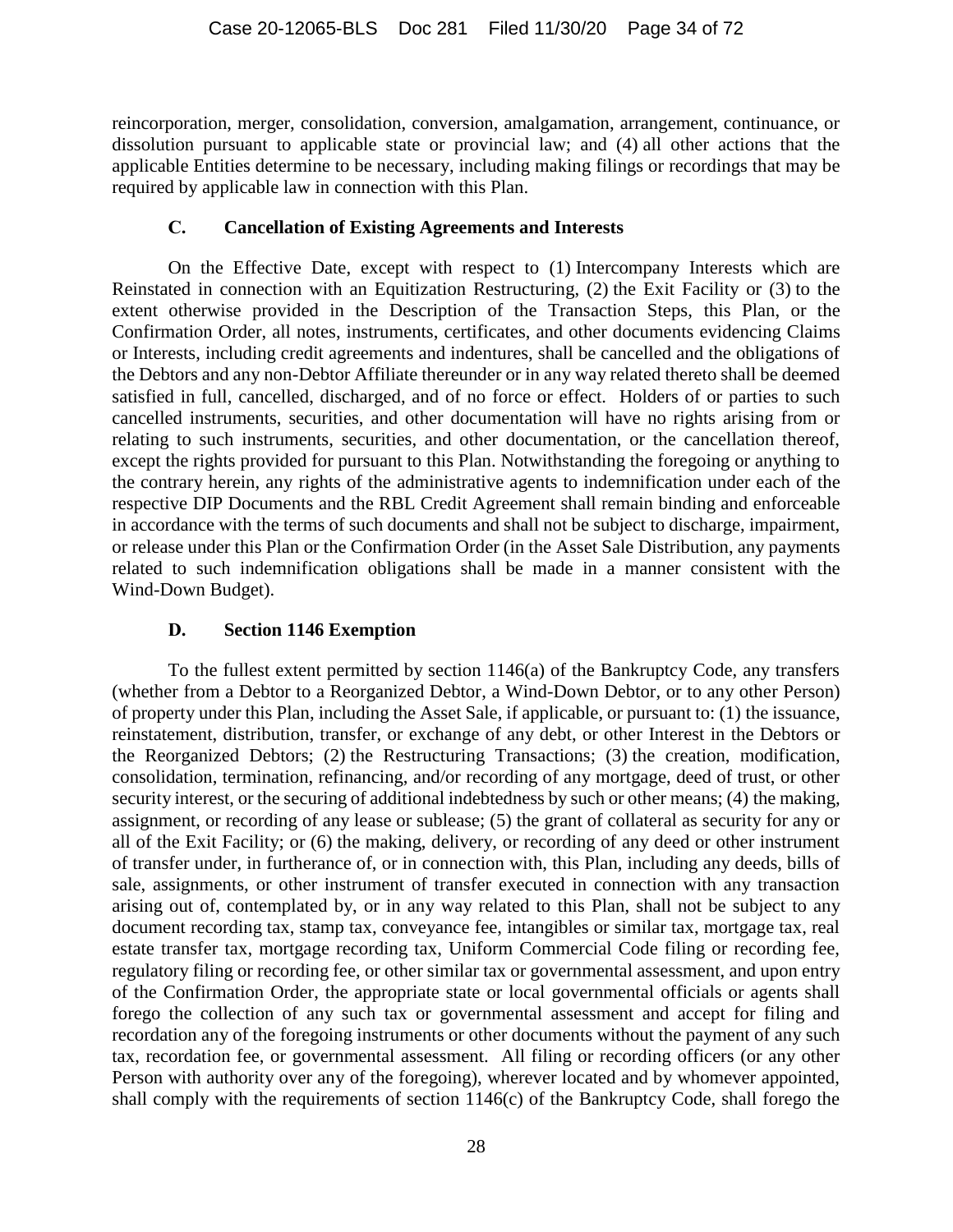reincorporation, merger, consolidation, conversion, amalgamation, arrangement, continuance, or dissolution pursuant to applicable state or provincial law; and (4) all other actions that the applicable Entities determine to be necessary, including making filings or recordings that may be required by applicable law in connection with this Plan.

#### **C. Cancellation of Existing Agreements and Interests**

<span id="page-33-0"></span>On the Effective Date, except with respect to (1) Intercompany Interests which are Reinstated in connection with an Equitization Restructuring, (2) the Exit Facility or (3) to the extent otherwise provided in the Description of the Transaction Steps, this Plan, or the Confirmation Order, all notes, instruments, certificates, and other documents evidencing Claims or Interests, including credit agreements and indentures, shall be cancelled and the obligations of the Debtors and any non-Debtor Affiliate thereunder or in any way related thereto shall be deemed satisfied in full, cancelled, discharged, and of no force or effect. Holders of or parties to such cancelled instruments, securities, and other documentation will have no rights arising from or relating to such instruments, securities, and other documentation, or the cancellation thereof, except the rights provided for pursuant to this Plan. Notwithstanding the foregoing or anything to the contrary herein, any rights of the administrative agents to indemnification under each of the respective DIP Documents and the RBL Credit Agreement shall remain binding and enforceable in accordance with the terms of such documents and shall not be subject to discharge, impairment, or release under this Plan or the Confirmation Order (in the Asset Sale Distribution, any payments related to such indemnification obligations shall be made in a manner consistent with the Wind-Down Budget).

## **D. Section 1146 Exemption**

<span id="page-33-1"></span>To the fullest extent permitted by section 1146(a) of the Bankruptcy Code, any transfers (whether from a Debtor to a Reorganized Debtor, a Wind-Down Debtor, or to any other Person) of property under this Plan, including the Asset Sale, if applicable, or pursuant to: (1) the issuance, reinstatement, distribution, transfer, or exchange of any debt, or other Interest in the Debtors or the Reorganized Debtors; (2) the Restructuring Transactions; (3) the creation, modification, consolidation, termination, refinancing, and/or recording of any mortgage, deed of trust, or other security interest, or the securing of additional indebtedness by such or other means; (4) the making, assignment, or recording of any lease or sublease; (5) the grant of collateral as security for any or all of the Exit Facility; or (6) the making, delivery, or recording of any deed or other instrument of transfer under, in furtherance of, or in connection with, this Plan, including any deeds, bills of sale, assignments, or other instrument of transfer executed in connection with any transaction arising out of, contemplated by, or in any way related to this Plan, shall not be subject to any document recording tax, stamp tax, conveyance fee, intangibles or similar tax, mortgage tax, real estate transfer tax, mortgage recording tax, Uniform Commercial Code filing or recording fee, regulatory filing or recording fee, or other similar tax or governmental assessment, and upon entry of the Confirmation Order, the appropriate state or local governmental officials or agents shall forego the collection of any such tax or governmental assessment and accept for filing and recordation any of the foregoing instruments or other documents without the payment of any such tax, recordation fee, or governmental assessment. All filing or recording officers (or any other Person with authority over any of the foregoing), wherever located and by whomever appointed, shall comply with the requirements of section 1146(c) of the Bankruptcy Code, shall forego the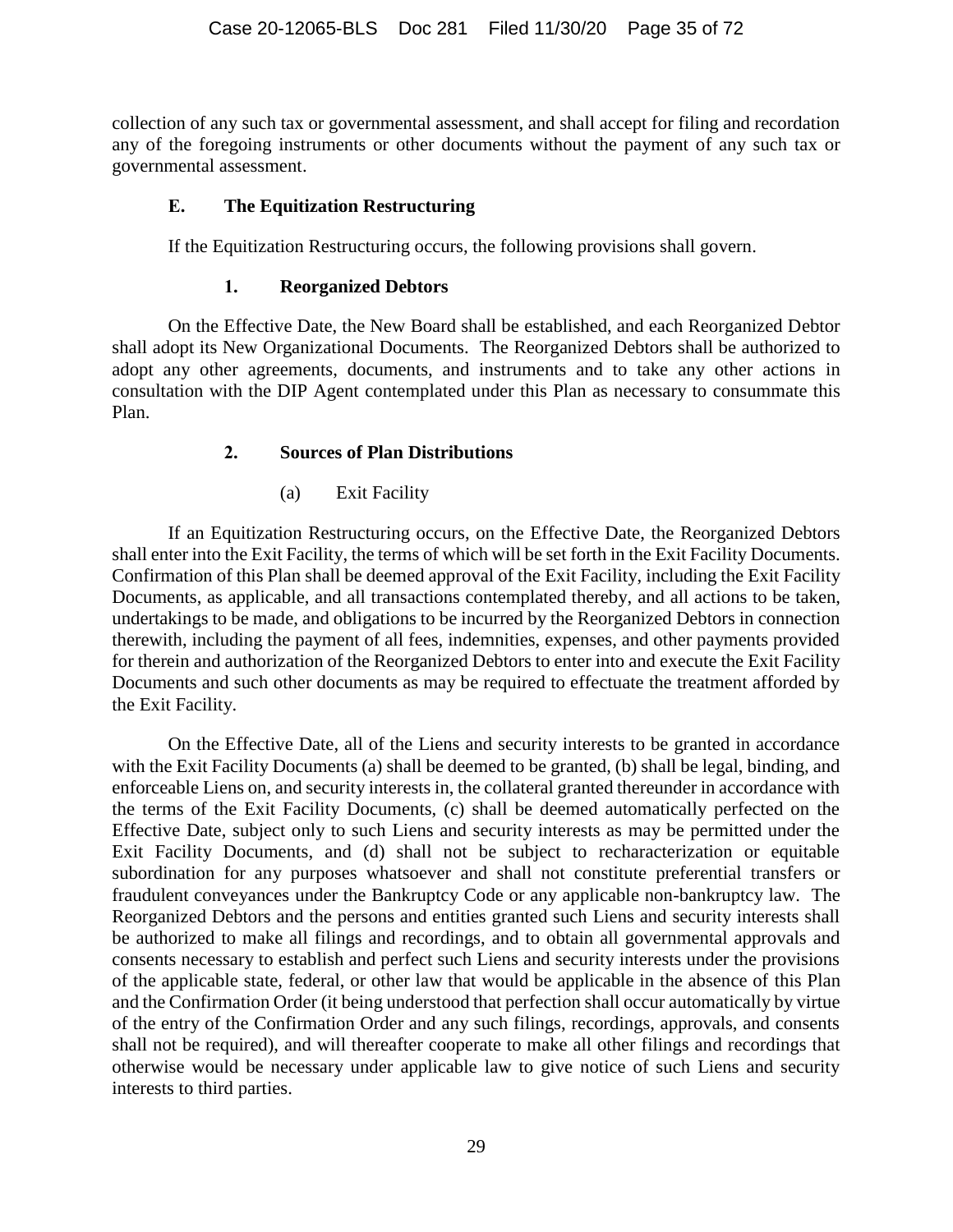collection of any such tax or governmental assessment, and shall accept for filing and recordation any of the foregoing instruments or other documents without the payment of any such tax or governmental assessment.

#### <span id="page-34-0"></span>**E. The Equitization Restructuring**

If the Equitization Restructuring occurs, the following provisions shall govern.

#### **1. Reorganized Debtors**

<span id="page-34-1"></span>On the Effective Date, the New Board shall be established, and each Reorganized Debtor shall adopt its New Organizational Documents. The Reorganized Debtors shall be authorized to adopt any other agreements, documents, and instruments and to take any other actions in consultation with the DIP Agent contemplated under this Plan as necessary to consummate this Plan.

## **2. Sources of Plan Distributions**

(a) Exit Facility

<span id="page-34-2"></span>If an Equitization Restructuring occurs, on the Effective Date, the Reorganized Debtors shall enter into the Exit Facility, the terms of which will be set forth in the Exit Facility Documents. Confirmation of this Plan shall be deemed approval of the Exit Facility, including the Exit Facility Documents, as applicable, and all transactions contemplated thereby, and all actions to be taken, undertakings to be made, and obligations to be incurred by the Reorganized Debtors in connection therewith, including the payment of all fees, indemnities, expenses, and other payments provided for therein and authorization of the Reorganized Debtors to enter into and execute the Exit Facility Documents and such other documents as may be required to effectuate the treatment afforded by the Exit Facility.

On the Effective Date, all of the Liens and security interests to be granted in accordance with the Exit Facility Documents (a) shall be deemed to be granted, (b) shall be legal, binding, and enforceable Liens on, and security interests in, the collateral granted thereunder in accordance with the terms of the Exit Facility Documents, (c) shall be deemed automatically perfected on the Effective Date, subject only to such Liens and security interests as may be permitted under the Exit Facility Documents, and (d) shall not be subject to recharacterization or equitable subordination for any purposes whatsoever and shall not constitute preferential transfers or fraudulent conveyances under the Bankruptcy Code or any applicable non-bankruptcy law. The Reorganized Debtors and the persons and entities granted such Liens and security interests shall be authorized to make all filings and recordings, and to obtain all governmental approvals and consents necessary to establish and perfect such Liens and security interests under the provisions of the applicable state, federal, or other law that would be applicable in the absence of this Plan and the Confirmation Order (it being understood that perfection shall occur automatically by virtue of the entry of the Confirmation Order and any such filings, recordings, approvals, and consents shall not be required), and will thereafter cooperate to make all other filings and recordings that otherwise would be necessary under applicable law to give notice of such Liens and security interests to third parties.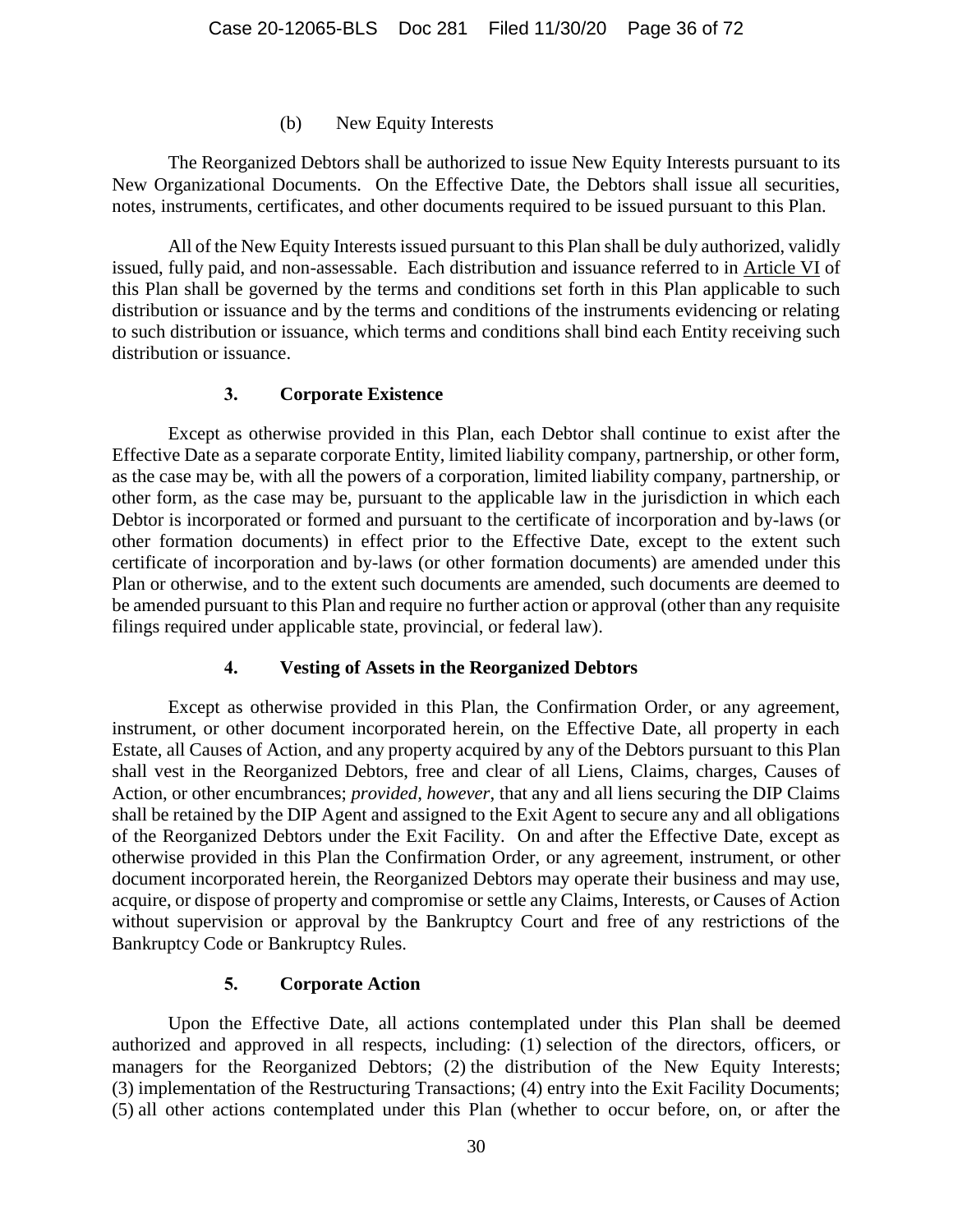#### (b) New Equity Interests

The Reorganized Debtors shall be authorized to issue New Equity Interests pursuant to its New Organizational Documents. On the Effective Date, the Debtors shall issue all securities, notes, instruments, certificates, and other documents required to be issued pursuant to this Plan.

All of the New Equity Interests issued pursuant to this Plan shall be duly authorized, validly issued, fully paid, and non-assessable. Each distribution and issuance referred to in Article [VI](#page-47-2) of this Plan shall be governed by the terms and conditions set forth in this Plan applicable to such distribution or issuance and by the terms and conditions of the instruments evidencing or relating to such distribution or issuance, which terms and conditions shall bind each Entity receiving such distribution or issuance.

#### **3. Corporate Existence**

<span id="page-35-0"></span>Except as otherwise provided in this Plan, each Debtor shall continue to exist after the Effective Date as a separate corporate Entity, limited liability company, partnership, or other form, as the case may be, with all the powers of a corporation, limited liability company, partnership, or other form, as the case may be, pursuant to the applicable law in the jurisdiction in which each Debtor is incorporated or formed and pursuant to the certificate of incorporation and by-laws (or other formation documents) in effect prior to the Effective Date, except to the extent such certificate of incorporation and by-laws (or other formation documents) are amended under this Plan or otherwise, and to the extent such documents are amended, such documents are deemed to be amended pursuant to this Plan and require no further action or approval (other than any requisite filings required under applicable state, provincial, or federal law).

## **4. Vesting of Assets in the Reorganized Debtors**

<span id="page-35-1"></span>Except as otherwise provided in this Plan, the Confirmation Order, or any agreement, instrument, or other document incorporated herein, on the Effective Date, all property in each Estate, all Causes of Action, and any property acquired by any of the Debtors pursuant to this Plan shall vest in the Reorganized Debtors, free and clear of all Liens, Claims, charges, Causes of Action, or other encumbrances; *provided, however*, that any and all liens securing the DIP Claims shall be retained by the DIP Agent and assigned to the Exit Agent to secure any and all obligations of the Reorganized Debtors under the Exit Facility. On and after the Effective Date, except as otherwise provided in this Plan the Confirmation Order, or any agreement, instrument, or other document incorporated herein, the Reorganized Debtors may operate their business and may use, acquire, or dispose of property and compromise or settle any Claims, Interests, or Causes of Action without supervision or approval by the Bankruptcy Court and free of any restrictions of the Bankruptcy Code or Bankruptcy Rules.

## **5. Corporate Action**

<span id="page-35-2"></span>Upon the Effective Date, all actions contemplated under this Plan shall be deemed authorized and approved in all respects, including: (1) selection of the directors, officers, or managers for the Reorganized Debtors; (2) the distribution of the New Equity Interests; (3) implementation of the Restructuring Transactions; (4) entry into the Exit Facility Documents; (5) all other actions contemplated under this Plan (whether to occur before, on, or after the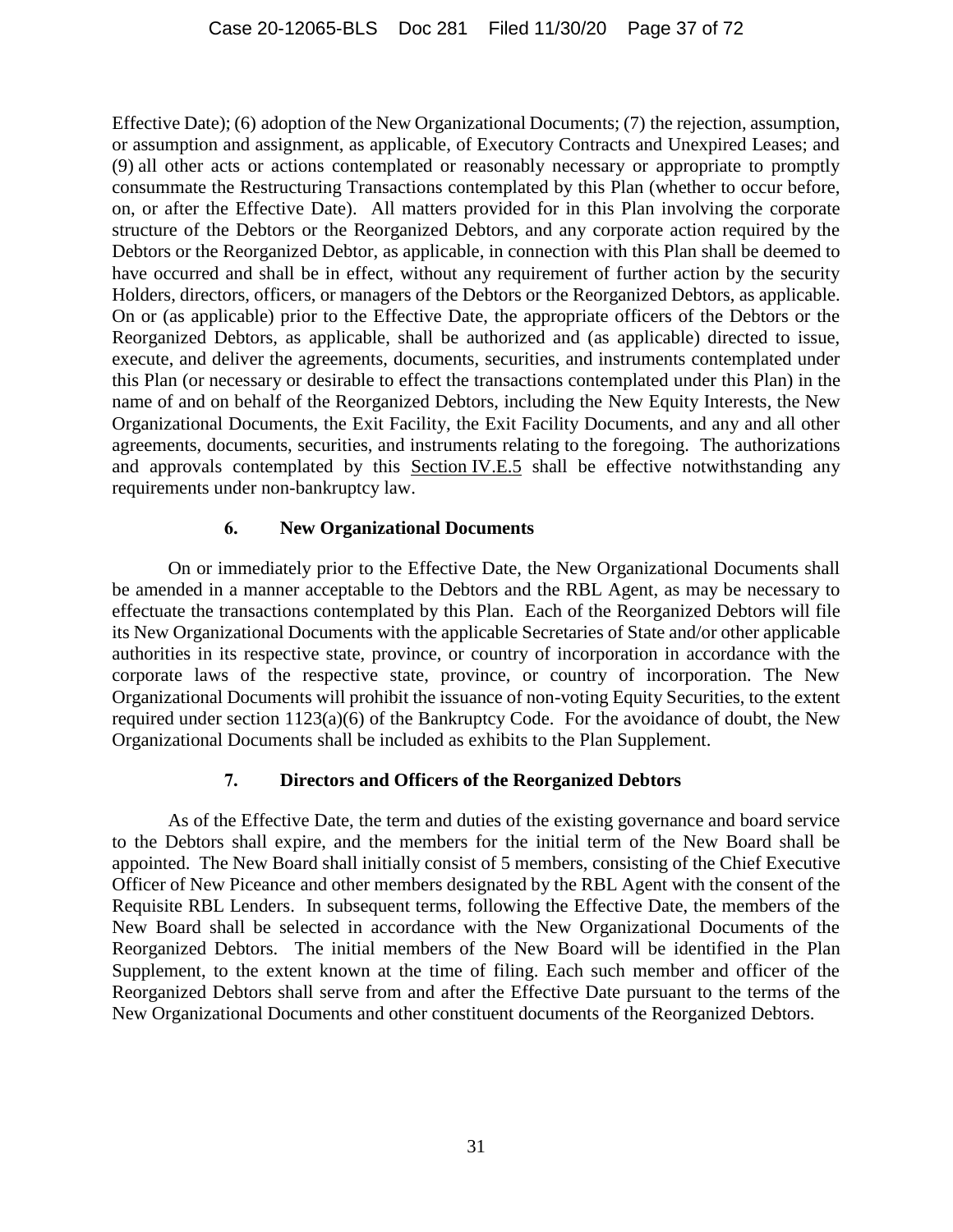Effective Date); (6) adoption of the New Organizational Documents; (7) the rejection, assumption, or assumption and assignment, as applicable, of Executory Contracts and Unexpired Leases; and (9) all other acts or actions contemplated or reasonably necessary or appropriate to promptly consummate the Restructuring Transactions contemplated by this Plan (whether to occur before, on, or after the Effective Date). All matters provided for in this Plan involving the corporate structure of the Debtors or the Reorganized Debtors, and any corporate action required by the Debtors or the Reorganized Debtor, as applicable, in connection with this Plan shall be deemed to have occurred and shall be in effect, without any requirement of further action by the security Holders, directors, officers, or managers of the Debtors or the Reorganized Debtors, as applicable. On or (as applicable) prior to the Effective Date, the appropriate officers of the Debtors or the Reorganized Debtors, as applicable, shall be authorized and (as applicable) directed to issue, execute, and deliver the agreements, documents, securities, and instruments contemplated under this Plan (or necessary or desirable to effect the transactions contemplated under this Plan) in the name of and on behalf of the Reorganized Debtors, including the New Equity Interests, the New Organizational Documents, the Exit Facility, the Exit Facility Documents, and any and all other agreements, documents, securities, and instruments relating to the foregoing. The authorizations and approvals contemplated by this Section [IV.E.5](#page-35-0) shall be effective notwithstanding any requirements under non-bankruptcy law.

### **6. New Organizational Documents**

On or immediately prior to the Effective Date, the New Organizational Documents shall be amended in a manner acceptable to the Debtors and the RBL Agent, as may be necessary to effectuate the transactions contemplated by this Plan. Each of the Reorganized Debtors will file its New Organizational Documents with the applicable Secretaries of State and/or other applicable authorities in its respective state, province, or country of incorporation in accordance with the corporate laws of the respective state, province, or country of incorporation. The New Organizational Documents will prohibit the issuance of non-voting Equity Securities, to the extent required under section 1123(a)(6) of the Bankruptcy Code. For the avoidance of doubt, the New Organizational Documents shall be included as exhibits to the Plan Supplement.

## **7. Directors and Officers of the Reorganized Debtors**

As of the Effective Date, the term and duties of the existing governance and board service to the Debtors shall expire, and the members for the initial term of the New Board shall be appointed. The New Board shall initially consist of 5 members, consisting of the Chief Executive Officer of New Piceance and other members designated by the RBL Agent with the consent of the Requisite RBL Lenders. In subsequent terms, following the Effective Date, the members of the New Board shall be selected in accordance with the New Organizational Documents of the Reorganized Debtors. The initial members of the New Board will be identified in the Plan Supplement, to the extent known at the time of filing. Each such member and officer of the Reorganized Debtors shall serve from and after the Effective Date pursuant to the terms of the New Organizational Documents and other constituent documents of the Reorganized Debtors.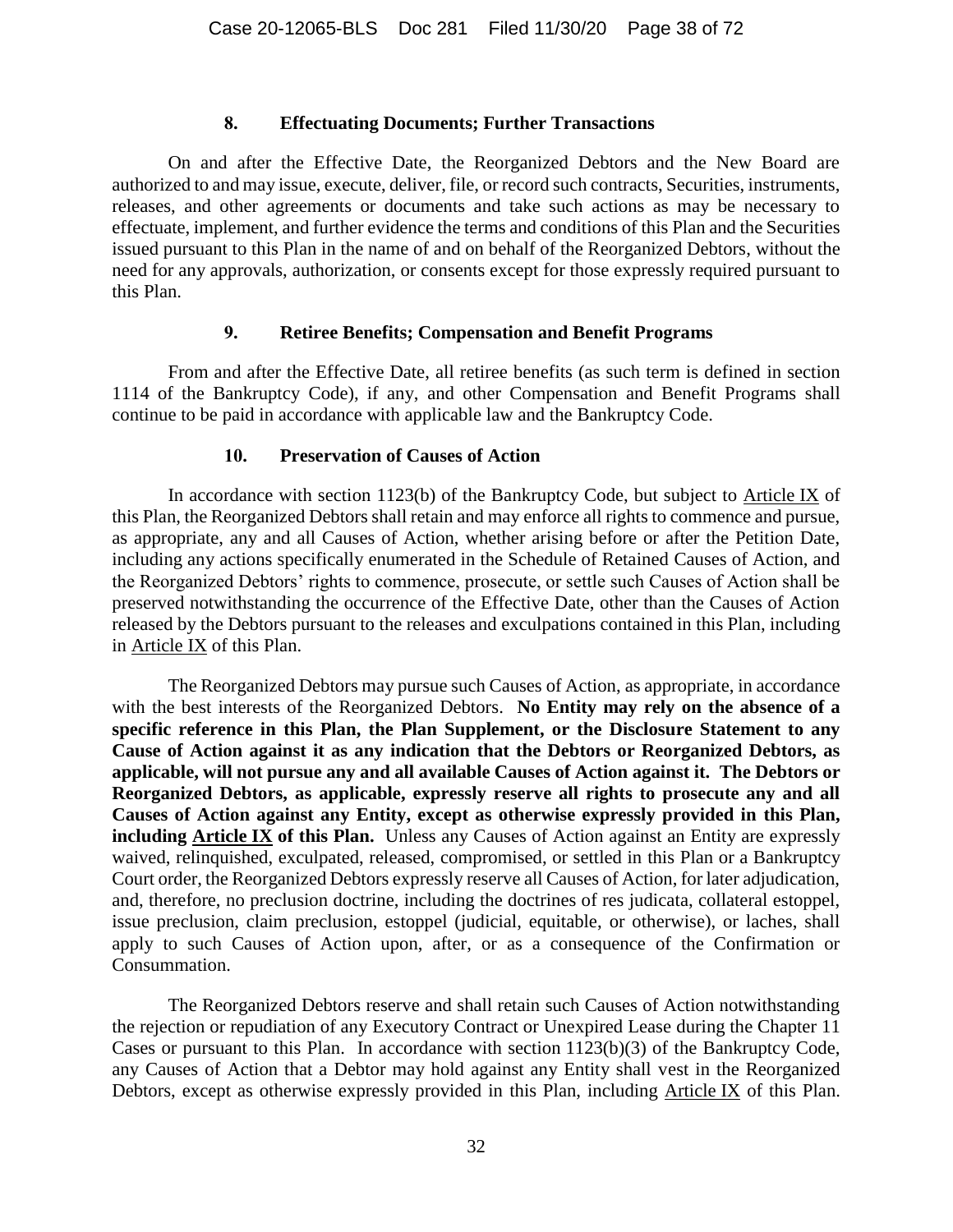#### **8. Effectuating Documents; Further Transactions**

On and after the Effective Date, the Reorganized Debtors and the New Board are authorized to and may issue, execute, deliver, file, or record such contracts, Securities, instruments, releases, and other agreements or documents and take such actions as may be necessary to effectuate, implement, and further evidence the terms and conditions of this Plan and the Securities issued pursuant to this Plan in the name of and on behalf of the Reorganized Debtors, without the need for any approvals, authorization, or consents except for those expressly required pursuant to this Plan.

#### **9. Retiree Benefits; Compensation and Benefit Programs**

From and after the Effective Date, all retiree benefits (as such term is defined in section 1114 of the Bankruptcy Code), if any, and other Compensation and Benefit Programs shall continue to be paid in accordance with applicable law and the Bankruptcy Code.

### **10. Preservation of Causes of Action**

In accordance with section 1123(b) of the Bankruptcy Code, but subject to Article [IX](#page-56-0) of this Plan, the Reorganized Debtors shall retain and may enforce all rights to commence and pursue, as appropriate, any and all Causes of Action, whether arising before or after the Petition Date, including any actions specifically enumerated in the Schedule of Retained Causes of Action, and the Reorganized Debtors' rights to commence, prosecute, or settle such Causes of Action shall be preserved notwithstanding the occurrence of the Effective Date, other than the Causes of Action released by the Debtors pursuant to the releases and exculpations contained in this Plan, including in Article [IX](#page-56-0) of this Plan.

The Reorganized Debtors may pursue such Causes of Action, as appropriate, in accordance with the best interests of the Reorganized Debtors. **No Entity may rely on the absence of a specific reference in this Plan, the Plan Supplement, or the Disclosure Statement to any Cause of Action against it as any indication that the Debtors or Reorganized Debtors, as applicable, will not pursue any and all available Causes of Action against it. The Debtors or Reorganized Debtors, as applicable, expressly reserve all rights to prosecute any and all Causes of Action against any Entity, except as otherwise expressly provided in this Plan, including Article [IX](#page-56-0) of this Plan.** Unless any Causes of Action against an Entity are expressly waived, relinquished, exculpated, released, compromised, or settled in this Plan or a Bankruptcy Court order, the Reorganized Debtors expressly reserve all Causes of Action, for later adjudication, and, therefore, no preclusion doctrine, including the doctrines of res judicata, collateral estoppel, issue preclusion, claim preclusion, estoppel (judicial, equitable, or otherwise), or laches, shall apply to such Causes of Action upon, after, or as a consequence of the Confirmation or Consummation.

The Reorganized Debtors reserve and shall retain such Causes of Action notwithstanding the rejection or repudiation of any Executory Contract or Unexpired Lease during the Chapter 11 Cases or pursuant to this Plan. In accordance with section 1123(b)(3) of the Bankruptcy Code, any Causes of Action that a Debtor may hold against any Entity shall vest in the Reorganized Debtors, except as otherwise expressly provided in this Plan, including Article [IX](#page-56-0) of this Plan.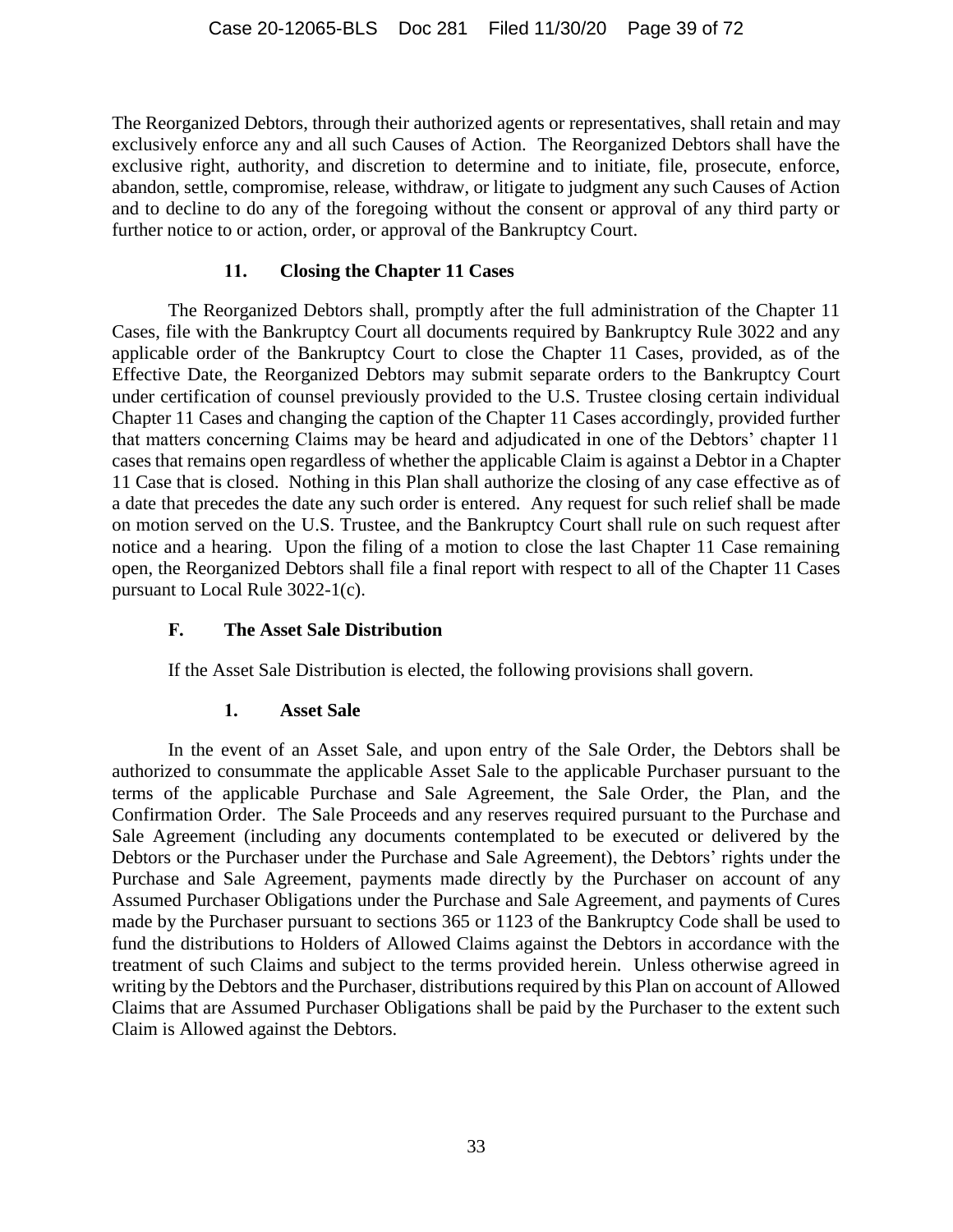The Reorganized Debtors, through their authorized agents or representatives, shall retain and may exclusively enforce any and all such Causes of Action. The Reorganized Debtors shall have the exclusive right, authority, and discretion to determine and to initiate, file, prosecute, enforce, abandon, settle, compromise, release, withdraw, or litigate to judgment any such Causes of Action and to decline to do any of the foregoing without the consent or approval of any third party or further notice to or action, order, or approval of the Bankruptcy Court.

## **11. Closing the Chapter 11 Cases**

The Reorganized Debtors shall, promptly after the full administration of the Chapter 11 Cases, file with the Bankruptcy Court all documents required by Bankruptcy Rule 3022 and any applicable order of the Bankruptcy Court to close the Chapter 11 Cases, provided, as of the Effective Date, the Reorganized Debtors may submit separate orders to the Bankruptcy Court under certification of counsel previously provided to the U.S. Trustee closing certain individual Chapter 11 Cases and changing the caption of the Chapter 11 Cases accordingly, provided further that matters concerning Claims may be heard and adjudicated in one of the Debtors' chapter 11 cases that remains open regardless of whether the applicable Claim is against a Debtor in a Chapter 11 Case that is closed. Nothing in this Plan shall authorize the closing of any case effective as of a date that precedes the date any such order is entered. Any request for such relief shall be made on motion served on the U.S. Trustee, and the Bankruptcy Court shall rule on such request after notice and a hearing. Upon the filing of a motion to close the last Chapter 11 Case remaining open, the Reorganized Debtors shall file a final report with respect to all of the Chapter 11 Cases pursuant to Local Rule 3022-1(c).

## <span id="page-38-0"></span>**F. The Asset Sale Distribution**

If the Asset Sale Distribution is elected, the following provisions shall govern.

## **1. Asset Sale**

In the event of an Asset Sale, and upon entry of the Sale Order, the Debtors shall be authorized to consummate the applicable Asset Sale to the applicable Purchaser pursuant to the terms of the applicable Purchase and Sale Agreement, the Sale Order, the Plan, and the Confirmation Order. The Sale Proceeds and any reserves required pursuant to the Purchase and Sale Agreement (including any documents contemplated to be executed or delivered by the Debtors or the Purchaser under the Purchase and Sale Agreement), the Debtors' rights under the Purchase and Sale Agreement, payments made directly by the Purchaser on account of any Assumed Purchaser Obligations under the Purchase and Sale Agreement, and payments of Cures made by the Purchaser pursuant to sections 365 or 1123 of the Bankruptcy Code shall be used to fund the distributions to Holders of Allowed Claims against the Debtors in accordance with the treatment of such Claims and subject to the terms provided herein. Unless otherwise agreed in writing by the Debtors and the Purchaser, distributions required by this Plan on account of Allowed Claims that are Assumed Purchaser Obligations shall be paid by the Purchaser to the extent such Claim is Allowed against the Debtors.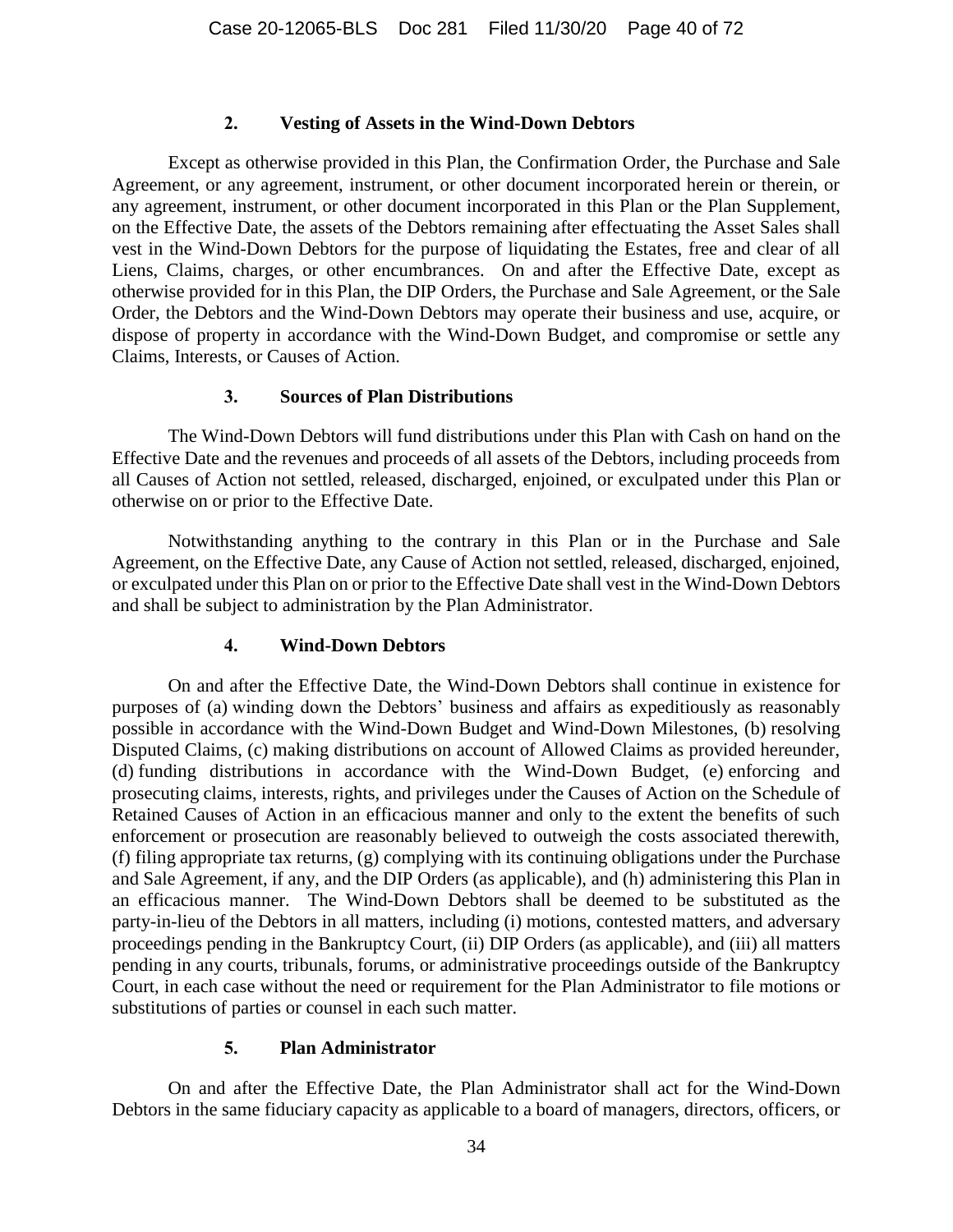#### **2. Vesting of Assets in the Wind-Down Debtors**

Except as otherwise provided in this Plan, the Confirmation Order, the Purchase and Sale Agreement, or any agreement, instrument, or other document incorporated herein or therein, or any agreement, instrument, or other document incorporated in this Plan or the Plan Supplement, on the Effective Date, the assets of the Debtors remaining after effectuating the Asset Sales shall vest in the Wind-Down Debtors for the purpose of liquidating the Estates, free and clear of all Liens, Claims, charges, or other encumbrances. On and after the Effective Date, except as otherwise provided for in this Plan, the DIP Orders, the Purchase and Sale Agreement, or the Sale Order, the Debtors and the Wind-Down Debtors may operate their business and use, acquire, or dispose of property in accordance with the Wind-Down Budget, and compromise or settle any Claims, Interests, or Causes of Action.

#### **3. Sources of Plan Distributions**

The Wind-Down Debtors will fund distributions under this Plan with Cash on hand on the Effective Date and the revenues and proceeds of all assets of the Debtors, including proceeds from all Causes of Action not settled, released, discharged, enjoined, or exculpated under this Plan or otherwise on or prior to the Effective Date.

Notwithstanding anything to the contrary in this Plan or in the Purchase and Sale Agreement, on the Effective Date, any Cause of Action not settled, released, discharged, enjoined, or exculpated under this Plan on or prior to the Effective Date shall vest in the Wind-Down Debtors and shall be subject to administration by the Plan Administrator.

#### **4. Wind-Down Debtors**

On and after the Effective Date, the Wind-Down Debtors shall continue in existence for purposes of (a) winding down the Debtors' business and affairs as expeditiously as reasonably possible in accordance with the Wind-Down Budget and Wind-Down Milestones, (b) resolving Disputed Claims, (c) making distributions on account of Allowed Claims as provided hereunder, (d) funding distributions in accordance with the Wind-Down Budget, (e) enforcing and prosecuting claims, interests, rights, and privileges under the Causes of Action on the Schedule of Retained Causes of Action in an efficacious manner and only to the extent the benefits of such enforcement or prosecution are reasonably believed to outweigh the costs associated therewith, (f) filing appropriate tax returns, (g) complying with its continuing obligations under the Purchase and Sale Agreement, if any, and the DIP Orders (as applicable), and (h) administering this Plan in an efficacious manner. The Wind-Down Debtors shall be deemed to be substituted as the party-in-lieu of the Debtors in all matters, including (i) motions, contested matters, and adversary proceedings pending in the Bankruptcy Court, (ii) DIP Orders (as applicable), and (iii) all matters pending in any courts, tribunals, forums, or administrative proceedings outside of the Bankruptcy Court, in each case without the need or requirement for the Plan Administrator to file motions or substitutions of parties or counsel in each such matter.

#### **5. Plan Administrator**

On and after the Effective Date, the Plan Administrator shall act for the Wind-Down Debtors in the same fiduciary capacity as applicable to a board of managers, directors, officers, or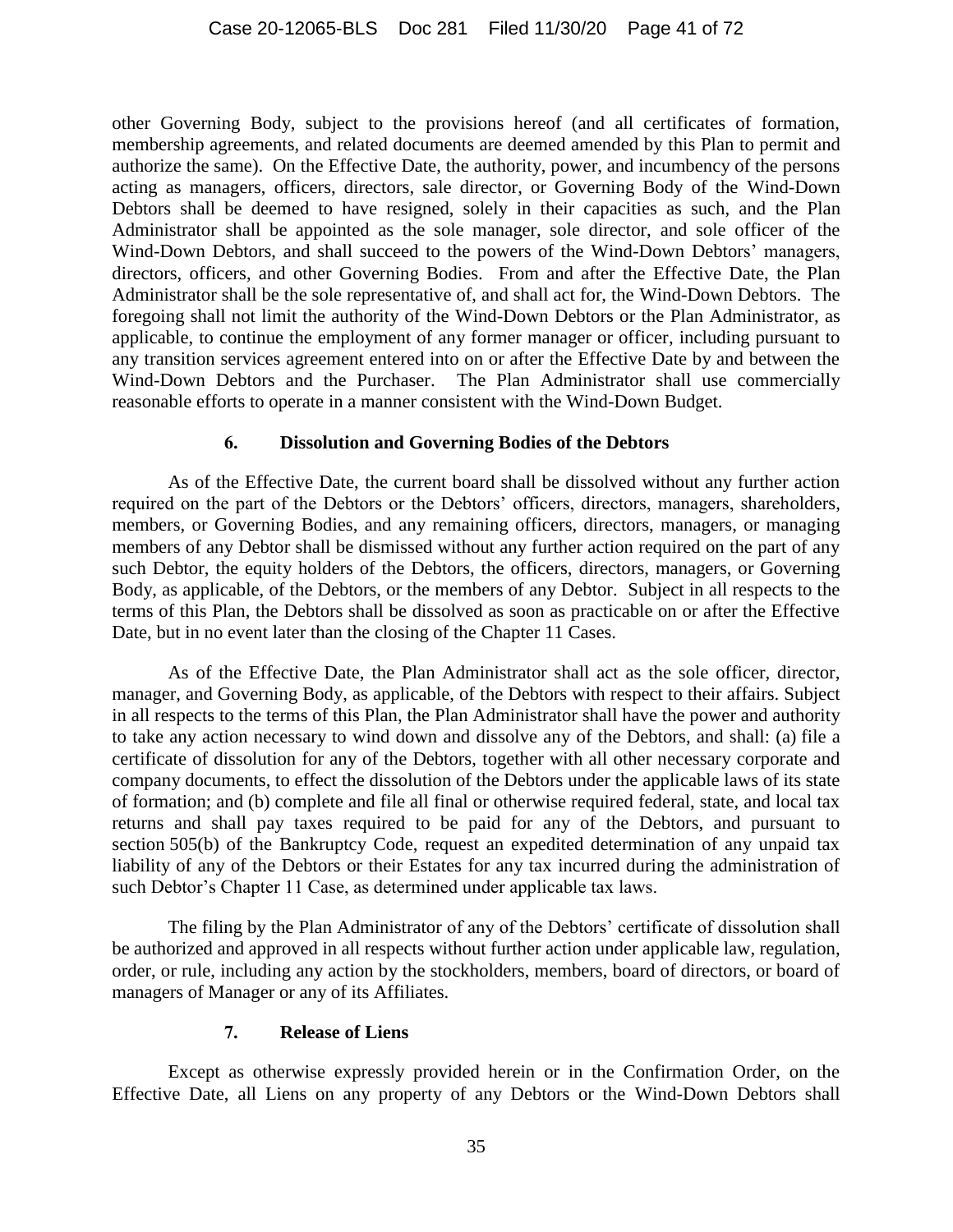other Governing Body, subject to the provisions hereof (and all certificates of formation, membership agreements, and related documents are deemed amended by this Plan to permit and authorize the same). On the Effective Date, the authority, power, and incumbency of the persons acting as managers, officers, directors, sale director, or Governing Body of the Wind-Down Debtors shall be deemed to have resigned, solely in their capacities as such, and the Plan Administrator shall be appointed as the sole manager, sole director, and sole officer of the Wind-Down Debtors, and shall succeed to the powers of the Wind-Down Debtors' managers, directors, officers, and other Governing Bodies. From and after the Effective Date, the Plan Administrator shall be the sole representative of, and shall act for, the Wind-Down Debtors. The foregoing shall not limit the authority of the Wind-Down Debtors or the Plan Administrator, as applicable, to continue the employment of any former manager or officer, including pursuant to any transition services agreement entered into on or after the Effective Date by and between the Wind-Down Debtors and the Purchaser. The Plan Administrator shall use commercially reasonable efforts to operate in a manner consistent with the Wind-Down Budget.

#### **6. Dissolution and Governing Bodies of the Debtors**

As of the Effective Date, the current board shall be dissolved without any further action required on the part of the Debtors or the Debtors' officers, directors, managers, shareholders, members, or Governing Bodies, and any remaining officers, directors, managers, or managing members of any Debtor shall be dismissed without any further action required on the part of any such Debtor, the equity holders of the Debtors, the officers, directors, managers, or Governing Body, as applicable, of the Debtors, or the members of any Debtor. Subject in all respects to the terms of this Plan, the Debtors shall be dissolved as soon as practicable on or after the Effective Date, but in no event later than the closing of the Chapter 11 Cases.

As of the Effective Date, the Plan Administrator shall act as the sole officer, director, manager, and Governing Body, as applicable, of the Debtors with respect to their affairs. Subject in all respects to the terms of this Plan, the Plan Administrator shall have the power and authority to take any action necessary to wind down and dissolve any of the Debtors, and shall: (a) file a certificate of dissolution for any of the Debtors, together with all other necessary corporate and company documents, to effect the dissolution of the Debtors under the applicable laws of its state of formation; and (b) complete and file all final or otherwise required federal, state, and local tax returns and shall pay taxes required to be paid for any of the Debtors, and pursuant to section 505(b) of the Bankruptcy Code, request an expedited determination of any unpaid tax liability of any of the Debtors or their Estates for any tax incurred during the administration of such Debtor's Chapter 11 Case, as determined under applicable tax laws.

The filing by the Plan Administrator of any of the Debtors' certificate of dissolution shall be authorized and approved in all respects without further action under applicable law, regulation, order, or rule, including any action by the stockholders, members, board of directors, or board of managers of Manager or any of its Affiliates.

#### **7. Release of Liens**

<span id="page-40-0"></span>Except as otherwise expressly provided herein or in the Confirmation Order, on the Effective Date, all Liens on any property of any Debtors or the Wind-Down Debtors shall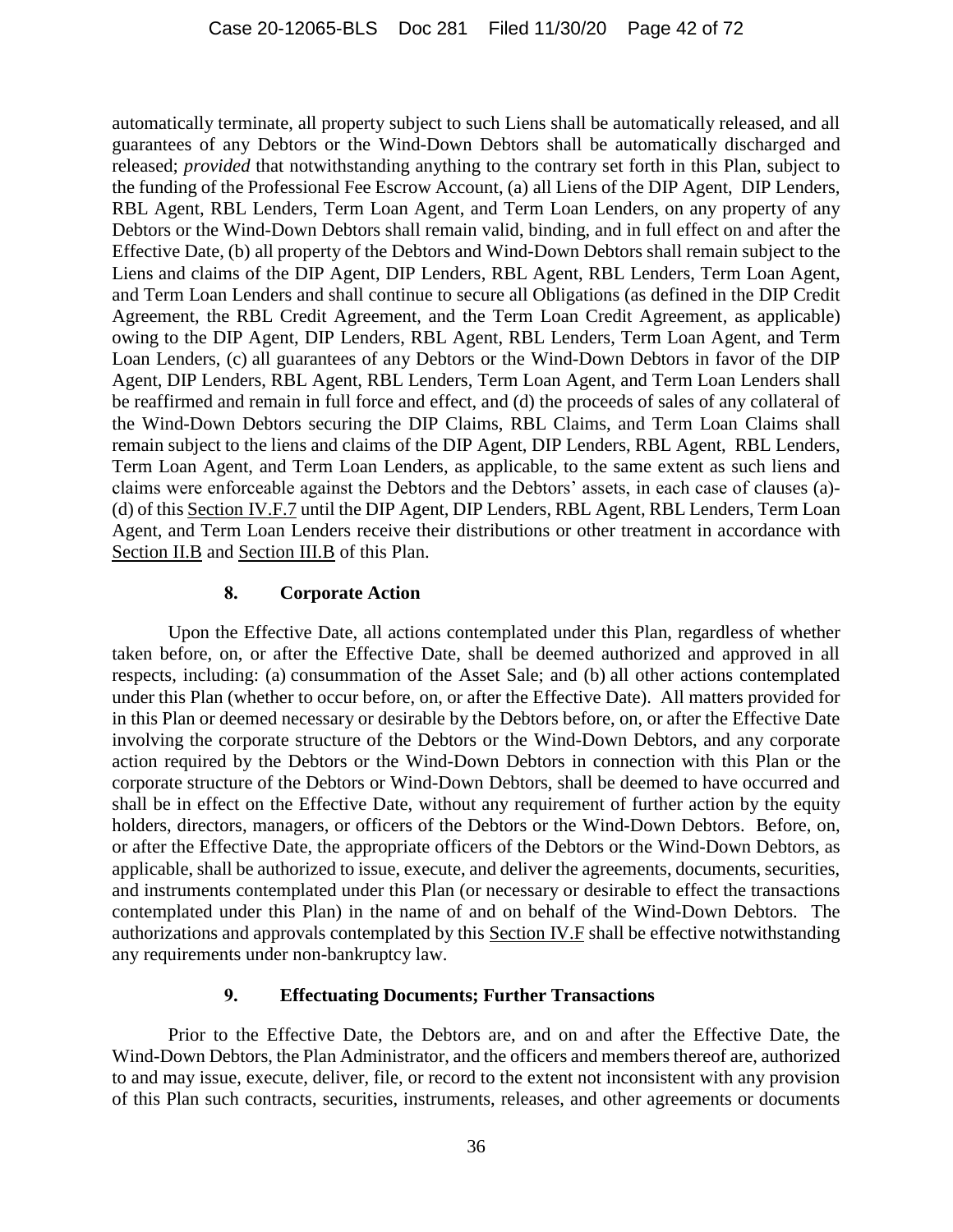automatically terminate, all property subject to such Liens shall be automatically released, and all guarantees of any Debtors or the Wind-Down Debtors shall be automatically discharged and released; *provided* that notwithstanding anything to the contrary set forth in this Plan, subject to the funding of the Professional Fee Escrow Account, (a) all Liens of the DIP Agent, DIP Lenders, RBL Agent, RBL Lenders, Term Loan Agent, and Term Loan Lenders, on any property of any Debtors or the Wind-Down Debtors shall remain valid, binding, and in full effect on and after the Effective Date, (b) all property of the Debtors and Wind-Down Debtors shall remain subject to the Liens and claims of the DIP Agent, DIP Lenders, RBL Agent, RBL Lenders, Term Loan Agent, and Term Loan Lenders and shall continue to secure all Obligations (as defined in the DIP Credit Agreement, the RBL Credit Agreement, and the Term Loan Credit Agreement, as applicable) owing to the DIP Agent, DIP Lenders, RBL Agent, RBL Lenders, Term Loan Agent, and Term Loan Lenders, (c) all guarantees of any Debtors or the Wind-Down Debtors in favor of the DIP Agent, DIP Lenders, RBL Agent, RBL Lenders, Term Loan Agent, and Term Loan Lenders shall be reaffirmed and remain in full force and effect, and (d) the proceeds of sales of any collateral of the Wind-Down Debtors securing the DIP Claims, RBL Claims, and Term Loan Claims shall remain subject to the liens and claims of the DIP Agent, DIP Lenders, RBL Agent, RBL Lenders, Term Loan Agent, and Term Loan Lenders, as applicable, to the same extent as such liens and claims were enforceable against the Debtors and the Debtors' assets, in each case of clauses (a)- (d) of this Section [IV.F.7](#page-40-0) until the DIP Agent, DIP Lenders, RBL Agent, RBL Lenders, Term Loan Agent, and Term Loan Lenders receive their distributions or other treatment in accordance with Section [II.B](#page-23-0) and Section [III.B](#page-26-0) of this Plan.

### **8. Corporate Action**

Upon the Effective Date, all actions contemplated under this Plan, regardless of whether taken before, on, or after the Effective Date, shall be deemed authorized and approved in all respects, including: (a) consummation of the Asset Sale; and (b) all other actions contemplated under this Plan (whether to occur before, on, or after the Effective Date). All matters provided for in this Plan or deemed necessary or desirable by the Debtors before, on, or after the Effective Date involving the corporate structure of the Debtors or the Wind-Down Debtors, and any corporate action required by the Debtors or the Wind-Down Debtors in connection with this Plan or the corporate structure of the Debtors or Wind-Down Debtors, shall be deemed to have occurred and shall be in effect on the Effective Date, without any requirement of further action by the equity holders, directors, managers, or officers of the Debtors or the Wind-Down Debtors. Before, on, or after the Effective Date, the appropriate officers of the Debtors or the Wind-Down Debtors, as applicable, shall be authorized to issue, execute, and deliver the agreements, documents, securities, and instruments contemplated under this Plan (or necessary or desirable to effect the transactions contemplated under this Plan) in the name of and on behalf of the Wind-Down Debtors. The authorizations and approvals contemplated by this Section [IV.F](#page-38-0) shall be effective notwithstanding any requirements under non-bankruptcy law.

## **9. Effectuating Documents; Further Transactions**

Prior to the Effective Date, the Debtors are, and on and after the Effective Date, the Wind-Down Debtors, the Plan Administrator, and the officers and members thereof are, authorized to and may issue, execute, deliver, file, or record to the extent not inconsistent with any provision of this Plan such contracts, securities, instruments, releases, and other agreements or documents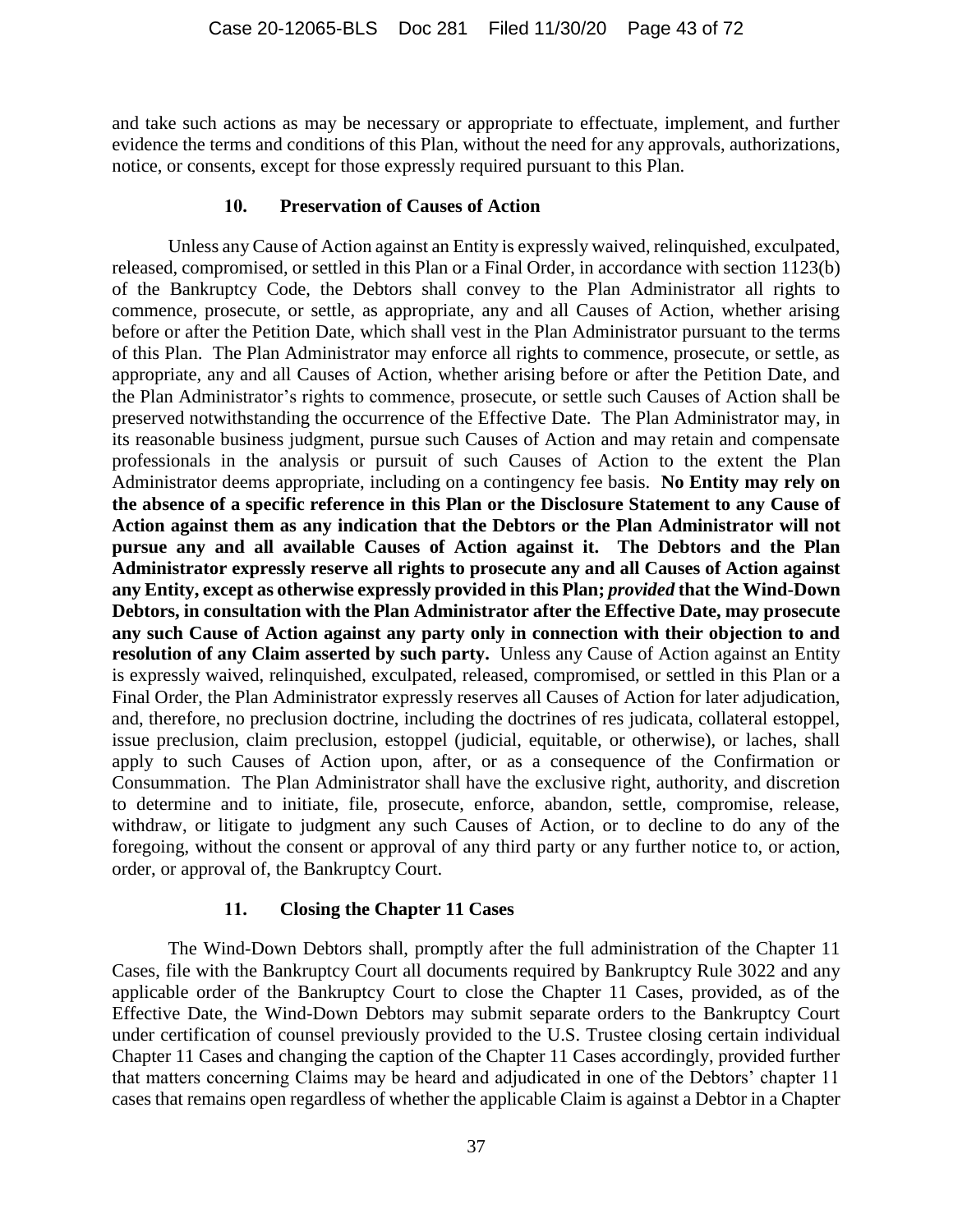and take such actions as may be necessary or appropriate to effectuate, implement, and further evidence the terms and conditions of this Plan, without the need for any approvals, authorizations, notice, or consents, except for those expressly required pursuant to this Plan.

#### **10. Preservation of Causes of Action**

Unless any Cause of Action against an Entity is expressly waived, relinquished, exculpated, released, compromised, or settled in this Plan or a Final Order, in accordance with section 1123(b) of the Bankruptcy Code, the Debtors shall convey to the Plan Administrator all rights to commence, prosecute, or settle, as appropriate, any and all Causes of Action, whether arising before or after the Petition Date, which shall vest in the Plan Administrator pursuant to the terms of this Plan. The Plan Administrator may enforce all rights to commence, prosecute, or settle, as appropriate, any and all Causes of Action, whether arising before or after the Petition Date, and the Plan Administrator's rights to commence, prosecute, or settle such Causes of Action shall be preserved notwithstanding the occurrence of the Effective Date. The Plan Administrator may, in its reasonable business judgment, pursue such Causes of Action and may retain and compensate professionals in the analysis or pursuit of such Causes of Action to the extent the Plan Administrator deems appropriate, including on a contingency fee basis. **No Entity may rely on the absence of a specific reference in this Plan or the Disclosure Statement to any Cause of Action against them as any indication that the Debtors or the Plan Administrator will not pursue any and all available Causes of Action against it. The Debtors and the Plan Administrator expressly reserve all rights to prosecute any and all Causes of Action against any Entity, except as otherwise expressly provided in this Plan;** *provided* **that the Wind-Down Debtors, in consultation with the Plan Administrator after the Effective Date, may prosecute any such Cause of Action against any party only in connection with their objection to and resolution of any Claim asserted by such party.** Unless any Cause of Action against an Entity is expressly waived, relinquished, exculpated, released, compromised, or settled in this Plan or a Final Order, the Plan Administrator expressly reserves all Causes of Action for later adjudication, and, therefore, no preclusion doctrine, including the doctrines of res judicata, collateral estoppel, issue preclusion, claim preclusion, estoppel (judicial, equitable, or otherwise), or laches, shall apply to such Causes of Action upon, after, or as a consequence of the Confirmation or Consummation. The Plan Administrator shall have the exclusive right, authority, and discretion to determine and to initiate, file, prosecute, enforce, abandon, settle, compromise, release, withdraw, or litigate to judgment any such Causes of Action, or to decline to do any of the foregoing, without the consent or approval of any third party or any further notice to, or action, order, or approval of, the Bankruptcy Court.

## **11. Closing the Chapter 11 Cases**

The Wind-Down Debtors shall, promptly after the full administration of the Chapter 11 Cases, file with the Bankruptcy Court all documents required by Bankruptcy Rule 3022 and any applicable order of the Bankruptcy Court to close the Chapter 11 Cases, provided, as of the Effective Date, the Wind-Down Debtors may submit separate orders to the Bankruptcy Court under certification of counsel previously provided to the U.S. Trustee closing certain individual Chapter 11 Cases and changing the caption of the Chapter 11 Cases accordingly, provided further that matters concerning Claims may be heard and adjudicated in one of the Debtors' chapter 11 cases that remains open regardless of whether the applicable Claim is against a Debtor in a Chapter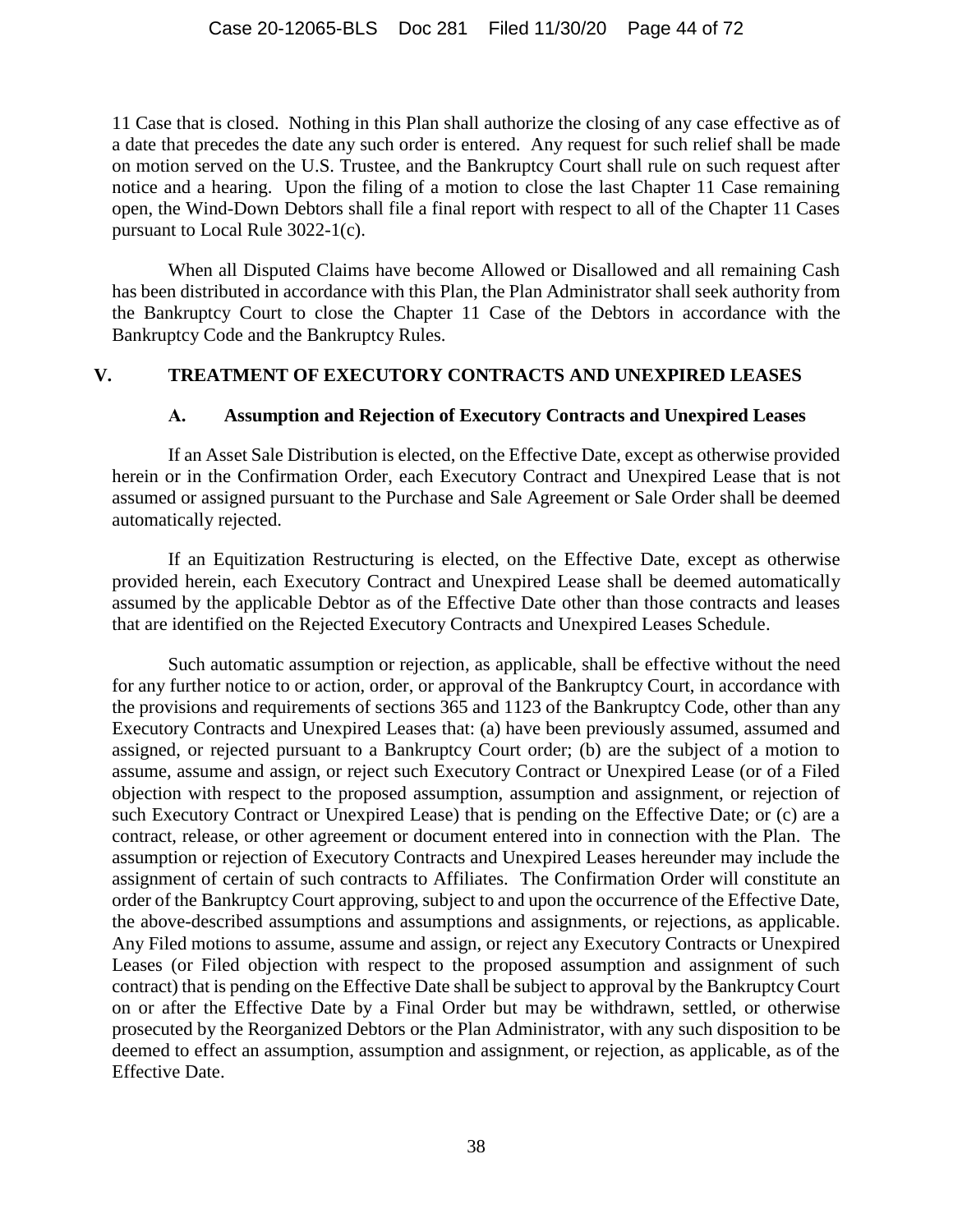11 Case that is closed. Nothing in this Plan shall authorize the closing of any case effective as of a date that precedes the date any such order is entered. Any request for such relief shall be made on motion served on the U.S. Trustee, and the Bankruptcy Court shall rule on such request after notice and a hearing. Upon the filing of a motion to close the last Chapter 11 Case remaining open, the Wind-Down Debtors shall file a final report with respect to all of the Chapter 11 Cases pursuant to Local Rule 3022-1(c).

When all Disputed Claims have become Allowed or Disallowed and all remaining Cash has been distributed in accordance with this Plan, the Plan Administrator shall seek authority from the Bankruptcy Court to close the Chapter 11 Case of the Debtors in accordance with the Bankruptcy Code and the Bankruptcy Rules.

### <span id="page-43-0"></span>**V. TREATMENT OF EXECUTORY CONTRACTS AND UNEXPIRED LEASES**

#### **A. Assumption and Rejection of Executory Contracts and Unexpired Leases**

If an Asset Sale Distribution is elected, on the Effective Date, except as otherwise provided herein or in the Confirmation Order, each Executory Contract and Unexpired Lease that is not assumed or assigned pursuant to the Purchase and Sale Agreement or Sale Order shall be deemed automatically rejected.

If an Equitization Restructuring is elected, on the Effective Date, except as otherwise provided herein, each Executory Contract and Unexpired Lease shall be deemed automatically assumed by the applicable Debtor as of the Effective Date other than those contracts and leases that are identified on the Rejected Executory Contracts and Unexpired Leases Schedule.

Such automatic assumption or rejection, as applicable, shall be effective without the need for any further notice to or action, order, or approval of the Bankruptcy Court, in accordance with the provisions and requirements of sections 365 and 1123 of the Bankruptcy Code, other than any Executory Contracts and Unexpired Leases that: (a) have been previously assumed, assumed and assigned, or rejected pursuant to a Bankruptcy Court order; (b) are the subject of a motion to assume, assume and assign, or reject such Executory Contract or Unexpired Lease (or of a Filed objection with respect to the proposed assumption, assumption and assignment, or rejection of such Executory Contract or Unexpired Lease) that is pending on the Effective Date; or (c) are a contract, release, or other agreement or document entered into in connection with the Plan. The assumption or rejection of Executory Contracts and Unexpired Leases hereunder may include the assignment of certain of such contracts to Affiliates. The Confirmation Order will constitute an order of the Bankruptcy Court approving, subject to and upon the occurrence of the Effective Date, the above-described assumptions and assumptions and assignments, or rejections, as applicable. Any Filed motions to assume, assume and assign, or reject any Executory Contracts or Unexpired Leases (or Filed objection with respect to the proposed assumption and assignment of such contract) that is pending on the Effective Date shall be subject to approval by the Bankruptcy Court on or after the Effective Date by a Final Order but may be withdrawn, settled, or otherwise prosecuted by the Reorganized Debtors or the Plan Administrator, with any such disposition to be deemed to effect an assumption, assumption and assignment, or rejection, as applicable, as of the Effective Date.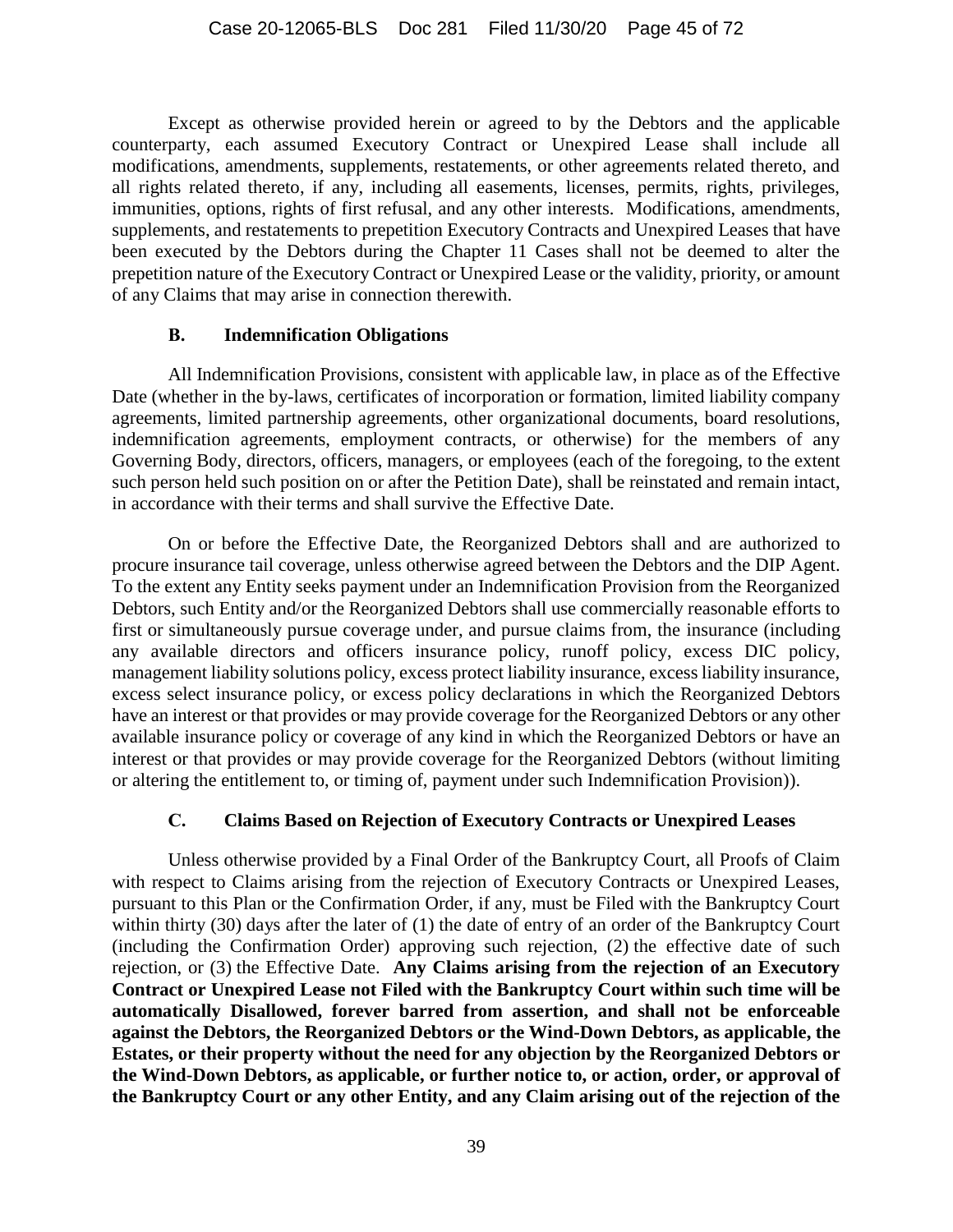Except as otherwise provided herein or agreed to by the Debtors and the applicable counterparty, each assumed Executory Contract or Unexpired Lease shall include all modifications, amendments, supplements, restatements, or other agreements related thereto, and all rights related thereto, if any, including all easements, licenses, permits, rights, privileges, immunities, options, rights of first refusal, and any other interests. Modifications, amendments, supplements, and restatements to prepetition Executory Contracts and Unexpired Leases that have been executed by the Debtors during the Chapter 11 Cases shall not be deemed to alter the prepetition nature of the Executory Contract or Unexpired Lease or the validity, priority, or amount of any Claims that may arise in connection therewith.

#### **B. Indemnification Obligations**

All Indemnification Provisions, consistent with applicable law, in place as of the Effective Date (whether in the by-laws, certificates of incorporation or formation, limited liability company agreements, limited partnership agreements, other organizational documents, board resolutions, indemnification agreements, employment contracts, or otherwise) for the members of any Governing Body, directors, officers, managers, or employees (each of the foregoing, to the extent such person held such position on or after the Petition Date), shall be reinstated and remain intact, in accordance with their terms and shall survive the Effective Date.

On or before the Effective Date, the Reorganized Debtors shall and are authorized to procure insurance tail coverage, unless otherwise agreed between the Debtors and the DIP Agent. To the extent any Entity seeks payment under an Indemnification Provision from the Reorganized Debtors, such Entity and/or the Reorganized Debtors shall use commercially reasonable efforts to first or simultaneously pursue coverage under, and pursue claims from, the insurance (including any available directors and officers insurance policy, runoff policy, excess DIC policy, management liability solutions policy, excess protect liability insurance, excess liability insurance, excess select insurance policy, or excess policy declarations in which the Reorganized Debtors have an interest or that provides or may provide coverage for the Reorganized Debtors or any other available insurance policy or coverage of any kind in which the Reorganized Debtors or have an interest or that provides or may provide coverage for the Reorganized Debtors (without limiting or altering the entitlement to, or timing of, payment under such Indemnification Provision)).

#### **C. Claims Based on Rejection of Executory Contracts or Unexpired Leases**

Unless otherwise provided by a Final Order of the Bankruptcy Court, all Proofs of Claim with respect to Claims arising from the rejection of Executory Contracts or Unexpired Leases, pursuant to this Plan or the Confirmation Order, if any, must be Filed with the Bankruptcy Court within thirty (30) days after the later of (1) the date of entry of an order of the Bankruptcy Court (including the Confirmation Order) approving such rejection, (2) the effective date of such rejection, or (3) the Effective Date. **Any Claims arising from the rejection of an Executory Contract or Unexpired Lease not Filed with the Bankruptcy Court within such time will be automatically Disallowed, forever barred from assertion, and shall not be enforceable against the Debtors, the Reorganized Debtors or the Wind-Down Debtors, as applicable, the Estates, or their property without the need for any objection by the Reorganized Debtors or the Wind-Down Debtors, as applicable, or further notice to, or action, order, or approval of the Bankruptcy Court or any other Entity, and any Claim arising out of the rejection of the**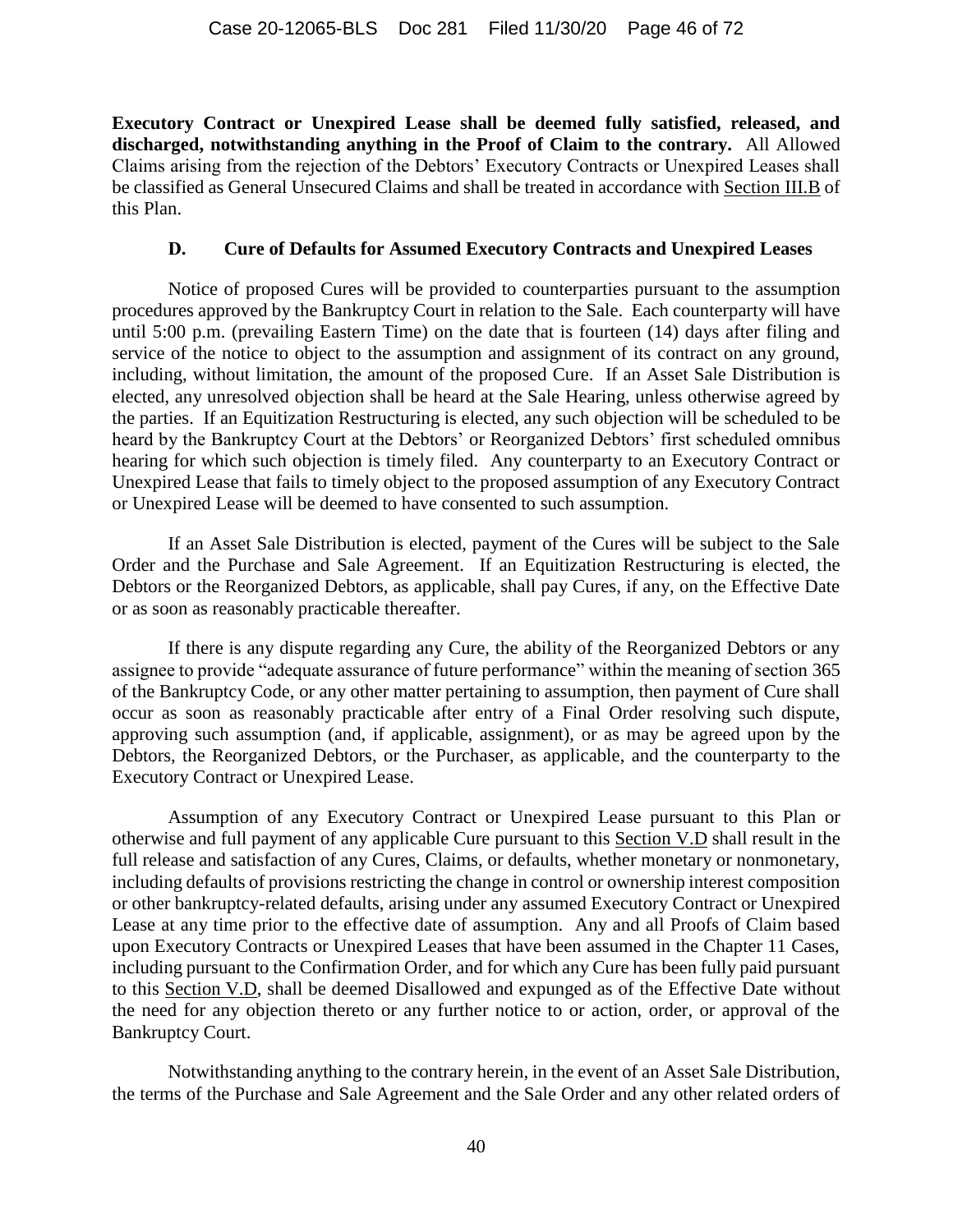**Executory Contract or Unexpired Lease shall be deemed fully satisfied, released, and discharged, notwithstanding anything in the Proof of Claim to the contrary.** All Allowed Claims arising from the rejection of the Debtors' Executory Contracts or Unexpired Leases shall be classified as General Unsecured Claims and shall be treated in accordance with Section [III.B](#page-26-0) of this Plan.

### **D. Cure of Defaults for Assumed Executory Contracts and Unexpired Leases**

<span id="page-45-0"></span>Notice of proposed Cures will be provided to counterparties pursuant to the assumption procedures approved by the Bankruptcy Court in relation to the Sale. Each counterparty will have until 5:00 p.m. (prevailing Eastern Time) on the date that is fourteen (14) days after filing and service of the notice to object to the assumption and assignment of its contract on any ground, including, without limitation, the amount of the proposed Cure. If an Asset Sale Distribution is elected, any unresolved objection shall be heard at the Sale Hearing, unless otherwise agreed by the parties. If an Equitization Restructuring is elected, any such objection will be scheduled to be heard by the Bankruptcy Court at the Debtors' or Reorganized Debtors' first scheduled omnibus hearing for which such objection is timely filed. Any counterparty to an Executory Contract or Unexpired Lease that fails to timely object to the proposed assumption of any Executory Contract or Unexpired Lease will be deemed to have consented to such assumption.

If an Asset Sale Distribution is elected, payment of the Cures will be subject to the Sale Order and the Purchase and Sale Agreement. If an Equitization Restructuring is elected, the Debtors or the Reorganized Debtors, as applicable, shall pay Cures, if any, on the Effective Date or as soon as reasonably practicable thereafter.

If there is any dispute regarding any Cure, the ability of the Reorganized Debtors or any assignee to provide "adequate assurance of future performance" within the meaning of section 365 of the Bankruptcy Code, or any other matter pertaining to assumption, then payment of Cure shall occur as soon as reasonably practicable after entry of a Final Order resolving such dispute, approving such assumption (and, if applicable, assignment), or as may be agreed upon by the Debtors, the Reorganized Debtors, or the Purchaser, as applicable, and the counterparty to the Executory Contract or Unexpired Lease.

Assumption of any Executory Contract or Unexpired Lease pursuant to this Plan or otherwise and full payment of any applicable Cure pursuant to this Section [V.D](#page-45-0) shall result in the full release and satisfaction of any Cures, Claims, or defaults, whether monetary or nonmonetary, including defaults of provisions restricting the change in control or ownership interest composition or other bankruptcy-related defaults, arising under any assumed Executory Contract or Unexpired Lease at any time prior to the effective date of assumption. Any and all Proofs of Claim based upon Executory Contracts or Unexpired Leases that have been assumed in the Chapter 11 Cases, including pursuant to the Confirmation Order, and for which any Cure has been fully paid pursuant to this Section [V.D,](#page-45-0) shall be deemed Disallowed and expunged as of the Effective Date without the need for any objection thereto or any further notice to or action, order, or approval of the Bankruptcy Court.

Notwithstanding anything to the contrary herein, in the event of an Asset Sale Distribution, the terms of the Purchase and Sale Agreement and the Sale Order and any other related orders of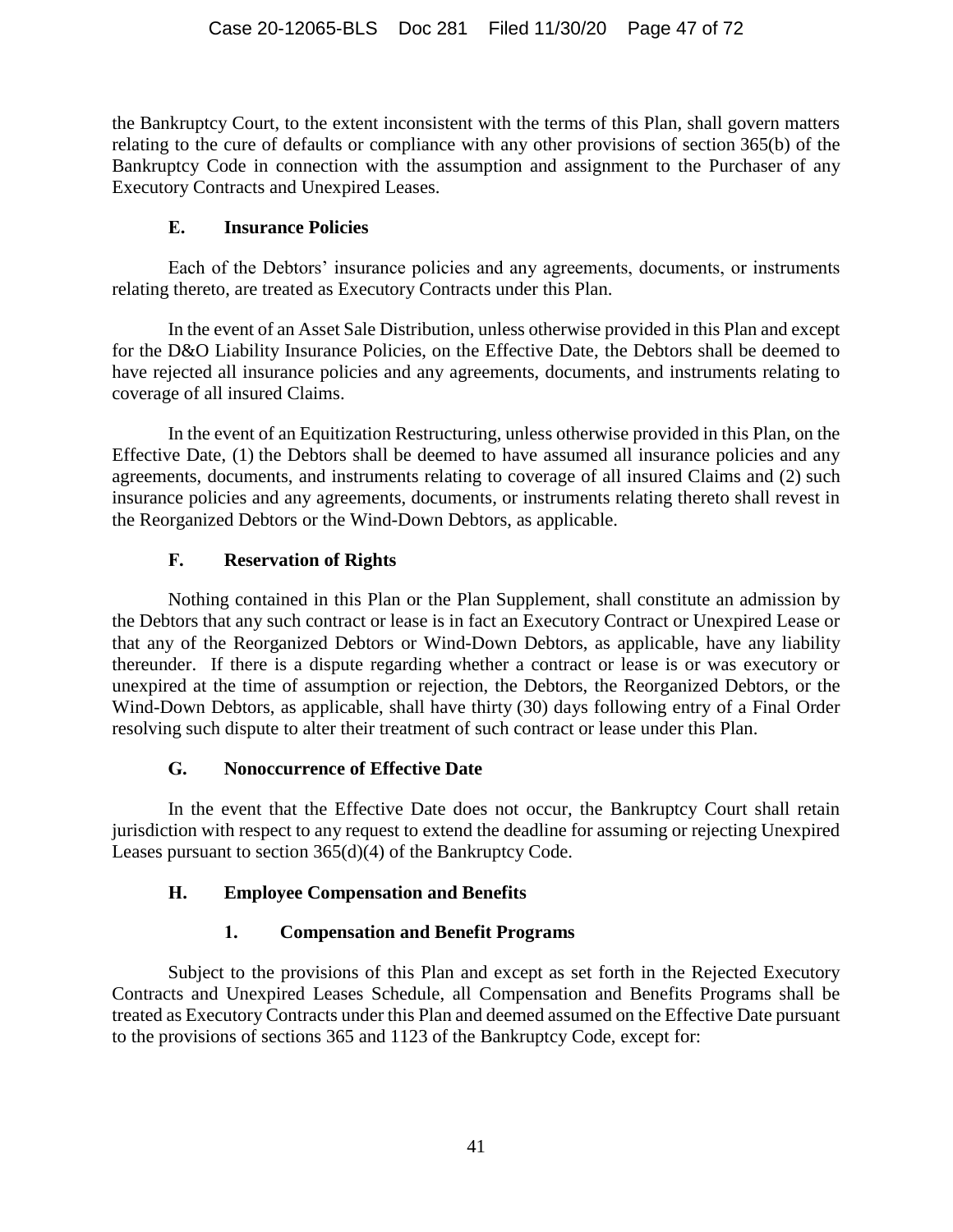the Bankruptcy Court, to the extent inconsistent with the terms of this Plan, shall govern matters relating to the cure of defaults or compliance with any other provisions of section 365(b) of the Bankruptcy Code in connection with the assumption and assignment to the Purchaser of any Executory Contracts and Unexpired Leases.

## **E. Insurance Policies**

Each of the Debtors' insurance policies and any agreements, documents, or instruments relating thereto, are treated as Executory Contracts under this Plan.

In the event of an Asset Sale Distribution, unless otherwise provided in this Plan and except for the D&O Liability Insurance Policies, on the Effective Date, the Debtors shall be deemed to have rejected all insurance policies and any agreements, documents, and instruments relating to coverage of all insured Claims.

In the event of an Equitization Restructuring, unless otherwise provided in this Plan, on the Effective Date, (1) the Debtors shall be deemed to have assumed all insurance policies and any agreements, documents, and instruments relating to coverage of all insured Claims and (2) such insurance policies and any agreements, documents, or instruments relating thereto shall revest in the Reorganized Debtors or the Wind-Down Debtors, as applicable.

## **F. Reservation of Rights**

Nothing contained in this Plan or the Plan Supplement, shall constitute an admission by the Debtors that any such contract or lease is in fact an Executory Contract or Unexpired Lease or that any of the Reorganized Debtors or Wind-Down Debtors, as applicable, have any liability thereunder. If there is a dispute regarding whether a contract or lease is or was executory or unexpired at the time of assumption or rejection, the Debtors, the Reorganized Debtors, or the Wind-Down Debtors, as applicable, shall have thirty (30) days following entry of a Final Order resolving such dispute to alter their treatment of such contract or lease under this Plan.

## **G. Nonoccurrence of Effective Date**

In the event that the Effective Date does not occur, the Bankruptcy Court shall retain jurisdiction with respect to any request to extend the deadline for assuming or rejecting Unexpired Leases pursuant to section 365(d)(4) of the Bankruptcy Code.

## **H. Employee Compensation and Benefits**

# **1. Compensation and Benefit Programs**

Subject to the provisions of this Plan and except as set forth in the Rejected Executory Contracts and Unexpired Leases Schedule, all Compensation and Benefits Programs shall be treated as Executory Contracts under this Plan and deemed assumed on the Effective Date pursuant to the provisions of sections 365 and 1123 of the Bankruptcy Code, except for: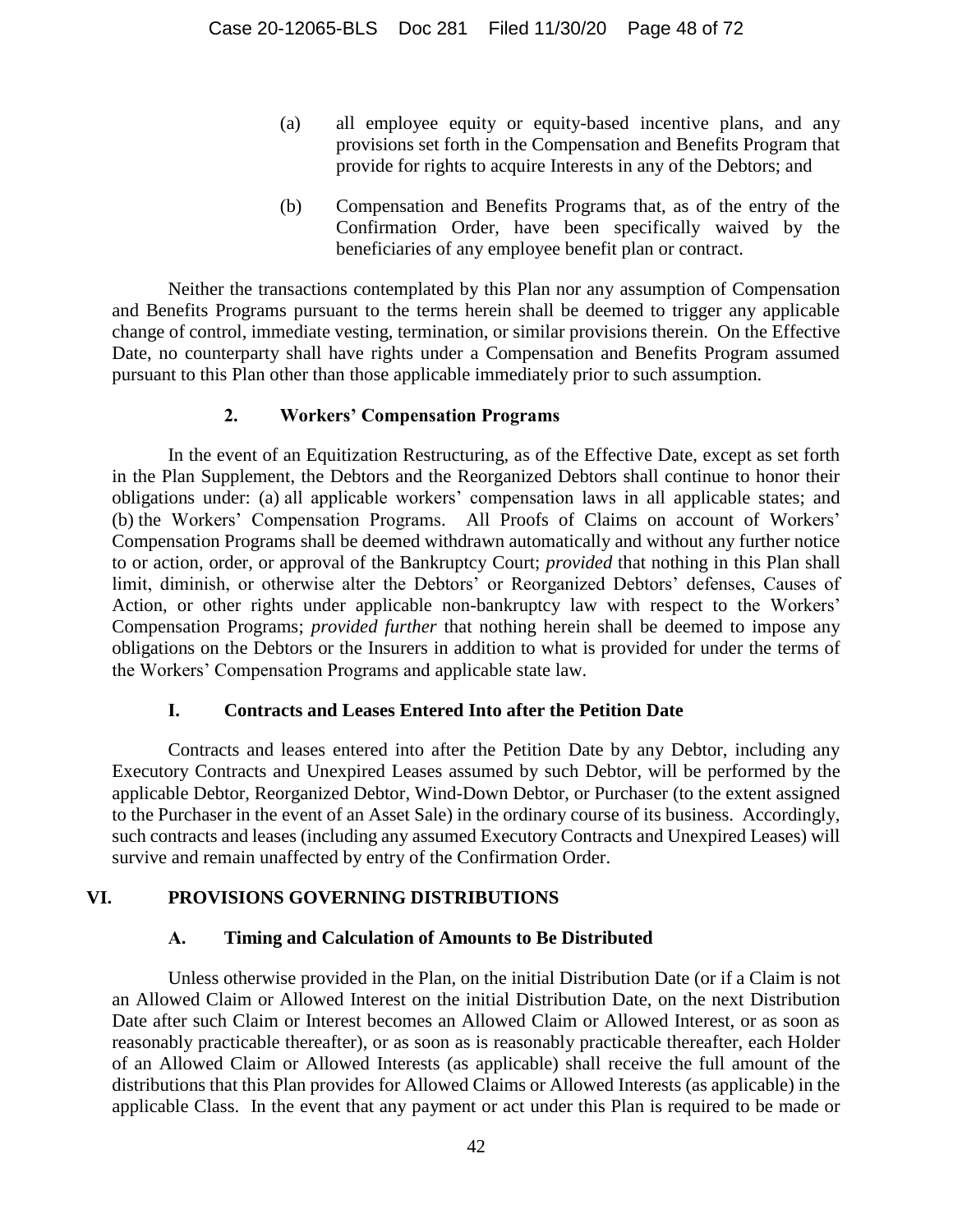- (a) all employee equity or equity-based incentive plans, and any provisions set forth in the Compensation and Benefits Program that provide for rights to acquire Interests in any of the Debtors; and
- (b) Compensation and Benefits Programs that, as of the entry of the Confirmation Order, have been specifically waived by the beneficiaries of any employee benefit plan or contract.

Neither the transactions contemplated by this Plan nor any assumption of Compensation and Benefits Programs pursuant to the terms herein shall be deemed to trigger any applicable change of control, immediate vesting, termination, or similar provisions therein. On the Effective Date, no counterparty shall have rights under a Compensation and Benefits Program assumed pursuant to this Plan other than those applicable immediately prior to such assumption.

## **2. Workers' Compensation Programs**

In the event of an Equitization Restructuring, as of the Effective Date, except as set forth in the Plan Supplement, the Debtors and the Reorganized Debtors shall continue to honor their obligations under: (a) all applicable workers' compensation laws in all applicable states; and (b) the Workers' Compensation Programs. All Proofs of Claims on account of Workers' Compensation Programs shall be deemed withdrawn automatically and without any further notice to or action, order, or approval of the Bankruptcy Court; *provided* that nothing in this Plan shall limit, diminish, or otherwise alter the Debtors' or Reorganized Debtors' defenses, Causes of Action, or other rights under applicable non-bankruptcy law with respect to the Workers' Compensation Programs; *provided further* that nothing herein shall be deemed to impose any obligations on the Debtors or the Insurers in addition to what is provided for under the terms of the Workers' Compensation Programs and applicable state law.

## **I. Contracts and Leases Entered Into after the Petition Date**

Contracts and leases entered into after the Petition Date by any Debtor, including any Executory Contracts and Unexpired Leases assumed by such Debtor, will be performed by the applicable Debtor, Reorganized Debtor, Wind-Down Debtor, or Purchaser (to the extent assigned to the Purchaser in the event of an Asset Sale) in the ordinary course of its business. Accordingly, such contracts and leases (including any assumed Executory Contracts and Unexpired Leases) will survive and remain unaffected by entry of the Confirmation Order.

# **VI. PROVISIONS GOVERNING DISTRIBUTIONS**

## **A. Timing and Calculation of Amounts to Be Distributed**

Unless otherwise provided in the Plan, on the initial Distribution Date (or if a Claim is not an Allowed Claim or Allowed Interest on the initial Distribution Date, on the next Distribution Date after such Claim or Interest becomes an Allowed Claim or Allowed Interest, or as soon as reasonably practicable thereafter), or as soon as is reasonably practicable thereafter, each Holder of an Allowed Claim or Allowed Interests (as applicable) shall receive the full amount of the distributions that this Plan provides for Allowed Claims or Allowed Interests (as applicable) in the applicable Class. In the event that any payment or act under this Plan is required to be made or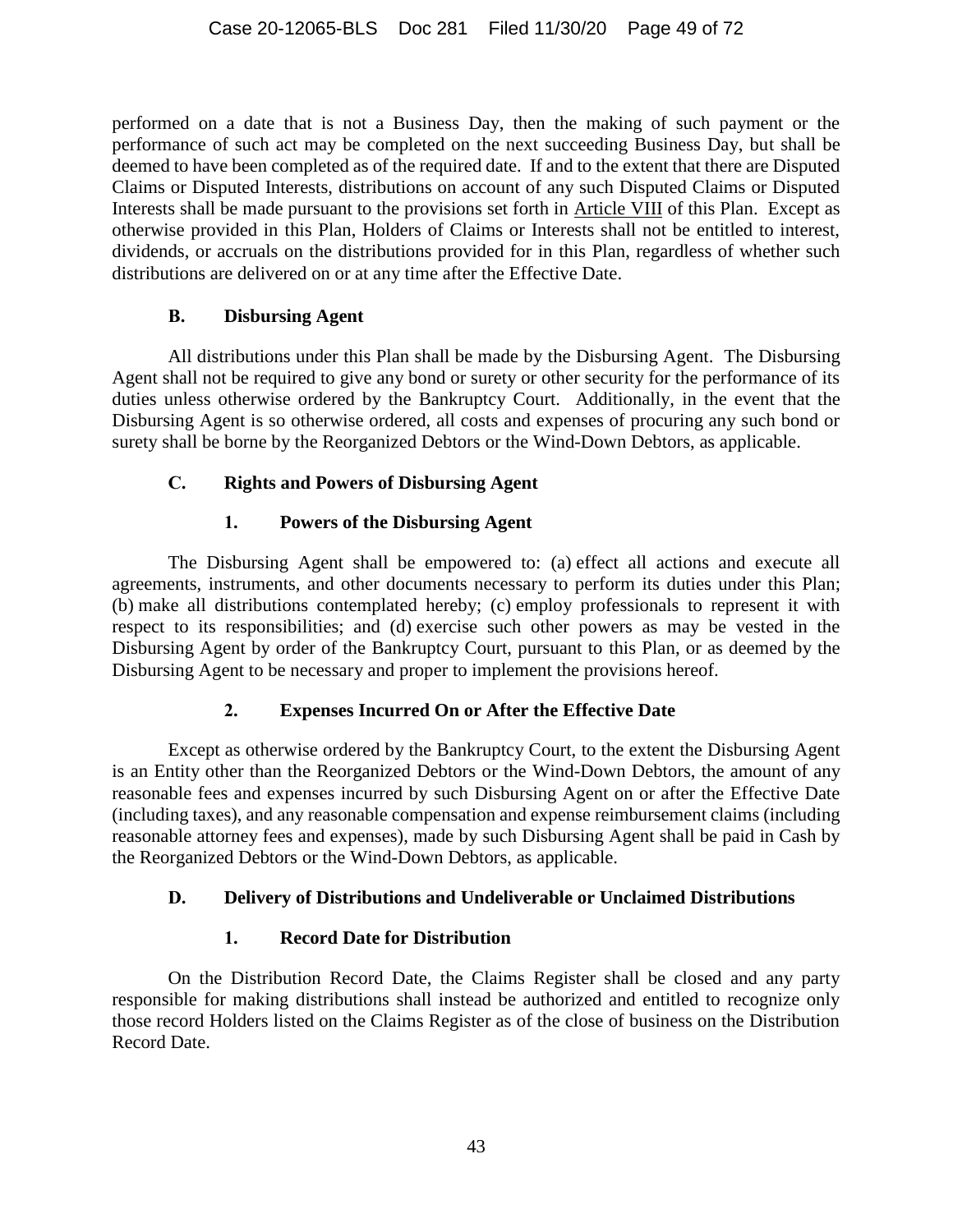performed on a date that is not a Business Day, then the making of such payment or the performance of such act may be completed on the next succeeding Business Day, but shall be deemed to have been completed as of the required date. If and to the extent that there are Disputed Claims or Disputed Interests, distributions on account of any such Disputed Claims or Disputed Interests shall be made pursuant to the provisions set forth in Article [VIII](#page-54-0) of this Plan. Except as otherwise provided in this Plan, Holders of Claims or Interests shall not be entitled to interest, dividends, or accruals on the distributions provided for in this Plan, regardless of whether such distributions are delivered on or at any time after the Effective Date.

### **B. Disbursing Agent**

All distributions under this Plan shall be made by the Disbursing Agent. The Disbursing Agent shall not be required to give any bond or surety or other security for the performance of its duties unless otherwise ordered by the Bankruptcy Court. Additionally, in the event that the Disbursing Agent is so otherwise ordered, all costs and expenses of procuring any such bond or surety shall be borne by the Reorganized Debtors or the Wind-Down Debtors, as applicable.

## **C. Rights and Powers of Disbursing Agent**

## **1. Powers of the Disbursing Agent**

The Disbursing Agent shall be empowered to: (a) effect all actions and execute all agreements, instruments, and other documents necessary to perform its duties under this Plan; (b) make all distributions contemplated hereby; (c) employ professionals to represent it with respect to its responsibilities; and (d) exercise such other powers as may be vested in the Disbursing Agent by order of the Bankruptcy Court, pursuant to this Plan, or as deemed by the Disbursing Agent to be necessary and proper to implement the provisions hereof.

## **2. Expenses Incurred On or After the Effective Date**

Except as otherwise ordered by the Bankruptcy Court, to the extent the Disbursing Agent is an Entity other than the Reorganized Debtors or the Wind-Down Debtors, the amount of any reasonable fees and expenses incurred by such Disbursing Agent on or after the Effective Date (including taxes), and any reasonable compensation and expense reimbursement claims (including reasonable attorney fees and expenses), made by such Disbursing Agent shall be paid in Cash by the Reorganized Debtors or the Wind-Down Debtors, as applicable.

## **D. Delivery of Distributions and Undeliverable or Unclaimed Distributions**

# **1. Record Date for Distribution**

On the Distribution Record Date, the Claims Register shall be closed and any party responsible for making distributions shall instead be authorized and entitled to recognize only those record Holders listed on the Claims Register as of the close of business on the Distribution Record Date.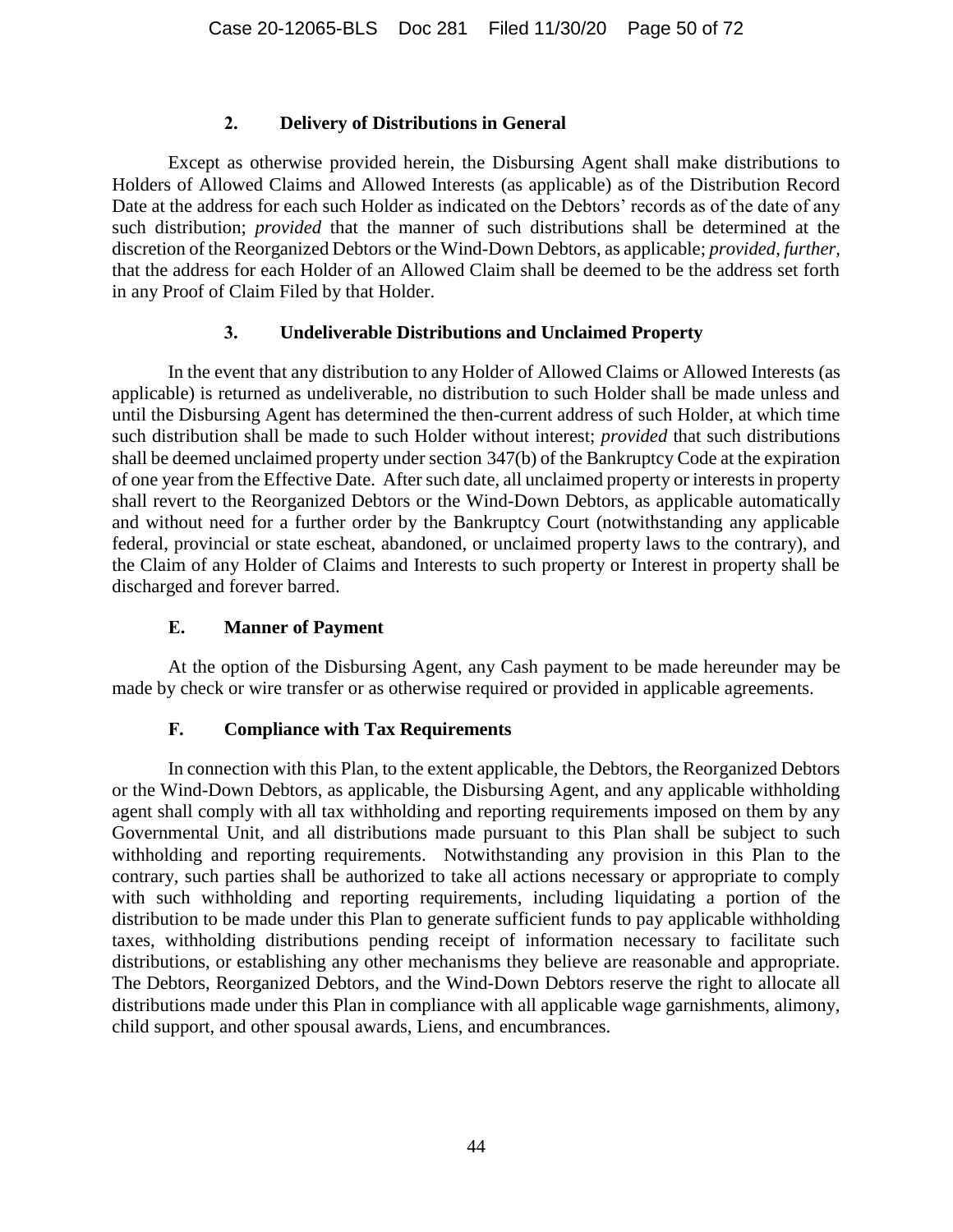### **2. Delivery of Distributions in General**

Except as otherwise provided herein, the Disbursing Agent shall make distributions to Holders of Allowed Claims and Allowed Interests (as applicable) as of the Distribution Record Date at the address for each such Holder as indicated on the Debtors' records as of the date of any such distribution; *provided* that the manner of such distributions shall be determined at the discretion of the Reorganized Debtors or the Wind-Down Debtors, as applicable; *provided, further,* that the address for each Holder of an Allowed Claim shall be deemed to be the address set forth in any Proof of Claim Filed by that Holder.

### **3. Undeliverable Distributions and Unclaimed Property**

In the event that any distribution to any Holder of Allowed Claims or Allowed Interests (as applicable) is returned as undeliverable, no distribution to such Holder shall be made unless and until the Disbursing Agent has determined the then-current address of such Holder, at which time such distribution shall be made to such Holder without interest; *provided* that such distributions shall be deemed unclaimed property under section 347(b) of the Bankruptcy Code at the expiration of one year from the Effective Date. After such date, all unclaimed property or interests in property shall revert to the Reorganized Debtors or the Wind-Down Debtors, as applicable automatically and without need for a further order by the Bankruptcy Court (notwithstanding any applicable federal, provincial or state escheat, abandoned, or unclaimed property laws to the contrary), and the Claim of any Holder of Claims and Interests to such property or Interest in property shall be discharged and forever barred.

## **E. Manner of Payment**

At the option of the Disbursing Agent, any Cash payment to be made hereunder may be made by check or wire transfer or as otherwise required or provided in applicable agreements.

## **F. Compliance with Tax Requirements**

In connection with this Plan, to the extent applicable, the Debtors, the Reorganized Debtors or the Wind-Down Debtors, as applicable, the Disbursing Agent, and any applicable withholding agent shall comply with all tax withholding and reporting requirements imposed on them by any Governmental Unit, and all distributions made pursuant to this Plan shall be subject to such withholding and reporting requirements. Notwithstanding any provision in this Plan to the contrary, such parties shall be authorized to take all actions necessary or appropriate to comply with such withholding and reporting requirements, including liquidating a portion of the distribution to be made under this Plan to generate sufficient funds to pay applicable withholding taxes, withholding distributions pending receipt of information necessary to facilitate such distributions, or establishing any other mechanisms they believe are reasonable and appropriate. The Debtors, Reorganized Debtors, and the Wind-Down Debtors reserve the right to allocate all distributions made under this Plan in compliance with all applicable wage garnishments, alimony, child support, and other spousal awards, Liens, and encumbrances.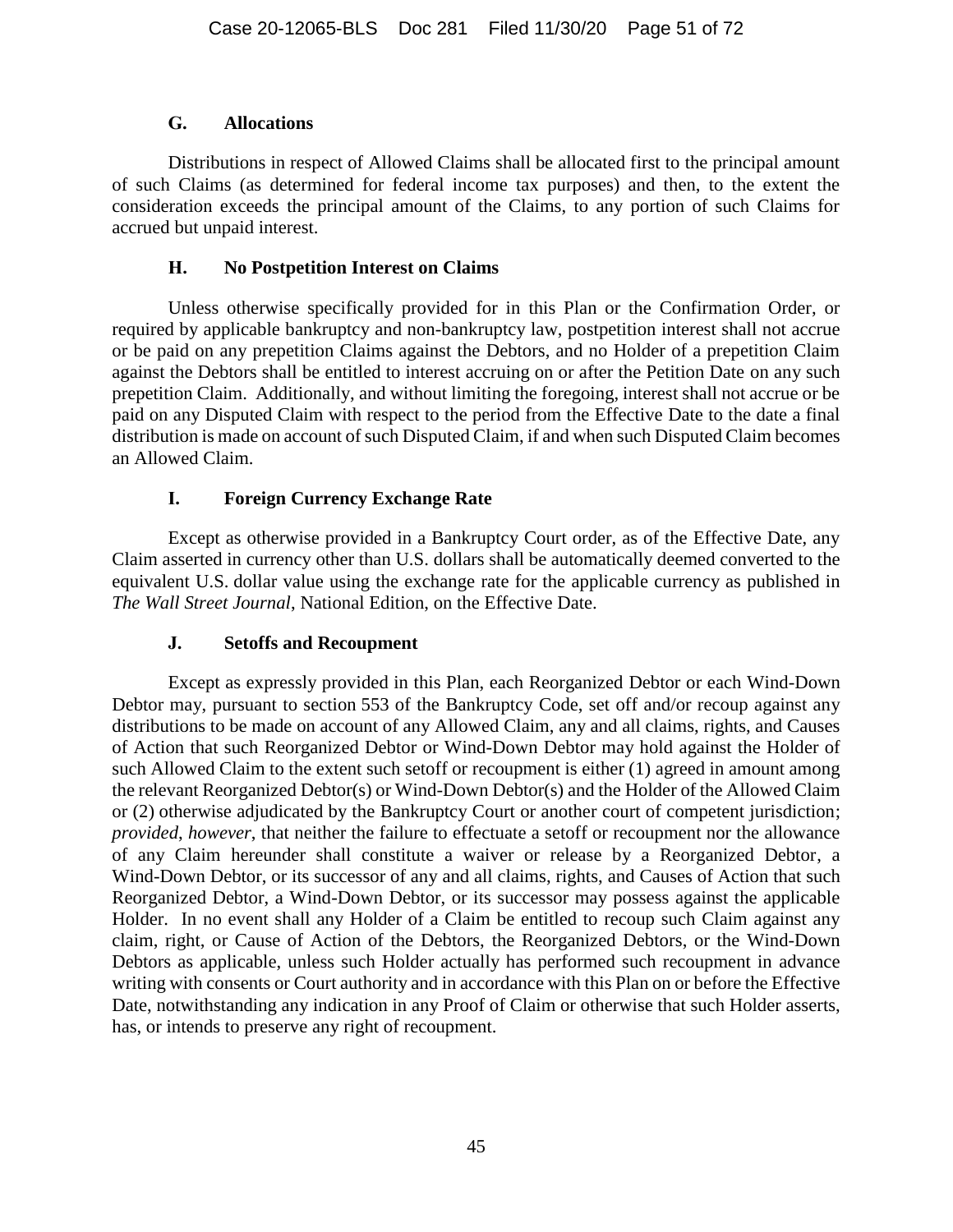### **G. Allocations**

Distributions in respect of Allowed Claims shall be allocated first to the principal amount of such Claims (as determined for federal income tax purposes) and then, to the extent the consideration exceeds the principal amount of the Claims, to any portion of such Claims for accrued but unpaid interest.

### **H. No Postpetition Interest on Claims**

Unless otherwise specifically provided for in this Plan or the Confirmation Order, or required by applicable bankruptcy and non-bankruptcy law, postpetition interest shall not accrue or be paid on any prepetition Claims against the Debtors, and no Holder of a prepetition Claim against the Debtors shall be entitled to interest accruing on or after the Petition Date on any such prepetition Claim. Additionally, and without limiting the foregoing, interest shall not accrue or be paid on any Disputed Claim with respect to the period from the Effective Date to the date a final distribution is made on account of such Disputed Claim, if and when such Disputed Claim becomes an Allowed Claim.

## **I. Foreign Currency Exchange Rate**

Except as otherwise provided in a Bankruptcy Court order, as of the Effective Date, any Claim asserted in currency other than U.S. dollars shall be automatically deemed converted to the equivalent U.S. dollar value using the exchange rate for the applicable currency as published in *The Wall Street Journal*, National Edition, on the Effective Date.

## **J. Setoffs and Recoupment**

Except as expressly provided in this Plan, each Reorganized Debtor or each Wind-Down Debtor may, pursuant to section 553 of the Bankruptcy Code, set off and/or recoup against any distributions to be made on account of any Allowed Claim, any and all claims, rights, and Causes of Action that such Reorganized Debtor or Wind-Down Debtor may hold against the Holder of such Allowed Claim to the extent such setoff or recoupment is either (1) agreed in amount among the relevant Reorganized Debtor(s) or Wind-Down Debtor(s) and the Holder of the Allowed Claim or (2) otherwise adjudicated by the Bankruptcy Court or another court of competent jurisdiction; *provided*, *however*, that neither the failure to effectuate a setoff or recoupment nor the allowance of any Claim hereunder shall constitute a waiver or release by a Reorganized Debtor, a Wind-Down Debtor, or its successor of any and all claims, rights, and Causes of Action that such Reorganized Debtor, a Wind-Down Debtor, or its successor may possess against the applicable Holder. In no event shall any Holder of a Claim be entitled to recoup such Claim against any claim, right, or Cause of Action of the Debtors, the Reorganized Debtors, or the Wind-Down Debtors as applicable, unless such Holder actually has performed such recoupment in advance writing with consents or Court authority and in accordance with this Plan on or before the Effective Date, notwithstanding any indication in any Proof of Claim or otherwise that such Holder asserts, has, or intends to preserve any right of recoupment.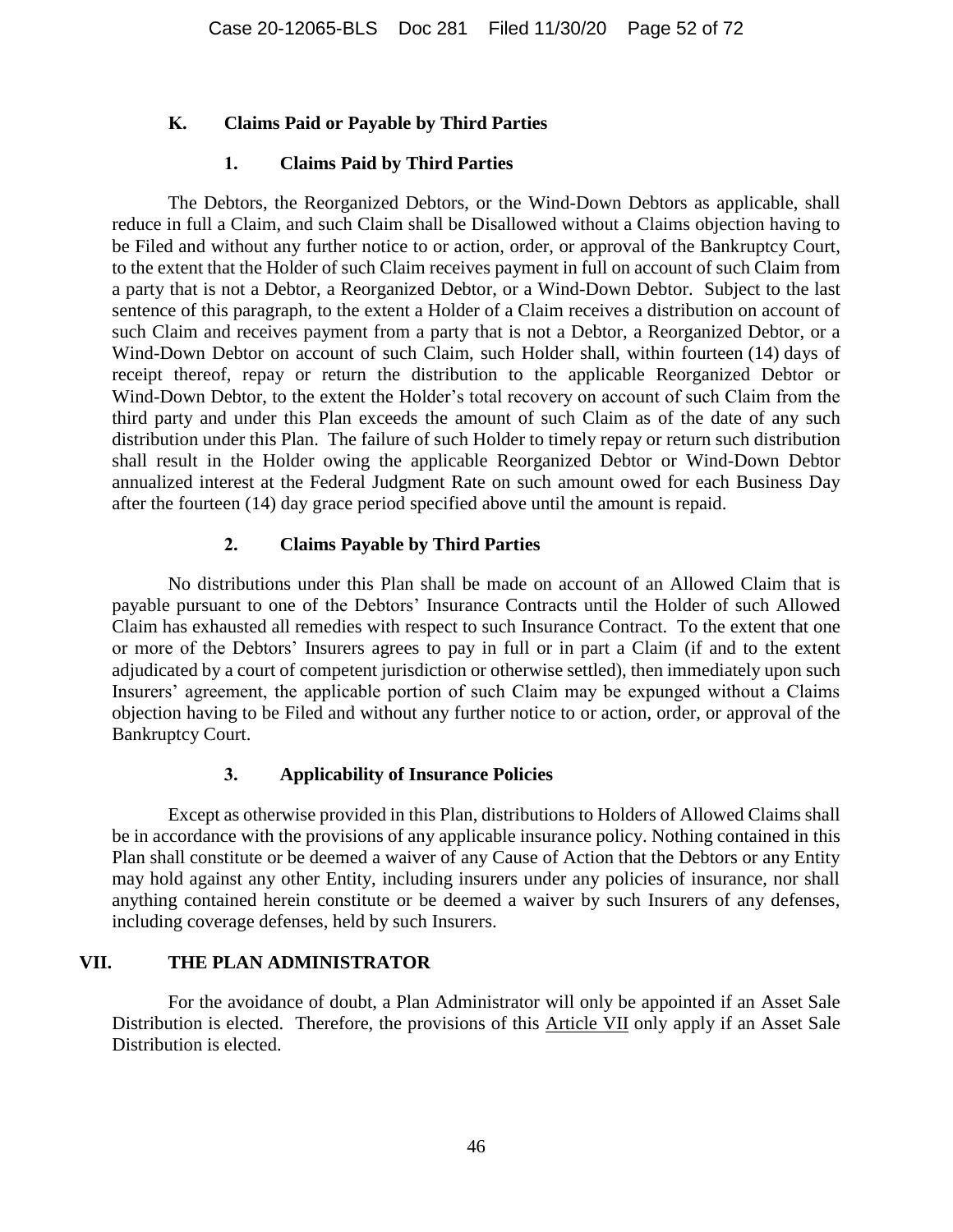### <span id="page-51-1"></span>**K. Claims Paid or Payable by Third Parties**

### **1. Claims Paid by Third Parties**

The Debtors, the Reorganized Debtors, or the Wind-Down Debtors as applicable, shall reduce in full a Claim, and such Claim shall be Disallowed without a Claims objection having to be Filed and without any further notice to or action, order, or approval of the Bankruptcy Court, to the extent that the Holder of such Claim receives payment in full on account of such Claim from a party that is not a Debtor, a Reorganized Debtor, or a Wind-Down Debtor. Subject to the last sentence of this paragraph, to the extent a Holder of a Claim receives a distribution on account of such Claim and receives payment from a party that is not a Debtor, a Reorganized Debtor, or a Wind-Down Debtor on account of such Claim, such Holder shall, within fourteen (14) days of receipt thereof, repay or return the distribution to the applicable Reorganized Debtor or Wind-Down Debtor, to the extent the Holder's total recovery on account of such Claim from the third party and under this Plan exceeds the amount of such Claim as of the date of any such distribution under this Plan. The failure of such Holder to timely repay or return such distribution shall result in the Holder owing the applicable Reorganized Debtor or Wind-Down Debtor annualized interest at the Federal Judgment Rate on such amount owed for each Business Day after the fourteen (14) day grace period specified above until the amount is repaid.

### **2. Claims Payable by Third Parties**

No distributions under this Plan shall be made on account of an Allowed Claim that is payable pursuant to one of the Debtors' Insurance Contracts until the Holder of such Allowed Claim has exhausted all remedies with respect to such Insurance Contract. To the extent that one or more of the Debtors' Insurers agrees to pay in full or in part a Claim (if and to the extent adjudicated by a court of competent jurisdiction or otherwise settled), then immediately upon such Insurers' agreement, the applicable portion of such Claim may be expunged without a Claims objection having to be Filed and without any further notice to or action, order, or approval of the Bankruptcy Court.

#### **3. Applicability of Insurance Policies**

Except as otherwise provided in this Plan, distributions to Holders of Allowed Claims shall be in accordance with the provisions of any applicable insurance policy. Nothing contained in this Plan shall constitute or be deemed a waiver of any Cause of Action that the Debtors or any Entity may hold against any other Entity, including insurers under any policies of insurance, nor shall anything contained herein constitute or be deemed a waiver by such Insurers of any defenses, including coverage defenses, held by such Insurers.

### <span id="page-51-0"></span>**VII. THE PLAN ADMINISTRATOR**

For the avoidance of doubt, a Plan Administrator will only be appointed if an Asset Sale Distribution is elected. Therefore, the provisions of this Article [VII](#page-51-0) only apply if an Asset Sale Distribution is elected.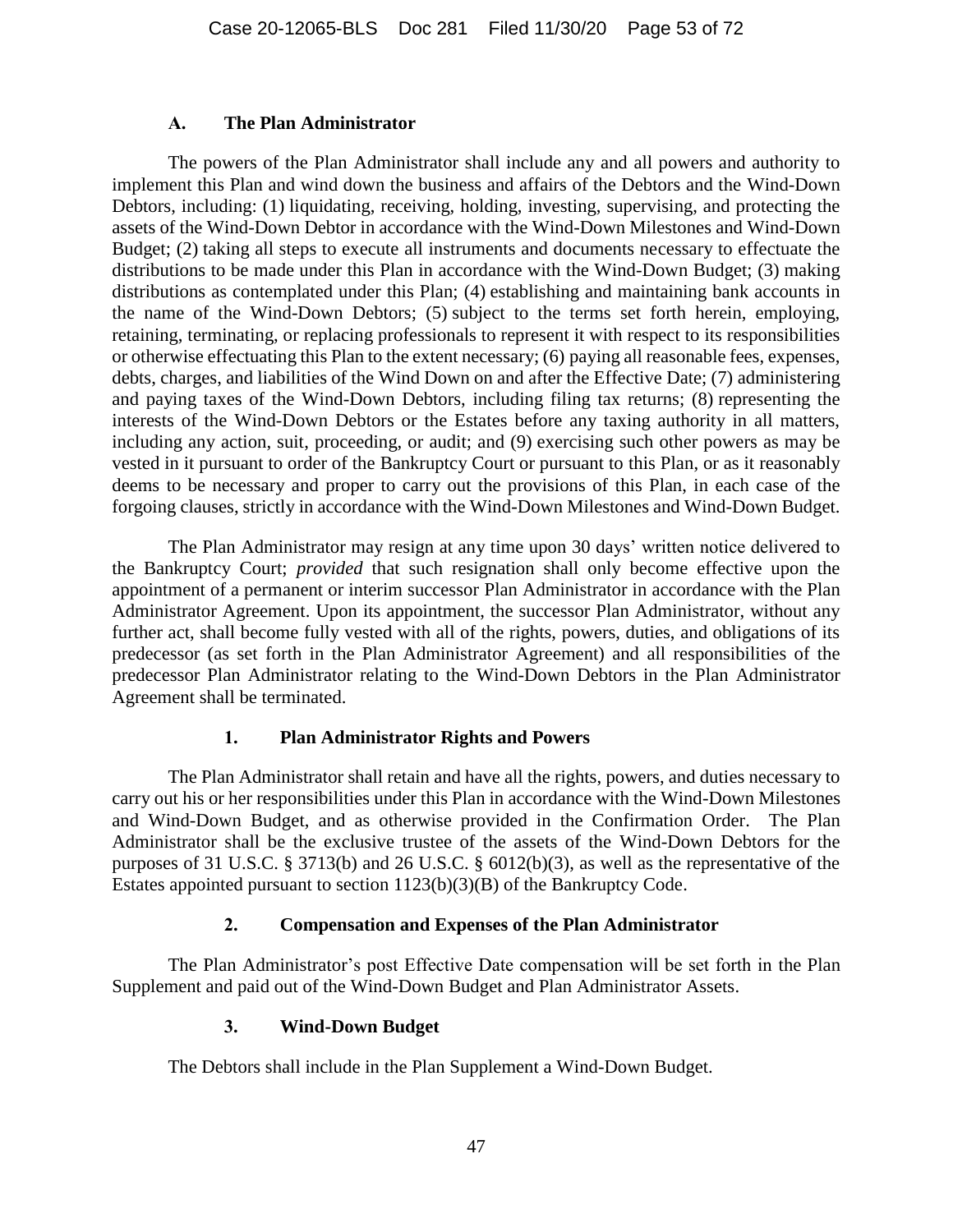#### **A. The Plan Administrator**

The powers of the Plan Administrator shall include any and all powers and authority to implement this Plan and wind down the business and affairs of the Debtors and the Wind-Down Debtors, including: (1) liquidating, receiving, holding, investing, supervising, and protecting the assets of the Wind-Down Debtor in accordance with the Wind-Down Milestones and Wind-Down Budget; (2) taking all steps to execute all instruments and documents necessary to effectuate the distributions to be made under this Plan in accordance with the Wind-Down Budget; (3) making distributions as contemplated under this Plan; (4) establishing and maintaining bank accounts in the name of the Wind-Down Debtors; (5) subject to the terms set forth herein, employing, retaining, terminating, or replacing professionals to represent it with respect to its responsibilities or otherwise effectuating this Plan to the extent necessary; (6) paying all reasonable fees, expenses, debts, charges, and liabilities of the Wind Down on and after the Effective Date; (7) administering and paying taxes of the Wind-Down Debtors, including filing tax returns; (8) representing the interests of the Wind-Down Debtors or the Estates before any taxing authority in all matters, including any action, suit, proceeding, or audit; and (9) exercising such other powers as may be vested in it pursuant to order of the Bankruptcy Court or pursuant to this Plan, or as it reasonably deems to be necessary and proper to carry out the provisions of this Plan, in each case of the forgoing clauses, strictly in accordance with the Wind-Down Milestones and Wind-Down Budget.

The Plan Administrator may resign at any time upon 30 days' written notice delivered to the Bankruptcy Court; *provided* that such resignation shall only become effective upon the appointment of a permanent or interim successor Plan Administrator in accordance with the Plan Administrator Agreement. Upon its appointment, the successor Plan Administrator, without any further act, shall become fully vested with all of the rights, powers, duties, and obligations of its predecessor (as set forth in the Plan Administrator Agreement) and all responsibilities of the predecessor Plan Administrator relating to the Wind-Down Debtors in the Plan Administrator Agreement shall be terminated.

## **1. Plan Administrator Rights and Powers**

The Plan Administrator shall retain and have all the rights, powers, and duties necessary to carry out his or her responsibilities under this Plan in accordance with the Wind-Down Milestones and Wind-Down Budget, and as otherwise provided in the Confirmation Order. The Plan Administrator shall be the exclusive trustee of the assets of the Wind-Down Debtors for the purposes of 31 U.S.C. § 3713(b) and 26 U.S.C. § 6012(b)(3), as well as the representative of the Estates appointed pursuant to section 1123(b)(3)(B) of the Bankruptcy Code.

## **2. Compensation and Expenses of the Plan Administrator**

The Plan Administrator's post Effective Date compensation will be set forth in the Plan Supplement and paid out of the Wind-Down Budget and Plan Administrator Assets.

## **3. Wind-Down Budget**

The Debtors shall include in the Plan Supplement a Wind-Down Budget.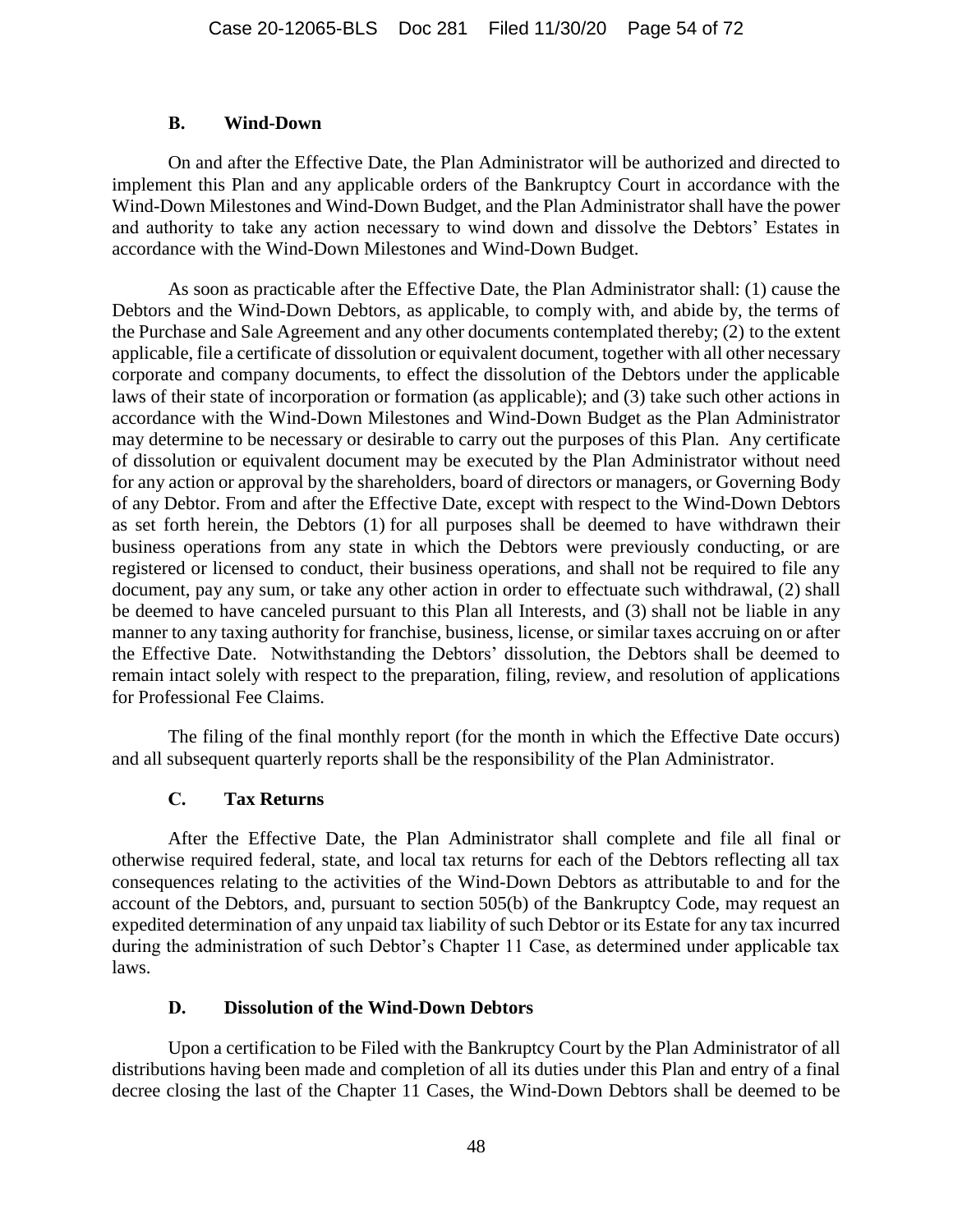### **B. Wind-Down**

On and after the Effective Date, the Plan Administrator will be authorized and directed to implement this Plan and any applicable orders of the Bankruptcy Court in accordance with the Wind-Down Milestones and Wind-Down Budget, and the Plan Administrator shall have the power and authority to take any action necessary to wind down and dissolve the Debtors' Estates in accordance with the Wind-Down Milestones and Wind-Down Budget.

As soon as practicable after the Effective Date, the Plan Administrator shall: (1) cause the Debtors and the Wind-Down Debtors, as applicable, to comply with, and abide by, the terms of the Purchase and Sale Agreement and any other documents contemplated thereby; (2) to the extent applicable, file a certificate of dissolution or equivalent document, together with all other necessary corporate and company documents, to effect the dissolution of the Debtors under the applicable laws of their state of incorporation or formation (as applicable); and (3) take such other actions in accordance with the Wind-Down Milestones and Wind-Down Budget as the Plan Administrator may determine to be necessary or desirable to carry out the purposes of this Plan. Any certificate of dissolution or equivalent document may be executed by the Plan Administrator without need for any action or approval by the shareholders, board of directors or managers, or Governing Body of any Debtor. From and after the Effective Date, except with respect to the Wind-Down Debtors as set forth herein, the Debtors (1) for all purposes shall be deemed to have withdrawn their business operations from any state in which the Debtors were previously conducting, or are registered or licensed to conduct, their business operations, and shall not be required to file any document, pay any sum, or take any other action in order to effectuate such withdrawal, (2) shall be deemed to have canceled pursuant to this Plan all Interests, and (3) shall not be liable in any manner to any taxing authority for franchise, business, license, or similar taxes accruing on or after the Effective Date. Notwithstanding the Debtors' dissolution, the Debtors shall be deemed to remain intact solely with respect to the preparation, filing, review, and resolution of applications for Professional Fee Claims.

The filing of the final monthly report (for the month in which the Effective Date occurs) and all subsequent quarterly reports shall be the responsibility of the Plan Administrator.

## **C. Tax Returns**

After the Effective Date, the Plan Administrator shall complete and file all final or otherwise required federal, state, and local tax returns for each of the Debtors reflecting all tax consequences relating to the activities of the Wind-Down Debtors as attributable to and for the account of the Debtors, and, pursuant to section 505(b) of the Bankruptcy Code, may request an expedited determination of any unpaid tax liability of such Debtor or its Estate for any tax incurred during the administration of such Debtor's Chapter 11 Case, as determined under applicable tax laws.

## **D. Dissolution of the Wind-Down Debtors**

Upon a certification to be Filed with the Bankruptcy Court by the Plan Administrator of all distributions having been made and completion of all its duties under this Plan and entry of a final decree closing the last of the Chapter 11 Cases, the Wind-Down Debtors shall be deemed to be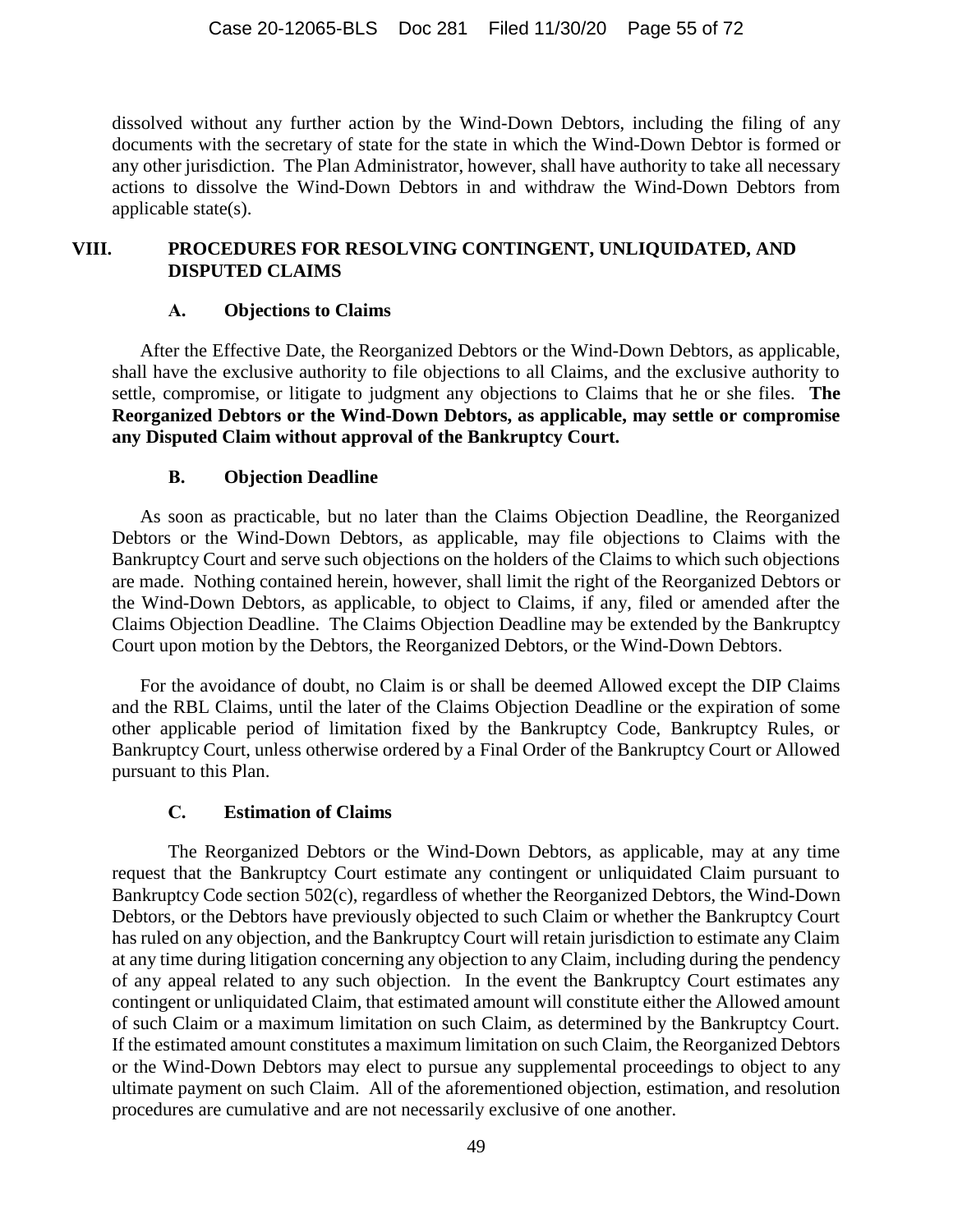dissolved without any further action by the Wind-Down Debtors, including the filing of any documents with the secretary of state for the state in which the Wind-Down Debtor is formed or any other jurisdiction. The Plan Administrator, however, shall have authority to take all necessary actions to dissolve the Wind-Down Debtors in and withdraw the Wind-Down Debtors from applicable state(s).

## <span id="page-54-0"></span>**VIII. PROCEDURES FOR RESOLVING CONTINGENT, UNLIQUIDATED, AND DISPUTED CLAIMS**

### **A. Objections to Claims**

After the Effective Date, the Reorganized Debtors or the Wind-Down Debtors, as applicable, shall have the exclusive authority to file objections to all Claims, and the exclusive authority to settle, compromise, or litigate to judgment any objections to Claims that he or she files. **The Reorganized Debtors or the Wind-Down Debtors, as applicable, may settle or compromise any Disputed Claim without approval of the Bankruptcy Court.**

## **B. Objection Deadline**

As soon as practicable, but no later than the Claims Objection Deadline, the Reorganized Debtors or the Wind-Down Debtors, as applicable, may file objections to Claims with the Bankruptcy Court and serve such objections on the holders of the Claims to which such objections are made. Nothing contained herein, however, shall limit the right of the Reorganized Debtors or the Wind-Down Debtors, as applicable, to object to Claims, if any, filed or amended after the Claims Objection Deadline. The Claims Objection Deadline may be extended by the Bankruptcy Court upon motion by the Debtors, the Reorganized Debtors, or the Wind-Down Debtors.

For the avoidance of doubt, no Claim is or shall be deemed Allowed except the DIP Claims and the RBL Claims, until the later of the Claims Objection Deadline or the expiration of some other applicable period of limitation fixed by the Bankruptcy Code, Bankruptcy Rules, or Bankruptcy Court, unless otherwise ordered by a Final Order of the Bankruptcy Court or Allowed pursuant to this Plan.

## **C. Estimation of Claims**

The Reorganized Debtors or the Wind-Down Debtors, as applicable, may at any time request that the Bankruptcy Court estimate any contingent or unliquidated Claim pursuant to Bankruptcy Code section 502(c), regardless of whether the Reorganized Debtors, the Wind-Down Debtors, or the Debtors have previously objected to such Claim or whether the Bankruptcy Court has ruled on any objection, and the Bankruptcy Court will retain jurisdiction to estimate any Claim at any time during litigation concerning any objection to any Claim, including during the pendency of any appeal related to any such objection. In the event the Bankruptcy Court estimates any contingent or unliquidated Claim, that estimated amount will constitute either the Allowed amount of such Claim or a maximum limitation on such Claim, as determined by the Bankruptcy Court. If the estimated amount constitutes a maximum limitation on such Claim, the Reorganized Debtors or the Wind-Down Debtors may elect to pursue any supplemental proceedings to object to any ultimate payment on such Claim. All of the aforementioned objection, estimation, and resolution procedures are cumulative and are not necessarily exclusive of one another.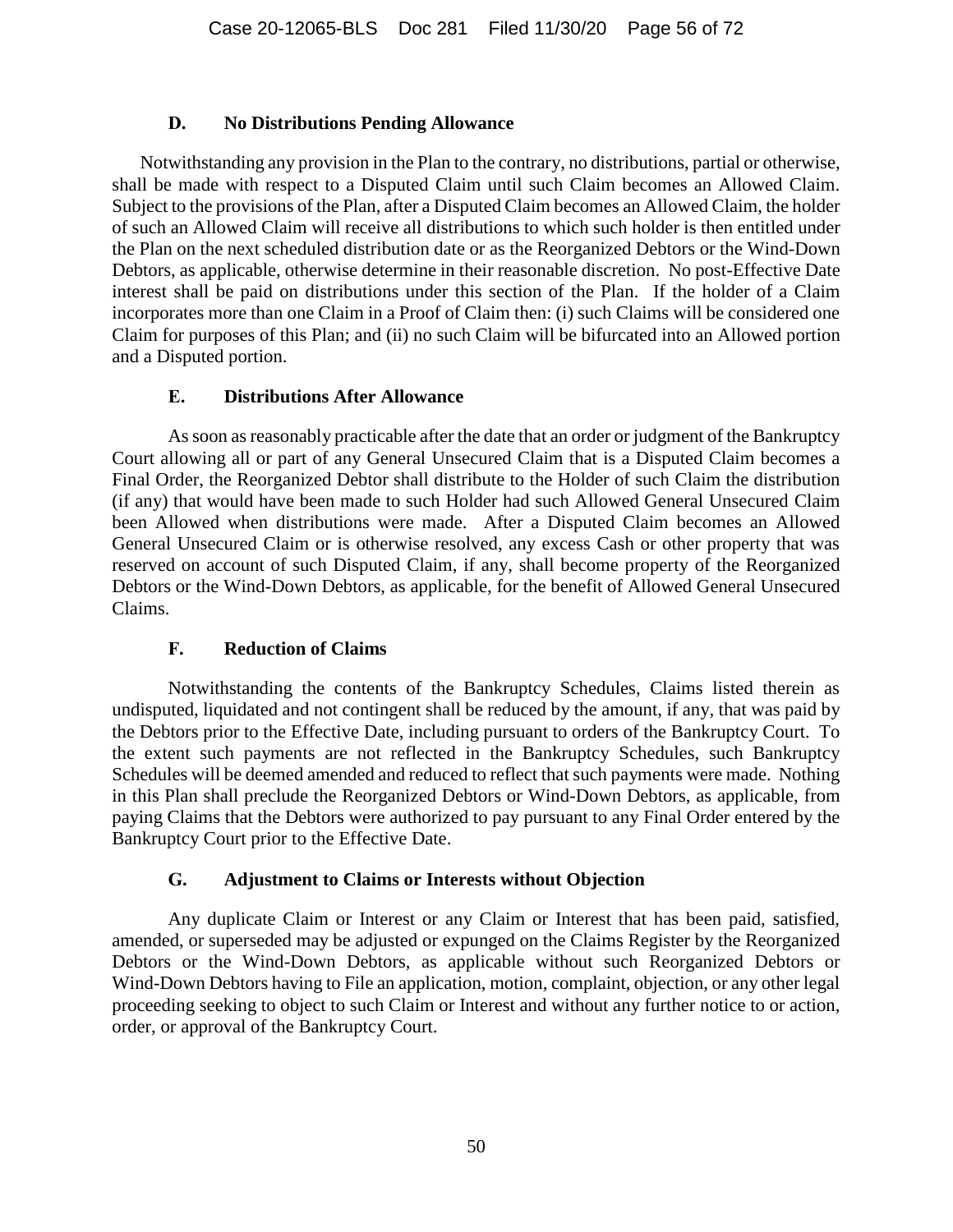### **D. No Distributions Pending Allowance**

Notwithstanding any provision in the Plan to the contrary, no distributions, partial or otherwise, shall be made with respect to a Disputed Claim until such Claim becomes an Allowed Claim. Subject to the provisions of the Plan, after a Disputed Claim becomes an Allowed Claim, the holder of such an Allowed Claim will receive all distributions to which such holder is then entitled under the Plan on the next scheduled distribution date or as the Reorganized Debtors or the Wind-Down Debtors, as applicable, otherwise determine in their reasonable discretion. No post-Effective Date interest shall be paid on distributions under this section of the Plan. If the holder of a Claim incorporates more than one Claim in a Proof of Claim then: (i) such Claims will be considered one Claim for purposes of this Plan; and (ii) no such Claim will be bifurcated into an Allowed portion and a Disputed portion.

### **E. Distributions After Allowance**

As soon as reasonably practicable after the date that an order or judgment of the Bankruptcy Court allowing all or part of any General Unsecured Claim that is a Disputed Claim becomes a Final Order, the Reorganized Debtor shall distribute to the Holder of such Claim the distribution (if any) that would have been made to such Holder had such Allowed General Unsecured Claim been Allowed when distributions were made. After a Disputed Claim becomes an Allowed General Unsecured Claim or is otherwise resolved, any excess Cash or other property that was reserved on account of such Disputed Claim, if any, shall become property of the Reorganized Debtors or the Wind-Down Debtors, as applicable, for the benefit of Allowed General Unsecured Claims.

## **F. Reduction of Claims**

Notwithstanding the contents of the Bankruptcy Schedules, Claims listed therein as undisputed, liquidated and not contingent shall be reduced by the amount, if any, that was paid by the Debtors prior to the Effective Date, including pursuant to orders of the Bankruptcy Court. To the extent such payments are not reflected in the Bankruptcy Schedules, such Bankruptcy Schedules will be deemed amended and reduced to reflect that such payments were made. Nothing in this Plan shall preclude the Reorganized Debtors or Wind-Down Debtors, as applicable, from paying Claims that the Debtors were authorized to pay pursuant to any Final Order entered by the Bankruptcy Court prior to the Effective Date.

#### **G. Adjustment to Claims or Interests without Objection**

Any duplicate Claim or Interest or any Claim or Interest that has been paid, satisfied, amended, or superseded may be adjusted or expunged on the Claims Register by the Reorganized Debtors or the Wind-Down Debtors, as applicable without such Reorganized Debtors or Wind-Down Debtors having to File an application, motion, complaint, objection, or any other legal proceeding seeking to object to such Claim or Interest and without any further notice to or action, order, or approval of the Bankruptcy Court.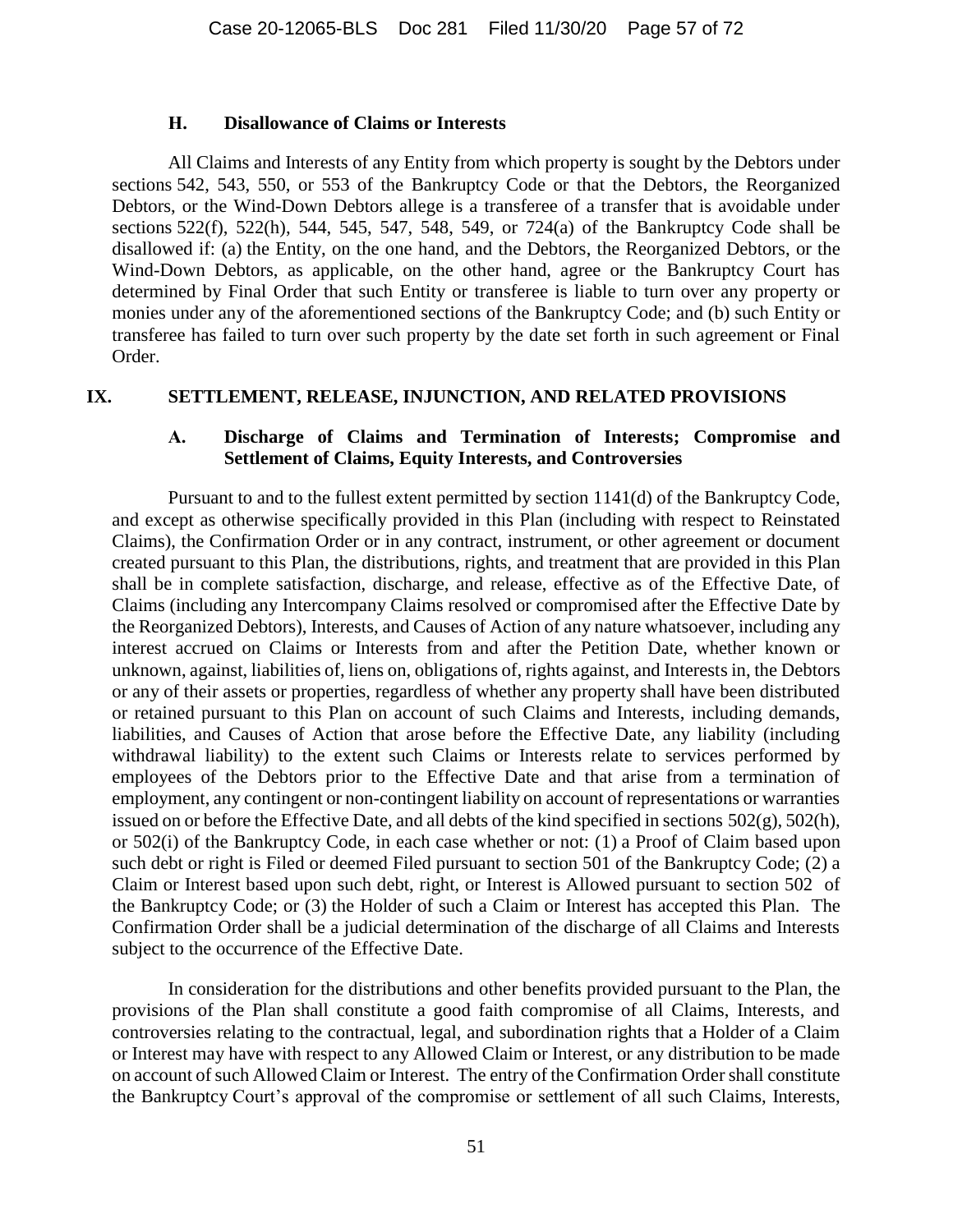#### **H. Disallowance of Claims or Interests**

All Claims and Interests of any Entity from which property is sought by the Debtors under sections 542, 543, 550, or 553 of the Bankruptcy Code or that the Debtors, the Reorganized Debtors, or the Wind-Down Debtors allege is a transferee of a transfer that is avoidable under sections 522(f), 522(h), 544, 545, 547, 548, 549, or 724(a) of the Bankruptcy Code shall be disallowed if: (a) the Entity, on the one hand, and the Debtors, the Reorganized Debtors, or the Wind-Down Debtors, as applicable, on the other hand, agree or the Bankruptcy Court has determined by Final Order that such Entity or transferee is liable to turn over any property or monies under any of the aforementioned sections of the Bankruptcy Code; and (b) such Entity or transferee has failed to turn over such property by the date set forth in such agreement or Final Order.

#### <span id="page-56-0"></span>**IX. SETTLEMENT, RELEASE, INJUNCTION, AND RELATED PROVISIONS**

#### **A. Discharge of Claims and Termination of Interests; Compromise and Settlement of Claims, Equity Interests, and Controversies**

Pursuant to and to the fullest extent permitted by section 1141(d) of the Bankruptcy Code, and except as otherwise specifically provided in this Plan (including with respect to Reinstated Claims), the Confirmation Order or in any contract, instrument, or other agreement or document created pursuant to this Plan, the distributions, rights, and treatment that are provided in this Plan shall be in complete satisfaction, discharge, and release, effective as of the Effective Date, of Claims (including any Intercompany Claims resolved or compromised after the Effective Date by the Reorganized Debtors), Interests, and Causes of Action of any nature whatsoever, including any interest accrued on Claims or Interests from and after the Petition Date, whether known or unknown, against, liabilities of, liens on, obligations of, rights against, and Interests in, the Debtors or any of their assets or properties, regardless of whether any property shall have been distributed or retained pursuant to this Plan on account of such Claims and Interests, including demands, liabilities, and Causes of Action that arose before the Effective Date, any liability (including withdrawal liability) to the extent such Claims or Interests relate to services performed by employees of the Debtors prior to the Effective Date and that arise from a termination of employment, any contingent or non-contingent liability on account of representations or warranties issued on or before the Effective Date, and all debts of the kind specified in sections 502(g), 502(h), or 502(i) of the Bankruptcy Code, in each case whether or not: (1) a Proof of Claim based upon such debt or right is Filed or deemed Filed pursuant to section 501 of the Bankruptcy Code; (2) a Claim or Interest based upon such debt, right, or Interest is Allowed pursuant to section 502 of the Bankruptcy Code; or (3) the Holder of such a Claim or Interest has accepted this Plan. The Confirmation Order shall be a judicial determination of the discharge of all Claims and Interests subject to the occurrence of the Effective Date.

In consideration for the distributions and other benefits provided pursuant to the Plan, the provisions of the Plan shall constitute a good faith compromise of all Claims, Interests, and controversies relating to the contractual, legal, and subordination rights that a Holder of a Claim or Interest may have with respect to any Allowed Claim or Interest, or any distribution to be made on account of such Allowed Claim or Interest. The entry of the Confirmation Order shall constitute the Bankruptcy Court's approval of the compromise or settlement of all such Claims, Interests,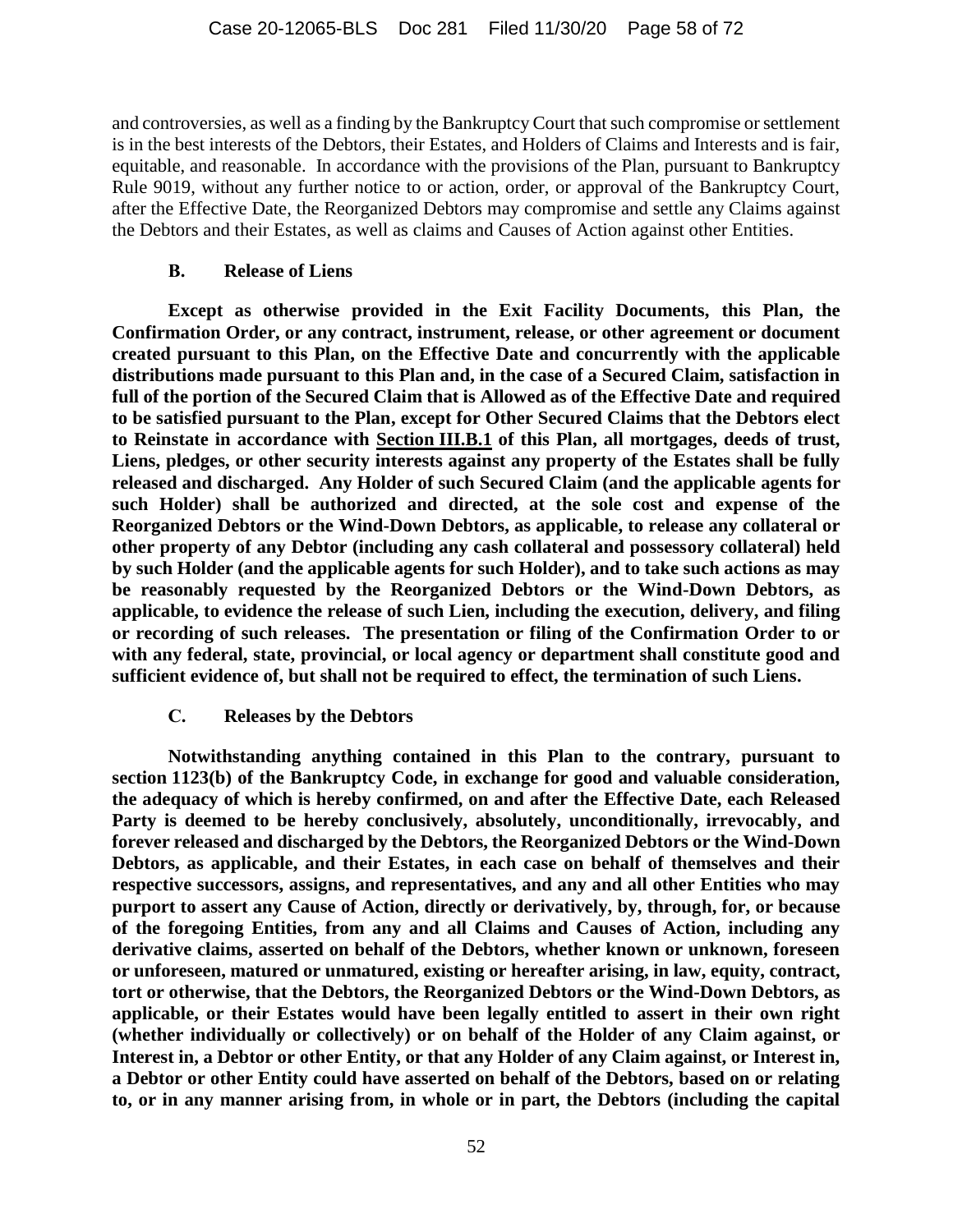and controversies, as well as a finding by the Bankruptcy Court that such compromise or settlement is in the best interests of the Debtors, their Estates, and Holders of Claims and Interests and is fair, equitable, and reasonable. In accordance with the provisions of the Plan, pursuant to Bankruptcy Rule 9019, without any further notice to or action, order, or approval of the Bankruptcy Court, after the Effective Date, the Reorganized Debtors may compromise and settle any Claims against the Debtors and their Estates, as well as claims and Causes of Action against other Entities.

### **B. Release of Liens**

**Except as otherwise provided in the Exit Facility Documents, this Plan, the Confirmation Order, or any contract, instrument, release, or other agreement or document created pursuant to this Plan, on the Effective Date and concurrently with the applicable distributions made pursuant to this Plan and, in the case of a Secured Claim, satisfaction in full of the portion of the Secured Claim that is Allowed as of the Effective Date and required to be satisfied pursuant to the Plan, except for Other Secured Claims that the Debtors elect to Reinstate in accordance with Section [III.B.1](#page-26-1) of this Plan, all mortgages, deeds of trust, Liens, pledges, or other security interests against any property of the Estates shall be fully released and discharged. Any Holder of such Secured Claim (and the applicable agents for such Holder) shall be authorized and directed, at the sole cost and expense of the Reorganized Debtors or the Wind-Down Debtors, as applicable, to release any collateral or other property of any Debtor (including any cash collateral and possessory collateral) held by such Holder (and the applicable agents for such Holder), and to take such actions as may be reasonably requested by the Reorganized Debtors or the Wind-Down Debtors, as applicable, to evidence the release of such Lien, including the execution, delivery, and filing or recording of such releases. The presentation or filing of the Confirmation Order to or with any federal, state, provincial, or local agency or department shall constitute good and sufficient evidence of, but shall not be required to effect, the termination of such Liens.**

## **C. Releases by the Debtors**

**Notwithstanding anything contained in this Plan to the contrary, pursuant to section 1123(b) of the Bankruptcy Code, in exchange for good and valuable consideration, the adequacy of which is hereby confirmed, on and after the Effective Date, each Released Party is deemed to be hereby conclusively, absolutely, unconditionally, irrevocably, and forever released and discharged by the Debtors, the Reorganized Debtors or the Wind-Down Debtors, as applicable, and their Estates, in each case on behalf of themselves and their respective successors, assigns, and representatives, and any and all other Entities who may purport to assert any Cause of Action, directly or derivatively, by, through, for, or because of the foregoing Entities, from any and all Claims and Causes of Action, including any derivative claims, asserted on behalf of the Debtors, whether known or unknown, foreseen or unforeseen, matured or unmatured, existing or hereafter arising, in law, equity, contract, tort or otherwise, that the Debtors, the Reorganized Debtors or the Wind-Down Debtors, as applicable, or their Estates would have been legally entitled to assert in their own right (whether individually or collectively) or on behalf of the Holder of any Claim against, or Interest in, a Debtor or other Entity, or that any Holder of any Claim against, or Interest in, a Debtor or other Entity could have asserted on behalf of the Debtors, based on or relating to, or in any manner arising from, in whole or in part, the Debtors (including the capital**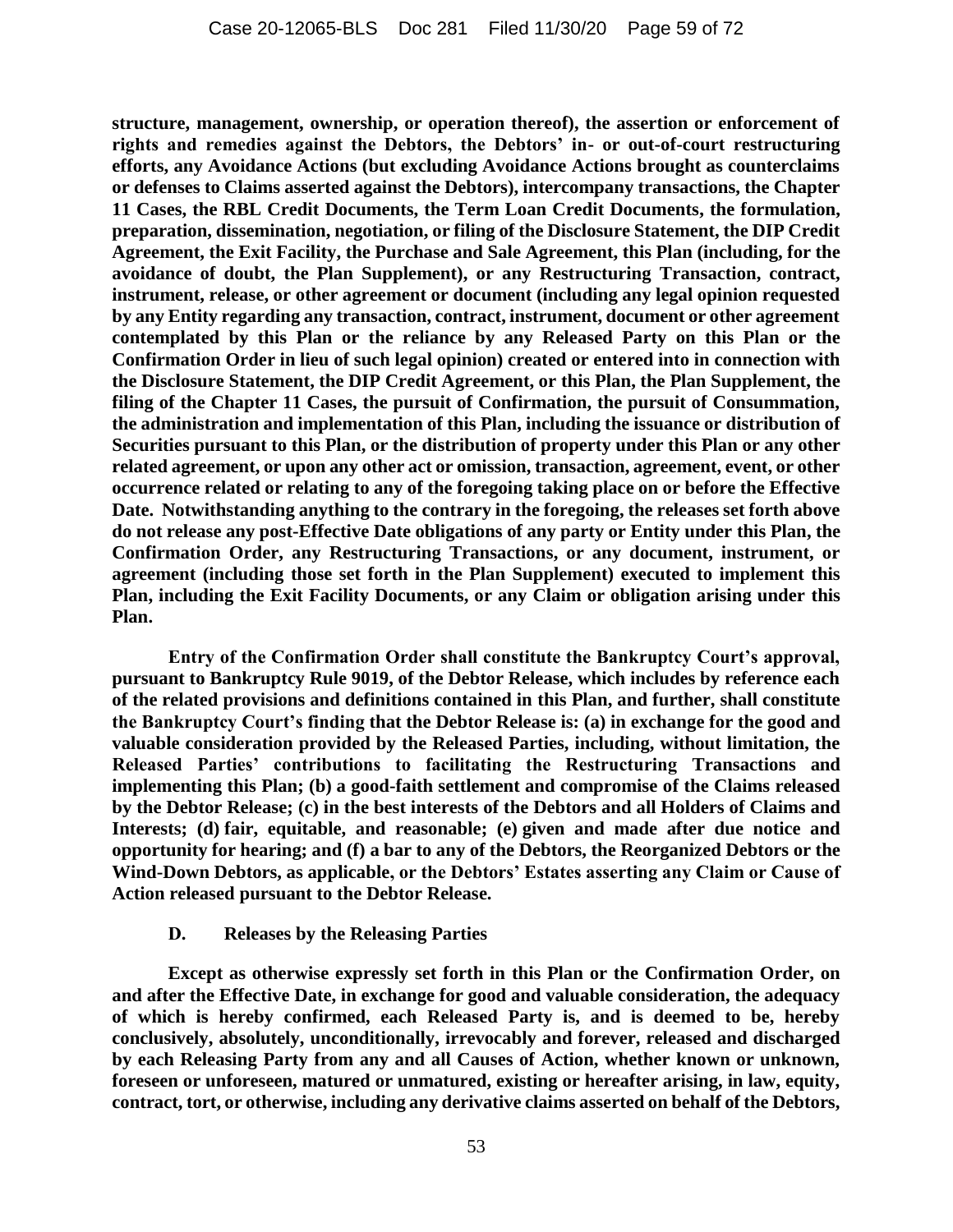**structure, management, ownership, or operation thereof), the assertion or enforcement of rights and remedies against the Debtors, the Debtors' in- or out-of-court restructuring efforts, any Avoidance Actions (but excluding Avoidance Actions brought as counterclaims or defenses to Claims asserted against the Debtors), intercompany transactions, the Chapter 11 Cases, the RBL Credit Documents, the Term Loan Credit Documents, the formulation, preparation, dissemination, negotiation, or filing of the Disclosure Statement, the DIP Credit Agreement, the Exit Facility, the Purchase and Sale Agreement, this Plan (including, for the avoidance of doubt, the Plan Supplement), or any Restructuring Transaction, contract, instrument, release, or other agreement or document (including any legal opinion requested by any Entity regarding any transaction, contract, instrument, document or other agreement contemplated by this Plan or the reliance by any Released Party on this Plan or the Confirmation Order in lieu of such legal opinion) created or entered into in connection with the Disclosure Statement, the DIP Credit Agreement, or this Plan, the Plan Supplement, the filing of the Chapter 11 Cases, the pursuit of Confirmation, the pursuit of Consummation, the administration and implementation of this Plan, including the issuance or distribution of Securities pursuant to this Plan, or the distribution of property under this Plan or any other related agreement, or upon any other act or omission, transaction, agreement, event, or other occurrence related or relating to any of the foregoing taking place on or before the Effective Date. Notwithstanding anything to the contrary in the foregoing, the releases set forth above do not release any post-Effective Date obligations of any party or Entity under this Plan, the Confirmation Order, any Restructuring Transactions, or any document, instrument, or agreement (including those set forth in the Plan Supplement) executed to implement this Plan, including the Exit Facility Documents, or any Claim or obligation arising under this Plan.**

**Entry of the Confirmation Order shall constitute the Bankruptcy Court's approval, pursuant to Bankruptcy Rule 9019, of the Debtor Release, which includes by reference each of the related provisions and definitions contained in this Plan, and further, shall constitute the Bankruptcy Court's finding that the Debtor Release is: (a) in exchange for the good and valuable consideration provided by the Released Parties, including, without limitation, the Released Parties' contributions to facilitating the Restructuring Transactions and implementing this Plan; (b) a good-faith settlement and compromise of the Claims released by the Debtor Release; (c) in the best interests of the Debtors and all Holders of Claims and Interests; (d) fair, equitable, and reasonable; (e) given and made after due notice and opportunity for hearing; and (f) a bar to any of the Debtors, the Reorganized Debtors or the Wind-Down Debtors, as applicable, or the Debtors' Estates asserting any Claim or Cause of Action released pursuant to the Debtor Release.**

#### **D. Releases by the Releasing Parties**

**Except as otherwise expressly set forth in this Plan or the Confirmation Order, on and after the Effective Date, in exchange for good and valuable consideration, the adequacy of which is hereby confirmed, each Released Party is, and is deemed to be, hereby conclusively, absolutely, unconditionally, irrevocably and forever, released and discharged by each Releasing Party from any and all Causes of Action, whether known or unknown, foreseen or unforeseen, matured or unmatured, existing or hereafter arising, in law, equity, contract, tort, or otherwise, including any derivative claims asserted on behalf of the Debtors,**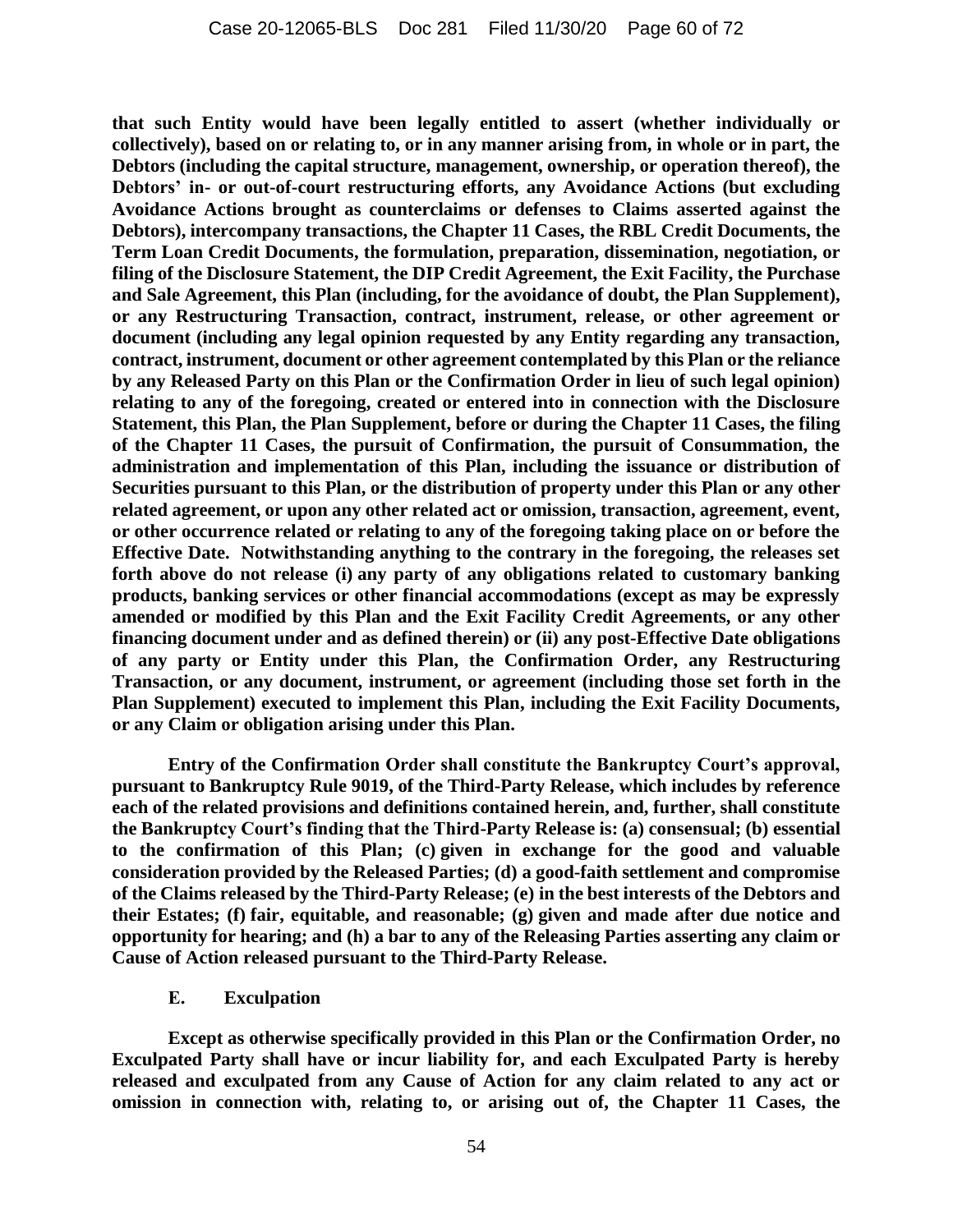**that such Entity would have been legally entitled to assert (whether individually or collectively), based on or relating to, or in any manner arising from, in whole or in part, the Debtors (including the capital structure, management, ownership, or operation thereof), the Debtors' in- or out-of-court restructuring efforts, any Avoidance Actions (but excluding Avoidance Actions brought as counterclaims or defenses to Claims asserted against the Debtors), intercompany transactions, the Chapter 11 Cases, the RBL Credit Documents, the Term Loan Credit Documents, the formulation, preparation, dissemination, negotiation, or filing of the Disclosure Statement, the DIP Credit Agreement, the Exit Facility, the Purchase and Sale Agreement, this Plan (including, for the avoidance of doubt, the Plan Supplement), or any Restructuring Transaction, contract, instrument, release, or other agreement or document (including any legal opinion requested by any Entity regarding any transaction, contract, instrument, document or other agreement contemplated by this Plan or the reliance by any Released Party on this Plan or the Confirmation Order in lieu of such legal opinion) relating to any of the foregoing, created or entered into in connection with the Disclosure Statement, this Plan, the Plan Supplement, before or during the Chapter 11 Cases, the filing of the Chapter 11 Cases, the pursuit of Confirmation, the pursuit of Consummation, the administration and implementation of this Plan, including the issuance or distribution of Securities pursuant to this Plan, or the distribution of property under this Plan or any other related agreement, or upon any other related act or omission, transaction, agreement, event, or other occurrence related or relating to any of the foregoing taking place on or before the Effective Date. Notwithstanding anything to the contrary in the foregoing, the releases set forth above do not release (i) any party of any obligations related to customary banking products, banking services or other financial accommodations (except as may be expressly amended or modified by this Plan and the Exit Facility Credit Agreements, or any other financing document under and as defined therein) or (ii) any post-Effective Date obligations of any party or Entity under this Plan, the Confirmation Order, any Restructuring Transaction, or any document, instrument, or agreement (including those set forth in the Plan Supplement) executed to implement this Plan, including the Exit Facility Documents, or any Claim or obligation arising under this Plan.**

**Entry of the Confirmation Order shall constitute the Bankruptcy Court's approval, pursuant to Bankruptcy Rule 9019, of the Third-Party Release, which includes by reference each of the related provisions and definitions contained herein, and, further, shall constitute the Bankruptcy Court's finding that the Third-Party Release is: (a) consensual; (b) essential to the confirmation of this Plan; (c) given in exchange for the good and valuable consideration provided by the Released Parties; (d) a good-faith settlement and compromise of the Claims released by the Third-Party Release; (e) in the best interests of the Debtors and their Estates; (f) fair, equitable, and reasonable; (g) given and made after due notice and opportunity for hearing; and (h) a bar to any of the Releasing Parties asserting any claim or Cause of Action released pursuant to the Third-Party Release.**

**E. Exculpation**

**Except as otherwise specifically provided in this Plan or the Confirmation Order, no Exculpated Party shall have or incur liability for, and each Exculpated Party is hereby released and exculpated from any Cause of Action for any claim related to any act or omission in connection with, relating to, or arising out of, the Chapter 11 Cases, the**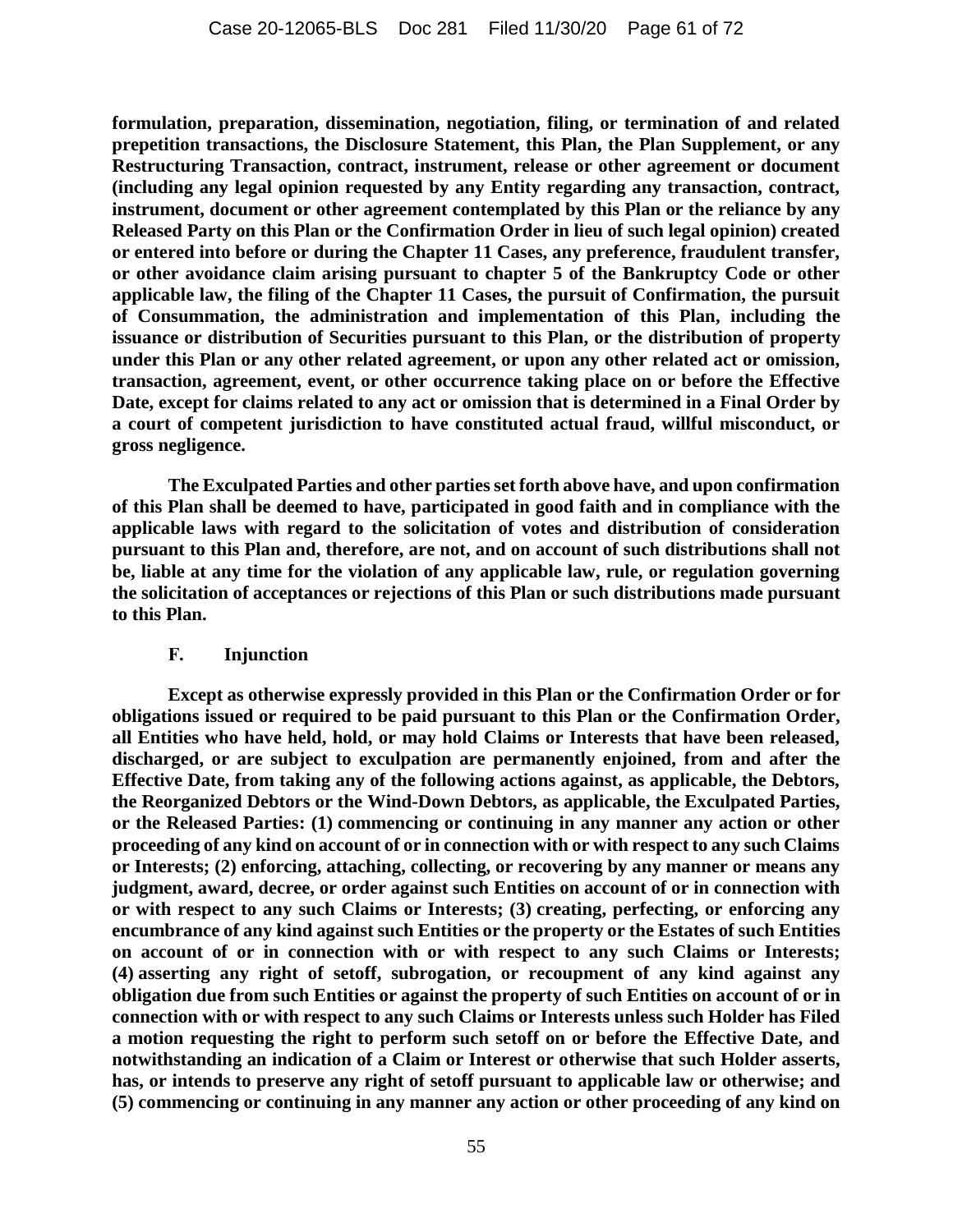**formulation, preparation, dissemination, negotiation, filing, or termination of and related prepetition transactions, the Disclosure Statement, this Plan, the Plan Supplement, or any Restructuring Transaction, contract, instrument, release or other agreement or document (including any legal opinion requested by any Entity regarding any transaction, contract, instrument, document or other agreement contemplated by this Plan or the reliance by any Released Party on this Plan or the Confirmation Order in lieu of such legal opinion) created or entered into before or during the Chapter 11 Cases, any preference, fraudulent transfer, or other avoidance claim arising pursuant to chapter 5 of the Bankruptcy Code or other applicable law, the filing of the Chapter 11 Cases, the pursuit of Confirmation, the pursuit of Consummation, the administration and implementation of this Plan, including the issuance or distribution of Securities pursuant to this Plan, or the distribution of property under this Plan or any other related agreement, or upon any other related act or omission, transaction, agreement, event, or other occurrence taking place on or before the Effective Date, except for claims related to any act or omission that is determined in a Final Order by a court of competent jurisdiction to have constituted actual fraud, willful misconduct, or gross negligence.**

**The Exculpated Parties and other parties set forth above have, and upon confirmation of this Plan shall be deemed to have, participated in good faith and in compliance with the applicable laws with regard to the solicitation of votes and distribution of consideration pursuant to this Plan and, therefore, are not, and on account of such distributions shall not be, liable at any time for the violation of any applicable law, rule, or regulation governing the solicitation of acceptances or rejections of this Plan or such distributions made pursuant to this Plan.**

#### **F. Injunction**

**Except as otherwise expressly provided in this Plan or the Confirmation Order or for obligations issued or required to be paid pursuant to this Plan or the Confirmation Order, all Entities who have held, hold, or may hold Claims or Interests that have been released, discharged, or are subject to exculpation are permanently enjoined, from and after the Effective Date, from taking any of the following actions against, as applicable, the Debtors, the Reorganized Debtors or the Wind-Down Debtors, as applicable, the Exculpated Parties, or the Released Parties: (1) commencing or continuing in any manner any action or other proceeding of any kind on account of or in connection with or with respect to any such Claims or Interests; (2) enforcing, attaching, collecting, or recovering by any manner or means any judgment, award, decree, or order against such Entities on account of or in connection with or with respect to any such Claims or Interests; (3) creating, perfecting, or enforcing any encumbrance of any kind against such Entities or the property or the Estates of such Entities on account of or in connection with or with respect to any such Claims or Interests; (4) asserting any right of setoff, subrogation, or recoupment of any kind against any obligation due from such Entities or against the property of such Entities on account of or in connection with or with respect to any such Claims or Interests unless such Holder has Filed a motion requesting the right to perform such setoff on or before the Effective Date, and notwithstanding an indication of a Claim or Interest or otherwise that such Holder asserts, has, or intends to preserve any right of setoff pursuant to applicable law or otherwise; and (5) commencing or continuing in any manner any action or other proceeding of any kind on**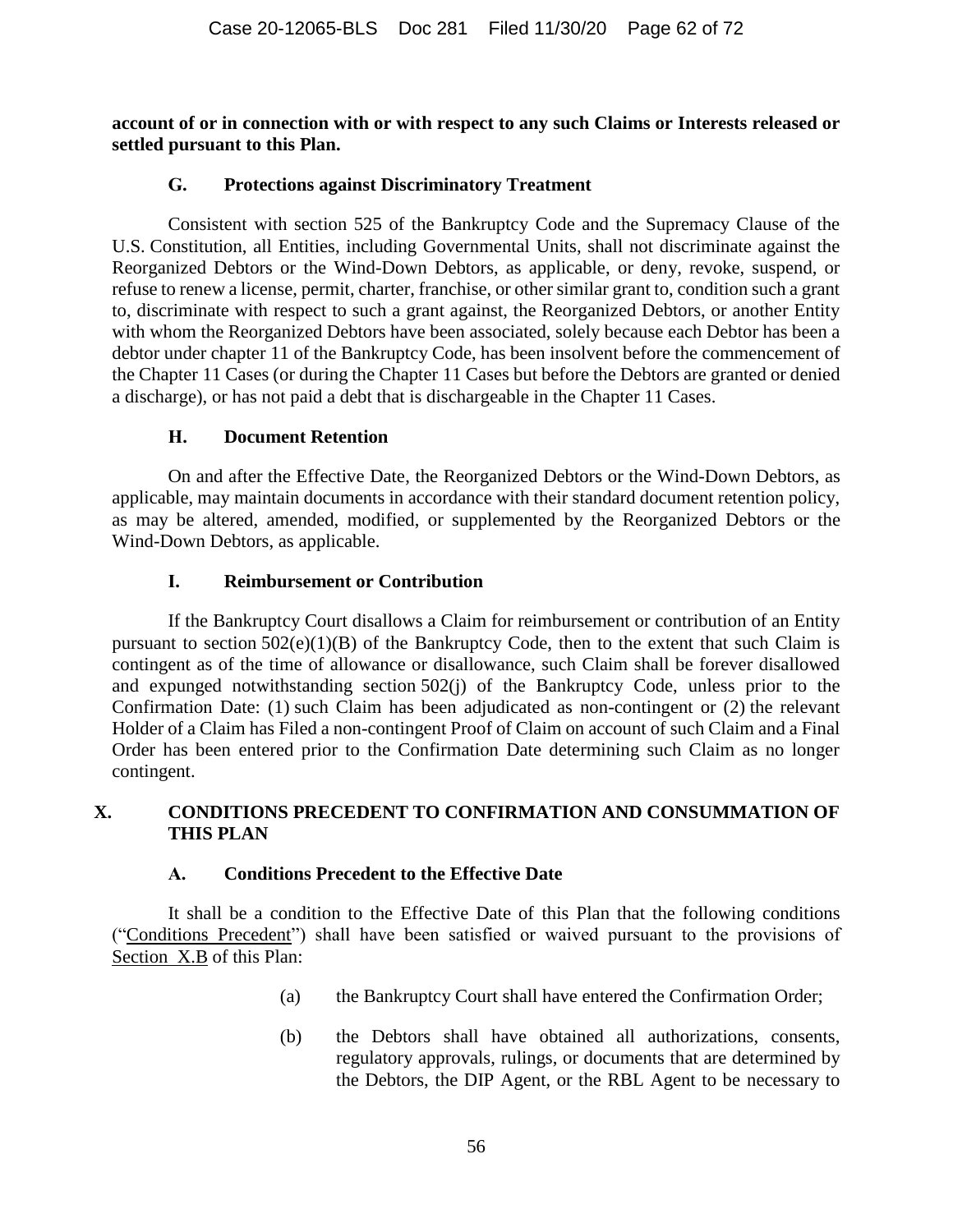**account of or in connection with or with respect to any such Claims or Interests released or settled pursuant to this Plan.**

### **G. Protections against Discriminatory Treatment**

Consistent with section 525 of the Bankruptcy Code and the Supremacy Clause of the U.S. Constitution, all Entities, including Governmental Units, shall not discriminate against the Reorganized Debtors or the Wind-Down Debtors, as applicable, or deny, revoke, suspend, or refuse to renew a license, permit, charter, franchise, or other similar grant to, condition such a grant to, discriminate with respect to such a grant against, the Reorganized Debtors, or another Entity with whom the Reorganized Debtors have been associated, solely because each Debtor has been a debtor under chapter 11 of the Bankruptcy Code, has been insolvent before the commencement of the Chapter 11 Cases (or during the Chapter 11 Cases but before the Debtors are granted or denied a discharge), or has not paid a debt that is dischargeable in the Chapter 11 Cases.

## **H. Document Retention**

On and after the Effective Date, the Reorganized Debtors or the Wind-Down Debtors, as applicable, may maintain documents in accordance with their standard document retention policy, as may be altered, amended, modified, or supplemented by the Reorganized Debtors or the Wind-Down Debtors, as applicable.

## **I. Reimbursement or Contribution**

If the Bankruptcy Court disallows a Claim for reimbursement or contribution of an Entity pursuant to section 502(e)(1)(B) of the Bankruptcy Code, then to the extent that such Claim is contingent as of the time of allowance or disallowance, such Claim shall be forever disallowed and expunged notwithstanding section 502(j) of the Bankruptcy Code, unless prior to the Confirmation Date: (1) such Claim has been adjudicated as non-contingent or (2) the relevant Holder of a Claim has Filed a non-contingent Proof of Claim on account of such Claim and a Final Order has been entered prior to the Confirmation Date determining such Claim as no longer contingent.

## **X. CONDITIONS PRECEDENT TO CONFIRMATION AND CONSUMMATION OF THIS PLAN**

#### **A. Conditions Precedent to the Effective Date**

<span id="page-61-1"></span><span id="page-61-0"></span>It shall be a condition to the Effective Date of this Plan that the following conditions ("Conditions Precedent") shall have been satisfied or waived pursuant to the provisions of Section [X.B](#page-62-0) of this Plan:

- (a) the Bankruptcy Court shall have entered the Confirmation Order;
- (b) the Debtors shall have obtained all authorizations, consents, regulatory approvals, rulings, or documents that are determined by the Debtors, the DIP Agent, or the RBL Agent to be necessary to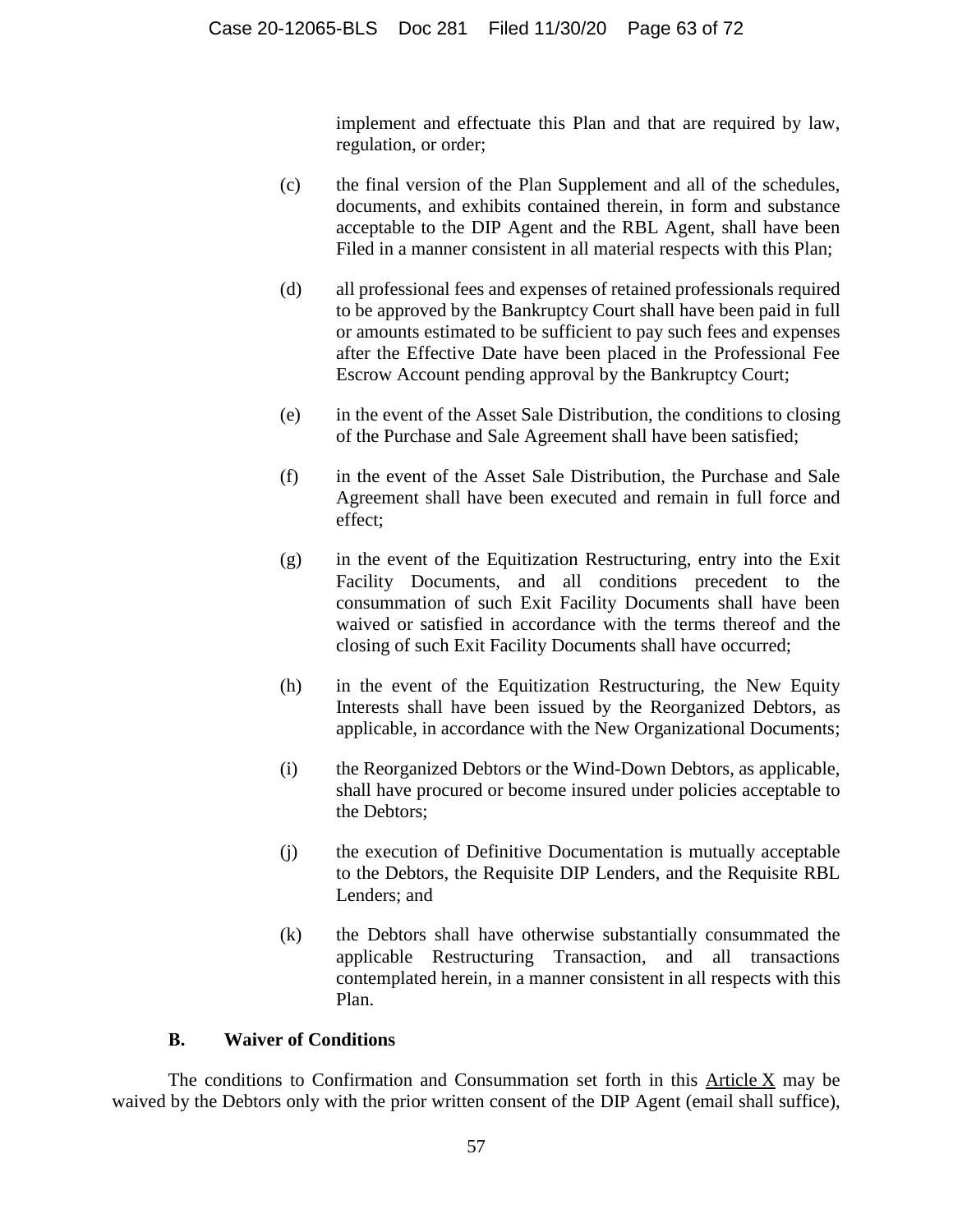implement and effectuate this Plan and that are required by law, regulation, or order;

- (c) the final version of the Plan Supplement and all of the schedules, documents, and exhibits contained therein, in form and substance acceptable to the DIP Agent and the RBL Agent, shall have been Filed in a manner consistent in all material respects with this Plan;
- (d) all professional fees and expenses of retained professionals required to be approved by the Bankruptcy Court shall have been paid in full or amounts estimated to be sufficient to pay such fees and expenses after the Effective Date have been placed in the Professional Fee Escrow Account pending approval by the Bankruptcy Court;
- (e) in the event of the Asset Sale Distribution, the conditions to closing of the Purchase and Sale Agreement shall have been satisfied;
- (f) in the event of the Asset Sale Distribution, the Purchase and Sale Agreement shall have been executed and remain in full force and effect;
- (g) in the event of the Equitization Restructuring, entry into the Exit Facility Documents, and all conditions precedent to the consummation of such Exit Facility Documents shall have been waived or satisfied in accordance with the terms thereof and the closing of such Exit Facility Documents shall have occurred;
- (h) in the event of the Equitization Restructuring, the New Equity Interests shall have been issued by the Reorganized Debtors, as applicable, in accordance with the New Organizational Documents;
- (i) the Reorganized Debtors or the Wind-Down Debtors, as applicable, shall have procured or become insured under policies acceptable to the Debtors;
- (j) the execution of Definitive Documentation is mutually acceptable to the Debtors, the Requisite DIP Lenders, and the Requisite RBL Lenders; and
- (k) the Debtors shall have otherwise substantially consummated the applicable Restructuring Transaction, and all transactions contemplated herein, in a manner consistent in all respects with this Plan.

## **B. Waiver of Conditions**

<span id="page-62-0"></span>The conditions to Confirmation and Consummation set forth in this Article X may be waived by the Debtors only with the prior written consent of the DIP Agent (email shall suffice),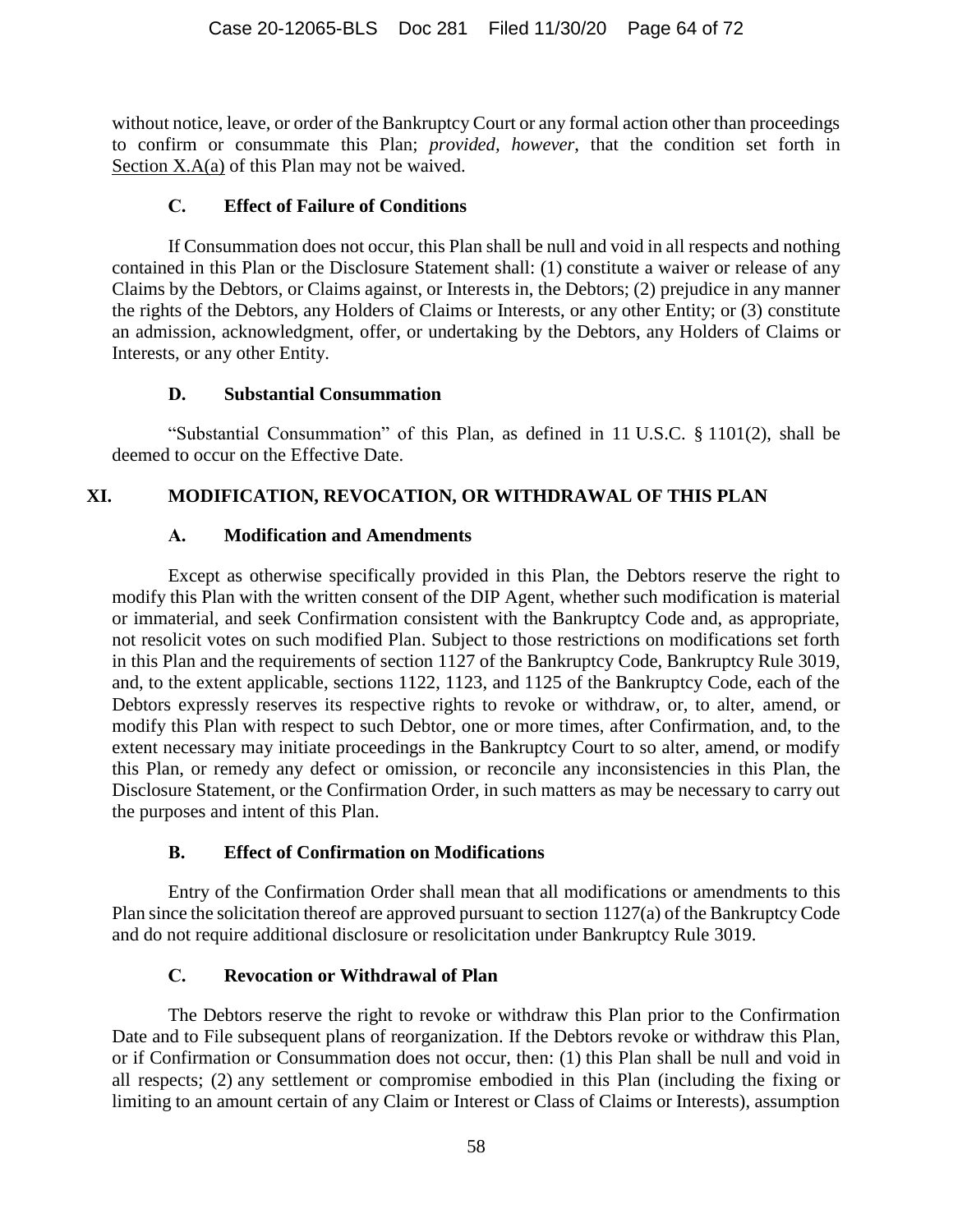without notice, leave, or order of the Bankruptcy Court or any formal action other than proceedings to confirm or consummate this Plan; *provided, however*, that the condition set forth in Section [X.A\(a\)](#page-61-0) of this Plan may not be waived.

### **C. Effect of Failure of Conditions**

If Consummation does not occur, this Plan shall be null and void in all respects and nothing contained in this Plan or the Disclosure Statement shall: (1) constitute a waiver or release of any Claims by the Debtors, or Claims against, or Interests in, the Debtors; (2) prejudice in any manner the rights of the Debtors, any Holders of Claims or Interests, or any other Entity; or (3) constitute an admission, acknowledgment, offer, or undertaking by the Debtors, any Holders of Claims or Interests, or any other Entity.

### **D. Substantial Consummation**

"Substantial Consummation" of this Plan, as defined in 11 U.S.C. § 1101(2), shall be deemed to occur on the Effective Date.

## **XI. MODIFICATION, REVOCATION, OR WITHDRAWAL OF THIS PLAN**

## **A. Modification and Amendments**

Except as otherwise specifically provided in this Plan, the Debtors reserve the right to modify this Plan with the written consent of the DIP Agent, whether such modification is material or immaterial, and seek Confirmation consistent with the Bankruptcy Code and, as appropriate, not resolicit votes on such modified Plan. Subject to those restrictions on modifications set forth in this Plan and the requirements of section 1127 of the Bankruptcy Code, Bankruptcy Rule 3019, and, to the extent applicable, sections 1122, 1123, and 1125 of the Bankruptcy Code, each of the Debtors expressly reserves its respective rights to revoke or withdraw, or, to alter, amend, or modify this Plan with respect to such Debtor, one or more times, after Confirmation, and, to the extent necessary may initiate proceedings in the Bankruptcy Court to so alter, amend, or modify this Plan, or remedy any defect or omission, or reconcile any inconsistencies in this Plan, the Disclosure Statement, or the Confirmation Order, in such matters as may be necessary to carry out the purposes and intent of this Plan.

## **B. Effect of Confirmation on Modifications**

Entry of the Confirmation Order shall mean that all modifications or amendments to this Plan since the solicitation thereof are approved pursuant to section 1127(a) of the Bankruptcy Code and do not require additional disclosure or resolicitation under Bankruptcy Rule 3019.

## **C. Revocation or Withdrawal of Plan**

The Debtors reserve the right to revoke or withdraw this Plan prior to the Confirmation Date and to File subsequent plans of reorganization. If the Debtors revoke or withdraw this Plan, or if Confirmation or Consummation does not occur, then: (1) this Plan shall be null and void in all respects; (2) any settlement or compromise embodied in this Plan (including the fixing or limiting to an amount certain of any Claim or Interest or Class of Claims or Interests), assumption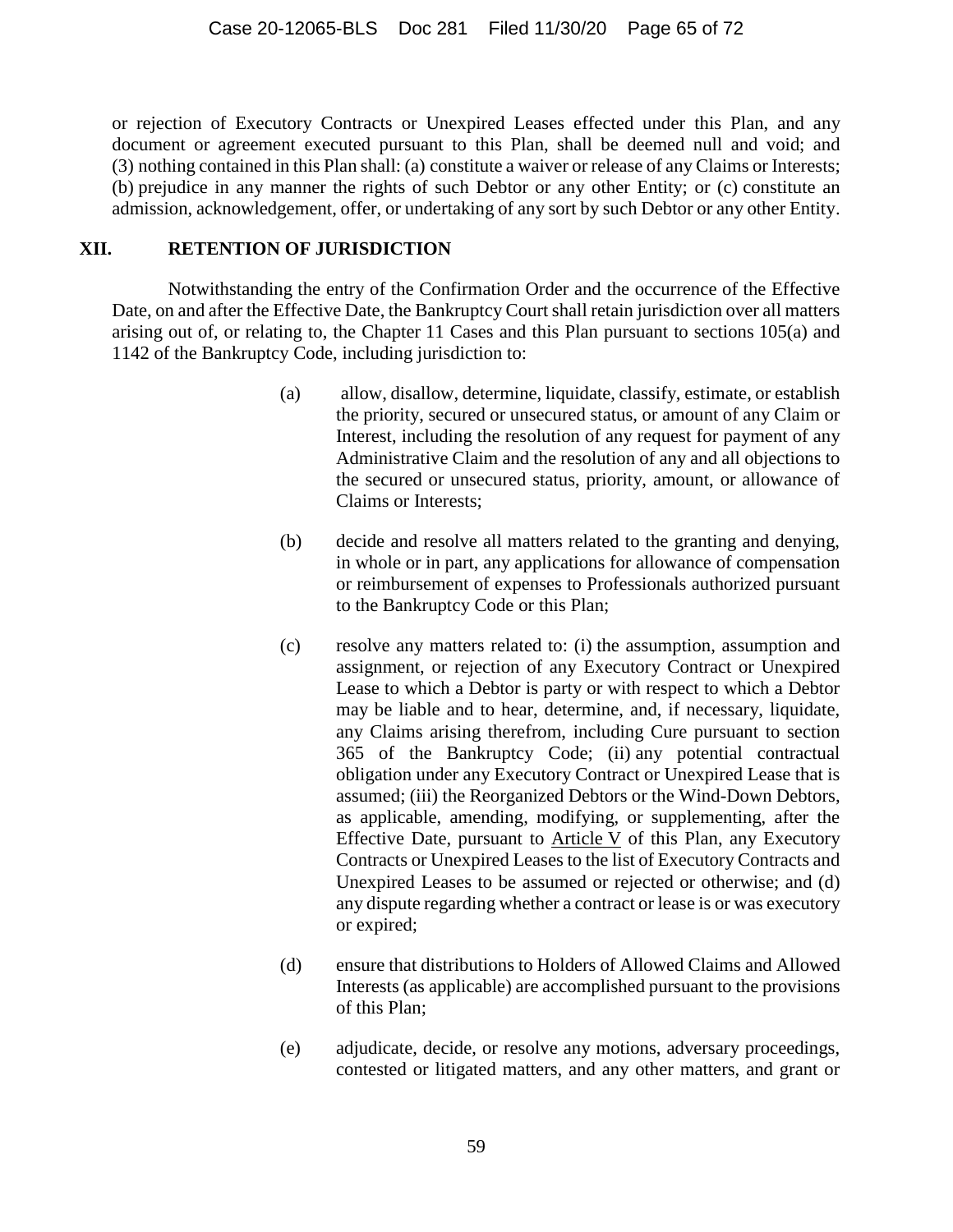or rejection of Executory Contracts or Unexpired Leases effected under this Plan, and any document or agreement executed pursuant to this Plan, shall be deemed null and void; and (3) nothing contained in this Plan shall: (a) constitute a waiver or release of any Claims or Interests; (b) prejudice in any manner the rights of such Debtor or any other Entity; or (c) constitute an admission, acknowledgement, offer, or undertaking of any sort by such Debtor or any other Entity.

### <span id="page-64-0"></span>**XII. RETENTION OF JURISDICTION**

Notwithstanding the entry of the Confirmation Order and the occurrence of the Effective Date, on and after the Effective Date, the Bankruptcy Court shall retain jurisdiction over all matters arising out of, or relating to, the Chapter 11 Cases and this Plan pursuant to sections 105(a) and 1142 of the Bankruptcy Code, including jurisdiction to:

- (a) allow, disallow, determine, liquidate, classify, estimate, or establish the priority, secured or unsecured status, or amount of any Claim or Interest, including the resolution of any request for payment of any Administrative Claim and the resolution of any and all objections to the secured or unsecured status, priority, amount, or allowance of Claims or Interests;
- (b) decide and resolve all matters related to the granting and denying, in whole or in part, any applications for allowance of compensation or reimbursement of expenses to Professionals authorized pursuant to the Bankruptcy Code or this Plan;
- (c) resolve any matters related to: (i) the assumption, assumption and assignment, or rejection of any Executory Contract or Unexpired Lease to which a Debtor is party or with respect to which a Debtor may be liable and to hear, determine, and, if necessary, liquidate, any Claims arising therefrom, including Cure pursuant to section 365 of the Bankruptcy Code; (ii) any potential contractual obligation under any Executory Contract or Unexpired Lease that is assumed; (iii) the Reorganized Debtors or the Wind-Down Debtors, as applicable, amending, modifying, or supplementing, after the Effective Date, pursuant to Article [V](#page-43-0) of this Plan, any Executory Contracts or Unexpired Leases to the list of Executory Contracts and Unexpired Leases to be assumed or rejected or otherwise; and (d) any dispute regarding whether a contract or lease is or was executory or expired;
- (d) ensure that distributions to Holders of Allowed Claims and Allowed Interests (as applicable) are accomplished pursuant to the provisions of this Plan;
- (e) adjudicate, decide, or resolve any motions, adversary proceedings, contested or litigated matters, and any other matters, and grant or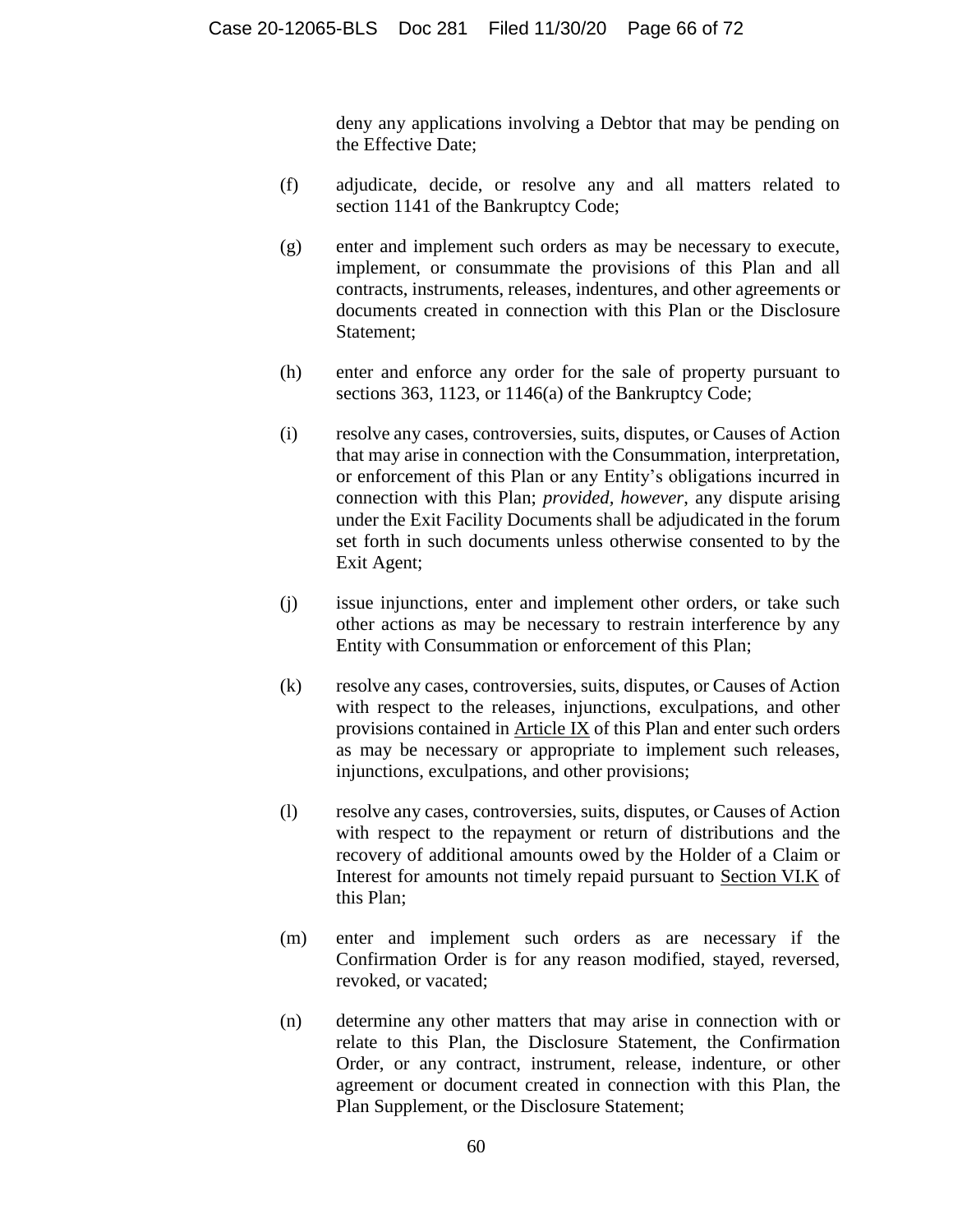deny any applications involving a Debtor that may be pending on the Effective Date;

- (f) adjudicate, decide, or resolve any and all matters related to section 1141 of the Bankruptcy Code;
- (g) enter and implement such orders as may be necessary to execute, implement, or consummate the provisions of this Plan and all contracts, instruments, releases, indentures, and other agreements or documents created in connection with this Plan or the Disclosure Statement;
- (h) enter and enforce any order for the sale of property pursuant to sections 363, 1123, or 1146(a) of the Bankruptcy Code;
- (i) resolve any cases, controversies, suits, disputes, or Causes of Action that may arise in connection with the Consummation, interpretation, or enforcement of this Plan or any Entity's obligations incurred in connection with this Plan; *provided, however*, any dispute arising under the Exit Facility Documents shall be adjudicated in the forum set forth in such documents unless otherwise consented to by the Exit Agent;
- (j) issue injunctions, enter and implement other orders, or take such other actions as may be necessary to restrain interference by any Entity with Consummation or enforcement of this Plan;
- (k) resolve any cases, controversies, suits, disputes, or Causes of Action with respect to the releases, injunctions, exculpations, and other provisions contained in Article [IX](#page-56-0) of this Plan and enter such orders as may be necessary or appropriate to implement such releases, injunctions, exculpations, and other provisions;
- (l) resolve any cases, controversies, suits, disputes, or Causes of Action with respect to the repayment or return of distributions and the recovery of additional amounts owed by the Holder of a Claim or Interest for amounts not timely repaid pursuant to Section [VI.K](#page-51-1) of this Plan;
- (m) enter and implement such orders as are necessary if the Confirmation Order is for any reason modified, stayed, reversed, revoked, or vacated;
- (n) determine any other matters that may arise in connection with or relate to this Plan, the Disclosure Statement, the Confirmation Order, or any contract, instrument, release, indenture, or other agreement or document created in connection with this Plan, the Plan Supplement, or the Disclosure Statement;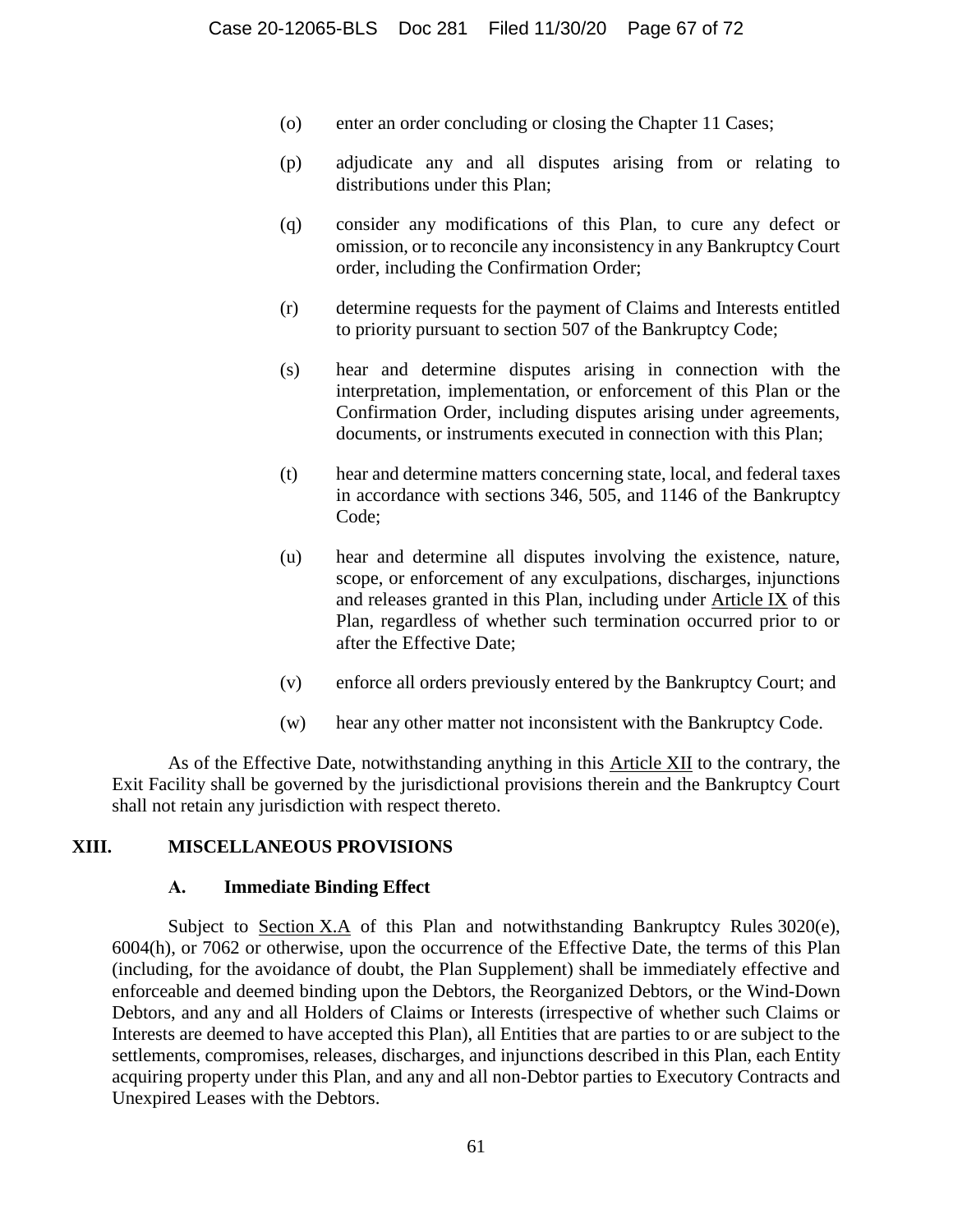- (o) enter an order concluding or closing the Chapter 11 Cases;
- (p) adjudicate any and all disputes arising from or relating to distributions under this Plan;
- (q) consider any modifications of this Plan, to cure any defect or omission, or to reconcile any inconsistency in any Bankruptcy Court order, including the Confirmation Order;
- (r) determine requests for the payment of Claims and Interests entitled to priority pursuant to section 507 of the Bankruptcy Code;
- (s) hear and determine disputes arising in connection with the interpretation, implementation, or enforcement of this Plan or the Confirmation Order, including disputes arising under agreements, documents, or instruments executed in connection with this Plan;
- (t) hear and determine matters concerning state, local, and federal taxes in accordance with sections 346, 505, and 1146 of the Bankruptcy Code;
- (u) hear and determine all disputes involving the existence, nature, scope, or enforcement of any exculpations, discharges, injunctions and releases granted in this Plan, including under Article [IX](#page-56-0) of this Plan, regardless of whether such termination occurred prior to or after the Effective Date;
- (v) enforce all orders previously entered by the Bankruptcy Court; and
- (w) hear any other matter not inconsistent with the Bankruptcy Code.

As of the Effective Date, notwithstanding anything in this Article [XII](#page-64-0) to the contrary, the Exit Facility shall be governed by the jurisdictional provisions therein and the Bankruptcy Court shall not retain any jurisdiction with respect thereto.

#### **XIII. MISCELLANEOUS PROVISIONS**

#### **A. Immediate Binding Effect**

Subject to Section [X.A](#page-61-1) of this Plan and notwithstanding Bankruptcy Rules 3020(e), 6004(h), or 7062 or otherwise, upon the occurrence of the Effective Date, the terms of this Plan (including, for the avoidance of doubt, the Plan Supplement) shall be immediately effective and enforceable and deemed binding upon the Debtors, the Reorganized Debtors, or the Wind-Down Debtors, and any and all Holders of Claims or Interests (irrespective of whether such Claims or Interests are deemed to have accepted this Plan), all Entities that are parties to or are subject to the settlements, compromises, releases, discharges, and injunctions described in this Plan, each Entity acquiring property under this Plan, and any and all non-Debtor parties to Executory Contracts and Unexpired Leases with the Debtors.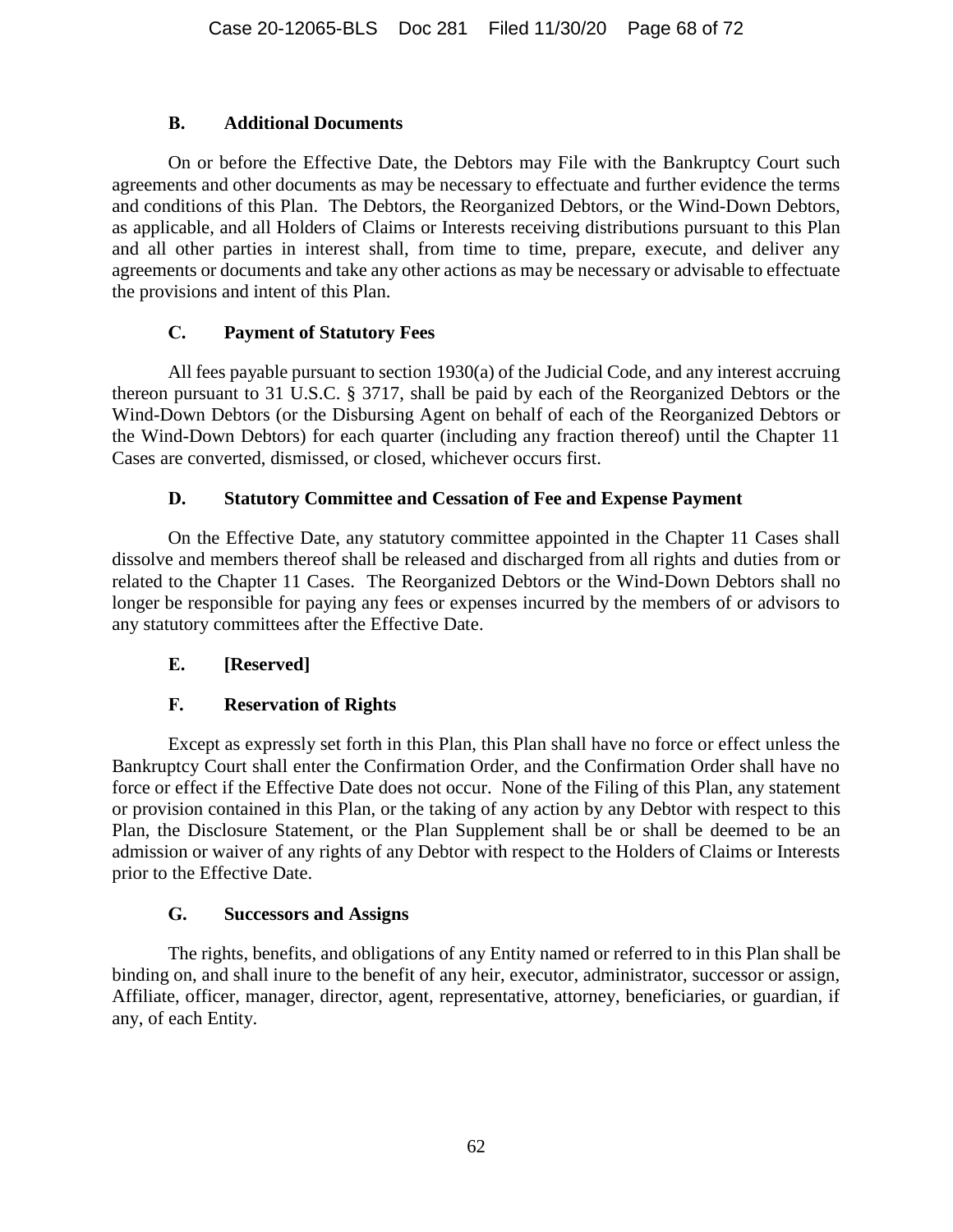### **B. Additional Documents**

On or before the Effective Date, the Debtors may File with the Bankruptcy Court such agreements and other documents as may be necessary to effectuate and further evidence the terms and conditions of this Plan. The Debtors, the Reorganized Debtors, or the Wind-Down Debtors, as applicable, and all Holders of Claims or Interests receiving distributions pursuant to this Plan and all other parties in interest shall, from time to time, prepare, execute, and deliver any agreements or documents and take any other actions as may be necessary or advisable to effectuate the provisions and intent of this Plan.

## **C. Payment of Statutory Fees**

All fees payable pursuant to section 1930(a) of the Judicial Code, and any interest accruing thereon pursuant to 31 U.S.C. § 3717, shall be paid by each of the Reorganized Debtors or the Wind-Down Debtors (or the Disbursing Agent on behalf of each of the Reorganized Debtors or the Wind-Down Debtors) for each quarter (including any fraction thereof) until the Chapter 11 Cases are converted, dismissed, or closed, whichever occurs first.

## **D. Statutory Committee and Cessation of Fee and Expense Payment**

On the Effective Date, any statutory committee appointed in the Chapter 11 Cases shall dissolve and members thereof shall be released and discharged from all rights and duties from or related to the Chapter 11 Cases. The Reorganized Debtors or the Wind-Down Debtors shall no longer be responsible for paying any fees or expenses incurred by the members of or advisors to any statutory committees after the Effective Date.

## **E. [Reserved]**

## **F. Reservation of Rights**

Except as expressly set forth in this Plan, this Plan shall have no force or effect unless the Bankruptcy Court shall enter the Confirmation Order, and the Confirmation Order shall have no force or effect if the Effective Date does not occur. None of the Filing of this Plan, any statement or provision contained in this Plan, or the taking of any action by any Debtor with respect to this Plan, the Disclosure Statement, or the Plan Supplement shall be or shall be deemed to be an admission or waiver of any rights of any Debtor with respect to the Holders of Claims or Interests prior to the Effective Date.

#### **G. Successors and Assigns**

The rights, benefits, and obligations of any Entity named or referred to in this Plan shall be binding on, and shall inure to the benefit of any heir, executor, administrator, successor or assign, Affiliate, officer, manager, director, agent, representative, attorney, beneficiaries, or guardian, if any, of each Entity.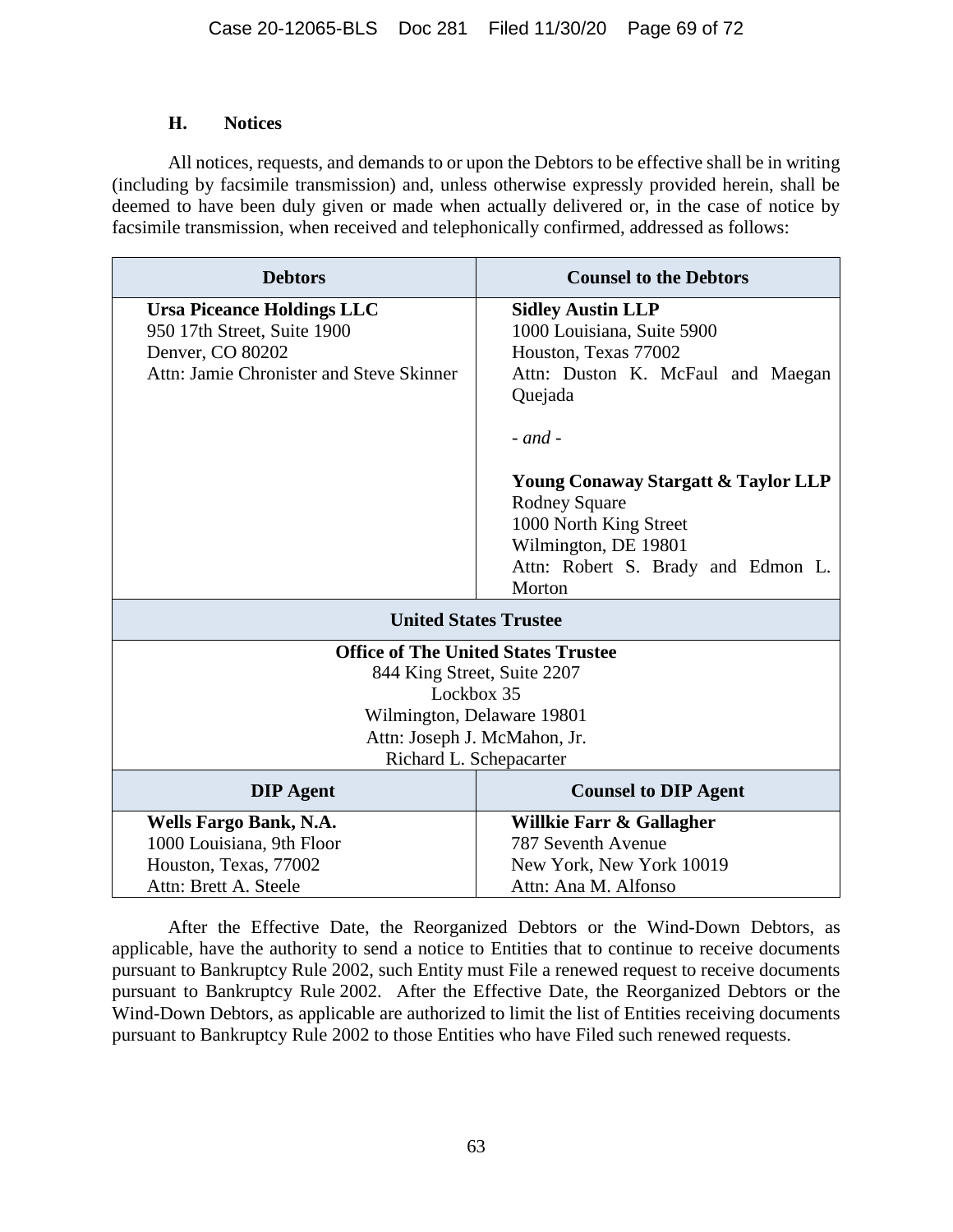#### **H. Notices**

All notices, requests, and demands to or upon the Debtors to be effective shall be in writing (including by facsimile transmission) and, unless otherwise expressly provided herein, shall be deemed to have been duly given or made when actually delivered or, in the case of notice by facsimile transmission, when received and telephonically confirmed, addressed as follows:

| <b>Debtors</b>                             | <b>Counsel to the Debtors</b>                  |
|--------------------------------------------|------------------------------------------------|
| <b>Ursa Piceance Holdings LLC</b>          | <b>Sidley Austin LLP</b>                       |
| 950 17th Street, Suite 1900                | 1000 Louisiana, Suite 5900                     |
| Denver, CO 80202                           | Houston, Texas 77002                           |
| Attn: Jamie Chronister and Steve Skinner   | Attn: Duston K. McFaul and Maegan              |
|                                            | Quejada                                        |
|                                            |                                                |
|                                            | $-$ and $-$                                    |
|                                            | <b>Young Conaway Stargatt &amp; Taylor LLP</b> |
|                                            | <b>Rodney Square</b>                           |
|                                            | 1000 North King Street                         |
|                                            | Wilmington, DE 19801                           |
|                                            | Attn: Robert S. Brady and Edmon L.             |
|                                            | Morton                                         |
| <b>United States Trustee</b>               |                                                |
| <b>Office of The United States Trustee</b> |                                                |
| 844 King Street, Suite 2207                |                                                |
| Lockbox 35                                 |                                                |
| Wilmington, Delaware 19801                 |                                                |
| Attn: Joseph J. McMahon, Jr.               |                                                |
| Richard L. Schepacarter                    |                                                |
| <b>DIP</b> Agent                           | <b>Counsel to DIP Agent</b>                    |
| Wells Fargo Bank, N.A.                     | Willkie Farr & Gallagher                       |
| 1000 Louisiana, 9th Floor                  | 787 Seventh Avenue                             |
| Houston, Texas, 77002                      | New York, New York 10019                       |
| Attn: Brett A. Steele                      | Attn: Ana M. Alfonso                           |

After the Effective Date, the Reorganized Debtors or the Wind-Down Debtors, as applicable, have the authority to send a notice to Entities that to continue to receive documents pursuant to Bankruptcy Rule 2002, such Entity must File a renewed request to receive documents pursuant to Bankruptcy Rule 2002. After the Effective Date, the Reorganized Debtors or the Wind-Down Debtors, as applicable are authorized to limit the list of Entities receiving documents pursuant to Bankruptcy Rule 2002 to those Entities who have Filed such renewed requests.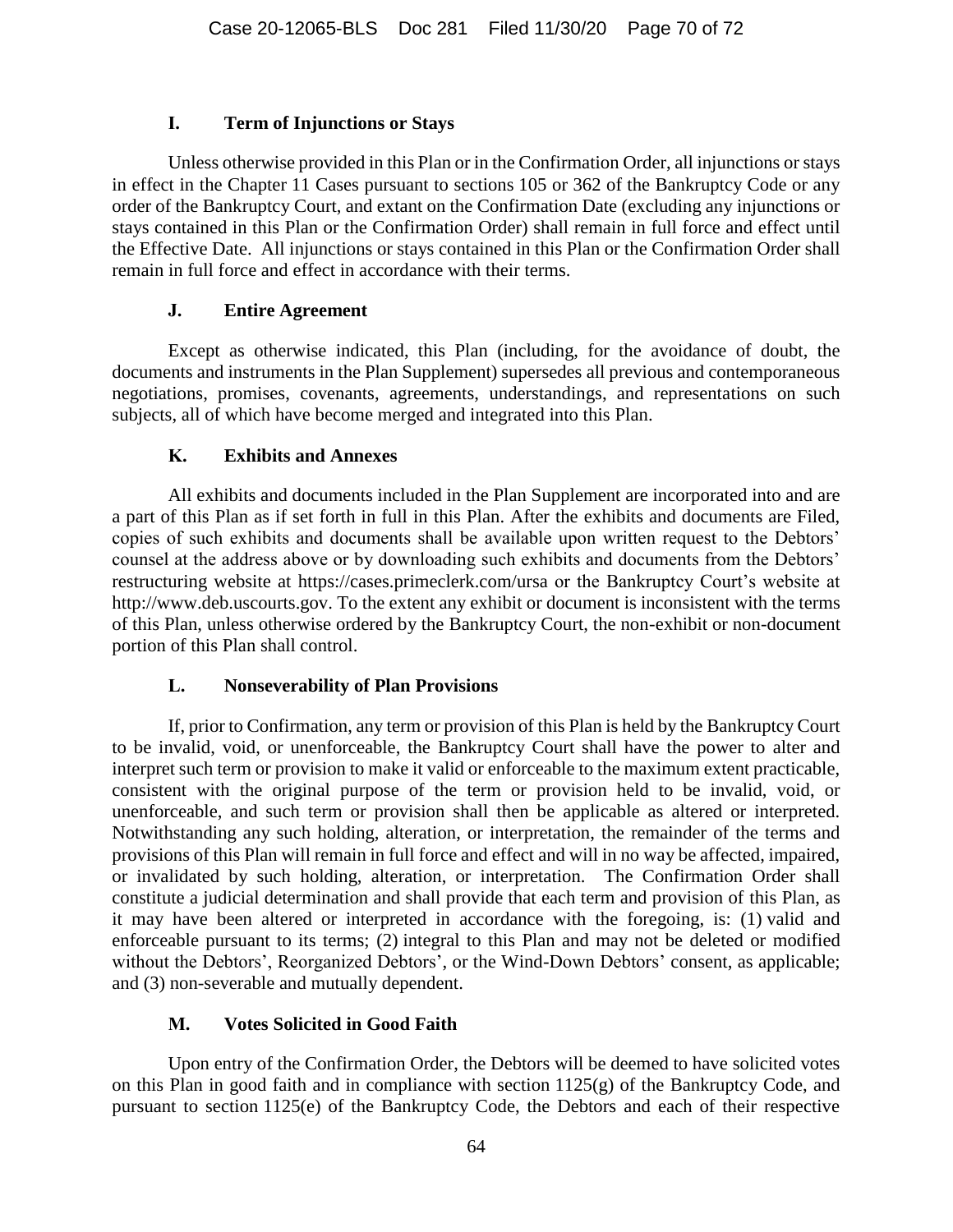### **I. Term of Injunctions or Stays**

Unless otherwise provided in this Plan or in the Confirmation Order, all injunctions or stays in effect in the Chapter 11 Cases pursuant to sections 105 or 362 of the Bankruptcy Code or any order of the Bankruptcy Court, and extant on the Confirmation Date (excluding any injunctions or stays contained in this Plan or the Confirmation Order) shall remain in full force and effect until the Effective Date. All injunctions or stays contained in this Plan or the Confirmation Order shall remain in full force and effect in accordance with their terms.

### **J. Entire Agreement**

Except as otherwise indicated, this Plan (including, for the avoidance of doubt, the documents and instruments in the Plan Supplement) supersedes all previous and contemporaneous negotiations, promises, covenants, agreements, understandings, and representations on such subjects, all of which have become merged and integrated into this Plan.

### **K. Exhibits and Annexes**

All exhibits and documents included in the Plan Supplement are incorporated into and are a part of this Plan as if set forth in full in this Plan. After the exhibits and documents are Filed, copies of such exhibits and documents shall be available upon written request to the Debtors' counsel at the address above or by downloading such exhibits and documents from the Debtors' restructuring website at https://cases.primeclerk.com/ursa or the Bankruptcy Court's website at http://www.deb.uscourts.gov. To the extent any exhibit or document is inconsistent with the terms of this Plan, unless otherwise ordered by the Bankruptcy Court, the non-exhibit or non-document portion of this Plan shall control.

## **L. Nonseverability of Plan Provisions**

If, prior to Confirmation, any term or provision of this Plan is held by the Bankruptcy Court to be invalid, void, or unenforceable, the Bankruptcy Court shall have the power to alter and interpret such term or provision to make it valid or enforceable to the maximum extent practicable, consistent with the original purpose of the term or provision held to be invalid, void, or unenforceable, and such term or provision shall then be applicable as altered or interpreted. Notwithstanding any such holding, alteration, or interpretation, the remainder of the terms and provisions of this Plan will remain in full force and effect and will in no way be affected, impaired, or invalidated by such holding, alteration, or interpretation. The Confirmation Order shall constitute a judicial determination and shall provide that each term and provision of this Plan, as it may have been altered or interpreted in accordance with the foregoing, is: (1) valid and enforceable pursuant to its terms; (2) integral to this Plan and may not be deleted or modified without the Debtors', Reorganized Debtors', or the Wind-Down Debtors' consent, as applicable; and (3) non-severable and mutually dependent.

## **M. Votes Solicited in Good Faith**

Upon entry of the Confirmation Order, the Debtors will be deemed to have solicited votes on this Plan in good faith and in compliance with section 1125(g) of the Bankruptcy Code, and pursuant to section 1125(e) of the Bankruptcy Code, the Debtors and each of their respective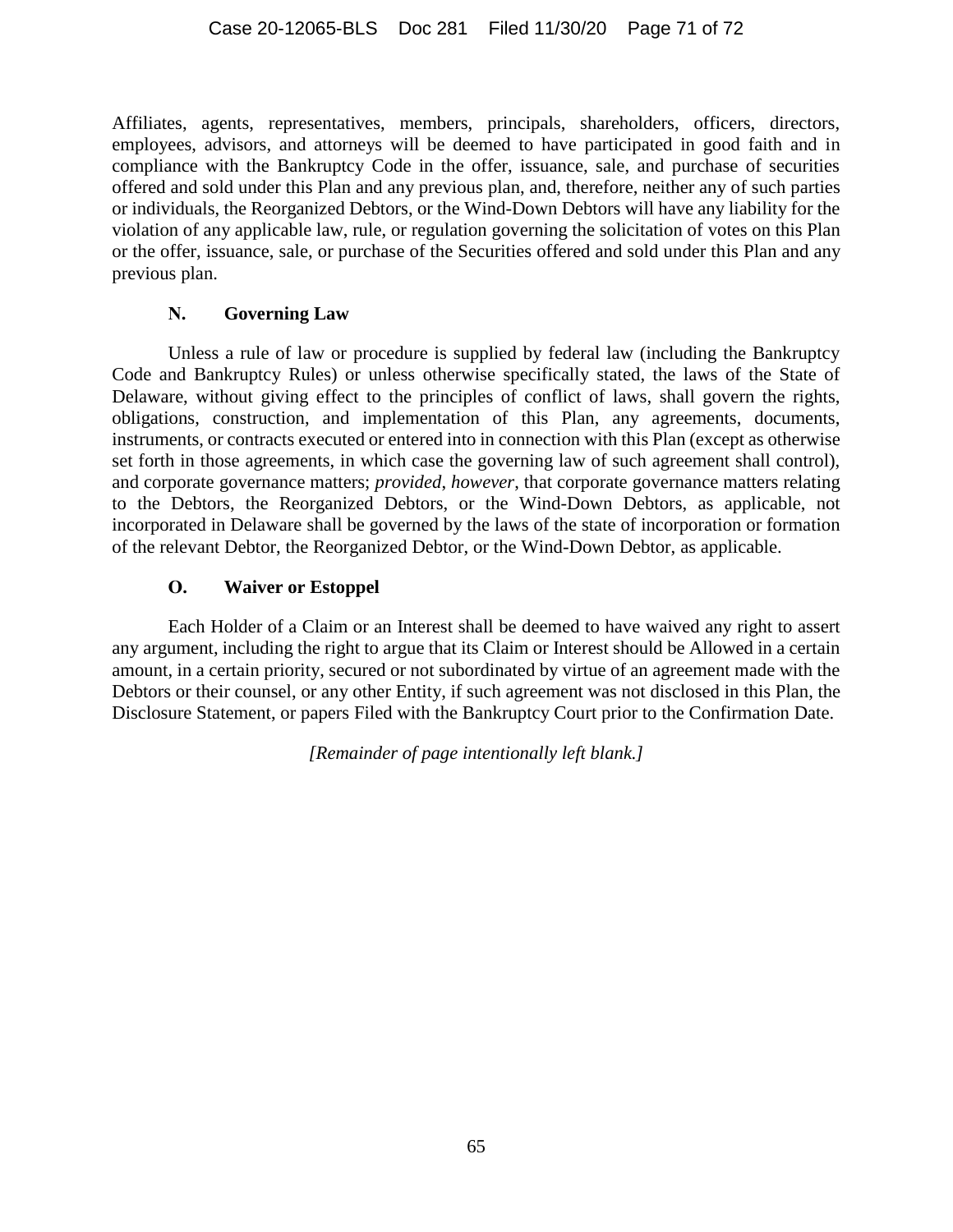Affiliates, agents, representatives, members, principals, shareholders, officers, directors, employees, advisors, and attorneys will be deemed to have participated in good faith and in compliance with the Bankruptcy Code in the offer, issuance, sale, and purchase of securities offered and sold under this Plan and any previous plan, and, therefore, neither any of such parties or individuals, the Reorganized Debtors, or the Wind-Down Debtors will have any liability for the violation of any applicable law, rule, or regulation governing the solicitation of votes on this Plan or the offer, issuance, sale, or purchase of the Securities offered and sold under this Plan and any previous plan.

### **N. Governing Law**

Unless a rule of law or procedure is supplied by federal law (including the Bankruptcy Code and Bankruptcy Rules) or unless otherwise specifically stated, the laws of the State of Delaware, without giving effect to the principles of conflict of laws, shall govern the rights, obligations, construction, and implementation of this Plan, any agreements, documents, instruments, or contracts executed or entered into in connection with this Plan (except as otherwise set forth in those agreements, in which case the governing law of such agreement shall control), and corporate governance matters; *provided*, *however*, that corporate governance matters relating to the Debtors, the Reorganized Debtors, or the Wind-Down Debtors, as applicable, not incorporated in Delaware shall be governed by the laws of the state of incorporation or formation of the relevant Debtor, the Reorganized Debtor, or the Wind-Down Debtor, as applicable.

### **O. Waiver or Estoppel**

Each Holder of a Claim or an Interest shall be deemed to have waived any right to assert any argument, including the right to argue that its Claim or Interest should be Allowed in a certain amount, in a certain priority, secured or not subordinated by virtue of an agreement made with the Debtors or their counsel, or any other Entity, if such agreement was not disclosed in this Plan, the Disclosure Statement, or papers Filed with the Bankruptcy Court prior to the Confirmation Date.

*[Remainder of page intentionally left blank.]*